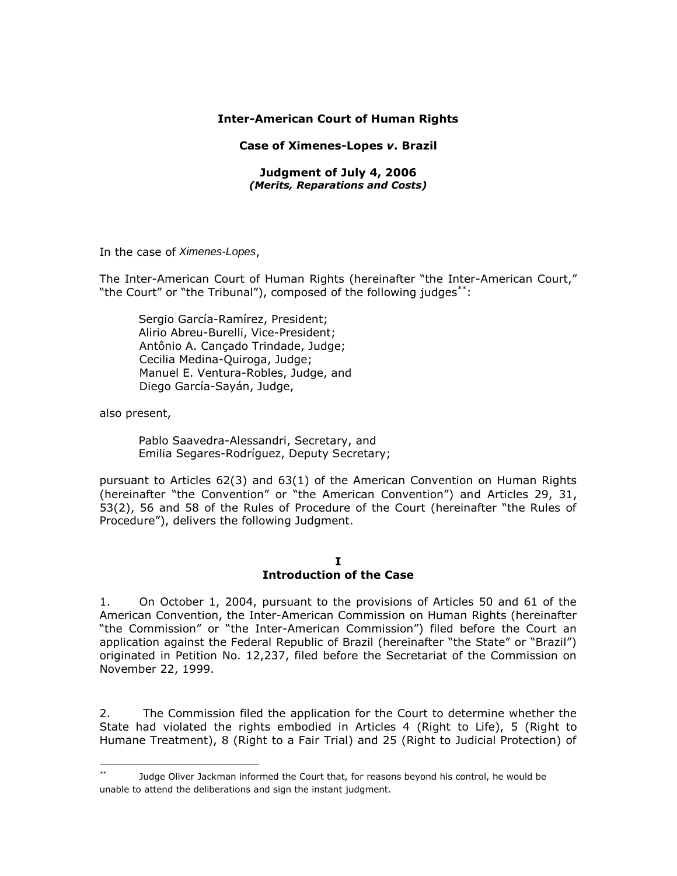### **Inter-American Court of Human Rights**

#### **Case of Ximenes-Lopes** *v***. Brazil**

#### **Judgment of July 4, 2006** *(Merits, Reparations and Costs)*

In the case of *Ximenes-Lopes*,

The Inter-American Court of Human Rights (hereinafter "the Inter-American Court," "the Court" or "the Tribunal"), composed of the following judges<sup>\*\*</sup>:

Sergio García-Ramírez, President; Alirio Abreu-Burelli, Vice-President; Antônio A. Cançado Trindade, Judge; Cecilia Medina-Quiroga, Judge; Manuel E. Ventura-Robles, Judge, and Diego García-Sayán, Judge,

also present,

Pablo Saavedra-Alessandri, Secretary, and Emilia Segares-Rodríguez, Deputy Secretary;

pursuant to Articles 62(3) and 63(1) of the American Convention on Human Rights (hereinafter "the Convention" or "the American Convention") and Articles 29, 31, 53(2), 56 and 58 of the Rules of Procedure of the Court (hereinafter "the Rules of Procedure"), delivers the following Judgment.

#### **I Introduction of the Case**

1. On October 1, 2004, pursuant to the provisions of Articles 50 and 61 of the American Convention, the Inter-American Commission on Human Rights (hereinafter "the Commission" or "the Inter-American Commission") filed before the Court an application against the Federal Republic of Brazil (hereinafter "the State" or "Brazil") originated in Petition No. 12,237, filed before the Secretariat of the Commission on November 22, 1999.

2. The Commission filed the application for the Court to determine whether the State had violated the rights embodied in Articles 4 (Right to Life), 5 (Right to Humane Treatment), 8 (Right to a Fair Trial) and 25 (Right to Judicial Protection) of

 $**$ Judge Oliver Jackman informed the Court that, for reasons beyond his control, he would be unable to attend the deliberations and sign the instant judgment.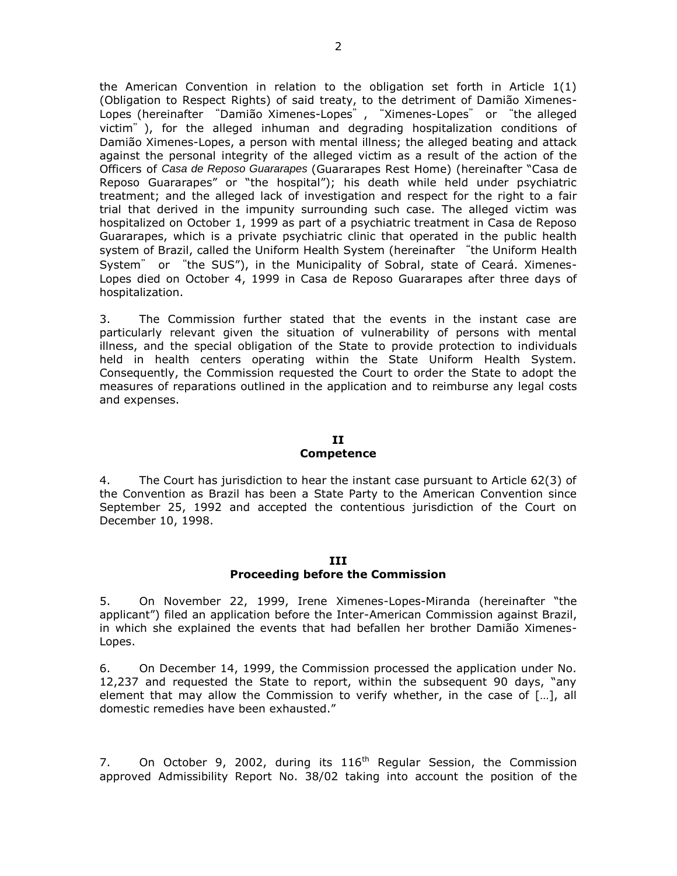the American Convention in relation to the obligation set forth in Article 1(1) (Obligation to Respect Rights) of said treaty, to the detriment of Damião Ximenes-Lopes (hereinafter "Damião Ximenes-Lopes", "Ximenes-Lopes" or "the alleged victim"), for the alleged inhuman and degrading hospitalization conditions of Damião Ximenes-Lopes, a person with mental illness; the alleged beating and attack against the personal integrity of the alleged victim as a result of the action of the Officers of *Casa de Reposo Guararapes* (Guararapes Rest Home) (hereinafter "Casa de Reposo Guararapes" or "the hospital"); his death while held under psychiatric treatment; and the alleged lack of investigation and respect for the right to a fair trial that derived in the impunity surrounding such case. The alleged victim was hospitalized on October 1, 1999 as part of a psychiatric treatment in Casa de Reposo Guararapes, which is a private psychiatric clinic that operated in the public health system of Brazil, called the Uniform Health System (hereinafter "the Uniform Health System" or "the SUS"), in the Municipality of Sobral, state of Ceará. Ximenes-Lopes died on October 4, 1999 in Casa de Reposo Guararapes after three days of hospitalization.

3. The Commission further stated that the events in the instant case are particularly relevant given the situation of vulnerability of persons with mental illness, and the special obligation of the State to provide protection to individuals held in health centers operating within the State Uniform Health System. Consequently, the Commission requested the Court to order the State to adopt the measures of reparations outlined in the application and to reimburse any legal costs and expenses.

### **II**

#### **Competence**

4. The Court has jurisdiction to hear the instant case pursuant to Article 62(3) of the Convention as Brazil has been a State Party to the American Convention since September 25, 1992 and accepted the contentious jurisdiction of the Court on December 10, 1998.

#### **III**

#### **Proceeding before the Commission**

5. On November 22, 1999, Irene Ximenes-Lopes-Miranda (hereinafter "the applicant") filed an application before the Inter-American Commission against Brazil, in which she explained the events that had befallen her brother Damião Ximenes-Lopes.

6. On December 14, 1999, the Commission processed the application under No. 12,237 and requested the State to report, within the subsequent 90 days, "any element that may allow the Commission to verify whether, in the case of […], all domestic remedies have been exhausted."

7. On October 9, 2002, during its  $116<sup>th</sup>$  Regular Session, the Commission approved Admissibility Report No. 38/02 taking into account the position of the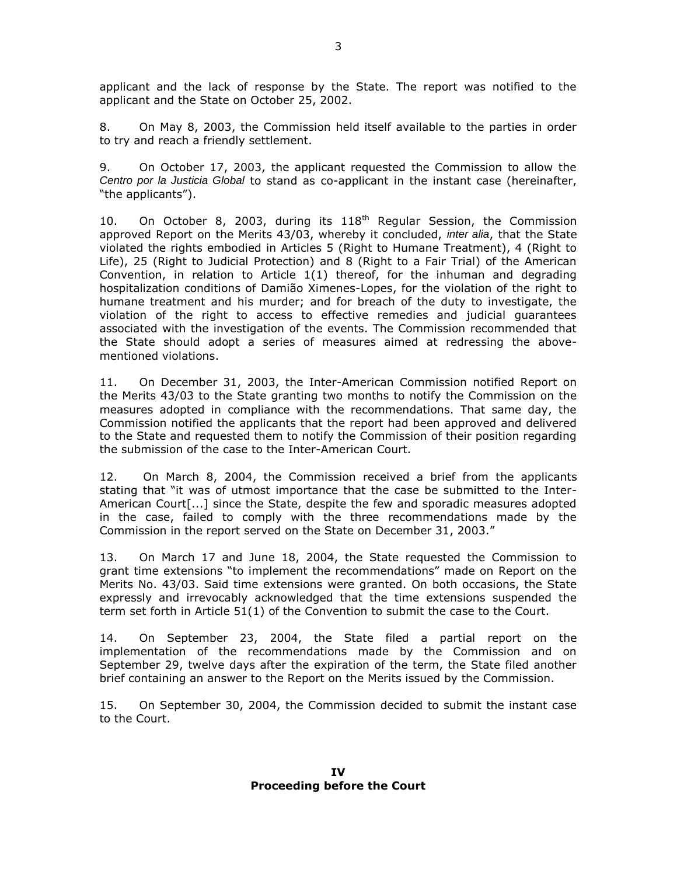applicant and the lack of response by the State. The report was notified to the applicant and the State on October 25, 2002.

8. On May 8, 2003, the Commission held itself available to the parties in order to try and reach a friendly settlement.

9. On October 17, 2003, the applicant requested the Commission to allow the *Centro por la Justicia Global* to stand as co-applicant in the instant case (hereinafter, "the applicants").

10. On October 8, 2003, during its 118<sup>th</sup> Regular Session, the Commission approved Report on the Merits 43/03, whereby it concluded, *inter alia*, that the State violated the rights embodied in Articles 5 (Right to Humane Treatment), 4 (Right to Life), 25 (Right to Judicial Protection) and 8 (Right to a Fair Trial) of the American Convention, in relation to Article  $1(1)$  thereof, for the inhuman and degrading hospitalization conditions of Damião Ximenes-Lopes, for the violation of the right to humane treatment and his murder; and for breach of the duty to investigate, the violation of the right to access to effective remedies and judicial guarantees associated with the investigation of the events. The Commission recommended that the State should adopt a series of measures aimed at redressing the abovementioned violations.

11. On December 31, 2003, the Inter-American Commission notified Report on the Merits 43/03 to the State granting two months to notify the Commission on the measures adopted in compliance with the recommendations. That same day, the Commission notified the applicants that the report had been approved and delivered to the State and requested them to notify the Commission of their position regarding the submission of the case to the Inter-American Court.

12. On March 8, 2004, the Commission received a brief from the applicants stating that "it was of utmost importance that the case be submitted to the Inter-American Court[...] since the State, despite the few and sporadic measures adopted in the case, failed to comply with the three recommendations made by the Commission in the report served on the State on December 31, 2003."

13. On March 17 and June 18, 2004, the State requested the Commission to grant time extensions "to implement the recommendations" made on Report on the Merits No. 43/03. Said time extensions were granted. On both occasions, the State expressly and irrevocably acknowledged that the time extensions suspended the term set forth in Article 51(1) of the Convention to submit the case to the Court.

14. On September 23, 2004, the State filed a partial report on the implementation of the recommendations made by the Commission and on September 29, twelve days after the expiration of the term, the State filed another brief containing an answer to the Report on the Merits issued by the Commission.

15. On September 30, 2004, the Commission decided to submit the instant case to the Court.

**IV Proceeding before the Court**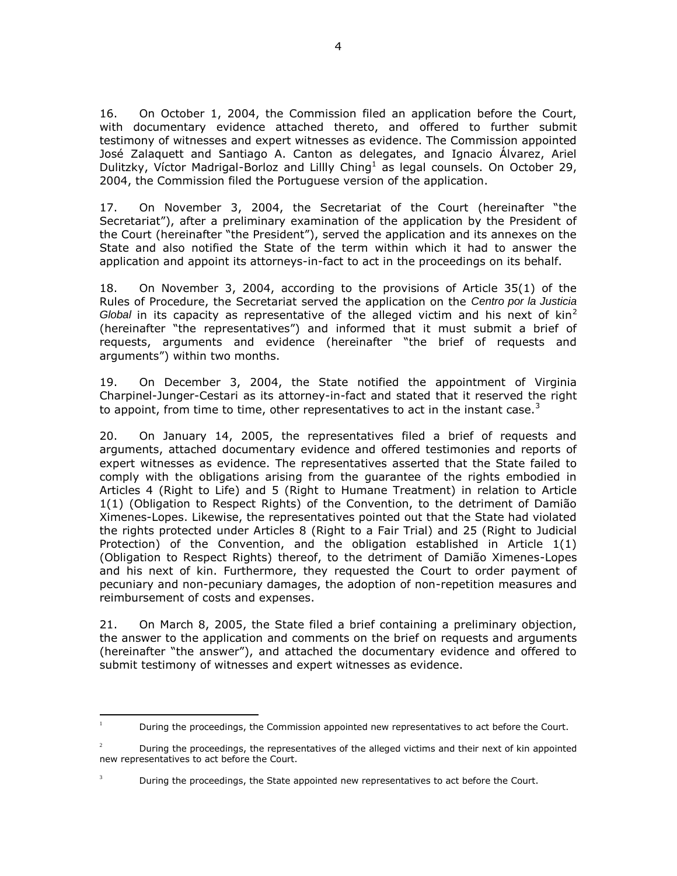16. On October 1, 2004, the Commission filed an application before the Court, with documentary evidence attached thereto, and offered to further submit testimony of witnesses and expert witnesses as evidence. The Commission appointed José Zalaquett and Santiago A. Canton as delegates, and Ignacio Álvarez, Ariel Dulitzky, Víctor Madrigal-Borloz and Lillly Ching<sup>1</sup> as legal counsels. On October 29, 2004, the Commission filed the Portuguese version of the application.

17. On November 3, 2004, the Secretariat of the Court (hereinafter "the Secretariat"), after a preliminary examination of the application by the President of the Court (hereinafter "the President"), served the application and its annexes on the State and also notified the State of the term within which it had to answer the application and appoint its attorneys-in-fact to act in the proceedings on its behalf.

18. On November 3, 2004, according to the provisions of Article 35(1) of the Rules of Procedure, the Secretariat served the application on the *Centro por la Justicia Global* in its capacity as representative of the alleged victim and his next of  $\sin^2$ (hereinafter "the representatives") and informed that it must submit a brief of requests, arguments and evidence (hereinafter "the brief of requests and arguments") within two months.

19. On December 3, 2004, the State notified the appointment of Virginia Charpinel-Junger-Cestari as its attorney-in-fact and stated that it reserved the right to appoint, from time to time, other representatives to act in the instant case.<sup>3</sup>

20. On January 14, 2005, the representatives filed a brief of requests and arguments, attached documentary evidence and offered testimonies and reports of expert witnesses as evidence. The representatives asserted that the State failed to comply with the obligations arising from the guarantee of the rights embodied in Articles 4 (Right to Life) and 5 (Right to Humane Treatment) in relation to Article 1(1) (Obligation to Respect Rights) of the Convention, to the detriment of Damião Ximenes-Lopes. Likewise, the representatives pointed out that the State had violated the rights protected under Articles 8 (Right to a Fair Trial) and 25 (Right to Judicial Protection) of the Convention, and the obligation established in Article 1(1) (Obligation to Respect Rights) thereof, to the detriment of Damião Ximenes-Lopes and his next of kin. Furthermore, they requested the Court to order payment of pecuniary and non-pecuniary damages, the adoption of non-repetition measures and reimbursement of costs and expenses.

21. On March 8, 2005, the State filed a brief containing a preliminary objection, the answer to the application and comments on the brief on requests and arguments (hereinafter "the answer"), and attached the documentary evidence and offered to submit testimony of witnesses and expert witnesses as evidence.

 $\mathbf{1}$ During the proceedings, the Commission appointed new representatives to act before the Court.

 $2^2$  During the proceedings, the representatives of the alleged victims and their next of kin appointed new representatives to act before the Court.

 $3$  During the proceedings, the State appointed new representatives to act before the Court.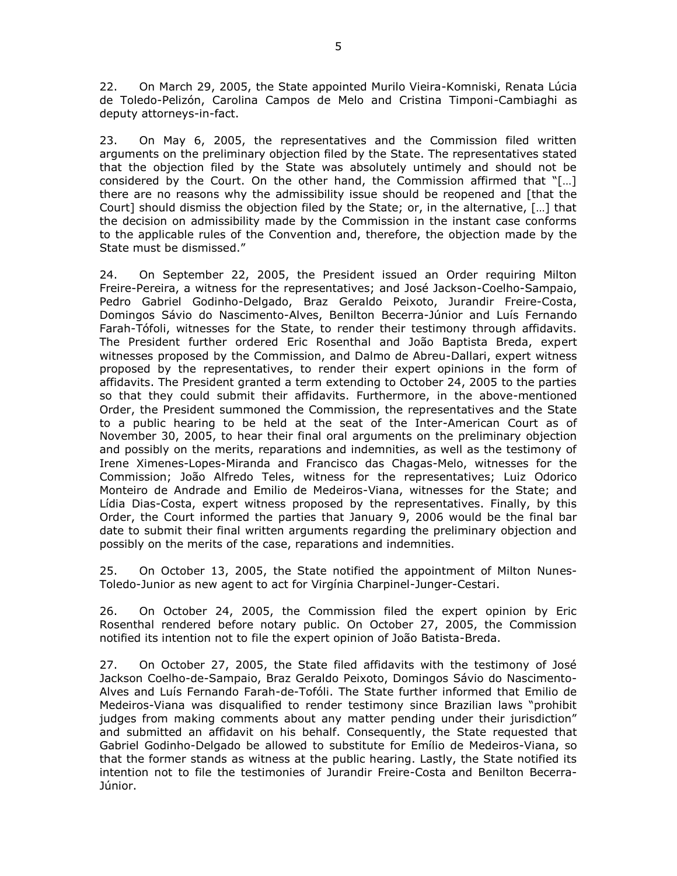22. On March 29, 2005, the State appointed Murilo Vieira-Komniski, Renata Lúcia de Toledo-Pelizón, Carolina Campos de Melo and Cristina Timponi-Cambiaghi as deputy attorneys-in-fact.

23. On May 6, 2005, the representatives and the Commission filed written arguments on the preliminary objection filed by the State. The representatives stated that the objection filed by the State was absolutely untimely and should not be considered by the Court. On the other hand, the Commission affirmed that "[…] there are no reasons why the admissibility issue should be reopened and [that the Court] should dismiss the objection filed by the State; or, in the alternative, […] that the decision on admissibility made by the Commission in the instant case conforms to the applicable rules of the Convention and, therefore, the objection made by the State must be dismissed."

24. On September 22, 2005, the President issued an Order requiring Milton Freire-Pereira, a witness for the representatives; and José Jackson-Coelho-Sampaio, Pedro Gabriel Godinho-Delgado, Braz Geraldo Peixoto, Jurandir Freire-Costa, Domingos Sávio do Nascimento-Alves, Benilton Becerra-Júnior and Luís Fernando Farah-Tófoli, witnesses for the State, to render their testimony through affidavits. The President further ordered Eric Rosenthal and João Baptista Breda, expert witnesses proposed by the Commission, and Dalmo de Abreu-Dallari, expert witness proposed by the representatives, to render their expert opinions in the form of affidavits. The President granted a term extending to October 24, 2005 to the parties so that they could submit their affidavits. Furthermore, in the above-mentioned Order, the President summoned the Commission, the representatives and the State to a public hearing to be held at the seat of the Inter-American Court as of November 30, 2005, to hear their final oral arguments on the preliminary objection and possibly on the merits, reparations and indemnities, as well as the testimony of Irene Ximenes-Lopes-Miranda and Francisco das Chagas-Melo, witnesses for the Commission; João Alfredo Teles, witness for the representatives; Luiz Odorico Monteiro de Andrade and Emilio de Medeiros-Viana, witnesses for the State; and Lídia Dias-Costa, expert witness proposed by the representatives. Finally, by this Order, the Court informed the parties that January 9, 2006 would be the final bar date to submit their final written arguments regarding the preliminary objection and possibly on the merits of the case, reparations and indemnities.

25. On October 13, 2005, the State notified the appointment of Milton Nunes-Toledo-Junior as new agent to act for Virgínia Charpinel-Junger-Cestari.

26. On October 24, 2005, the Commission filed the expert opinion by Eric Rosenthal rendered before notary public. On October 27, 2005, the Commission notified its intention not to file the expert opinion of João Batista-Breda.

27. On October 27, 2005, the State filed affidavits with the testimony of José Jackson Coelho-de-Sampaio, Braz Geraldo Peixoto, Domingos Sávio do Nascimento-Alves and Luís Fernando Farah-de-Tofóli. The State further informed that Emilio de Medeiros-Viana was disqualified to render testimony since Brazilian laws "prohibit judges from making comments about any matter pending under their jurisdiction" and submitted an affidavit on his behalf. Consequently, the State requested that Gabriel Godinho-Delgado be allowed to substitute for Emílio de Medeiros-Viana, so that the former stands as witness at the public hearing. Lastly, the State notified its intention not to file the testimonies of Jurandir Freire-Costa and Benilton Becerra-Júnior.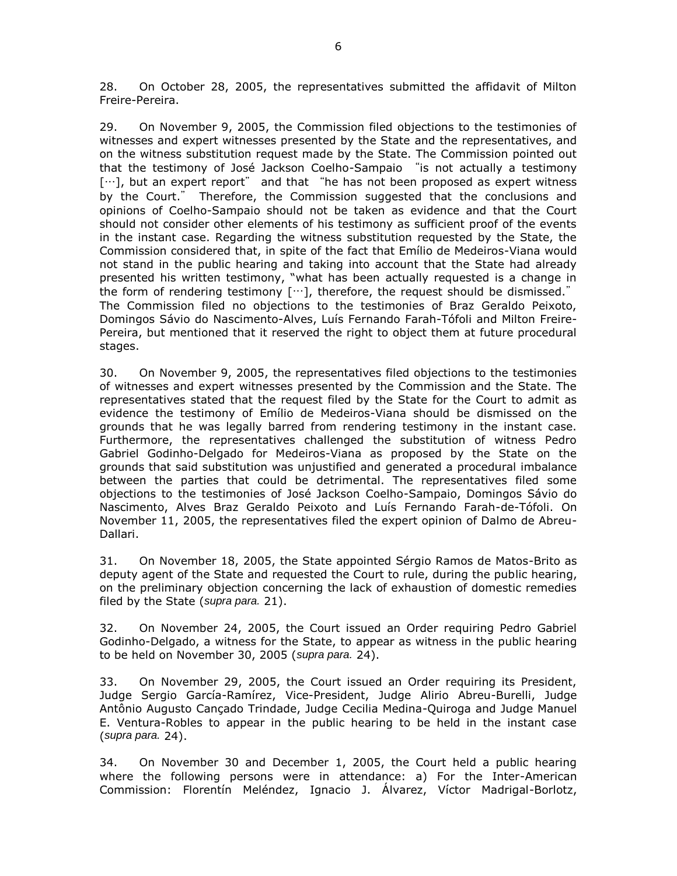28. On October 28, 2005, the representatives submitted the affidavit of Milton Freire-Pereira.

29. On November 9, 2005, the Commission filed objections to the testimonies of witnesses and expert witnesses presented by the State and the representatives, and on the witness substitution request made by the State. The Commission pointed out that the testimony of José Jackson Coelho-Sampaio "is not actually a testimony […], but an expert report" and that "he has not been proposed as expert witness by the Court." Therefore, the Commission suggested that the conclusions and opinions of Coelho-Sampaio should not be taken as evidence and that the Court should not consider other elements of his testimony as sufficient proof of the events in the instant case. Regarding the witness substitution requested by the State, the Commission considered that, in spite of the fact that Emílio de Medeiros-Viana would not stand in the public hearing and taking into account that the State had already presented his written testimony, "what has been actually requested is a change in the form of rendering testimony  $[\cdots]$ , therefore, the request should be dismissed." The Commission filed no objections to the testimonies of Braz Geraldo Peixoto, Domingos Sávio do Nascimento-Alves, Luís Fernando Farah-Tófoli and Milton Freire-Pereira, but mentioned that it reserved the right to object them at future procedural stages.

30. On November 9, 2005, the representatives filed objections to the testimonies of witnesses and expert witnesses presented by the Commission and the State. The representatives stated that the request filed by the State for the Court to admit as evidence the testimony of Emílio de Medeiros-Viana should be dismissed on the grounds that he was legally barred from rendering testimony in the instant case. Furthermore, the representatives challenged the substitution of witness Pedro Gabriel Godinho-Delgado for Medeiros-Viana as proposed by the State on the grounds that said substitution was unjustified and generated a procedural imbalance between the parties that could be detrimental. The representatives filed some objections to the testimonies of José Jackson Coelho-Sampaio, Domingos Sávio do Nascimento, Alves Braz Geraldo Peixoto and Luís Fernando Farah-de-Tófoli. On November 11, 2005, the representatives filed the expert opinion of Dalmo de Abreu-Dallari.

31. On November 18, 2005, the State appointed Sérgio Ramos de Matos-Brito as deputy agent of the State and requested the Court to rule, during the public hearing, on the preliminary objection concerning the lack of exhaustion of domestic remedies filed by the State (*supra para.* 21).

32. On November 24, 2005, the Court issued an Order requiring Pedro Gabriel Godinho-Delgado, a witness for the State, to appear as witness in the public hearing to be held on November 30, 2005 (*supra para.* 24).

33. On November 29, 2005, the Court issued an Order requiring its President, Judge Sergio García-Ramírez, Vice-President, Judge Alirio Abreu-Burelli, Judge Antônio Augusto Cançado Trindade, Judge Cecilia Medina-Quiroga and Judge Manuel E. Ventura-Robles to appear in the public hearing to be held in the instant case (*supra para.* 24).

34. On November 30 and December 1, 2005, the Court held a public hearing where the following persons were in attendance: a) For the Inter-American Commission: Florentín Meléndez, Ignacio J. Álvarez, Víctor Madrigal-Borlotz,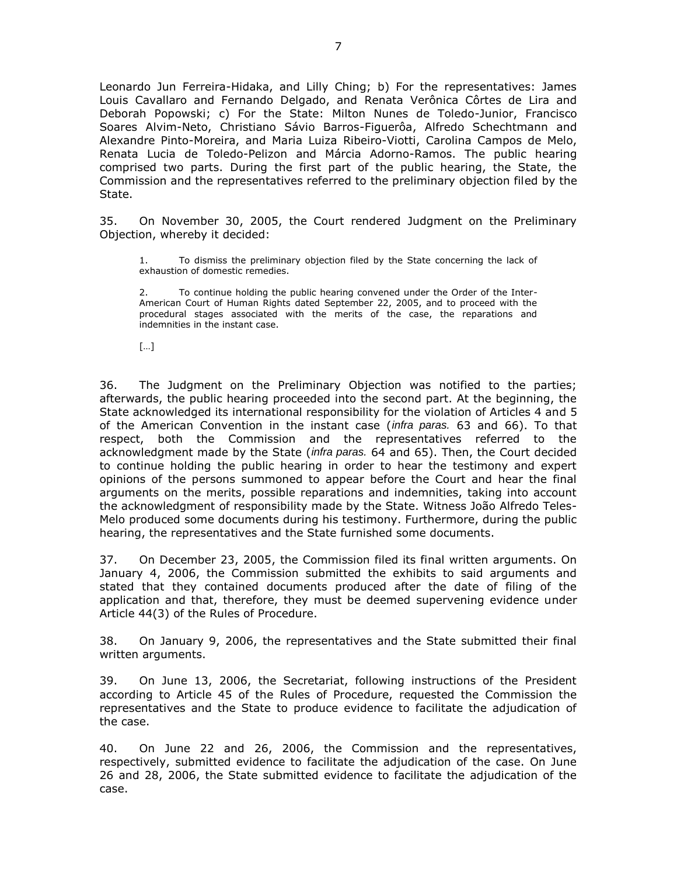Leonardo Jun Ferreira-Hidaka, and Lilly Ching; b) For the representatives: James Louis Cavallaro and Fernando Delgado, and Renata Verônica Côrtes de Lira and Deborah Popowski; c) For the State: Milton Nunes de Toledo-Junior, Francisco Soares Alvim-Neto, Christiano Sávio Barros-Figuerôa, Alfredo Schechtmann and Alexandre Pinto-Moreira, and Maria Luiza Ribeiro-Viotti, Carolina Campos de Melo, Renata Lucia de Toledo-Pelizon and Márcia Adorno-Ramos. The public hearing comprised two parts. During the first part of the public hearing, the State, the Commission and the representatives referred to the preliminary objection filed by the State.

35. On November 30, 2005, the Court rendered Judgment on the Preliminary Objection, whereby it decided:

1. To dismiss the preliminary objection filed by the State concerning the lack of exhaustion of domestic remedies.

2. To continue holding the public hearing convened under the Order of the Inter-American Court of Human Rights dated September 22, 2005, and to proceed with the procedural stages associated with the merits of the case, the reparations and indemnities in the instant case.

[…]

36. The Judgment on the Preliminary Objection was notified to the parties; afterwards, the public hearing proceeded into the second part. At the beginning, the State acknowledged its international responsibility for the violation of Articles 4 and 5 of the American Convention in the instant case (*infra paras.* 63 and 66). To that respect, both the Commission and the representatives referred to the acknowledgment made by the State (*infra paras.* 64 and 65). Then, the Court decided to continue holding the public hearing in order to hear the testimony and expert opinions of the persons summoned to appear before the Court and hear the final arguments on the merits, possible reparations and indemnities, taking into account the acknowledgment of responsibility made by the State. Witness João Alfredo Teles-Melo produced some documents during his testimony. Furthermore, during the public hearing, the representatives and the State furnished some documents.

37. On December 23, 2005, the Commission filed its final written arguments. On January 4, 2006, the Commission submitted the exhibits to said arguments and stated that they contained documents produced after the date of filing of the application and that, therefore, they must be deemed supervening evidence under Article 44(3) of the Rules of Procedure.

38. On January 9, 2006, the representatives and the State submitted their final written arguments.

39. On June 13, 2006, the Secretariat, following instructions of the President according to Article 45 of the Rules of Procedure, requested the Commission the representatives and the State to produce evidence to facilitate the adjudication of the case.

40. On June 22 and 26, 2006, the Commission and the representatives, respectively, submitted evidence to facilitate the adjudication of the case. On June 26 and 28, 2006, the State submitted evidence to facilitate the adjudication of the case.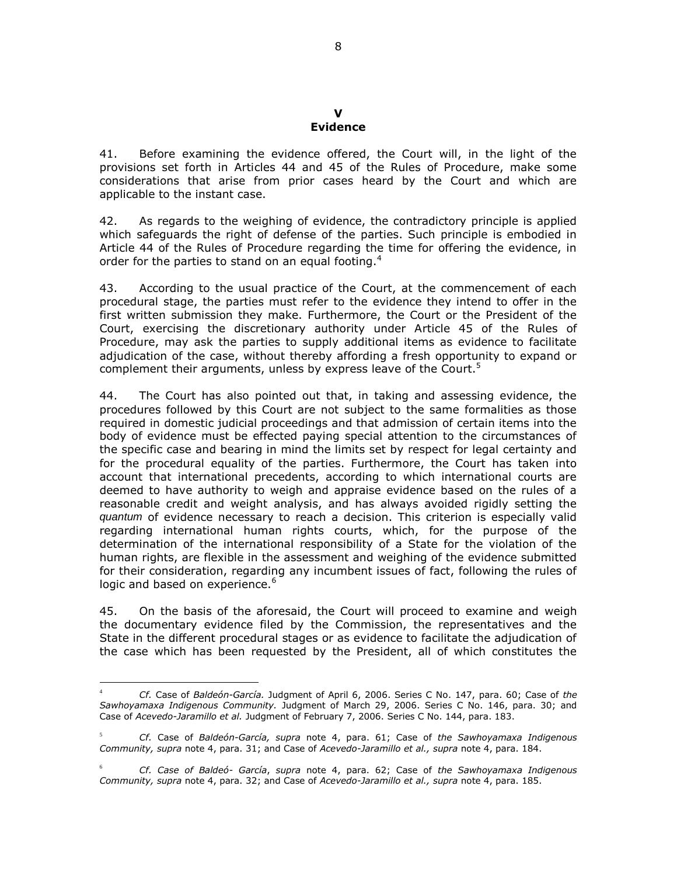#### **V Evidence**

41. Before examining the evidence offered, the Court will, in the light of the provisions set forth in Articles 44 and 45 of the Rules of Procedure, make some considerations that arise from prior cases heard by the Court and which are applicable to the instant case.

42. As regards to the weighing of evidence, the contradictory principle is applied which safeguards the right of defense of the parties. Such principle is embodied in Article 44 of the Rules of Procedure regarding the time for offering the evidence, in order for the parties to stand on an equal footing.<sup>4</sup>

43. According to the usual practice of the Court, at the commencement of each procedural stage, the parties must refer to the evidence they intend to offer in the first written submission they make. Furthermore, the Court or the President of the Court, exercising the discretionary authority under Article 45 of the Rules of Procedure, may ask the parties to supply additional items as evidence to facilitate adjudication of the case, without thereby affording a fresh opportunity to expand or complement their arguments, unless by express leave of the Court.<sup>5</sup>

44. The Court has also pointed out that, in taking and assessing evidence, the procedures followed by this Court are not subject to the same formalities as those required in domestic judicial proceedings and that admission of certain items into the body of evidence must be effected paying special attention to the circumstances of the specific case and bearing in mind the limits set by respect for legal certainty and for the procedural equality of the parties. Furthermore, the Court has taken into account that international precedents, according to which international courts are deemed to have authority to weigh and appraise evidence based on the rules of a reasonable credit and weight analysis, and has always avoided rigidly setting the *quantum* of evidence necessary to reach a decision. This criterion is especially valid regarding international human rights courts, which, for the purpose of the determination of the international responsibility of a State for the violation of the human rights, are flexible in the assessment and weighing of the evidence submitted for their consideration, regarding any incumbent issues of fact, following the rules of logic and based on experience.<sup>6</sup>

45. On the basis of the aforesaid, the Court will proceed to examine and weigh the documentary evidence filed by the Commission, the representatives and the State in the different procedural stages or as evidence to facilitate the adjudication of the case which has been requested by the President, all of which constitutes the

 $\overline{a}$ <sup>4</sup> *Cf.* Case of *Baldeón-García.* Judgment of April 6, 2006. Series C No. 147, para. 60; Case of *the Sawhoyamaxa Indigenous Community.* Judgment of March 29, 2006. Series C No. 146, para. 30; and Case of *Acevedo-Jaramillo et al.* Judgment of February 7, 2006. Series C No. 144, para. 183.

<sup>5</sup> *Cf.* Case of *Baldeón-García, supra* note 4, para. 61; Case of *the Sawhoyamaxa Indigenous Community, supra* note 4, para. 31; and Case of *Acevedo-Jaramillo et al., supra* note 4, para. 184.

<sup>6</sup> *Cf. Case of Baldeó- García*, *supra* note 4, para. 62; Case of *the Sawhoyamaxa Indigenous Community, supra* note 4, para. 32; and Case of *Acevedo-Jaramillo et al., supra* note 4, para. 185.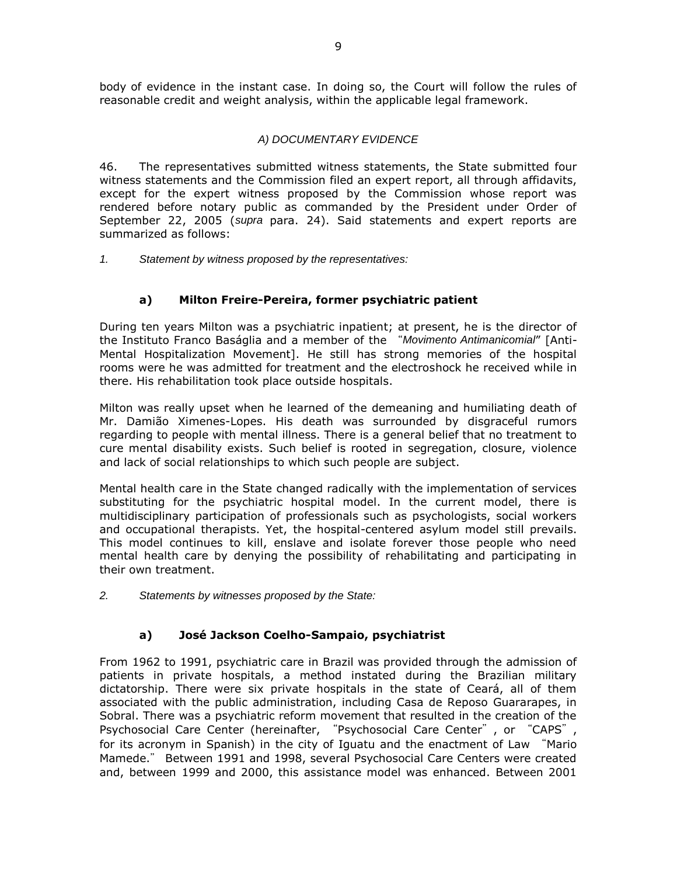body of evidence in the instant case. In doing so, the Court will follow the rules of reasonable credit and weight analysis, within the applicable legal framework.

# *A) DOCUMENTARY EVIDENCE*

46. The representatives submitted witness statements, the State submitted four witness statements and the Commission filed an expert report, all through affidavits, except for the expert witness proposed by the Commission whose report was rendered before notary public as commanded by the President under Order of September 22, 2005 (*supra* para. 24). Said statements and expert reports are summarized as follows:

*1. Statement by witness proposed by the representatives:*

# **a) Milton Freire-Pereira, former psychiatric patient**

During ten years Milton was a psychiatric inpatient; at present, he is the director of the Instituto Franco Baságlia and a member of the "*Movimento Antimanicomial*" [Anti-Mental Hospitalization Movement]. He still has strong memories of the hospital rooms were he was admitted for treatment and the electroshock he received while in there. His rehabilitation took place outside hospitals.

Milton was really upset when he learned of the demeaning and humiliating death of Mr. Damião Ximenes-Lopes. His death was surrounded by disgraceful rumors regarding to people with mental illness. There is a general belief that no treatment to cure mental disability exists. Such belief is rooted in segregation, closure, violence and lack of social relationships to which such people are subject.

Mental health care in the State changed radically with the implementation of services substituting for the psychiatric hospital model. In the current model, there is multidisciplinary participation of professionals such as psychologists, social workers and occupational therapists. Yet, the hospital-centered asylum model still prevails. This model continues to kill, enslave and isolate forever those people who need mental health care by denying the possibility of rehabilitating and participating in their own treatment.

*2. Statements by witnesses proposed by the State:*

# **a) José Jackson Coelho-Sampaio, psychiatrist**

From 1962 to 1991, psychiatric care in Brazil was provided through the admission of patients in private hospitals, a method instated during the Brazilian military dictatorship. There were six private hospitals in the state of Ceará, all of them associated with the public administration, including Casa de Reposo Guararapes, in Sobral. There was a psychiatric reform movement that resulted in the creation of the Psychosocial Care Center (hereinafter, "Psychosocial Care Center", or "CAPS", for its acronym in Spanish) in the city of Iguatu and the enactment of Law "Mario Mamede." Between 1991 and 1998, several Psychosocial Care Centers were created and, between 1999 and 2000, this assistance model was enhanced. Between 2001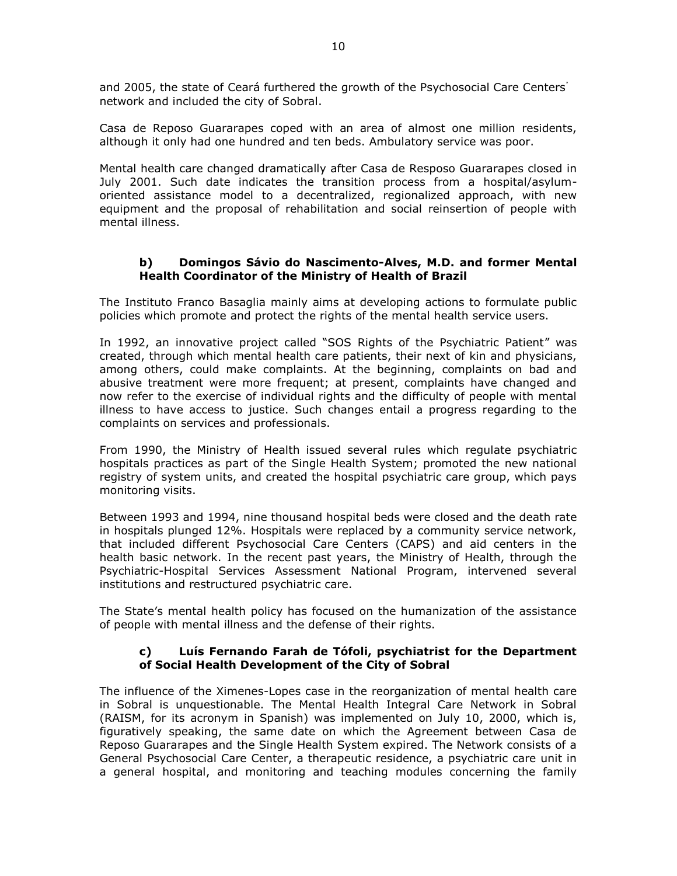and 2005, the state of Ceará furthered the growth of the Psychosocial Care Centers' network and included the city of Sobral.

Casa de Reposo Guararapes coped with an area of almost one million residents, although it only had one hundred and ten beds. Ambulatory service was poor.

Mental health care changed dramatically after Casa de Resposo Guararapes closed in July 2001. Such date indicates the transition process from a hospital/asylumoriented assistance model to a decentralized, regionalized approach, with new equipment and the proposal of rehabilitation and social reinsertion of people with mental illness.

## **b) Domingos Sávio do Nascimento-Alves, M.D. and former Mental Health Coordinator of the Ministry of Health of Brazil**

The Instituto Franco Basaglia mainly aims at developing actions to formulate public policies which promote and protect the rights of the mental health service users.

In 1992, an innovative project called "SOS Rights of the Psychiatric Patient" was created, through which mental health care patients, their next of kin and physicians, among others, could make complaints. At the beginning, complaints on bad and abusive treatment were more frequent; at present, complaints have changed and now refer to the exercise of individual rights and the difficulty of people with mental illness to have access to justice. Such changes entail a progress regarding to the complaints on services and professionals.

From 1990, the Ministry of Health issued several rules which regulate psychiatric hospitals practices as part of the Single Health System; promoted the new national registry of system units, and created the hospital psychiatric care group, which pays monitoring visits.

Between 1993 and 1994, nine thousand hospital beds were closed and the death rate in hospitals plunged 12%. Hospitals were replaced by a community service network, that included different Psychosocial Care Centers (CAPS) and aid centers in the health basic network. In the recent past years, the Ministry of Health, through the Psychiatric-Hospital Services Assessment National Program, intervened several institutions and restructured psychiatric care.

The State's mental health policy has focused on the humanization of the assistance of people with mental illness and the defense of their rights.

### **c) Luís Fernando Farah de Tófoli, psychiatrist for the Department of Social Health Development of the City of Sobral**

The influence of the Ximenes-Lopes case in the reorganization of mental health care in Sobral is unquestionable. The Mental Health Integral Care Network in Sobral (RAISM, for its acronym in Spanish) was implemented on July 10, 2000, which is, figuratively speaking, the same date on which the Agreement between Casa de Reposo Guararapes and the Single Health System expired. The Network consists of a General Psychosocial Care Center, a therapeutic residence, a psychiatric care unit in a general hospital, and monitoring and teaching modules concerning the family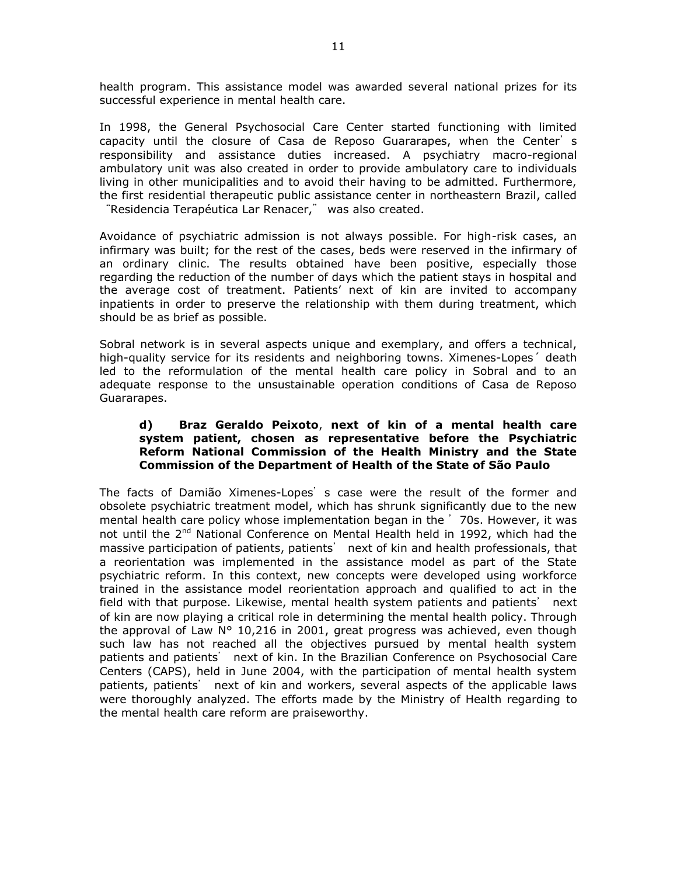health program. This assistance model was awarded several national prizes for its successful experience in mental health care.

In 1998, the General Psychosocial Care Center started functioning with limited capacity until the closure of Casa de Reposo Guararapes, when the Center's responsibility and assistance duties increased. A psychiatry macro-regional ambulatory unit was also created in order to provide ambulatory care to individuals living in other municipalities and to avoid their having to be admitted. Furthermore, the first residential therapeutic public assistance center in northeastern Brazil, called "Residencia Terapéutica Lar Renacer," was also created.

Avoidance of psychiatric admission is not always possible. For high-risk cases, an infirmary was built; for the rest of the cases, beds were reserved in the infirmary of an ordinary clinic. The results obtained have been positive, especially those regarding the reduction of the number of days which the patient stays in hospital and the average cost of treatment. Patients' next of kin are invited to accompany inpatients in order to preserve the relationship with them during treatment, which should be as brief as possible.

Sobral network is in several aspects unique and exemplary, and offers a technical, high-quality service for its residents and neighboring towns. Ximenes-Lopes´ death led to the reformulation of the mental health care policy in Sobral and to an adequate response to the unsustainable operation conditions of Casa de Reposo Guararapes.

### **d) Braz Geraldo Peixoto**, **next of kin of a mental health care system patient, chosen as representative before the Psychiatric Reform National Commission of the Health Ministry and the State Commission of the Department of Health of the State of São Paulo**

The facts of Damião Ximenes-Lopes' s case were the result of the former and obsolete psychiatric treatment model, which has shrunk significantly due to the new mental health care policy whose implementation began in the '70s. However, it was not until the 2<sup>nd</sup> National Conference on Mental Health held in 1992, which had the massive participation of patients, patients' next of kin and health professionals, that a reorientation was implemented in the assistance model as part of the State psychiatric reform. In this context, new concepts were developed using workforce trained in the assistance model reorientation approach and qualified to act in the field with that purpose. Likewise, mental health system patients and patients' next of kin are now playing a critical role in determining the mental health policy. Through the approval of Law  $N^{\circ}$  10,216 in 2001, great progress was achieved, even though such law has not reached all the objectives pursued by mental health system patients and patients' next of kin. In the Brazilian Conference on Psychosocial Care Centers (CAPS), held in June 2004, with the participation of mental health system patients, patients' next of kin and workers, several aspects of the applicable laws were thoroughly analyzed. The efforts made by the Ministry of Health regarding to the mental health care reform are praiseworthy.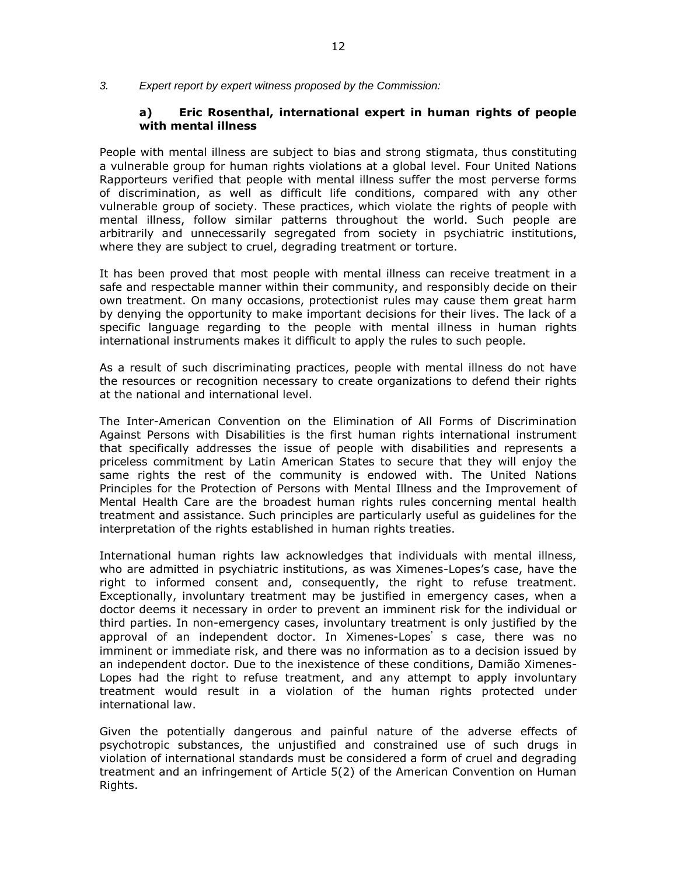*3. Expert report by expert witness proposed by the Commission:*

### **a) Eric Rosenthal, international expert in human rights of people with mental illness**

People with mental illness are subject to bias and strong stigmata, thus constituting a vulnerable group for human rights violations at a global level. Four United Nations Rapporteurs verified that people with mental illness suffer the most perverse forms of discrimination, as well as difficult life conditions, compared with any other vulnerable group of society. These practices, which violate the rights of people with mental illness, follow similar patterns throughout the world. Such people are arbitrarily and unnecessarily segregated from society in psychiatric institutions, where they are subject to cruel, degrading treatment or torture.

It has been proved that most people with mental illness can receive treatment in a safe and respectable manner within their community, and responsibly decide on their own treatment. On many occasions, protectionist rules may cause them great harm by denying the opportunity to make important decisions for their lives. The lack of a specific language regarding to the people with mental illness in human rights international instruments makes it difficult to apply the rules to such people.

As a result of such discriminating practices, people with mental illness do not have the resources or recognition necessary to create organizations to defend their rights at the national and international level.

The Inter-American Convention on the Elimination of All Forms of Discrimination Against Persons with Disabilities is the first human rights international instrument that specifically addresses the issue of people with disabilities and represents a priceless commitment by Latin American States to secure that they will enjoy the same rights the rest of the community is endowed with. The United Nations Principles for the Protection of Persons with Mental Illness and the Improvement of Mental Health Care are the broadest human rights rules concerning mental health treatment and assistance. Such principles are particularly useful as guidelines for the interpretation of the rights established in human rights treaties.

International human rights law acknowledges that individuals with mental illness, who are admitted in psychiatric institutions, as was Ximenes-Lopes's case, have the right to informed consent and, consequently, the right to refuse treatment. Exceptionally, involuntary treatment may be justified in emergency cases, when a doctor deems it necessary in order to prevent an imminent risk for the individual or third parties. In non-emergency cases, involuntary treatment is only justified by the approval of an independent doctor. In Ximenes-Lopes's case, there was no imminent or immediate risk, and there was no information as to a decision issued by an independent doctor. Due to the inexistence of these conditions, Damião Ximenes-Lopes had the right to refuse treatment, and any attempt to apply involuntary treatment would result in a violation of the human rights protected under international law.

Given the potentially dangerous and painful nature of the adverse effects of psychotropic substances, the unjustified and constrained use of such drugs in violation of international standards must be considered a form of cruel and degrading treatment and an infringement of Article 5(2) of the American Convention on Human Rights.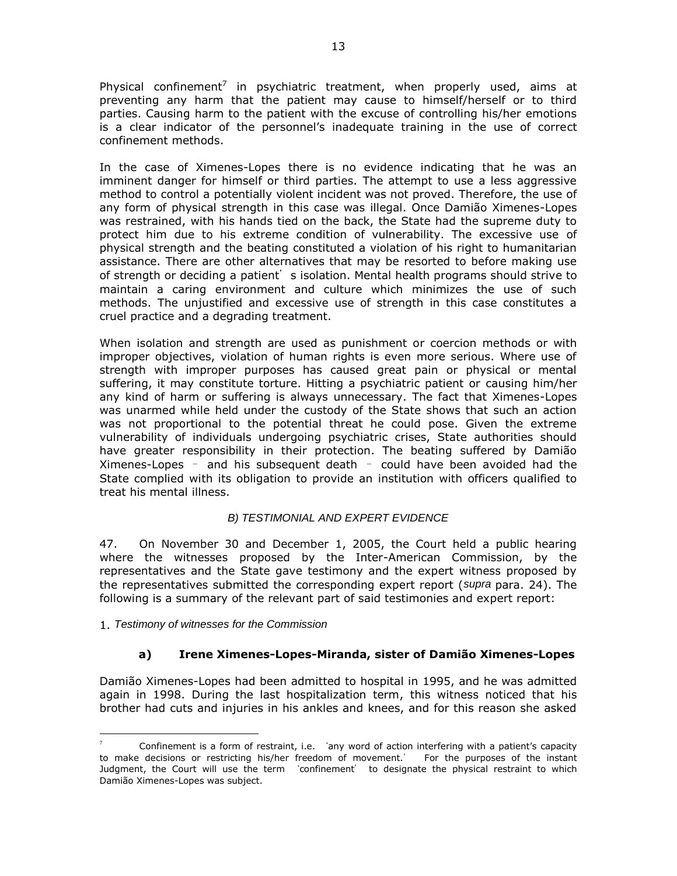Physical confinement<sup>7</sup> in psychiatric treatment, when properly used, aims at preventing any harm that the patient may cause to himself/herself or to third parties. Causing harm to the patient with the excuse of controlling his/her emotions is a clear indicator of the personnel's inadequate training in the use of correct confinement methods.

In the case of Ximenes-Lopes there is no evidence indicating that he was an imminent danger for himself or third parties. The attempt to use a less aggressive method to control a potentially violent incident was not proved. Therefore, the use of any form of physical strength in this case was illegal. Once Damião Ximenes-Lopes was restrained, with his hands tied on the back, the State had the supreme duty to protect him due to his extreme condition of vulnerability. The excessive use of physical strength and the beating constituted a violation of his right to humanitarian assistance. There are other alternatives that may be resorted to before making use of strength or deciding a patient's isolation. Mental health programs should strive to maintain a caring environment and culture which minimizes the use of such methods. The unjustified and excessive use of strength in this case constitutes a cruel practice and a degrading treatment.

When isolation and strength are used as punishment or coercion methods or with improper objectives, violation of human rights is even more serious. Where use of strength with improper purposes has caused great pain or physical or mental suffering, it may constitute torture. Hitting a psychiatric patient or causing him/her any kind of harm or suffering is always unnecessary. The fact that Ximenes-Lopes was unarmed while held under the custody of the State shows that such an action was not proportional to the potential threat he could pose. Given the extreme vulnerability of individuals undergoing psychiatric crises, State authorities should have greater responsibility in their protection. The beating suffered by Damião Ximenes-Lopes – and his subsequent death – could have been avoided had the State complied with its obligation to provide an institution with officers qualified to treat his mental illness.

# *B) TESTIMONIAL AND EXPERT EVIDENCE*

47. On November 30 and December 1, 2005, the Court held a public hearing where the witnesses proposed by the Inter-American Commission, by the representatives and the State gave testimony and the expert witness proposed by the representatives submitted the corresponding expert report (*supra* para. 24). The following is a summary of the relevant part of said testimonies and expert report:

1. *Testimony of witnesses for the Commission*

 $\overline{a}$ 

# **a) Irene Ximenes-Lopes-Miranda, sister of Damião Ximenes-Lopes**

Damião Ximenes-Lopes had been admitted to hospital in 1995, and he was admitted again in 1998. During the last hospitalization term, this witness noticed that his brother had cuts and injuries in his ankles and knees, and for this reason she asked

Confinement is a form of restraint, i.e. 'any word of action interfering with a patient's capacity to make decisions or restricting his/her freedom of movement.' For the purposes of the instant Judgment, the Court will use the term 'confinement' to designate the physical restraint to which Damião Ximenes-Lopes was subject.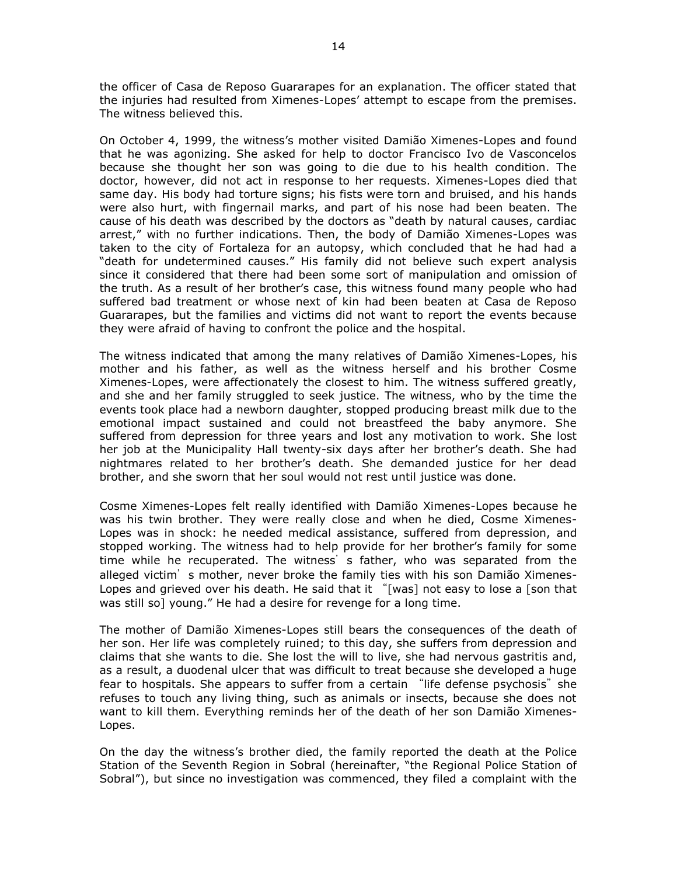the officer of Casa de Reposo Guararapes for an explanation. The officer stated that the injuries had resulted from Ximenes-Lopes' attempt to escape from the premises. The witness believed this.

On October 4, 1999, the witness's mother visited Damião Ximenes-Lopes and found that he was agonizing. She asked for help to doctor Francisco Ivo de Vasconcelos because she thought her son was going to die due to his health condition. The doctor, however, did not act in response to her requests. Ximenes-Lopes died that same day. His body had torture signs; his fists were torn and bruised, and his hands were also hurt, with fingernail marks, and part of his nose had been beaten. The cause of his death was described by the doctors as "death by natural causes, cardiac arrest," with no further indications. Then, the body of Damião Ximenes-Lopes was taken to the city of Fortaleza for an autopsy, which concluded that he had had a "death for undetermined causes." His family did not believe such expert analysis since it considered that there had been some sort of manipulation and omission of the truth. As a result of her brother's case, this witness found many people who had suffered bad treatment or whose next of kin had been beaten at Casa de Reposo Guararapes, but the families and victims did not want to report the events because they were afraid of having to confront the police and the hospital.

The witness indicated that among the many relatives of Damião Ximenes-Lopes, his mother and his father, as well as the witness herself and his brother Cosme Ximenes-Lopes, were affectionately the closest to him. The witness suffered greatly, and she and her family struggled to seek justice. The witness, who by the time the events took place had a newborn daughter, stopped producing breast milk due to the emotional impact sustained and could not breastfeed the baby anymore. She suffered from depression for three years and lost any motivation to work. She lost her job at the Municipality Hall twenty-six days after her brother's death. She had nightmares related to her brother's death. She demanded justice for her dead brother, and she sworn that her soul would not rest until justice was done.

Cosme Ximenes-Lopes felt really identified with Damião Ximenes-Lopes because he was his twin brother. They were really close and when he died, Cosme Ximenes-Lopes was in shock: he needed medical assistance, suffered from depression, and stopped working. The witness had to help provide for her brother's family for some time while he recuperated. The witness' s father, who was separated from the alleged victim's mother, never broke the family ties with his son Damião Ximenes-Lopes and grieved over his death. He said that it "[was] not easy to lose a [son that was still so] young." He had a desire for revenge for a long time.

The mother of Damião Ximenes-Lopes still bears the consequences of the death of her son. Her life was completely ruined; to this day, she suffers from depression and claims that she wants to die. She lost the will to live, she had nervous gastritis and, as a result, a duodenal ulcer that was difficult to treat because she developed a huge fear to hospitals. She appears to suffer from a certain "life defense psychosis" she refuses to touch any living thing, such as animals or insects, because she does not want to kill them. Everything reminds her of the death of her son Damião Ximenes-Lopes.

On the day the witness's brother died, the family reported the death at the Police Station of the Seventh Region in Sobral (hereinafter, "the Regional Police Station of Sobral"), but since no investigation was commenced, they filed a complaint with the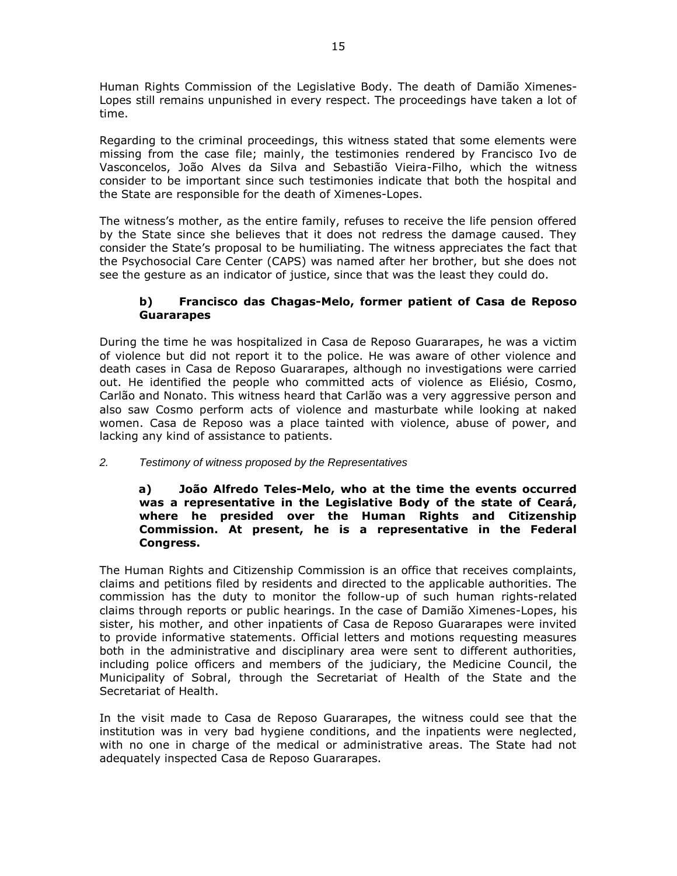Human Rights Commission of the Legislative Body. The death of Damião Ximenes-Lopes still remains unpunished in every respect. The proceedings have taken a lot of time.

Regarding to the criminal proceedings, this witness stated that some elements were missing from the case file; mainly, the testimonies rendered by Francisco Ivo de Vasconcelos, João Alves da Silva and Sebastião Vieira-Filho, which the witness consider to be important since such testimonies indicate that both the hospital and the State are responsible for the death of Ximenes-Lopes.

The witness's mother, as the entire family, refuses to receive the life pension offered by the State since she believes that it does not redress the damage caused. They consider the State's proposal to be humiliating. The witness appreciates the fact that the Psychosocial Care Center (CAPS) was named after her brother, but she does not see the gesture as an indicator of justice, since that was the least they could do.

## **b) Francisco das Chagas-Melo, former patient of Casa de Reposo Guararapes**

During the time he was hospitalized in Casa de Reposo Guararapes, he was a victim of violence but did not report it to the police. He was aware of other violence and death cases in Casa de Reposo Guararapes, although no investigations were carried out. He identified the people who committed acts of violence as Eliésio, Cosmo, Carlão and Nonato. This witness heard that Carlão was a very aggressive person and also saw Cosmo perform acts of violence and masturbate while looking at naked women. Casa de Reposo was a place tainted with violence, abuse of power, and lacking any kind of assistance to patients.

# *2. Testimony of witness proposed by the Representatives*

### **a) João Alfredo Teles-Melo, who at the time the events occurred was a representative in the Legislative Body of the state of Ceará, where he presided over the Human Rights and Citizenship Commission. At present, he is a representative in the Federal Congress.**

The Human Rights and Citizenship Commission is an office that receives complaints, claims and petitions filed by residents and directed to the applicable authorities. The commission has the duty to monitor the follow-up of such human rights-related claims through reports or public hearings. In the case of Damião Ximenes-Lopes, his sister, his mother, and other inpatients of Casa de Reposo Guararapes were invited to provide informative statements. Official letters and motions requesting measures both in the administrative and disciplinary area were sent to different authorities, including police officers and members of the judiciary, the Medicine Council, the Municipality of Sobral, through the Secretariat of Health of the State and the Secretariat of Health.

In the visit made to Casa de Reposo Guararapes, the witness could see that the institution was in very bad hygiene conditions, and the inpatients were neglected, with no one in charge of the medical or administrative areas. The State had not adequately inspected Casa de Reposo Guararapes.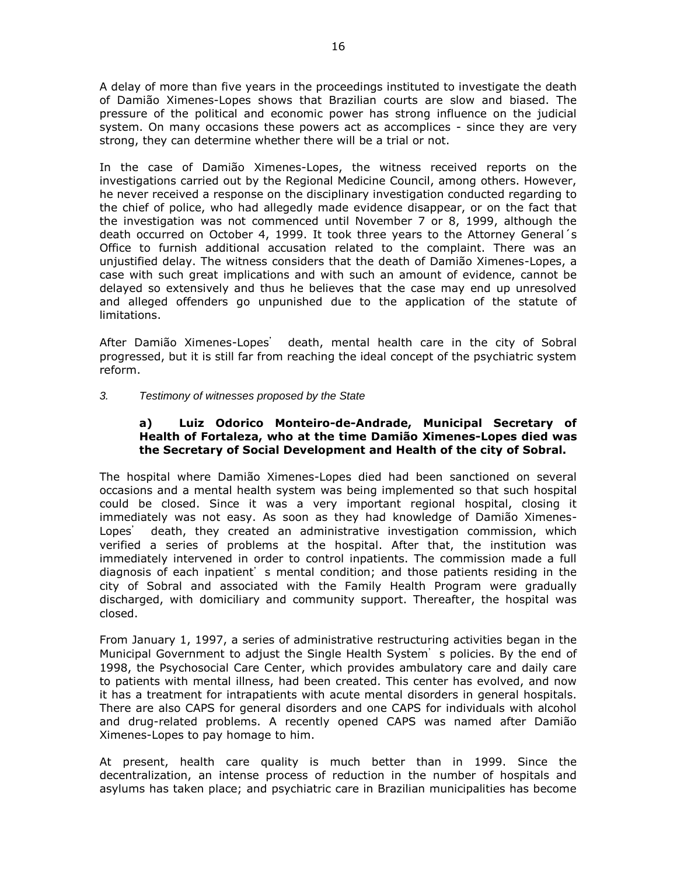A delay of more than five years in the proceedings instituted to investigate the death of Damião Ximenes-Lopes shows that Brazilian courts are slow and biased. The pressure of the political and economic power has strong influence on the judicial system. On many occasions these powers act as accomplices - since they are very strong, they can determine whether there will be a trial or not.

In the case of Damião Ximenes-Lopes, the witness received reports on the investigations carried out by the Regional Medicine Council, among others. However, he never received a response on the disciplinary investigation conducted regarding to the chief of police, who had allegedly made evidence disappear, or on the fact that the investigation was not commenced until November 7 or 8, 1999, although the death occurred on October 4, 1999. It took three years to the Attorney General´s Office to furnish additional accusation related to the complaint. There was an unjustified delay. The witness considers that the death of Damião Ximenes-Lopes, a case with such great implications and with such an amount of evidence, cannot be delayed so extensively and thus he believes that the case may end up unresolved and alleged offenders go unpunished due to the application of the statute of limitations.

After Damião Ximenes-Lopes' death, mental health care in the city of Sobral progressed, but it is still far from reaching the ideal concept of the psychiatric system reform.

### *3. Testimony of witnesses proposed by the State*

### **a) Luiz Odorico Monteiro-de-Andrade, Municipal Secretary of Health of Fortaleza, who at the time Damião Ximenes-Lopes died was the Secretary of Social Development and Health of the city of Sobral.**

The hospital where Damião Ximenes-Lopes died had been sanctioned on several occasions and a mental health system was being implemented so that such hospital could be closed. Since it was a very important regional hospital, closing it immediately was not easy. As soon as they had knowledge of Damião Ximenes-Lopes' death, they created an administrative investigation commission, which verified a series of problems at the hospital. After that, the institution was immediately intervened in order to control inpatients. The commission made a full diagnosis of each inpatient's mental condition; and those patients residing in the city of Sobral and associated with the Family Health Program were gradually discharged, with domiciliary and community support. Thereafter, the hospital was closed.

From January 1, 1997, a series of administrative restructuring activities began in the Municipal Government to adjust the Single Health System's policies. By the end of 1998, the Psychosocial Care Center, which provides ambulatory care and daily care to patients with mental illness, had been created. This center has evolved, and now it has a treatment for intrapatients with acute mental disorders in general hospitals. There are also CAPS for general disorders and one CAPS for individuals with alcohol and drug-related problems. A recently opened CAPS was named after Damião Ximenes-Lopes to pay homage to him.

At present, health care quality is much better than in 1999. Since the decentralization, an intense process of reduction in the number of hospitals and asylums has taken place; and psychiatric care in Brazilian municipalities has become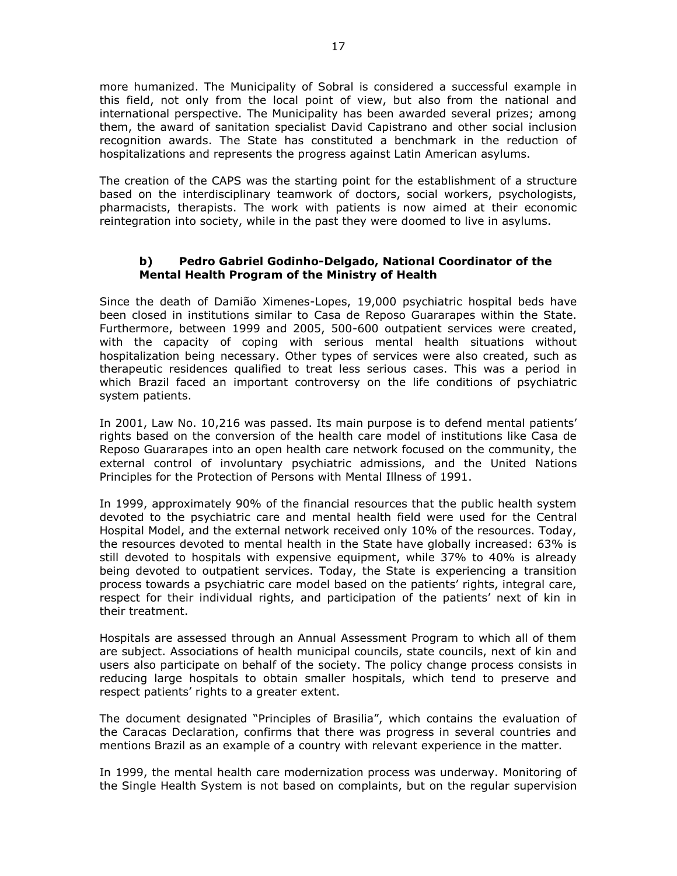more humanized. The Municipality of Sobral is considered a successful example in this field, not only from the local point of view, but also from the national and international perspective. The Municipality has been awarded several prizes; among them, the award of sanitation specialist David Capistrano and other social inclusion recognition awards. The State has constituted a benchmark in the reduction of hospitalizations and represents the progress against Latin American asylums.

The creation of the CAPS was the starting point for the establishment of a structure based on the interdisciplinary teamwork of doctors, social workers, psychologists, pharmacists, therapists. The work with patients is now aimed at their economic reintegration into society, while in the past they were doomed to live in asylums.

### **b) Pedro Gabriel Godinho-Delgado, National Coordinator of the Mental Health Program of the Ministry of Health**

Since the death of Damião Ximenes-Lopes, 19,000 psychiatric hospital beds have been closed in institutions similar to Casa de Reposo Guararapes within the State. Furthermore, between 1999 and 2005, 500-600 outpatient services were created, with the capacity of coping with serious mental health situations without hospitalization being necessary. Other types of services were also created, such as therapeutic residences qualified to treat less serious cases. This was a period in which Brazil faced an important controversy on the life conditions of psychiatric system patients.

In 2001, Law No. 10,216 was passed. Its main purpose is to defend mental patients' rights based on the conversion of the health care model of institutions like Casa de Reposo Guararapes into an open health care network focused on the community, the external control of involuntary psychiatric admissions, and the United Nations Principles for the Protection of Persons with Mental Illness of 1991.

In 1999, approximately 90% of the financial resources that the public health system devoted to the psychiatric care and mental health field were used for the Central Hospital Model, and the external network received only 10% of the resources. Today, the resources devoted to mental health in the State have globally increased: 63% is still devoted to hospitals with expensive equipment, while 37% to 40% is already being devoted to outpatient services. Today, the State is experiencing a transition process towards a psychiatric care model based on the patients' rights, integral care, respect for their individual rights, and participation of the patients' next of kin in their treatment.

Hospitals are assessed through an Annual Assessment Program to which all of them are subject. Associations of health municipal councils, state councils, next of kin and users also participate on behalf of the society. The policy change process consists in reducing large hospitals to obtain smaller hospitals, which tend to preserve and respect patients' rights to a greater extent.

The document designated "Principles of Brasilia", which contains the evaluation of the Caracas Declaration, confirms that there was progress in several countries and mentions Brazil as an example of a country with relevant experience in the matter.

In 1999, the mental health care modernization process was underway. Monitoring of the Single Health System is not based on complaints, but on the regular supervision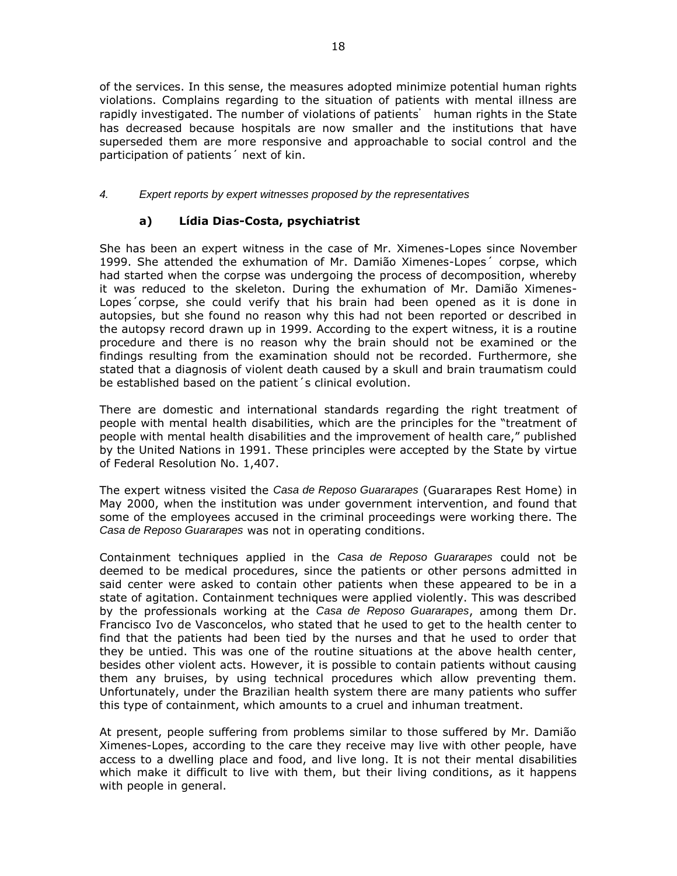of the services. In this sense, the measures adopted minimize potential human rights violations. Complains regarding to the situation of patients with mental illness are rapidly investigated. The number of violations of patients' human rights in the State has decreased because hospitals are now smaller and the institutions that have superseded them are more responsive and approachable to social control and the participation of patients´ next of kin.

## *4. Expert reports by expert witnesses proposed by the representatives*

# **a) Lídia Dias-Costa, psychiatrist**

She has been an expert witness in the case of Mr. Ximenes-Lopes since November 1999. She attended the exhumation of Mr. Damião Ximenes-Lopes´ corpse, which had started when the corpse was undergoing the process of decomposition, whereby it was reduced to the skeleton. During the exhumation of Mr. Damião Ximenes-Lopes´corpse, she could verify that his brain had been opened as it is done in autopsies, but she found no reason why this had not been reported or described in the autopsy record drawn up in 1999. According to the expert witness, it is a routine procedure and there is no reason why the brain should not be examined or the findings resulting from the examination should not be recorded. Furthermore, she stated that a diagnosis of violent death caused by a skull and brain traumatism could be established based on the patient´s clinical evolution.

There are domestic and international standards regarding the right treatment of people with mental health disabilities, which are the principles for the "treatment of people with mental health disabilities and the improvement of health care," published by the United Nations in 1991. These principles were accepted by the State by virtue of Federal Resolution No. 1,407.

The expert witness visited the *Casa de Reposo Guararapes* (Guararapes Rest Home) in May 2000, when the institution was under government intervention, and found that some of the employees accused in the criminal proceedings were working there. The *Casa de Reposo Guararapes* was not in operating conditions.

Containment techniques applied in the *Casa de Reposo Guararapes* could not be deemed to be medical procedures, since the patients or other persons admitted in said center were asked to contain other patients when these appeared to be in a state of agitation. Containment techniques were applied violently. This was described by the professionals working at the *Casa de Reposo Guararapes*, among them Dr. Francisco Ivo de Vasconcelos, who stated that he used to get to the health center to find that the patients had been tied by the nurses and that he used to order that they be untied. This was one of the routine situations at the above health center, besides other violent acts. However, it is possible to contain patients without causing them any bruises, by using technical procedures which allow preventing them. Unfortunately, under the Brazilian health system there are many patients who suffer this type of containment, which amounts to a cruel and inhuman treatment.

At present, people suffering from problems similar to those suffered by Mr. Damião Ximenes-Lopes, according to the care they receive may live with other people, have access to a dwelling place and food, and live long. It is not their mental disabilities which make it difficult to live with them, but their living conditions, as it happens with people in general.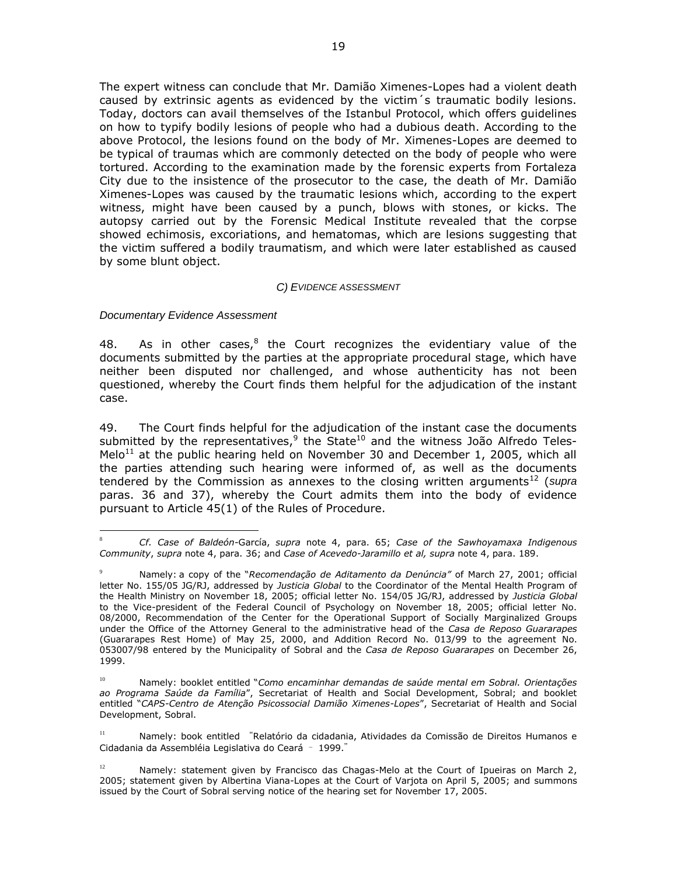The expert witness can conclude that Mr. Damião Ximenes-Lopes had a violent death caused by extrinsic agents as evidenced by the victim´s traumatic bodily lesions. Today, doctors can avail themselves of the Istanbul Protocol, which offers guidelines on how to typify bodily lesions of people who had a dubious death. According to the above Protocol, the lesions found on the body of Mr. Ximenes-Lopes are deemed to be typical of traumas which are commonly detected on the body of people who were tortured. According to the examination made by the forensic experts from Fortaleza City due to the insistence of the prosecutor to the case, the death of Mr. Damião Ximenes-Lopes was caused by the traumatic lesions which, according to the expert witness, might have been caused by a punch, blows with stones, or kicks. The autopsy carried out by the Forensic Medical Institute revealed that the corpse showed echimosis, excoriations, and hematomas, which are lesions suggesting that the victim suffered a bodily traumatism, and which were later established as caused by some blunt object.

#### *C) EVIDENCE ASSESSMENT*

*Documentary Evidence Assessment*

48. As in other cases, $8$  the Court recognizes the evidentiary value of the documents submitted by the parties at the appropriate procedural stage, which have neither been disputed nor challenged, and whose authenticity has not been questioned, whereby the Court finds them helpful for the adjudication of the instant case.

49. The Court finds helpful for the adjudication of the instant case the documents submitted by the representatives, $^9$  the State $^{10}$  and the witness João Alfredo Teles-Melo<sup>11</sup> at the public hearing held on November 30 and December 1, 2005, which all the parties attending such hearing were informed of, as well as the documents tendered by the Commission as annexes to the closing written arguments<sup>12</sup> (*supra* paras. 36 and 37), whereby the Court admits them into the body of evidence pursuant to Article 45(1) of the Rules of Procedure.

 $\overline{a}$ <sup>8</sup> *Cf. Case of Baldeón-*García, *supra* note 4, para. 65; *Case of the Sawhoyamaxa Indigenous Community*, *supra* note 4, para. 36; and *Case of Acevedo-Jaramillo et al, supra* note 4, para. 189.

<sup>9</sup> Namely: a copy of the "*Recomendação de Aditamento da Denúncia"* of March 27, 2001; official letter No. 155/05 JG/RJ, addressed by *Justicia Global* to the Coordinator of the Mental Health Program of the Health Ministry on November 18, 2005; official letter No. 154/05 JG/RJ, addressed by *Justicia Global* to the Vice-president of the Federal Council of Psychology on November 18, 2005; official letter No. 08/2000, Recommendation of the Center for the Operational Support of Socially Marginalized Groups under the Office of the Attorney General to the administrative head of the *Casa de Reposo Guararapes*  (Guararapes Rest Home) of May 25, 2000, and Addition Record No. 013/99 to the agreement No. 053007/98 entered by the Municipality of Sobral and the *Casa de Reposo Guararapes* on December 26, 1999.

<sup>10</sup> Namely: booklet entitled "*Como encaminhar demandas de saúde mental em Sobral. Orientações ao Programa Saúde da Família*", Secretariat of Health and Social Development, Sobral; and booklet entitled "*CAPS-Centro de Atenção Psicossocial Damião Ximenes-Lopes*", Secretariat of Health and Social Development, Sobral.

<sup>11</sup> Namely: book entitled "Relatório da cidadania, Atividades da Comissão de Direitos Humanos e Cidadania da Assembléia Legislativa do Ceará – 1999."

 $12$  Namely: statement given by Francisco das Chagas-Melo at the Court of Ipueiras on March 2, 2005; statement given by Albertina Viana-Lopes at the Court of Varjota on April 5, 2005; and summons issued by the Court of Sobral serving notice of the hearing set for November 17, 2005.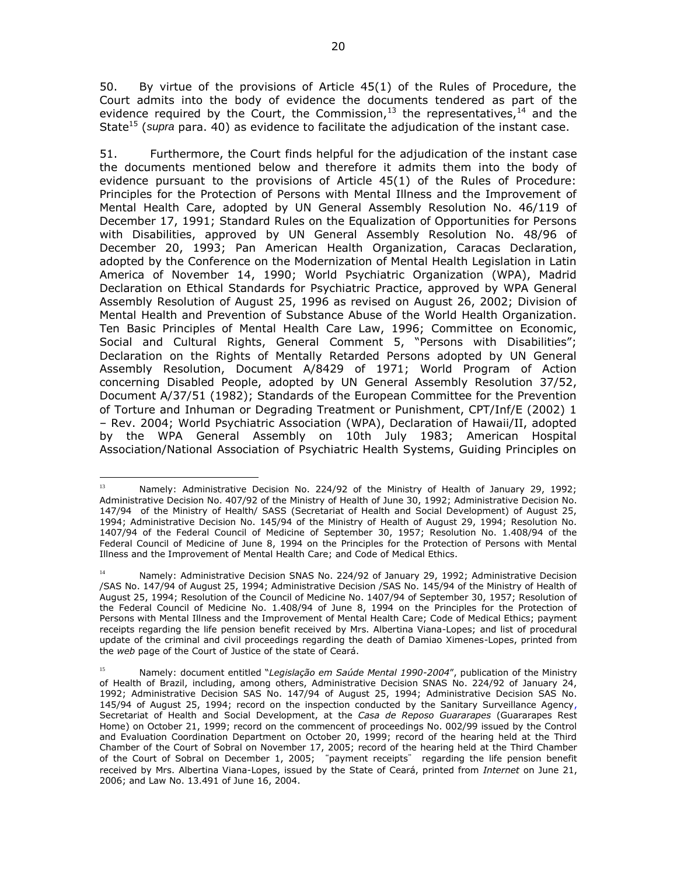50. By virtue of the provisions of Article 45(1) of the Rules of Procedure, the Court admits into the body of evidence the documents tendered as part of the evidence required by the Court, the Commission,<sup>13</sup> the representatives,<sup>14</sup> and the State<sup>15</sup> (*supra* para. 40) as evidence to facilitate the adjudication of the instant case.

51. Furthermore, the Court finds helpful for the adjudication of the instant case the documents mentioned below and therefore it admits them into the body of evidence pursuant to the provisions of Article 45(1) of the Rules of Procedure: Principles for the Protection of Persons with Mental Illness and the Improvement of Mental Health Care, adopted by UN General Assembly Resolution No. 46/119 of December 17, 1991; Standard Rules on the Equalization of Opportunities for Persons with Disabilities, approved by UN General Assembly Resolution No. 48/96 of December 20, 1993; Pan American Health Organization, Caracas Declaration, adopted by the Conference on the Modernization of Mental Health Legislation in Latin America of November 14, 1990; World Psychiatric Organization (WPA), Madrid Declaration on Ethical Standards for Psychiatric Practice, approved by WPA General Assembly Resolution of August 25, 1996 as revised on August 26, 2002; Division of Mental Health and Prevention of Substance Abuse of the World Health Organization. Ten Basic Principles of Mental Health Care Law, 1996; Committee on Economic, Social and Cultural Rights, General Comment 5, "Persons with Disabilities"; Declaration on the Rights of Mentally Retarded Persons adopted by UN General Assembly Resolution, Document A/8429 of 1971; World Program of Action concerning Disabled People, adopted by UN General Assembly Resolution 37/52, Document A/37/51 (1982); Standards of the European Committee for the Prevention of Torture and Inhuman or Degrading Treatment or Punishment, CPT/Inf/E (2002) 1 – Rev. 2004; World Psychiatric Association (WPA), Declaration of Hawaii/II, adopted by the WPA General Assembly on 10th July 1983; American Hospital Association/National Association of Psychiatric Health Systems, Guiding Principles on

 $\overline{a}$ <sup>13</sup> Namely: Administrative Decision No. 224/92 of the Ministry of Health of January 29, 1992; Administrative Decision No. 407/92 of the Ministry of Health of June 30, 1992; Administrative Decision No. 147/94 of the Ministry of Health/ SASS (Secretariat of Health and Social Development) of August 25, 1994; Administrative Decision No. 145/94 of the Ministry of Health of August 29, 1994; Resolution No. 1407/94 of the Federal Council of Medicine of September 30, 1957; Resolution No. 1.408/94 of the Federal Council of Medicine of June 8, 1994 on the Principles for the Protection of Persons with Mental Illness and the Improvement of Mental Health Care; and Code of Medical Ethics.

Namely: Administrative Decision SNAS No. 224/92 of January 29, 1992; Administrative Decision /SAS No. 147/94 of August 25, 1994; Administrative Decision /SAS No. 145/94 of the Ministry of Health of August 25, 1994; Resolution of the Council of Medicine No. 1407/94 of September 30, 1957; Resolution of the Federal Council of Medicine No. 1.408/94 of June 8, 1994 on the Principles for the Protection of Persons with Mental Illness and the Improvement of Mental Health Care; Code of Medical Ethics; payment receipts regarding the life pension benefit received by Mrs. Albertina Viana-Lopes; and list of procedural update of the criminal and civil proceedings regarding the death of Damiao Ximenes-Lopes, printed from the *web* page of the Court of Justice of the state of Ceará.

<sup>15</sup> Namely: document entitled "*Legislação em Saúde Mental 1990-2004*", publication of the Ministry of Health of Brazil, including, among others, Administrative Decision SNAS No. 224/92 of January 24, 1992; Administrative Decision SAS No. 147/94 of August 25, 1994; Administrative Decision SAS No. 145/94 of August 25, 1994; record on the inspection conducted by the Sanitary Surveillance Agency, Secretariat of Health and Social Development, at the *Casa de Reposo Guararapes* (Guararapes Rest Home) on October 21, 1999; record on the commencent of proceedings No. 002/99 issued by the Control and Evaluation Coordination Department on October 20, 1999; record of the hearing held at the Third Chamber of the Court of Sobral on November 17, 2005; record of the hearing held at the Third Chamber of the Court of Sobral on December 1, 2005; "payment receipts" regarding the life pension benefit received by Mrs. Albertina Viana-Lopes, issued by the State of Ceará, printed from *Internet* on June 21, 2006; and Law No. 13.491 of June 16, 2004.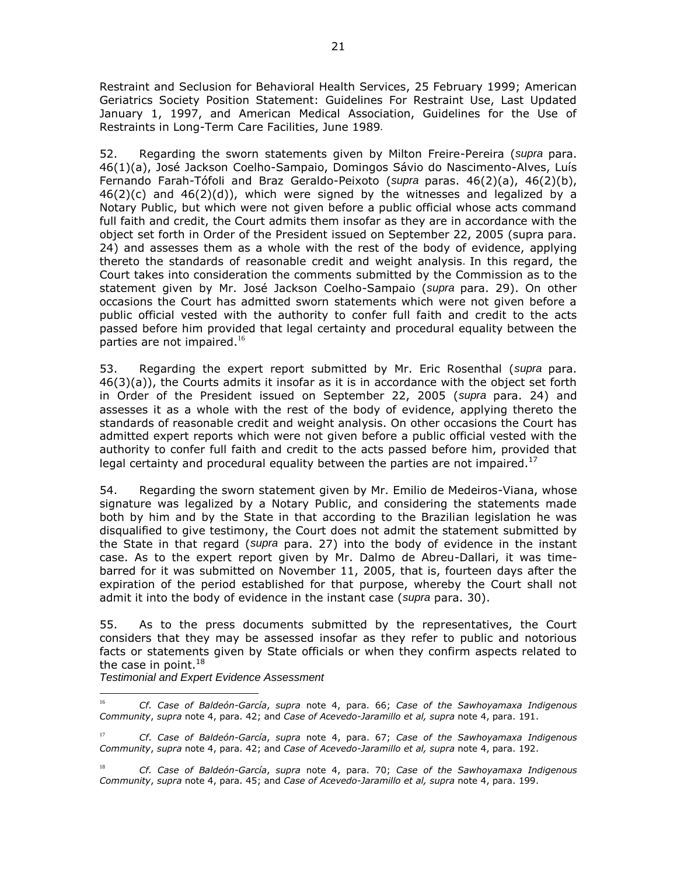Restraint and Seclusion for Behavioral Health Services, 25 February 1999; American Geriatrics Society Position Statement: Guidelines For Restraint Use, Last Updated January 1, 1997, and American Medical Association, Guidelines for the Use of Restraints in Long-Term Care Facilities, June 1989*.*

52. Regarding the sworn statements given by Milton Freire-Pereira (*supra* para. 46(1)(a), José Jackson Coelho-Sampaio, Domingos Sávio do Nascimento-Alves, Luís Fernando Farah-Tófoli and Braz Geraldo-Peixoto (*supra* paras. 46(2)(a), 46(2)(b),  $46(2)(c)$  and  $46(2)(d)$ , which were signed by the witnesses and legalized by a Notary Public, but which were not given before a public official whose acts command full faith and credit, the Court admits them insofar as they are in accordance with the object set forth in Order of the President issued on September 22, 2005 (supra para. 24) and assesses them as a whole with the rest of the body of evidence, applying thereto the standards of reasonable credit and weight analysis. In this regard, the Court takes into consideration the comments submitted by the Commission as to the statement given by Mr. José Jackson Coelho-Sampaio (*supra* para. 29). On other occasions the Court has admitted sworn statements which were not given before a public official vested with the authority to confer full faith and credit to the acts passed before him provided that legal certainty and procedural equality between the parties are not impaired.<sup>16</sup>

53. Regarding the expert report submitted by Mr. Eric Rosenthal (*supra* para. 46(3)(a)), the Courts admits it insofar as it is in accordance with the object set forth in Order of the President issued on September 22, 2005 (*supra* para. 24) and assesses it as a whole with the rest of the body of evidence, applying thereto the standards of reasonable credit and weight analysis. On other occasions the Court has admitted expert reports which were not given before a public official vested with the authority to confer full faith and credit to the acts passed before him, provided that legal certainty and procedural equality between the parties are not impaired.<sup>17</sup>

54. Regarding the sworn statement given by Mr. Emilio de Medeiros-Viana, whose signature was legalized by a Notary Public, and considering the statements made both by him and by the State in that according to the Brazilian legislation he was disqualified to give testimony, the Court does not admit the statement submitted by the State in that regard (*supra* para. 27) into the body of evidence in the instant case. As to the expert report given by Mr. Dalmo de Abreu-Dallari, it was timebarred for it was submitted on November 11, 2005, that is, fourteen days after the expiration of the period established for that purpose, whereby the Court shall not admit it into the body of evidence in the instant case (*supra* para. 30).

55. As to the press documents submitted by the representatives, the Court considers that they may be assessed insofar as they refer to public and notorious facts or statements given by State officials or when they confirm aspects related to the case in point. $^{18}$ 

*Testimonial and Expert Evidence Assessment*

 $\overline{a}$ 

<sup>16</sup> *Cf. Case of Baldeón-García*, *supra* note 4, para. 66; *Case of the Sawhoyamaxa Indigenous Community*, *supra* note 4, para. 42; and *Case of Acevedo-Jaramillo et al, supra* note 4, para. 191.

<sup>17</sup> *Cf. Case of Baldeón-García*, *supra* note 4, para. 67; *Case of the Sawhoyamaxa Indigenous Community*, *supra* note 4, para. 42; and *Case of Acevedo-Jaramillo et al, supra* note 4, para. 192.

<sup>18</sup> *Cf. Case of Baldeón-García*, *supra* note 4, para. 70; *Case of the Sawhoyamaxa Indigenous Community*, *supra* note 4, para. 45; and *Case of Acevedo-Jaramillo et al, supra* note 4, para. 199.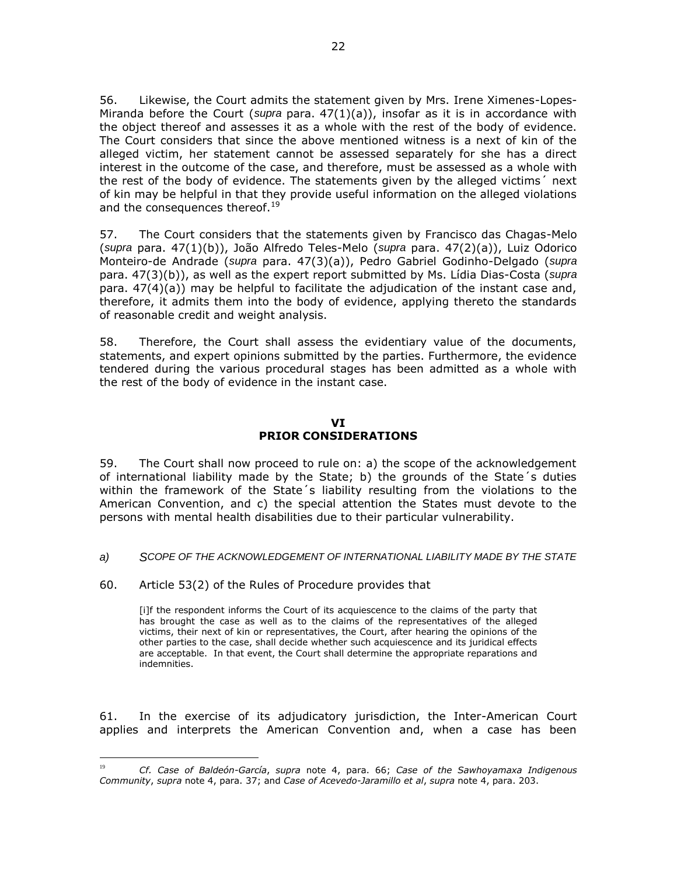56. Likewise, the Court admits the statement given by Mrs. Irene Ximenes-Lopes-Miranda before the Court (*supra* para. 47(1)(a)), insofar as it is in accordance with the object thereof and assesses it as a whole with the rest of the body of evidence. The Court considers that since the above mentioned witness is a next of kin of the alleged victim, her statement cannot be assessed separately for she has a direct interest in the outcome of the case, and therefore, must be assessed as a whole with the rest of the body of evidence. The statements given by the alleged victims´ next of kin may be helpful in that they provide useful information on the alleged violations and the consequences thereof.<sup>19</sup>

57. The Court considers that the statements given by Francisco das Chagas-Melo (*supra* para. 47(1)(b)), João Alfredo Teles-Melo (*supra* para. 47(2)(a)), Luiz Odorico Monteiro-de Andrade (*supra* para. 47(3)(a)), Pedro Gabriel Godinho-Delgado (*supra* para. 47(3)(b)), as well as the expert report submitted by Ms. Lídia Dias-Costa (*supra* para. 47(4)(a)) may be helpful to facilitate the adjudication of the instant case and, therefore, it admits them into the body of evidence, applying thereto the standards of reasonable credit and weight analysis.

58. Therefore, the Court shall assess the evidentiary value of the documents, statements, and expert opinions submitted by the parties. Furthermore, the evidence tendered during the various procedural stages has been admitted as a whole with the rest of the body of evidence in the instant case.

### **VI PRIOR CONSIDERATIONS**

59. The Court shall now proceed to rule on: a) the scope of the acknowledgement of international liability made by the State; b) the grounds of the State´s duties within the framework of the State´s liability resulting from the violations to the American Convention, and c) the special attention the States must devote to the persons with mental health disabilities due to their particular vulnerability.

#### *a) SCOPE OF THE ACKNOWLEDGEMENT OF INTERNATIONAL LIABILITY MADE BY THE STATE*

60. Article 53(2) of the Rules of Procedure provides that

 $\overline{a}$ 

[i]f the respondent informs the Court of its acquiescence to the claims of the party that has brought the case as well as to the claims of the representatives of the alleged victims, their next of kin or representatives, the Court, after hearing the opinions of the other parties to the case, shall decide whether such acquiescence and its juridical effects are acceptable. In that event, the Court shall determine the appropriate reparations and indemnities.

61. In the exercise of its adjudicatory jurisdiction, the Inter-American Court applies and interprets the American Convention and, when a case has been

<sup>19</sup> *Cf. Case of Baldeón-García*, *supra* note 4, para. 66; *Case of the Sawhoyamaxa Indigenous Community*, *supra* note 4, para. 37; and *Case of Acevedo-Jaramillo et al*, *supra* note 4, para. 203.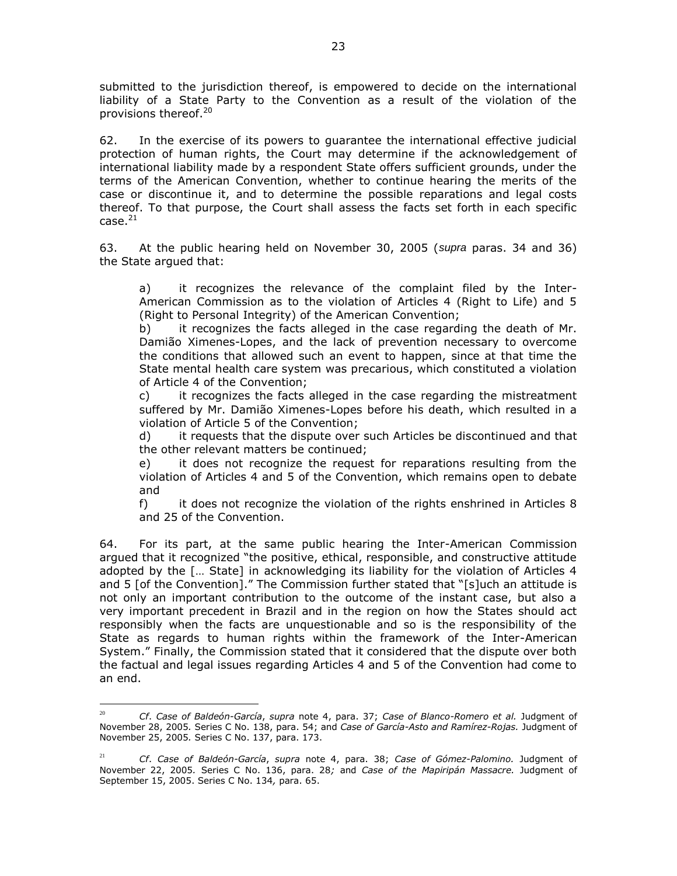submitted to the jurisdiction thereof, is empowered to decide on the international liability of a State Party to the Convention as a result of the violation of the provisions thereof.<sup>20</sup>

62. In the exercise of its powers to guarantee the international effective judicial protection of human rights, the Court may determine if the acknowledgement of international liability made by a respondent State offers sufficient grounds, under the terms of the American Convention, whether to continue hearing the merits of the case or discontinue it, and to determine the possible reparations and legal costs thereof. To that purpose, the Court shall assess the facts set forth in each specific  $case.<sup>21</sup>$ 

63. At the public hearing held on November 30, 2005 (*supra* paras. 34 and 36) the State argued that:

a) it recognizes the relevance of the complaint filed by the Inter-American Commission as to the violation of Articles 4 (Right to Life) and 5 (Right to Personal Integrity) of the American Convention;

b) it recognizes the facts alleged in the case regarding the death of Mr. Damião Ximenes-Lopes, and the lack of prevention necessary to overcome the conditions that allowed such an event to happen, since at that time the State mental health care system was precarious, which constituted a violation of Article 4 of the Convention;

c) it recognizes the facts alleged in the case regarding the mistreatment suffered by Mr. Damião Ximenes-Lopes before his death, which resulted in a violation of Article 5 of the Convention;

d) it requests that the dispute over such Articles be discontinued and that the other relevant matters be continued;

e) it does not recognize the request for reparations resulting from the violation of Articles 4 and 5 of the Convention, which remains open to debate and

f) it does not recognize the violation of the rights enshrined in Articles 8 and 25 of the Convention.

64. For its part, at the same public hearing the Inter-American Commission argued that it recognized "the positive, ethical, responsible, and constructive attitude adopted by the [… State] in acknowledging its liability for the violation of Articles 4 and 5 [of the Convention]." The Commission further stated that "[s]uch an attitude is not only an important contribution to the outcome of the instant case, but also a very important precedent in Brazil and in the region on how the States should act responsibly when the facts are unquestionable and so is the responsibility of the State as regards to human rights within the framework of the Inter-American System." Finally, the Commission stated that it considered that the dispute over both the factual and legal issues regarding Articles 4 and 5 of the Convention had come to an end.

 $\overline{a}$ 

<sup>20</sup> *Cf*. *Case of Baldeón-García*, *supra* note 4, para. 37; *Case of Blanco-Romero et al.* Judgment of November 28, 2005*.* Series C No. 138, para. 54; and *Case of García-Asto and Ramírez-Rojas.* Judgment of November 25, 2005*.* Series C No. 137, para. 173.

<sup>21</sup> *Cf*. *Case of Baldeón-García*, *supra* note 4, para. 38; *Case of Gómez-Palomino.* Judgment of November 22, 2005*.* Series C No. 136, para. 28*;* and *Case of the Mapiripán Massacre.* Judgment of September 15, 2005. Series C No. 134*,* para. 65.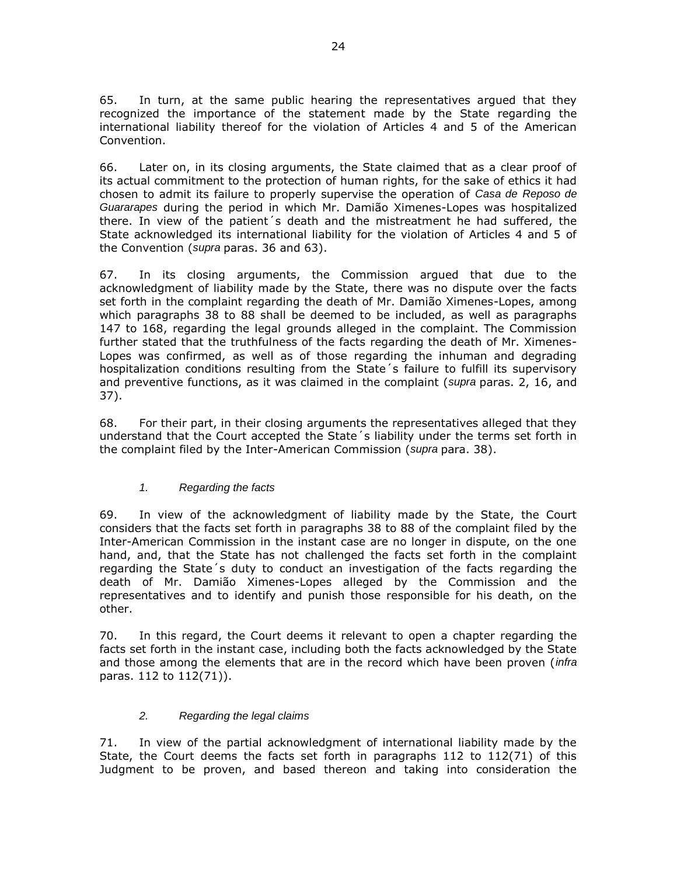65. In turn, at the same public hearing the representatives argued that they recognized the importance of the statement made by the State regarding the international liability thereof for the violation of Articles 4 and 5 of the American Convention.

66. Later on, in its closing arguments, the State claimed that as a clear proof of its actual commitment to the protection of human rights, for the sake of ethics it had chosen to admit its failure to properly supervise the operation of *Casa de Reposo de Guararapes* during the period in which Mr. Damião Ximenes-Lopes was hospitalized there. In view of the patient´s death and the mistreatment he had suffered, the State acknowledged its international liability for the violation of Articles 4 and 5 of the Convention (*supra* paras. 36 and 63).

67. In its closing arguments, the Commission argued that due to the acknowledgment of liability made by the State, there was no dispute over the facts set forth in the complaint regarding the death of Mr. Damião Ximenes-Lopes, among which paragraphs 38 to 88 shall be deemed to be included, as well as paragraphs 147 to 168, regarding the legal grounds alleged in the complaint. The Commission further stated that the truthfulness of the facts regarding the death of Mr. Ximenes-Lopes was confirmed, as well as of those regarding the inhuman and degrading hospitalization conditions resulting from the State´s failure to fulfill its supervisory and preventive functions, as it was claimed in the complaint (*supra* paras. 2, 16, and 37).

68. For their part, in their closing arguments the representatives alleged that they understand that the Court accepted the State´s liability under the terms set forth in the complaint filed by the Inter-American Commission (*supra* para. 38).

# *1. Regarding the facts*

69. In view of the acknowledgment of liability made by the State, the Court considers that the facts set forth in paragraphs 38 to 88 of the complaint filed by the Inter-American Commission in the instant case are no longer in dispute, on the one hand, and, that the State has not challenged the facts set forth in the complaint regarding the State´s duty to conduct an investigation of the facts regarding the death of Mr. Damião Ximenes-Lopes alleged by the Commission and the representatives and to identify and punish those responsible for his death, on the other.

70. In this regard, the Court deems it relevant to open a chapter regarding the facts set forth in the instant case, including both the facts acknowledged by the State and those among the elements that are in the record which have been proven (*infra*  paras. 112 to 112(71)).

### *2. Regarding the legal claims*

71. In view of the partial acknowledgment of international liability made by the State, the Court deems the facts set forth in paragraphs 112 to 112(71) of this Judgment to be proven, and based thereon and taking into consideration the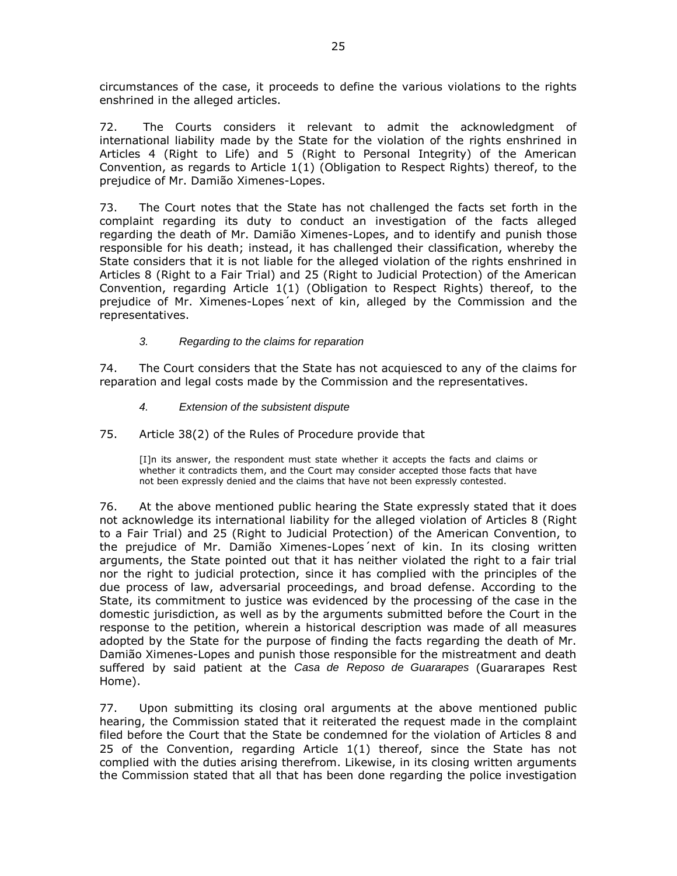circumstances of the case, it proceeds to define the various violations to the rights enshrined in the alleged articles.

72. The Courts considers it relevant to admit the acknowledgment of international liability made by the State for the violation of the rights enshrined in Articles 4 (Right to Life) and 5 (Right to Personal Integrity) of the American Convention, as regards to Article 1(1) (Obligation to Respect Rights) thereof, to the prejudice of Mr. Damião Ximenes-Lopes.

73. The Court notes that the State has not challenged the facts set forth in the complaint regarding its duty to conduct an investigation of the facts alleged regarding the death of Mr. Damião Ximenes-Lopes, and to identify and punish those responsible for his death; instead, it has challenged their classification, whereby the State considers that it is not liable for the alleged violation of the rights enshrined in Articles 8 (Right to a Fair Trial) and 25 (Right to Judicial Protection) of the American Convention, regarding Article 1(1) (Obligation to Respect Rights) thereof, to the prejudice of Mr. Ximenes-Lopes´next of kin, alleged by the Commission and the representatives.

### *3. Regarding to the claims for reparation*

74. The Court considers that the State has not acquiesced to any of the claims for reparation and legal costs made by the Commission and the representatives.

*4. Extension of the subsistent dispute*

75. Article 38(2) of the Rules of Procedure provide that

[I]n its answer, the respondent must state whether it accepts the facts and claims or whether it contradicts them, and the Court may consider accepted those facts that have not been expressly denied and the claims that have not been expressly contested.

76. At the above mentioned public hearing the State expressly stated that it does not acknowledge its international liability for the alleged violation of Articles 8 (Right to a Fair Trial) and 25 (Right to Judicial Protection) of the American Convention, to the prejudice of Mr. Damião Ximenes-Lopes´next of kin. In its closing written arguments, the State pointed out that it has neither violated the right to a fair trial nor the right to judicial protection, since it has complied with the principles of the due process of law, adversarial proceedings, and broad defense. According to the State, its commitment to justice was evidenced by the processing of the case in the domestic jurisdiction, as well as by the arguments submitted before the Court in the response to the petition, wherein a historical description was made of all measures adopted by the State for the purpose of finding the facts regarding the death of Mr. Damião Ximenes-Lopes and punish those responsible for the mistreatment and death suffered by said patient at the *Casa de Reposo de Guararapes* (Guararapes Rest Home).

77. Upon submitting its closing oral arguments at the above mentioned public hearing, the Commission stated that it reiterated the request made in the complaint filed before the Court that the State be condemned for the violation of Articles 8 and 25 of the Convention, regarding Article 1(1) thereof, since the State has not complied with the duties arising therefrom. Likewise, in its closing written arguments the Commission stated that all that has been done regarding the police investigation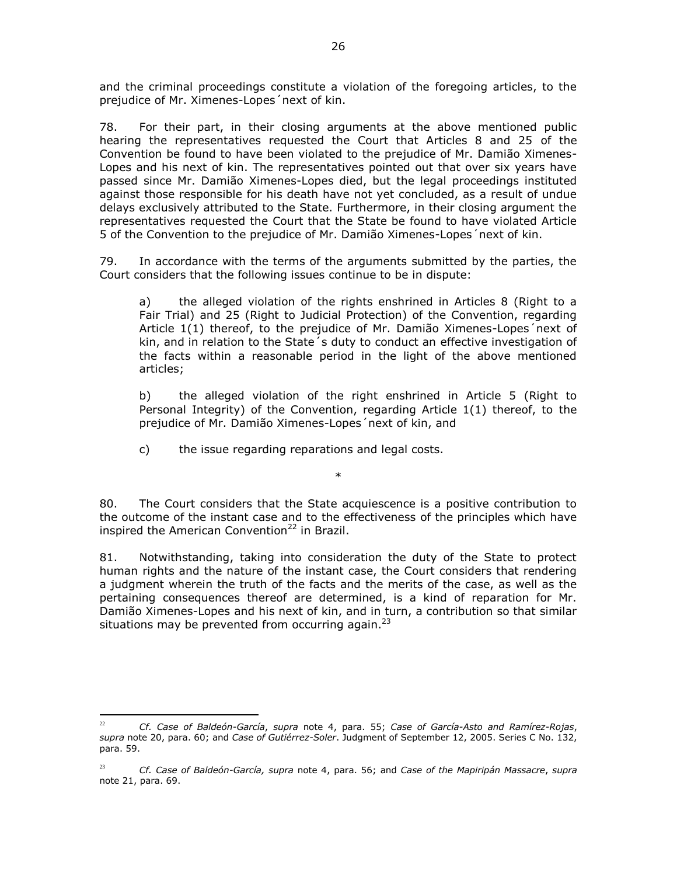and the criminal proceedings constitute a violation of the foregoing articles, to the prejudice of Mr. Ximenes-Lopes´next of kin.

78. For their part, in their closing arguments at the above mentioned public hearing the representatives requested the Court that Articles 8 and 25 of the Convention be found to have been violated to the prejudice of Mr. Damião Ximenes-Lopes and his next of kin. The representatives pointed out that over six years have passed since Mr. Damião Ximenes-Lopes died, but the legal proceedings instituted against those responsible for his death have not yet concluded, as a result of undue delays exclusively attributed to the State. Furthermore, in their closing argument the representatives requested the Court that the State be found to have violated Article 5 of the Convention to the prejudice of Mr. Damião Ximenes-Lopes´next of kin.

79. In accordance with the terms of the arguments submitted by the parties, the Court considers that the following issues continue to be in dispute:

a) the alleged violation of the rights enshrined in Articles 8 (Right to a Fair Trial) and 25 (Right to Judicial Protection) of the Convention, regarding Article 1(1) thereof, to the prejudice of Mr. Damião Ximenes-Lopes´next of kin, and in relation to the State´s duty to conduct an effective investigation of the facts within a reasonable period in the light of the above mentioned articles;

b) the alleged violation of the right enshrined in Article 5 (Right to Personal Integrity) of the Convention, regarding Article 1(1) thereof, to the prejudice of Mr. Damião Ximenes-Lopes´next of kin, and

c) the issue regarding reparations and legal costs.

80. The Court considers that the State acquiescence is a positive contribution to the outcome of the instant case and to the effectiveness of the principles which have inspired the American Convention<sup>22</sup> in Brazil.

\*

81. Notwithstanding, taking into consideration the duty of the State to protect human rights and the nature of the instant case, the Court considers that rendering a judgment wherein the truth of the facts and the merits of the case, as well as the pertaining consequences thereof are determined, is a kind of reparation for Mr. Damião Ximenes-Lopes and his next of kin, and in turn, a contribution so that similar situations may be prevented from occurring again. $^{23}$ 

 $\overline{a}$ 

<sup>22</sup> *Cf. Case of Baldeón-García*, *supra* note 4, para. 55; *Case of García-Asto and Ramírez-Rojas*, *supra* note 20, para. 60; and *Case of Gutiérrez-Soler*. Judgment of September 12, 2005. Series C No. 132, para. 59.

<sup>23</sup> *Cf. Case of Baldeón-García, supra* note 4, para. 56; and *Case of the Mapiripán Massacre*, *supra* note 21, para. 69.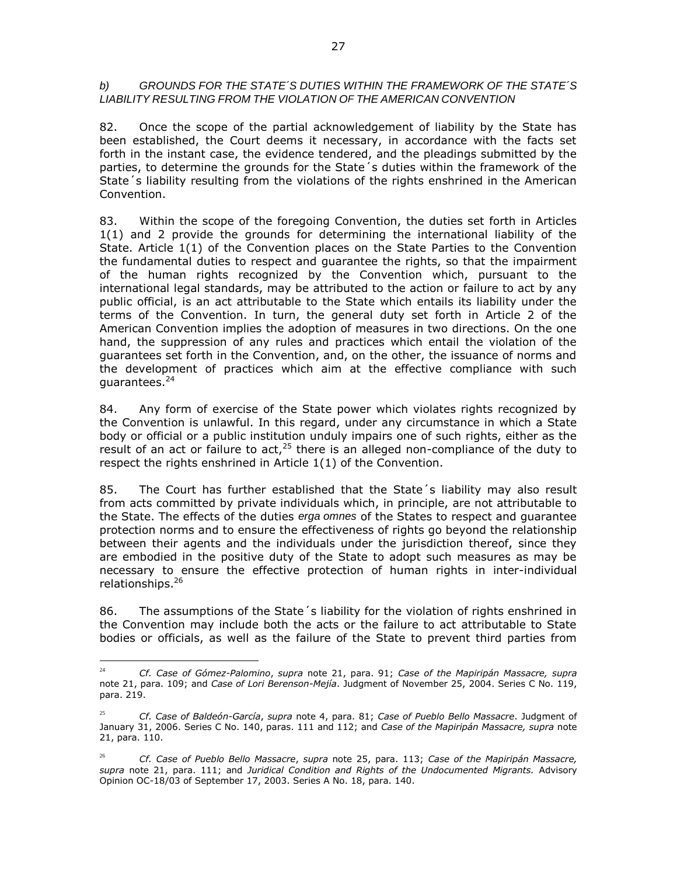#### *b) GROUNDS FOR THE STATE´S DUTIES WITHIN THE FRAMEWORK OF THE STATE´S LIABILITY RESULTING FROM THE VIOLATION OF THE AMERICAN CONVENTION*

82. Once the scope of the partial acknowledgement of liability by the State has been established, the Court deems it necessary, in accordance with the facts set forth in the instant case, the evidence tendered, and the pleadings submitted by the parties, to determine the grounds for the State´s duties within the framework of the State´s liability resulting from the violations of the rights enshrined in the American Convention.

83. Within the scope of the foregoing Convention, the duties set forth in Articles 1(1) and 2 provide the grounds for determining the international liability of the State. Article 1(1) of the Convention places on the State Parties to the Convention the fundamental duties to respect and guarantee the rights, so that the impairment of the human rights recognized by the Convention which, pursuant to the international legal standards, may be attributed to the action or failure to act by any public official, is an act attributable to the State which entails its liability under the terms of the Convention. In turn, the general duty set forth in Article 2 of the American Convention implies the adoption of measures in two directions. On the one hand, the suppression of any rules and practices which entail the violation of the guarantees set forth in the Convention, and, on the other, the issuance of norms and the development of practices which aim at the effective compliance with such quarantees.<sup>24</sup>

84. Any form of exercise of the State power which violates rights recognized by the Convention is unlawful. In this regard, under any circumstance in which a State body or official or a public institution unduly impairs one of such rights, either as the result of an act or failure to act, $25$  there is an alleged non-compliance of the duty to respect the rights enshrined in Article 1(1) of the Convention.

85. The Court has further established that the State´s liability may also result from acts committed by private individuals which, in principle, are not attributable to the State. The effects of the duties *erga omnes* of the States to respect and guarantee protection norms and to ensure the effectiveness of rights go beyond the relationship between their agents and the individuals under the jurisdiction thereof, since they are embodied in the positive duty of the State to adopt such measures as may be necessary to ensure the effective protection of human rights in inter-individual relationships.<sup>26</sup>

86. The assumptions of the State´s liability for the violation of rights enshrined in the Convention may include both the acts or the failure to act attributable to State bodies or officials, as well as the failure of the State to prevent third parties from

 $24$ <sup>24</sup> *Cf. Case of Gómez-Palomino*, *supra* note 21, para. 91; *Case of the Mapiripán Massacre, supra* note 21, para. 109; and *Case of Lori Berenson-Mejía*. Judgment of November 25, 2004. Series C No. 119, para. 219.

<sup>25</sup> *Cf. Case of Baldeón-García*, *supra* note 4, para. 81; *Case of Pueblo Bello Massacre*. Judgment of January 31, 2006. Series C No. 140, paras. 111 and 112; and *Case of the Mapiripán Massacre, supra* note 21, para. 110.

<sup>26</sup> *Cf. Case of Pueblo Bello Massacre*, *supra* note 25, para. 113; *Case of the Mapiripán Massacre, supra* note 21, para. 111; and *Juridical Condition and Rights of the Undocumented Migrants.* Advisory Opinion OC-18/03 of September 17, 2003. Series A No. 18, para. 140.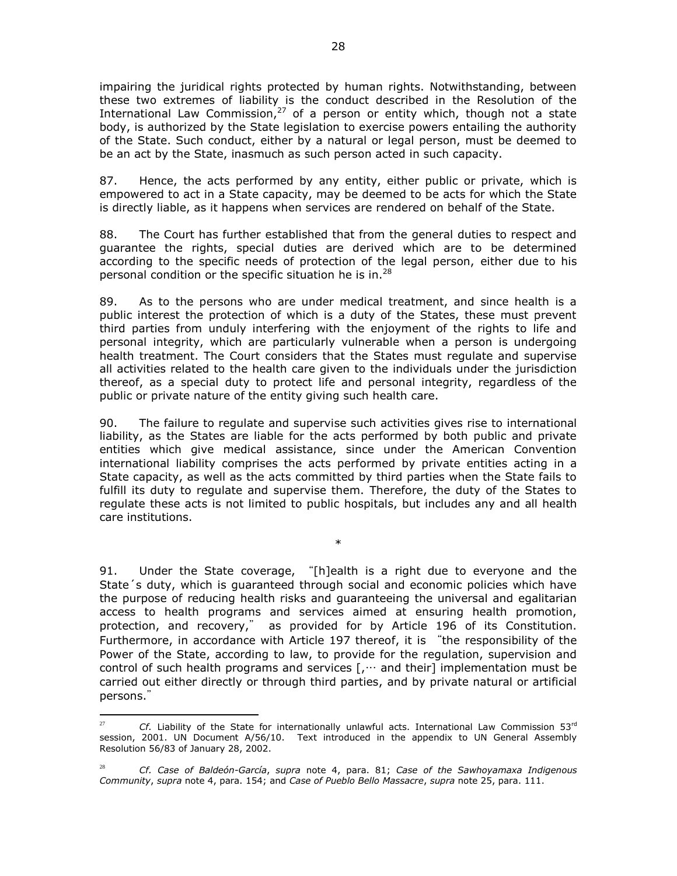impairing the juridical rights protected by human rights. Notwithstanding, between these two extremes of liability is the conduct described in the Resolution of the International Law Commission,<sup>27</sup> of a person or entity which, though not a state body, is authorized by the State legislation to exercise powers entailing the authority of the State. Such conduct, either by a natural or legal person, must be deemed to be an act by the State, inasmuch as such person acted in such capacity.

87. Hence, the acts performed by any entity, either public or private, which is empowered to act in a State capacity, may be deemed to be acts for which the State is directly liable, as it happens when services are rendered on behalf of the State.

88. The Court has further established that from the general duties to respect and guarantee the rights, special duties are derived which are to be determined according to the specific needs of protection of the legal person, either due to his personal condition or the specific situation he is in.<sup>28</sup>

89. As to the persons who are under medical treatment, and since health is a public interest the protection of which is a duty of the States, these must prevent third parties from unduly interfering with the enjoyment of the rights to life and personal integrity, which are particularly vulnerable when a person is undergoing health treatment. The Court considers that the States must regulate and supervise all activities related to the health care given to the individuals under the jurisdiction thereof, as a special duty to protect life and personal integrity, regardless of the public or private nature of the entity giving such health care.

90. The failure to regulate and supervise such activities gives rise to international liability, as the States are liable for the acts performed by both public and private entities which give medical assistance, since under the American Convention international liability comprises the acts performed by private entities acting in a State capacity, as well as the acts committed by third parties when the State fails to fulfill its duty to regulate and supervise them. Therefore, the duty of the States to regulate these acts is not limited to public hospitals, but includes any and all health care institutions.

\*

91. Under the State coverage, "[h]ealth is a right due to everyone and the State´s duty, which is guaranteed through social and economic policies which have the purpose of reducing health risks and guaranteeing the universal and egalitarian access to health programs and services aimed at ensuring health promotion, protection, and recovery," as provided for by Article 196 of its Constitution. Furthermore, in accordance with Article 197 thereof, it is "the responsibility of the Power of the State, according to law, to provide for the regulation, supervision and control of such health programs and services  $[\cdot, \cdot, \cdot]$  and their implementation must be carried out either directly or through third parties, and by private natural or artificial persons."

 $27$ <sup>27</sup> *Cf.* Liability of the State for internationally unlawful acts. International Law Commission 53rd session, 2001. UN Document A/56/10. Text introduced in the appendix to UN General Assembly Resolution 56/83 of January 28, 2002.

<sup>28</sup> *Cf. Case of Baldeón-García*, *supra* note 4, para. 81; *Case of the Sawhoyamaxa Indigenous Community*, *supra* note 4, para. 154; and *Case of Pueblo Bello Massacre*, *supra* note 25, para. 111.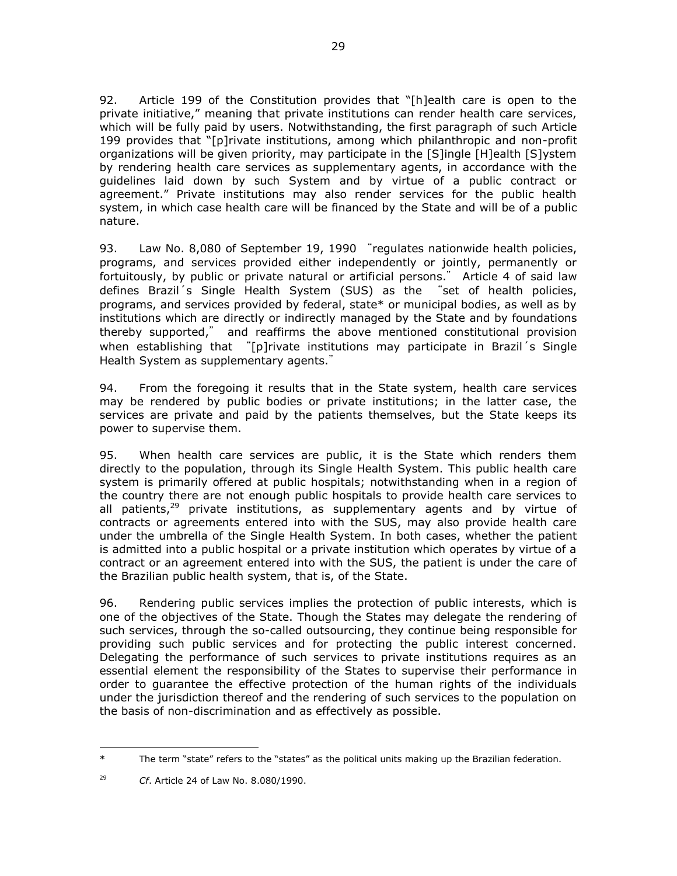92. Article 199 of the Constitution provides that "[h]ealth care is open to the private initiative," meaning that private institutions can render health care services, which will be fully paid by users. Notwithstanding, the first paragraph of such Article 199 provides that "[p]rivate institutions, among which philanthropic and non-profit organizations will be given priority, may participate in the [S]ingle [H]ealth [S]ystem by rendering health care services as supplementary agents, in accordance with the guidelines laid down by such System and by virtue of a public contract or agreement." Private institutions may also render services for the public health system, in which case health care will be financed by the State and will be of a public nature.

93. Law No. 8,080 of September 19, 1990 "regulates nationwide health policies, programs, and services provided either independently or jointly, permanently or fortuitously, by public or private natural or artificial persons." Article 4 of said law defines Brazil´s Single Health System (SUS) as the "set of health policies, programs, and services provided by federal, state\* or municipal bodies, as well as by institutions which are directly or indirectly managed by the State and by foundations thereby supported," and reaffirms the above mentioned constitutional provision when establishing that "[p]rivate institutions may participate in Brazil's Single Health System as supplementary agents."

94. From the foregoing it results that in the State system, health care services may be rendered by public bodies or private institutions; in the latter case, the services are private and paid by the patients themselves, but the State keeps its power to supervise them.

95. When health care services are public, it is the State which renders them directly to the population, through its Single Health System. This public health care system is primarily offered at public hospitals; notwithstanding when in a region of the country there are not enough public hospitals to provide health care services to all patients, $29$  private institutions, as supplementary agents and by virtue of contracts or agreements entered into with the SUS, may also provide health care under the umbrella of the Single Health System. In both cases, whether the patient is admitted into a public hospital or a private institution which operates by virtue of a contract or an agreement entered into with the SUS, the patient is under the care of the Brazilian public health system, that is, of the State.

96. Rendering public services implies the protection of public interests, which is one of the objectives of the State. Though the States may delegate the rendering of such services, through the so-called outsourcing, they continue being responsible for providing such public services and for protecting the public interest concerned. Delegating the performance of such services to private institutions requires as an essential element the responsibility of the States to supervise their performance in order to guarantee the effective protection of the human rights of the individuals under the jurisdiction thereof and the rendering of such services to the population on the basis of non-discrimination and as effectively as possible.

 $\overline{a}$ \* The term "state" refers to the "states" as the political units making up the Brazilian federation.

<sup>29</sup> *Cf*. Article 24 of Law No. 8.080/1990.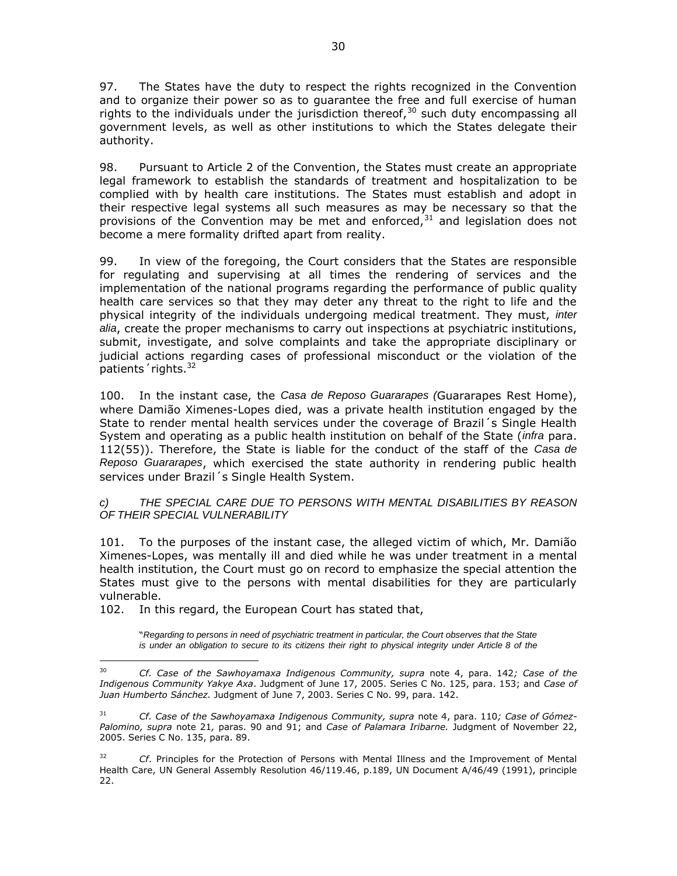97. The States have the duty to respect the rights recognized in the Convention and to organize their power so as to guarantee the free and full exercise of human rights to the individuals under the jurisdiction thereof,  $30$  such duty encompassing all government levels, as well as other institutions to which the States delegate their authority.

98. Pursuant to Article 2 of the Convention, the States must create an appropriate legal framework to establish the standards of treatment and hospitalization to be complied with by health care institutions. The States must establish and adopt in their respective legal systems all such measures as may be necessary so that the provisions of the Convention may be met and enforced,  $31$  and legislation does not become a mere formality drifted apart from reality.

99. In view of the foregoing, the Court considers that the States are responsible for regulating and supervising at all times the rendering of services and the implementation of the national programs regarding the performance of public quality health care services so that they may deter any threat to the right to life and the physical integrity of the individuals undergoing medical treatment. They must, *inter alia*, create the proper mechanisms to carry out inspections at psychiatric institutions, submit, investigate, and solve complaints and take the appropriate disciplinary or judicial actions regarding cases of professional misconduct or the violation of the patients' rights.<sup>32</sup>

100. In the instant case, the *Casa de Reposo Guararapes (*Guararapes Rest Home), where Damião Ximenes-Lopes died, was a private health institution engaged by the State to render mental health services under the coverage of Brazil´s Single Health System and operating as a public health institution on behalf of the State (*infra* para. 112(55)). Therefore, the State is liable for the conduct of the staff of the *Casa de Reposo Guararapes*, which exercised the state authority in rendering public health services under Brazil´s Single Health System.

#### *c) THE SPECIAL CARE DUE TO PERSONS WITH MENTAL DISABILITIES BY REASON OF THEIR SPECIAL VULNERABILITY*

101. To the purposes of the instant case, the alleged victim of which, Mr. Damião Ximenes-Lopes, was mentally ill and died while he was under treatment in a mental health institution, the Court must go on record to emphasize the special attention the States must give to the persons with mental disabilities for they are particularly vulnerable.

102. In this regard, the European Court has stated that,

 $\overline{a}$ 

"*Regarding to persons in need of psychiatric treatment in particular, the Court observes that the State is under an obligation to secure to its citizens their right to physical integrity under Article 8 of the* 

<sup>30</sup> *Cf. Case of the Sawhoyamaxa Indigenous Community, supra* note 4, para. 142*; Case of the Indigenous Community Yakye Axa*. Judgment of June 17, 2005. Series C No. 125, para. 153; and *Case of Juan Humberto Sánchez.* Judgment of June 7, 2003. Series C No. 99, para. 142.

<sup>31</sup> *Cf. Case of the Sawhoyamaxa Indigenous Community, supra* note 4, para. 110*; Case of Gómez-Palomino, supra* note 21*,* paras. 90 and 91; and *Case of Palamara Iribarne.* Judgment of November 22, 2005. Series C No. 135, para. 89.

<sup>&</sup>lt;sup>32</sup> *Cf.* Principles for the Protection of Persons with Mental Illness and the Improvement of Mental Health Care, UN General Assembly Resolution 46/119.46, p.189, UN Document A/46/49 (1991), principle 22.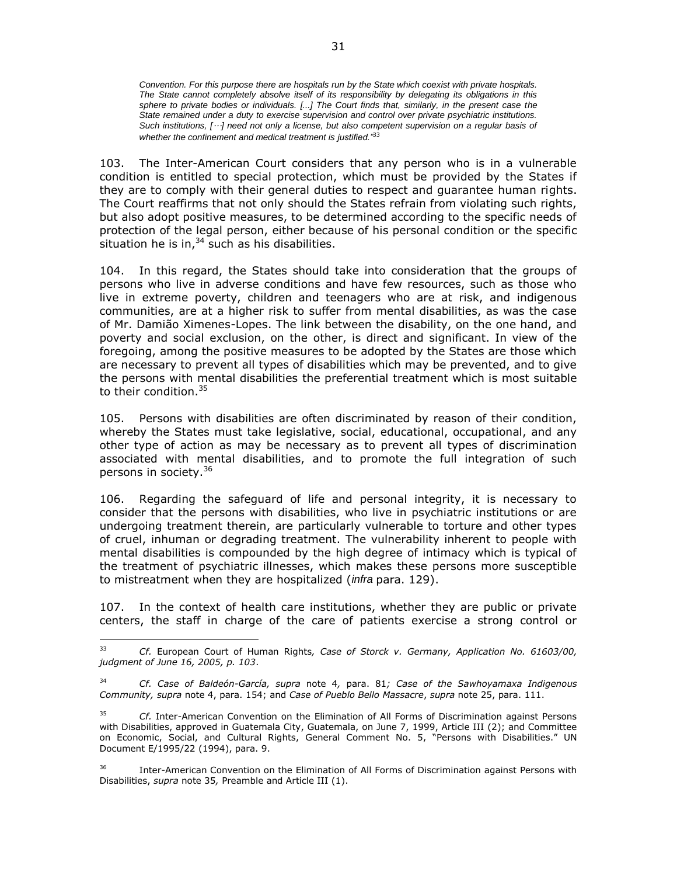*Convention. For this purpose there are hospitals run by the State which coexist with private hospitals. The State cannot completely absolve itself of its responsibility by delegating its obligations in this sphere to private bodies or individuals. [...] The Court finds that, similarly, in the present case the State remained under a duty to exercise supervision and control over private psychiatric institutions. Such institutions, [*…*] need not only a license, but also competent supervision on a regular basis of whether the confinement and medical treatment is justified."*<sup>33</sup>

103. The Inter-American Court considers that any person who is in a vulnerable condition is entitled to special protection, which must be provided by the States if they are to comply with their general duties to respect and guarantee human rights. The Court reaffirms that not only should the States refrain from violating such rights, but also adopt positive measures, to be determined according to the specific needs of protection of the legal person, either because of his personal condition or the specific situation he is in, $34$  such as his disabilities.

104. In this regard, the States should take into consideration that the groups of persons who live in adverse conditions and have few resources, such as those who live in extreme poverty, children and teenagers who are at risk, and indigenous communities, are at a higher risk to suffer from mental disabilities, as was the case of Mr. Damião Ximenes-Lopes. The link between the disability, on the one hand, and poverty and social exclusion, on the other, is direct and significant. In view of the foregoing, among the positive measures to be adopted by the States are those which are necessary to prevent all types of disabilities which may be prevented, and to give the persons with mental disabilities the preferential treatment which is most suitable to their condition.<sup>35</sup>

105. Persons with disabilities are often discriminated by reason of their condition, whereby the States must take legislative, social, educational, occupational, and any other type of action as may be necessary as to prevent all types of discrimination associated with mental disabilities, and to promote the full integration of such persons in society.<sup>36</sup>

106. Regarding the safeguard of life and personal integrity, it is necessary to consider that the persons with disabilities, who live in psychiatric institutions or are undergoing treatment therein, are particularly vulnerable to torture and other types of cruel, inhuman or degrading treatment. The vulnerability inherent to people with mental disabilities is compounded by the high degree of intimacy which is typical of the treatment of psychiatric illnesses, which makes these persons more susceptible to mistreatment when they are hospitalized (*infra* para. 129).

107. In the context of health care institutions, whether they are public or private centers, the staff in charge of the care of patients exercise a strong control or

 $33<sup>2</sup>$ <sup>33</sup> *Cf.* European Court of Human Rights*, Case of Storck v. Germany, Application No. 61603/00, judgment of June 16, 2005, p. 103*.

<sup>34</sup> *Cf. Case of Baldeón-García, supra* note 4*,* para. 81*; Case of the Sawhoyamaxa Indigenous Community, supra* note 4, para. 154; and *Case of Pueblo Bello Massacre*, *supra* note 25, para. 111.

<sup>35</sup> *Cf.* Inter-American Convention on the Elimination of All Forms of Discrimination against Persons with Disabilities, approved in Guatemala City, Guatemala, on June 7, 1999, Article III (2); and Committee on Economic, Social, and Cultural Rights, General Comment No. 5, "Persons with Disabilities." UN Document E/1995/22 (1994), para. 9.

<sup>&</sup>lt;sup>36</sup> Inter-American Convention on the Elimination of All Forms of Discrimination against Persons with Disabilities, *supra* note 35*,* Preamble and Article III (1).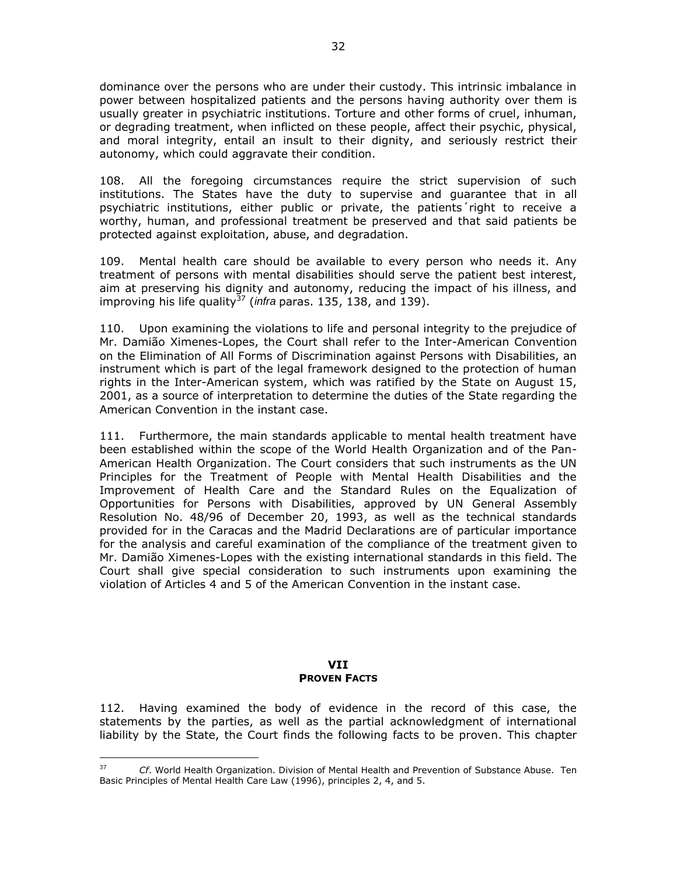dominance over the persons who are under their custody. This intrinsic imbalance in power between hospitalized patients and the persons having authority over them is usually greater in psychiatric institutions. Torture and other forms of cruel, inhuman, or degrading treatment, when inflicted on these people, affect their psychic, physical, and moral integrity, entail an insult to their dignity, and seriously restrict their autonomy, which could aggravate their condition.

108. All the foregoing circumstances require the strict supervision of such institutions. The States have the duty to supervise and guarantee that in all psychiatric institutions, either public or private, the patients´right to receive a worthy, human, and professional treatment be preserved and that said patients be protected against exploitation, abuse, and degradation.

109. Mental health care should be available to every person who needs it. Any treatment of persons with mental disabilities should serve the patient best interest, aim at preserving his dignity and autonomy, reducing the impact of his illness, and improving his life quality<sup>37</sup> (*infra* paras. 135, 138, and 139).

110. Upon examining the violations to life and personal integrity to the prejudice of Mr. Damião Ximenes-Lopes, the Court shall refer to the Inter-American Convention on the Elimination of All Forms of Discrimination against Persons with Disabilities, an instrument which is part of the legal framework designed to the protection of human rights in the Inter-American system, which was ratified by the State on August 15, 2001, as a source of interpretation to determine the duties of the State regarding the American Convention in the instant case.

111. Furthermore, the main standards applicable to mental health treatment have been established within the scope of the World Health Organization and of the Pan-American Health Organization. The Court considers that such instruments as the UN Principles for the Treatment of People with Mental Health Disabilities and the Improvement of Health Care and the Standard Rules on the Equalization of Opportunities for Persons with Disabilities, approved by UN General Assembly Resolution No. 48/96 of December 20, 1993, as well as the technical standards provided for in the Caracas and the Madrid Declarations are of particular importance for the analysis and careful examination of the compliance of the treatment given to Mr. Damião Ximenes-Lopes with the existing international standards in this field. The Court shall give special consideration to such instruments upon examining the violation of Articles 4 and 5 of the American Convention in the instant case.

### **VII PROVEN FACTS**

112. Having examined the body of evidence in the record of this case, the statements by the parties, as well as the partial acknowledgment of international liability by the State, the Court finds the following facts to be proven. This chapter

 $\overline{a}$ 

<sup>37</sup> *Cf*. World Health Organization. Division of Mental Health and Prevention of Substance Abuse. Ten Basic Principles of Mental Health Care Law (1996), principles 2, 4, and 5.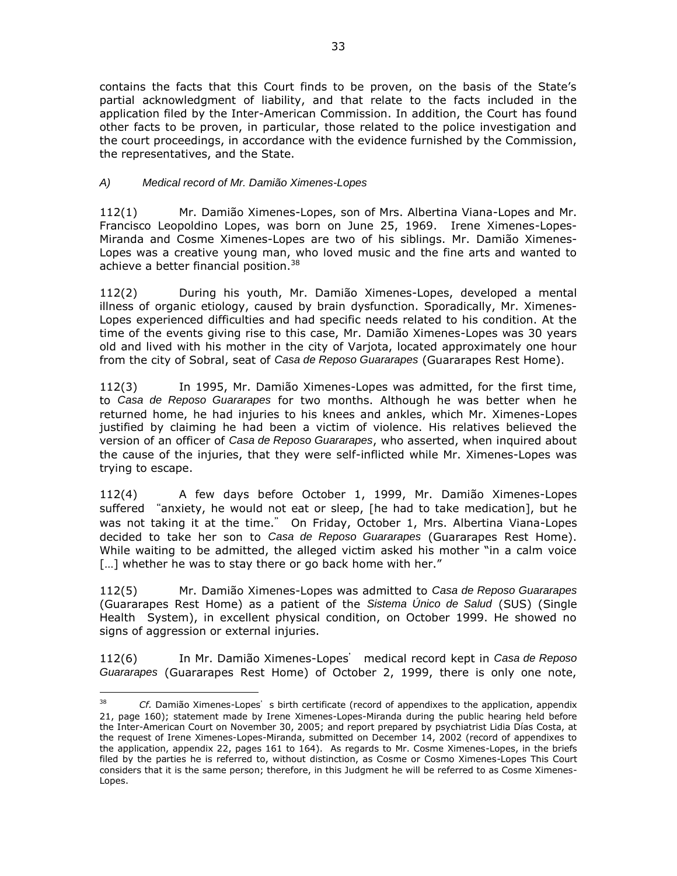contains the facts that this Court finds to be proven, on the basis of the State's partial acknowledgment of liability, and that relate to the facts included in the application filed by the Inter-American Commission. In addition, the Court has found other facts to be proven, in particular, those related to the police investigation and the court proceedings, in accordance with the evidence furnished by the Commission, the representatives, and the State.

## *A) Medical record of Mr. Damião Ximenes-Lopes*

 $\overline{a}$ 

112(1) Mr. Damião Ximenes-Lopes, son of Mrs. Albertina Viana-Lopes and Mr. Francisco Leopoldino Lopes, was born on June 25, 1969. Irene Ximenes-Lopes-Miranda and Cosme Ximenes-Lopes are two of his siblings. Mr. Damião Ximenes-Lopes was a creative young man, who loved music and the fine arts and wanted to achieve a better financial position.<sup>38</sup>

112(2) During his youth, Mr. Damião Ximenes-Lopes, developed a mental illness of organic etiology, caused by brain dysfunction. Sporadically, Mr. Ximenes-Lopes experienced difficulties and had specific needs related to his condition. At the time of the events giving rise to this case, Mr. Damião Ximenes-Lopes was 30 years old and lived with his mother in the city of Varjota, located approximately one hour from the city of Sobral, seat of *Casa de Reposo Guararapes* (Guararapes Rest Home).

112(3) In 1995, Mr. Damião Ximenes-Lopes was admitted, for the first time, to *Casa de Reposo Guararapes* for two months. Although he was better when he returned home, he had injuries to his knees and ankles, which Mr. Ximenes-Lopes justified by claiming he had been a victim of violence. His relatives believed the version of an officer of *Casa de Reposo Guararapes*, who asserted, when inquired about the cause of the injuries, that they were self-inflicted while Mr. Ximenes-Lopes was trying to escape.

112(4) A few days before October 1, 1999, Mr. Damião Ximenes-Lopes suffered "anxiety, he would not eat or sleep, [he had to take medication], but he was not taking it at the time." On Friday, October 1, Mrs. Albertina Viana-Lopes decided to take her son to *Casa de Reposo Guararapes* (Guararapes Rest Home). While waiting to be admitted, the alleged victim asked his mother "in a calm voice [...] whether he was to stay there or go back home with her."

112(5) Mr. Damião Ximenes-Lopes was admitted to *Casa de Reposo Guararapes* (Guararapes Rest Home) as a patient of the *Sistema Único de Salud* (SUS) (Single Health System), in excellent physical condition, on October 1999. He showed no signs of aggression or external injuries.

112(6) In Mr. Damião Ximenes-Lopes' medical record kept in *Casa de Reposo Guararapes* (Guararapes Rest Home) of October 2, 1999, there is only one note,

<sup>&</sup>lt;sup>38</sup> *Cf.* Damião Ximenes-Lopes's birth certificate (record of appendixes to the application, appendix 21, page 160); statement made by Irene Ximenes-Lopes-Miranda during the public hearing held before the Inter-American Court on November 30, 2005; and report prepared by psychiatrist Lidia Días Costa, at the request of Irene Ximenes-Lopes-Miranda, submitted on December 14, 2002 (record of appendixes to the application, appendix 22, pages 161 to 164). As regards to Mr. Cosme Ximenes-Lopes, in the briefs filed by the parties he is referred to, without distinction, as Cosme or Cosmo Ximenes-Lopes This Court considers that it is the same person; therefore, in this Judgment he will be referred to as Cosme Ximenes-Lopes.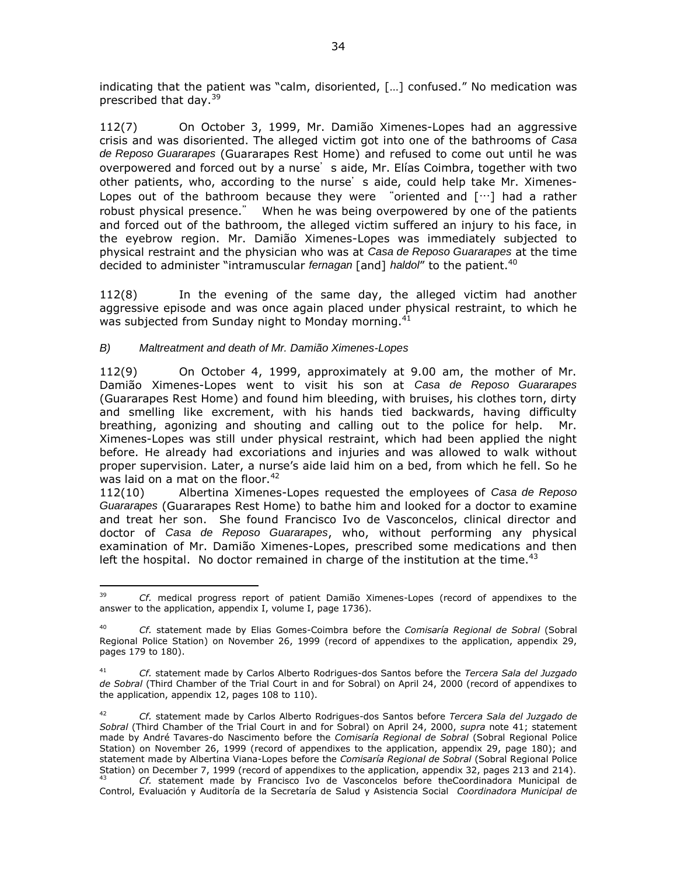indicating that the patient was "calm, disoriented, […] confused." No medication was prescribed that day.<sup>39</sup>

112(7) On October 3, 1999, Mr. Damião Ximenes-Lopes had an aggressive crisis and was disoriented. The alleged victim got into one of the bathrooms of *Casa de Reposo Guararapes* (Guararapes Rest Home) and refused to come out until he was overpowered and forced out by a nurse's aide, Mr. Elías Coimbra, together with two other patients, who, according to the nurse's aide, could help take Mr. Ximenes-Lopes out of the bathroom because they were "oriented and […] had a rather robust physical presence." When he was being overpowered by one of the patients and forced out of the bathroom, the alleged victim suffered an injury to his face, in the eyebrow region. Mr. Damião Ximenes-Lopes was immediately subjected to physical restraint and the physician who was at *Casa de Reposo Guararapes* at the time decided to administer "intramuscular *fernagan* [and] *haldol*" to the patient.<sup>40</sup>

112(8) In the evening of the same day, the alleged victim had another aggressive episode and was once again placed under physical restraint, to which he was subjected from Sunday night to Monday morning.<sup>41</sup>

## *B) Maltreatment and death of Mr. Damião Ximenes-Lopes*

112(9) On October 4, 1999, approximately at 9.00 am, the mother of Mr. Damião Ximenes-Lopes went to visit his son at *Casa de Reposo Guararapes* (Guararapes Rest Home) and found him bleeding, with bruises, his clothes torn, dirty and smelling like excrement, with his hands tied backwards, having difficulty breathing, agonizing and shouting and calling out to the police for help. Mr. Ximenes-Lopes was still under physical restraint, which had been applied the night before. He already had excoriations and injuries and was allowed to walk without proper supervision. Later, a nurse's aide laid him on a bed, from which he fell. So he was laid on a mat on the floor. $42<sup>2</sup>$ 

112(10) Albertina Ximenes-Lopes requested the employees of *Casa de Reposo Guararapes* (Guararapes Rest Home) to bathe him and looked for a doctor to examine and treat her son. She found Francisco Ivo de Vasconcelos, clinical director and doctor of *Casa de Reposo Guararapes*, who, without performing any physical examination of Mr. Damião Ximenes-Lopes, prescribed some medications and then left the hospital. No doctor remained in charge of the institution at the time.<sup>43</sup>

<sup>39</sup> <sup>39</sup> *Cf.* medical progress report of patient Damião Ximenes-Lopes (record of appendixes to the answer to the application, appendix I, volume I, page 1736).

<sup>40</sup> *Cf.* statement made by Elias Gomes-Coimbra before the *Comisaría Regional de Sobral* (Sobral Regional Police Station) on November 26, 1999 (record of appendixes to the application, appendix 29, pages 179 to 180).

<sup>41</sup> *Cf.* statement made by Carlos Alberto Rodrigues-dos Santos before the *Tercera Sala del Juzgado de Sobral* (Third Chamber of the Trial Court in and for Sobral) on April 24, 2000 (record of appendixes to the application, appendix 12, pages 108 to 110).

<sup>42</sup> *Cf.* statement made by Carlos Alberto Rodrigues-dos Santos before *Tercera Sala del Juzgado de Sobral* (Third Chamber of the Trial Court in and for Sobral) on April 24, 2000, *supra* note 41; statement made by André Tavares-do Nascimento before the *Comisaría Regional de Sobral* (Sobral Regional Police Station) on November 26, 1999 (record of appendixes to the application, appendix 29, page 180); and statement made by Albertina Viana-Lopes before the *Comisaría Regional de Sobral* (Sobral Regional Police Station) on December 7, 1999 (record of appendixes to the application, appendix 32, pages 213 and 214).

<sup>43</sup> *Cf.* statement made by Francisco Ivo de Vasconcelos before theCoordinadora Municipal de Control, Evaluación y Auditoría de la Secretaría de Salud y Asistencia Social *Coordinadora Municipal de*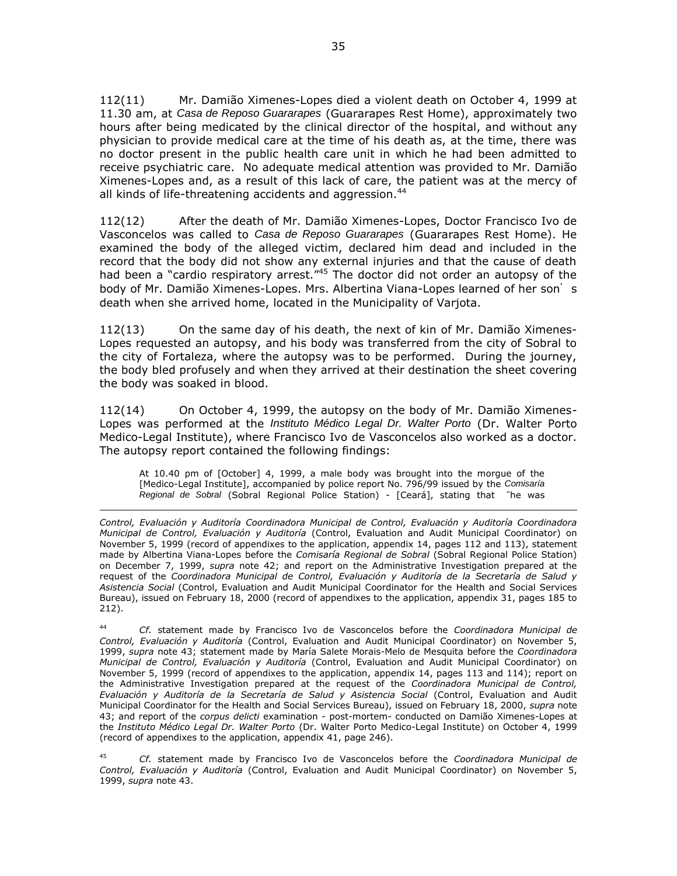112(11) Mr. Damião Ximenes-Lopes died a violent death on October 4, 1999 at 11.30 am, at *Casa de Reposo Guararapes* (Guararapes Rest Home), approximately two hours after being medicated by the clinical director of the hospital, and without any physician to provide medical care at the time of his death as, at the time, there was no doctor present in the public health care unit in which he had been admitted to receive psychiatric care. No adequate medical attention was provided to Mr. Damião Ximenes-Lopes and, as a result of this lack of care, the patient was at the mercy of all kinds of life-threatening accidents and aggression.<sup>44</sup>

112(12) After the death of Mr. Damião Ximenes-Lopes, Doctor Francisco Ivo de Vasconcelos was called to *Casa de Reposo Guararapes* (Guararapes Rest Home). He examined the body of the alleged victim, declared him dead and included in the record that the body did not show any external injuries and that the cause of death had been a "cardio respiratory arrest.<sup>"45</sup> The doctor did not order an autopsy of the body of Mr. Damião Ximenes-Lopes. Mrs. Albertina Viana-Lopes learned of her son's death when she arrived home, located in the Municipality of Varjota.

112(13) On the same day of his death, the next of kin of Mr. Damião Ximenes-Lopes requested an autopsy, and his body was transferred from the city of Sobral to the city of Fortaleza, where the autopsy was to be performed. During the journey, the body bled profusely and when they arrived at their destination the sheet covering the body was soaked in blood.

112(14) On October 4, 1999, the autopsy on the body of Mr. Damião Ximenes-Lopes was performed at the *Instituto Médico Legal Dr. Walter Porto* (Dr. Walter Porto Medico-Legal Institute), where Francisco Ivo de Vasconcelos also worked as a doctor. The autopsy report contained the following findings:

At 10.40 pm of [October] 4, 1999, a male body was brought into the morgue of the [Medico-Legal Institute], accompanied by police report No. 796/99 issued by the *Comisaría Regional de Sobral* (Sobral Regional Police Station) - [Ceará], stating that "he was

 $\overline{a}$ 

*Control, Evaluación y Auditoría Coordinadora Municipal de Control, Evaluación y Auditoría Coordinadora Municipal de Control, Evaluación y Auditoría* (Control, Evaluation and Audit Municipal Coordinator) on November 5, 1999 (record of appendixes to the application, appendix 14, pages 112 and 113), statement made by Albertina Viana-Lopes before the *Comisaría Regional de Sobral* (Sobral Regional Police Station) on December 7, 1999, *supra* note 42; and report on the Administrative Investigation prepared at the request of the *Coordinadora Municipal de Control, Evaluación y Auditoría de la Secretaría de Salud y Asistencia Social* (Control, Evaluation and Audit Municipal Coordinator for the Health and Social Services Bureau), issued on February 18, 2000 (record of appendixes to the application, appendix 31, pages 185 to 212).

<sup>44</sup> *Cf.* statement made by Francisco Ivo de Vasconcelos before the *Coordinadora Municipal de Control, Evaluación y Auditoría* (Control, Evaluation and Audit Municipal Coordinator) on November 5, 1999, *supra* note 43; statement made by María Salete Morais-Melo de Mesquita before the *Coordinadora Municipal de Control, Evaluación y Auditoría* (Control, Evaluation and Audit Municipal Coordinator) on November 5, 1999 (record of appendixes to the application, appendix 14, pages 113 and 114); report on the Administrative Investigation prepared at the request of the *Coordinadora Municipal de Control, Evaluación y Auditoría de la Secretaría de Salud y Asistencia Social* (Control, Evaluation and Audit Municipal Coordinator for the Health and Social Services Bureau), issued on February 18, 2000, *supra* note 43; and report of the *corpus delicti* examination - post-mortem- conducted on Damião Ximenes-Lopes at the *Instituto Médico Legal Dr. Walter Porto* (Dr. Walter Porto Medico-Legal Institute) on October 4, 1999 (record of appendixes to the application, appendix 41, page 246).

<sup>45</sup> *Cf.* statement made by Francisco Ivo de Vasconcelos before the *Coordinadora Municipal de Control, Evaluación y Auditoría* (Control, Evaluation and Audit Municipal Coordinator) on November 5, 1999, *supra* note 43.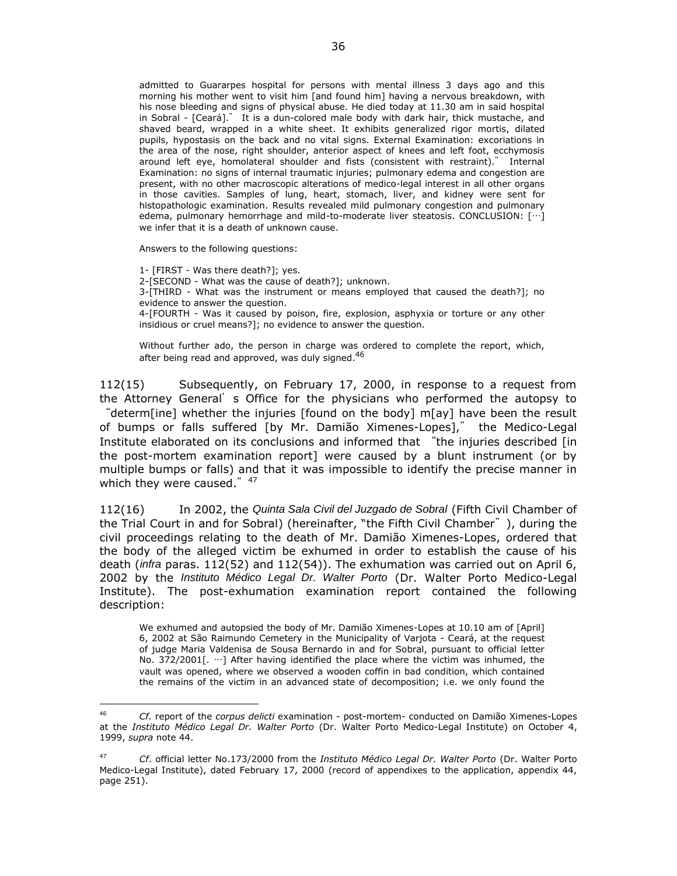admitted to Guararpes hospital for persons with mental illness 3 days ago and this morning his mother went to visit him [and found him] having a nervous breakdown, with his nose bleeding and signs of physical abuse. He died today at 11.30 am in said hospital in Sobral - [Ceará]." It is a dun-colored male body with dark hair, thick mustache, and shaved beard, wrapped in a white sheet. It exhibits generalized rigor mortis, dilated pupils, hypostasis on the back and no vital signs. External Examination: excoriations in the area of the nose, right shoulder, anterior aspect of knees and left foot, ecchymosis around left eye, homolateral shoulder and fists (consistent with restraint)." Internal Examination: no signs of internal traumatic injuries; pulmonary edema and congestion are present, with no other macroscopic alterations of medico-legal interest in all other organs in those cavities. Samples of lung, heart, stomach, liver, and kidney were sent for histopathologic examination. Results revealed mild pulmonary congestion and pulmonary edema, pulmonary hemorrhage and mild-to-moderate liver steatosis. CONCLUSION: […] we infer that it is a death of unknown cause.

Answers to the following questions:

 $\overline{a}$ 

1- [FIRST - Was there death?]; yes. 2-[SECOND - What was the cause of death?]; unknown. 3-[THIRD - What was the instrument or means employed that caused the death?]; no evidence to answer the question. 4-[FOURTH - Was it caused by poison, fire, explosion, asphyxia or torture or any other insidious or cruel means?]; no evidence to answer the question.

Without further ado, the person in charge was ordered to complete the report, which, after being read and approved, was duly signed.<sup>46</sup>

112(15) Subsequently, on February 17, 2000, in response to a request from the Attorney General's Office for the physicians who performed the autopsy to "determ[ine] whether the injuries [found on the body] m[ay] have been the result of bumps or falls suffered [by Mr. Damião Ximenes-Lopes]," the Medico-Legal Institute elaborated on its conclusions and informed that "the injuries described [in the post-mortem examination report] were caused by a blunt instrument (or by multiple bumps or falls) and that it was impossible to identify the precise manner in which they were caused." $47$ 

112(16) In 2002, the *Quinta Sala Civil del Juzgado de Sobral* (Fifth Civil Chamber of the Trial Court in and for Sobral) (hereinafter, "the Fifth Civil Chamber"), during the civil proceedings relating to the death of Mr. Damião Ximenes-Lopes, ordered that the body of the alleged victim be exhumed in order to establish the cause of his death (*infra* paras. 112(52) and 112(54)). The exhumation was carried out on April 6, 2002 by the *Instituto Médico Legal Dr. Walter Porto* (Dr. Walter Porto Medico-Legal Institute). The post-exhumation examination report contained the following description:

We exhumed and autopsied the body of Mr. Damião Ximenes-Lopes at 10.10 am of [April] 6, 2002 at São Raimundo Cemetery in the Municipality of Varjota - Ceará, at the request of judge Maria Valdenisa de Sousa Bernardo in and for Sobral, pursuant to official letter No. 372/2001[. …] After having identified the place where the victim was inhumed, the vault was opened, where we observed a wooden coffin in bad condition, which contained the remains of the victim in an advanced state of decomposition; i.e. we only found the

<sup>46</sup> *Cf.* report of the *corpus delicti* examination - post-mortem- conducted on Damião Ximenes-Lopes at the *Instituto Médico Legal Dr. Walter Porto* (Dr. Walter Porto Medico-Legal Institute) on October 4, 1999, *supra* note 44.

<sup>47</sup> *Cf*. official letter No.173/2000 from the *Instituto Médico Legal Dr. Walter Porto* (Dr. Walter Porto Medico-Legal Institute), dated February 17, 2000 (record of appendixes to the application, appendix 44, page 251).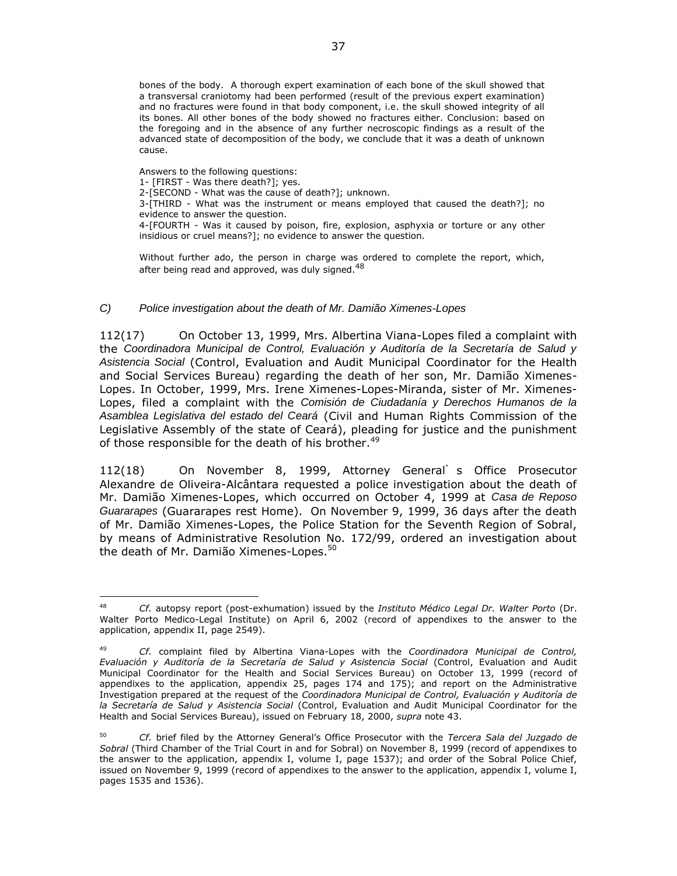bones of the body. A thorough expert examination of each bone of the skull showed that a transversal craniotomy had been performed (result of the previous expert examination) and no fractures were found in that body component, i.e. the skull showed integrity of all its bones. All other bones of the body showed no fractures either. Conclusion: based on the foregoing and in the absence of any further necroscopic findings as a result of the advanced state of decomposition of the body, we conclude that it was a death of unknown cause.

Answers to the following questions:

 $\overline{a}$ 

1- [FIRST - Was there death?]; yes. 2-[SECOND - What was the cause of death?]; unknown. 3-[THIRD - What was the instrument or means employed that caused the death?]; no evidence to answer the question. 4-[FOURTH - Was it caused by poison, fire, explosion, asphyxia or torture or any other insidious or cruel means?]; no evidence to answer the question.

Without further ado, the person in charge was ordered to complete the report, which, after being read and approved, was duly signed.<sup>48</sup>

### *C) Police investigation about the death of Mr. Damião Ximenes-Lopes*

112(17) On October 13, 1999, Mrs. Albertina Viana-Lopes filed a complaint with the *Coordinadora Municipal de Control, Evaluación y Auditoría de la Secretaría de Salud y Asistencia Social* (Control, Evaluation and Audit Municipal Coordinator for the Health and Social Services Bureau) regarding the death of her son, Mr. Damião Ximenes-Lopes. In October, 1999, Mrs. Irene Ximenes-Lopes-Miranda, sister of Mr. Ximenes-Lopes, filed a complaint with the *Comisión de Ciudadanía y Derechos Humanos de la Asamblea Legislativa del estado del Ceará* (Civil and Human Rights Commission of the Legislative Assembly of the state of Ceará), pleading for justice and the punishment of those responsible for the death of his brother.<sup>49</sup>

112(18) On November 8, 1999, Attorney General's Office Prosecutor Alexandre de Oliveira-Alcântara requested a police investigation about the death of Mr. Damião Ximenes-Lopes, which occurred on October 4, 1999 at *Casa de Reposo Guararapes* (Guararapes rest Home). On November 9, 1999, 36 days after the death of Mr. Damião Ximenes-Lopes, the Police Station for the Seventh Region of Sobral, by means of Administrative Resolution No. 172/99, ordered an investigation about the death of Mr. Damião Ximenes-Lopes.<sup>50</sup>

<sup>48</sup> *Cf.* autopsy report (post-exhumation) issued by the *Instituto Médico Legal Dr. Walter Porto* (Dr. Walter Porto Medico-Legal Institute) on April 6, 2002 (record of appendixes to the answer to the application, appendix II, page 2549).

<sup>49</sup> *Cf.* complaint filed by Albertina Viana-Lopes with the *Coordinadora Municipal de Control, Evaluación y Auditoría de la Secretaría de Salud y Asistencia Social* (Control, Evaluation and Audit Municipal Coordinator for the Health and Social Services Bureau) on October 13, 1999 (record of appendixes to the application, appendix 25, pages 174 and 175); and report on the Administrative Investigation prepared at the request of the *Coordinadora Municipal de Control, Evaluación y Auditoría de la Secretaría de Salud y Asistencia Social* (Control, Evaluation and Audit Municipal Coordinator for the Health and Social Services Bureau), issued on February 18, 2000, *supra* note 43.

<sup>50</sup> *Cf.* brief filed by the Attorney General's Office Prosecutor with the *Tercera Sala del Juzgado de Sobral* (Third Chamber of the Trial Court in and for Sobral) on November 8, 1999 (record of appendixes to the answer to the application, appendix I, volume I, page 1537); and order of the Sobral Police Chief, issued on November 9, 1999 (record of appendixes to the answer to the application, appendix I, volume I, pages 1535 and 1536).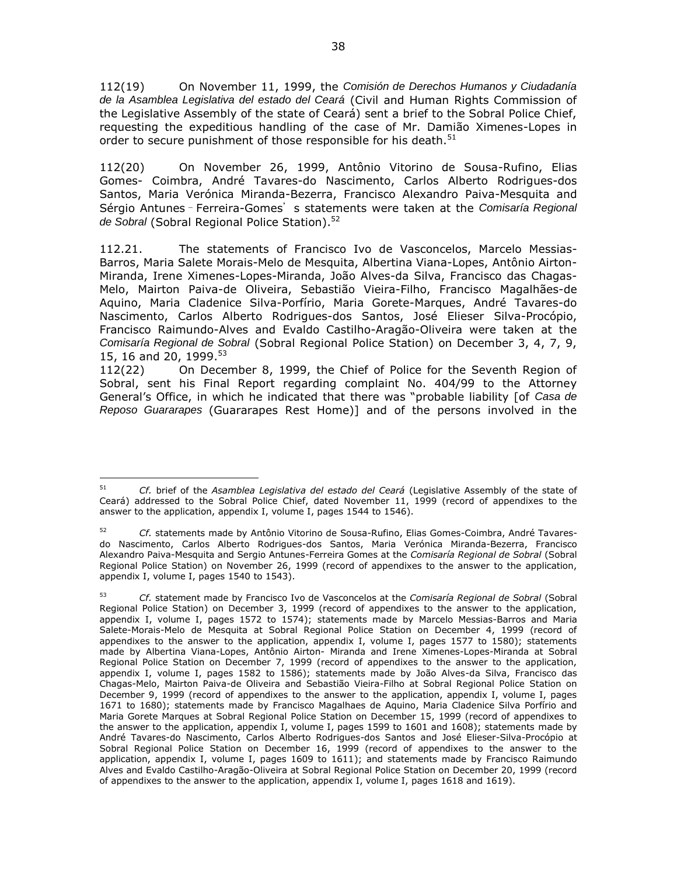112(19) On November 11, 1999, the *Comisión de Derechos Humanos y Ciudadanía de la Asamblea Legislativa del estado del Ceará* (Civil and Human Rights Commission of the Legislative Assembly of the state of Ceará) sent a brief to the Sobral Police Chief, requesting the expeditious handling of the case of Mr. Damião Ximenes-Lopes in order to secure punishment of those responsible for his death.<sup>51</sup>

112(20) On November 26, 1999, Antônio Vitorino de Sousa-Rufino, Elias Gomes- Coimbra, André Tavares-do Nascimento, Carlos Alberto Rodrigues-dos Santos, Maria Verónica Miranda-Bezerra, Francisco Alexandro Paiva-Mesquita and Sérgio Antunes–Ferreira-Gomes's statements were taken at the *Comisaría Regional*  de Sobral (Sobral Regional Police Station).<sup>52</sup>

112.21. The statements of Francisco Ivo de Vasconcelos, Marcelo Messias-Barros, Maria Salete Morais-Melo de Mesquita, Albertina Viana-Lopes, Antônio Airton-Miranda, Irene Ximenes-Lopes-Miranda, João Alves-da Silva, Francisco das Chagas-Melo, Mairton Paiva-de Oliveira, Sebastião Vieira-Filho, Francisco Magalhães-de Aquino, Maria Cladenice Silva-Porfírio, Maria Gorete-Marques, André Tavares-do Nascimento, Carlos Alberto Rodrigues-dos Santos, José Elieser Silva-Procópio, Francisco Raimundo-Alves and Evaldo Castilho-Aragão-Oliveira were taken at the *Comisaría Regional de Sobral* (Sobral Regional Police Station) on December 3, 4, 7, 9, 15, 16 and 20, 1999.<sup>53</sup>

112(22) On December 8, 1999, the Chief of Police for the Seventh Region of Sobral, sent his Final Report regarding complaint No. 404/99 to the Attorney General's Office, in which he indicated that there was "probable liability [of *Casa de Reposo Guararapes* (Guararapes Rest Home)] and of the persons involved in the

 $\overline{a}$ <sup>51</sup> *Cf.* brief of the *Asamblea Legislativa del estado del Ceará* (Legislative Assembly of the state of Ceará) addressed to the Sobral Police Chief, dated November 11, 1999 (record of appendixes to the answer to the application, appendix I, volume I, pages 1544 to 1546).

<sup>52</sup> *Cf.* statements made by Antônio Vitorino de Sousa-Rufino, Elias Gomes-Coimbra, André Tavaresdo Nascimento, Carlos Alberto Rodrigues-dos Santos, Maria Verónica Miranda-Bezerra, Francisco Alexandro Paiva-Mesquita and Sergio Antunes-Ferreira Gomes at the *Comisaría Regional de Sobral* (Sobral Regional Police Station) on November 26, 1999 (record of appendixes to the answer to the application, appendix I, volume I, pages 1540 to 1543).

<sup>53</sup> *Cf.* statement made by Francisco Ivo de Vasconcelos at the *Comisaría Regional de Sobral* (Sobral Regional Police Station) on December 3, 1999 (record of appendixes to the answer to the application, appendix I, volume I, pages 1572 to 1574); statements made by Marcelo Messias-Barros and Maria Salete-Morais-Melo de Mesquita at Sobral Regional Police Station on December 4, 1999 (record of appendixes to the answer to the application, appendix I, volume I, pages 1577 to 1580); statements made by Albertina Viana-Lopes, Antônio Airton- Miranda and Irene Ximenes-Lopes-Miranda at Sobral Regional Police Station on December 7, 1999 (record of appendixes to the answer to the application, appendix I, volume I, pages 1582 to 1586); statements made by João Alves-da Silva, Francisco das Chagas-Melo, Mairton Paiva-de Oliveira and Sebastião Vieira-Filho at Sobral Regional Police Station on December 9, 1999 (record of appendixes to the answer to the application, appendix I, volume I, pages 1671 to 1680); statements made by Francisco Magalhaes de Aquino, Maria Cladenice Silva Porfírio and Maria Gorete Marques at Sobral Regional Police Station on December 15, 1999 (record of appendixes to the answer to the application, appendix I, volume I, pages 1599 to 1601 and 1608); statements made by André Tavares-do Nascimento, Carlos Alberto Rodrigues-dos Santos and José Elieser-Silva-Procópio at Sobral Regional Police Station on December 16, 1999 (record of appendixes to the answer to the application, appendix I, volume I, pages 1609 to 1611); and statements made by Francisco Raimundo Alves and Evaldo Castilho-Aragão-Oliveira at Sobral Regional Police Station on December 20, 1999 (record of appendixes to the answer to the application, appendix I, volume I, pages 1618 and 1619).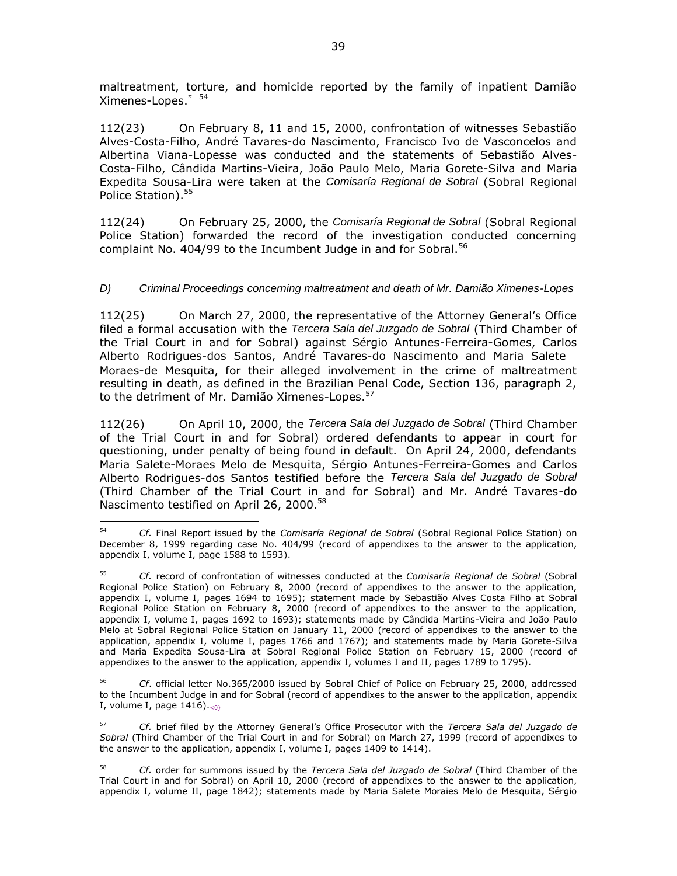maltreatment, torture, and homicide reported by the family of inpatient Damião Ximenes-Lopes." 54

112(23) On February 8, 11 and 15, 2000, confrontation of witnesses Sebastião Alves-Costa-Filho, André Tavares-do Nascimento, Francisco Ivo de Vasconcelos and Albertina Viana-Lopesse was conducted and the statements of Sebastião Alves-Costa-Filho, Cândida Martins-Vieira, João Paulo Melo, Maria Gorete-Silva and Maria Expedita Sousa-Lira were taken at the *Comisaría Regional de Sobral* (Sobral Regional Police Station).<sup>55</sup>

112(24) On February 25, 2000, the *Comisaría Regional de Sobral* (Sobral Regional Police Station) forwarded the record of the investigation conducted concerning complaint No. 404/99 to the Incumbent Judge in and for Sobral.<sup>56</sup>

# *D) Criminal Proceedings concerning maltreatment and death of Mr. Damião Ximenes-Lopes*

112(25) On March 27, 2000, the representative of the Attorney General's Office filed a formal accusation with the *Tercera Sala del Juzgado de Sobral* (Third Chamber of the Trial Court in and for Sobral) against Sérgio Antunes-Ferreira-Gomes, Carlos Alberto Rodrigues-dos Santos, André Tavares-do Nascimento and Maria Salete– Moraes-de Mesquita, for their alleged involvement in the crime of maltreatment resulting in death, as defined in the Brazilian Penal Code, Section 136, paragraph 2, to the detriment of Mr. Damião Ximenes-Lopes.<sup>57</sup>

112(26) On April 10, 2000, the *Tercera Sala del Juzgado de Sobral* (Third Chamber of the Trial Court in and for Sobral) ordered defendants to appear in court for questioning, under penalty of being found in default. On April 24, 2000, defendants Maria Salete-Moraes Melo de Mesquita, Sérgio Antunes-Ferreira-Gomes and Carlos Alberto Rodrigues-dos Santos testified before the *Tercera Sala del Juzgado de Sobral* (Third Chamber of the Trial Court in and for Sobral) and Mr. André Tavares-do Nascimento testified on April 26, 2000.<sup>58</sup>

 $\overline{a}$ 

<sup>56</sup> *Cf*. official letter No.365/2000 issued by Sobral Chief of Police on February 25, 2000, addressed to the Incumbent Judge in and for Sobral (record of appendixes to the answer to the application, appendix I, volume I, page  $1416$ ). $\{0\}$ 

<sup>57</sup> *Cf.* brief filed by the Attorney General's Office Prosecutor with the *Tercera Sala del Juzgado de Sobral* (Third Chamber of the Trial Court in and for Sobral) on March 27, 1999 (record of appendixes to the answer to the application, appendix I, volume I, pages 1409 to 1414).

<sup>54</sup> *Cf.* Final Report issued by the *Comisaría Regional de Sobral* (Sobral Regional Police Station) on December 8, 1999 regarding case No. 404/99 (record of appendixes to the answer to the application, appendix I, volume I, page 1588 to 1593).

<sup>55</sup> *Cf.* record of confrontation of witnesses conducted at the *Comisaría Regional de Sobral* (Sobral Regional Police Station) on February 8, 2000 (record of appendixes to the answer to the application, appendix I, volume I, pages 1694 to 1695); statement made by Sebastião Alves Costa Filho at Sobral Regional Police Station on February 8, 2000 (record of appendixes to the answer to the application, appendix I, volume I, pages 1692 to 1693); statements made by Cândida Martins-Vieira and João Paulo Melo at Sobral Regional Police Station on January 11, 2000 (record of appendixes to the answer to the application, appendix I, volume I, pages 1766 and 1767); and statements made by Maria Gorete-Silva and Maria Expedita Sousa-Lira at Sobral Regional Police Station on February 15, 2000 (record of appendixes to the answer to the application, appendix I, volumes I and II, pages 1789 to 1795).

<sup>58</sup> *Cf.* order for summons issued by the *Tercera Sala del Juzgado de Sobral* (Third Chamber of the Trial Court in and for Sobral) on April 10, 2000 (record of appendixes to the answer to the application, appendix I, volume II, page 1842); statements made by Maria Salete Moraies Melo de Mesquita, Sérgio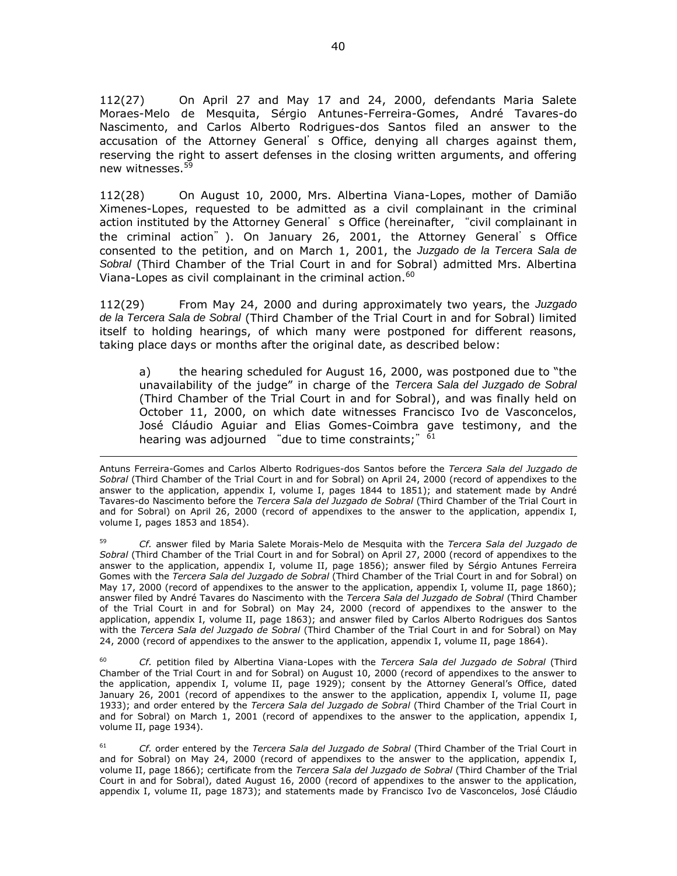112(27) On April 27 and May 17 and 24, 2000, defendants Maria Salete Moraes-Melo de Mesquita, Sérgio Antunes-Ferreira-Gomes, André Tavares-do Nascimento, and Carlos Alberto Rodrigues-dos Santos filed an answer to the accusation of the Attorney General's Office, denying all charges against them, reserving the right to assert defenses in the closing written arguments, and offering new witnesses.<sup>59</sup>

112(28) On August 10, 2000, Mrs. Albertina Viana-Lopes, mother of Damião Ximenes-Lopes, requested to be admitted as a civil complainant in the criminal action instituted by the Attorney General's Office (hereinafter, "civil complainant in the criminal action"). On January 26, 2001, the Attorney General's Office consented to the petition, and on March 1, 2001, the *Juzgado de la Tercera Sala de Sobral* (Third Chamber of the Trial Court in and for Sobral) admitted Mrs. Albertina Viana-Lopes as civil complainant in the criminal action.<sup>60</sup>

112(29) From May 24, 2000 and during approximately two years, the *Juzgado de la Tercera Sala de Sobral* (Third Chamber of the Trial Court in and for Sobral) limited itself to holding hearings, of which many were postponed for different reasons, taking place days or months after the original date, as described below:

a) the hearing scheduled for August 16, 2000, was postponed due to "the unavailability of the judge" in charge of the *Tercera Sala del Juzgado de Sobral* (Third Chamber of the Trial Court in and for Sobral), and was finally held on October 11, 2000, on which date witnesses Francisco Ivo de Vasconcelos, José Cláudio Aguiar and Elias Gomes-Coimbra gave testimony, and the hearing was adjourned "due to time constraints;"  $^{\overline{61}}$ 

 $\overline{a}$ 

<sup>59</sup> *Cf.* answer filed by Maria Salete Morais-Melo de Mesquita with the *Tercera Sala del Juzgado de Sobral* (Third Chamber of the Trial Court in and for Sobral) on April 27, 2000 (record of appendixes to the answer to the application, appendix I, volume II, page 1856); answer filed by Sérgio Antunes Ferreira Gomes with the *Tercera Sala del Juzgado de Sobral* (Third Chamber of the Trial Court in and for Sobral) on May 17, 2000 (record of appendixes to the answer to the application, appendix I, volume II, page 1860); answer filed by André Tavares do Nascimento with the *Tercera Sala del Juzgado de Sobral* (Third Chamber of the Trial Court in and for Sobral) on May 24, 2000 (record of appendixes to the answer to the application, appendix I, volume II, page 1863); and answer filed by Carlos Alberto Rodrigues dos Santos with the *Tercera Sala del Juzgado de Sobral* (Third Chamber of the Trial Court in and for Sobral) on May 24, 2000 (record of appendixes to the answer to the application, appendix I, volume II, page 1864).

Cf. petition filed by Albertina Viana-Lopes with the *Tercera Sala del Juzgado de Sobral* (Third Chamber of the Trial Court in and for Sobral) on August 10, 2000 (record of appendixes to the answer to the application, appendix I, volume II, page 1929); consent by the Attorney General's Office, dated January 26, 2001 (record of appendixes to the answer to the application, appendix I, volume II, page 1933); and order entered by the *Tercera Sala del Juzgado de Sobral* (Third Chamber of the Trial Court in and for Sobral) on March 1, 2001 (record of appendixes to the answer to the application, appendix I, volume II, page 1934).

<sup>61</sup> *Cf.* order entered by the *Tercera Sala del Juzgado de Sobral* (Third Chamber of the Trial Court in and for Sobral) on May 24, 2000 (record of appendixes to the answer to the application, appendix I, volume II, page 1866); certificate from the *Tercera Sala del Juzgado de Sobral* (Third Chamber of the Trial Court in and for Sobral), dated August 16, 2000 (record of appendixes to the answer to the application, appendix I, volume II, page 1873); and statements made by Francisco Ivo de Vasconcelos, José Cláudio

Antuns Ferreira-Gomes and Carlos Alberto Rodrigues-dos Santos before the *Tercera Sala del Juzgado de Sobral* (Third Chamber of the Trial Court in and for Sobral) on April 24, 2000 (record of appendixes to the answer to the application, appendix I, volume I, pages 1844 to 1851); and statement made by André Tavares-do Nascimento before the *Tercera Sala del Juzgado de Sobral* (Third Chamber of the Trial Court in and for Sobral) on April 26, 2000 (record of appendixes to the answer to the application, appendix I, volume I, pages 1853 and 1854).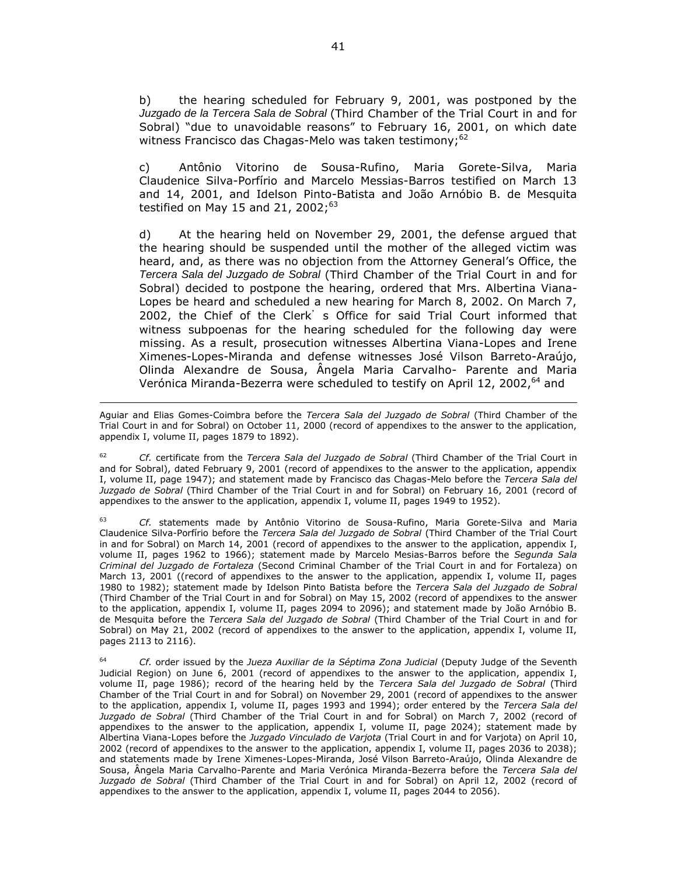b) the hearing scheduled for February 9, 2001, was postponed by the *Juzgado de la Tercera Sala de Sobral* (Third Chamber of the Trial Court in and for Sobral) "due to unavoidable reasons" to February 16, 2001, on which date witness Francisco das Chagas-Melo was taken testimony;<sup>62</sup>

c) Antônio Vitorino de Sousa-Rufino, Maria Gorete-Silva, Maria Claudenice Silva-Porfírio and Marcelo Messias-Barros testified on March 13 and 14, 2001, and Idelson Pinto-Batista and João Arnóbio B. de Mesquita testified on May 15 and 21, 2002; $63$ 

d) At the hearing held on November 29, 2001, the defense argued that the hearing should be suspended until the mother of the alleged victim was heard, and, as there was no objection from the Attorney General's Office, the *Tercera Sala del Juzgado de Sobral* (Third Chamber of the Trial Court in and for Sobral) decided to postpone the hearing, ordered that Mrs. Albertina Viana-Lopes be heard and scheduled a new hearing for March 8, 2002. On March 7, 2002, the Chief of the Clerk's Office for said Trial Court informed that witness subpoenas for the hearing scheduled for the following day were missing. As a result, prosecution witnesses Albertina Viana-Lopes and Irene Ximenes-Lopes-Miranda and defense witnesses José Vilson Barreto-Araújo, Olinda Alexandre de Sousa, Ângela Maria Carvalho- Parente and Maria Verónica Miranda-Bezerra were scheduled to testify on April 12, 2002, <sup>64</sup> and

 $\overline{a}$ 

<sup>62</sup> *Cf.* certificate from the *Tercera Sala del Juzgado de Sobral* (Third Chamber of the Trial Court in and for Sobral), dated February 9, 2001 (record of appendixes to the answer to the application, appendix I, volume II, page 1947); and statement made by Francisco das Chagas-Melo before the *Tercera Sala del Juzgado de Sobral* (Third Chamber of the Trial Court in and for Sobral) on February 16, 2001 (record of appendixes to the answer to the application, appendix I, volume II, pages 1949 to 1952).

<sup>63</sup> *Cf.* statements made by Antônio Vitorino de Sousa-Rufino, Maria Gorete-Silva and Maria Claudenice Silva-Porfírio before the *Tercera Sala del Juzgado de Sobral* (Third Chamber of the Trial Court in and for Sobral) on March 14, 2001 (record of appendixes to the answer to the application, appendix I, volume II, pages 1962 to 1966); statement made by Marcelo Mesias-Barros before the *Segunda Sala Criminal del Juzgado de Fortaleza* (Second Criminal Chamber of the Trial Court in and for Fortaleza) on March 13, 2001 ((record of appendixes to the answer to the application, appendix I, volume II, pages 1980 to 1982); statement made by Idelson Pinto Batista before the *Tercera Sala del Juzgado de Sobral* (Third Chamber of the Trial Court in and for Sobral) on May 15, 2002 (record of appendixes to the answer to the application, appendix I, volume II, pages 2094 to 2096); and statement made by João Arnóbio B. de Mesquita before the *Tercera Sala del Juzgado de Sobral* (Third Chamber of the Trial Court in and for Sobral) on May 21, 2002 (record of appendixes to the answer to the application, appendix I, volume II, pages 2113 to 2116).

<sup>64</sup> *Cf.* order issued by the *Jueza Auxiliar de la Séptima Zona Judicial* (Deputy Judge of the Seventh Judicial Region) on June 6, 2001 (record of appendixes to the answer to the application, appendix I, volume II, page 1986); record of the hearing held by the *Tercera Sala del Juzgado de Sobral* (Third Chamber of the Trial Court in and for Sobral) on November 29, 2001 (record of appendixes to the answer to the application, appendix I, volume II, pages 1993 and 1994); order entered by the *Tercera Sala del Juzgado de Sobral* (Third Chamber of the Trial Court in and for Sobral) on March 7, 2002 (record of appendixes to the answer to the application, appendix I, volume II, page 2024); statement made by Albertina Viana-Lopes before the *Juzgado Vinculado de Varjota* (Trial Court in and for Varjota) on April 10, 2002 (record of appendixes to the answer to the application, appendix I, volume II, pages 2036 to 2038); and statements made by Irene Ximenes-Lopes-Miranda, José Vilson Barreto-Araújo, Olinda Alexandre de Sousa, Ângela Maria Carvalho-Parente and Maria Verónica Miranda-Bezerra before the *Tercera Sala del Juzgado de Sobral* (Third Chamber of the Trial Court in and for Sobral) on April 12, 2002 (record of appendixes to the answer to the application, appendix I, volume II, pages 2044 to 2056).

Aguiar and Elias Gomes-Coimbra before the *Tercera Sala del Juzgado de Sobral* (Third Chamber of the Trial Court in and for Sobral) on October 11, 2000 (record of appendixes to the answer to the application, appendix I, volume II, pages 1879 to 1892).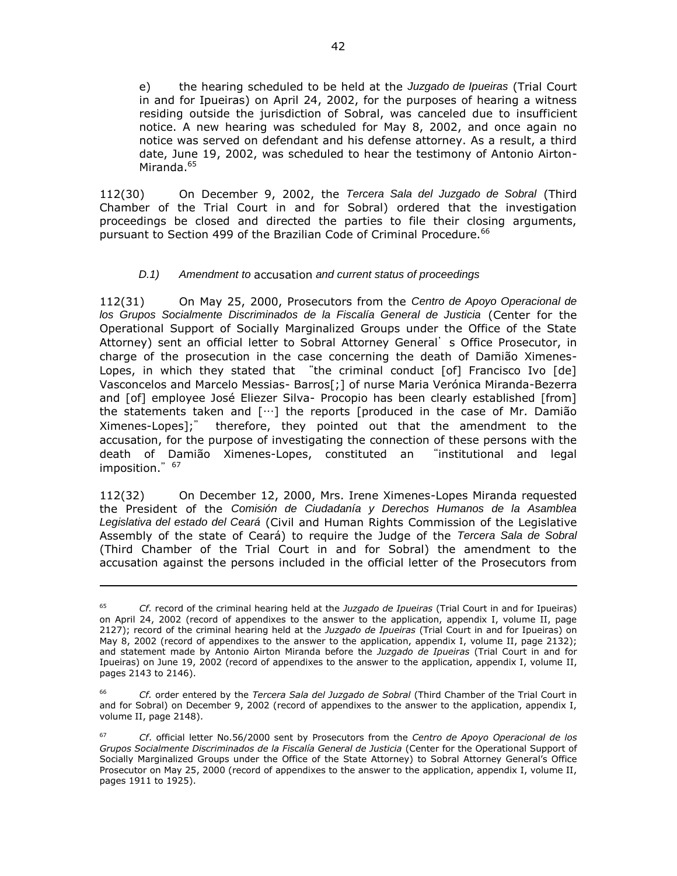e) the hearing scheduled to be held at the *Juzgado de Ipueiras* (Trial Court in and for Ipueiras) on April 24, 2002, for the purposes of hearing a witness residing outside the jurisdiction of Sobral, was canceled due to insufficient notice. A new hearing was scheduled for May 8, 2002, and once again no notice was served on defendant and his defense attorney. As a result, a third date, June 19, 2002, was scheduled to hear the testimony of Antonio Airton-Miranda.<sup>65</sup>

112(30) On December 9, 2002, the *Tercera Sala del Juzgado de Sobral* (Third Chamber of the Trial Court in and for Sobral) ordered that the investigation proceedings be closed and directed the parties to file their closing arguments, pursuant to Section 499 of the Brazilian Code of Criminal Procedure.<sup>66</sup>

# *D.1) Amendment to* accusation *and current status of proceedings*

112(31) On May 25, 2000, Prosecutors from the *Centro de Apoyo Operacional de los Grupos Socialmente Discriminados de la Fiscalía General de Justicia* (Center for the Operational Support of Socially Marginalized Groups under the Office of the State Attorney) sent an official letter to Sobral Attorney General's Office Prosecutor, in charge of the prosecution in the case concerning the death of Damião Ximenes-Lopes, in which they stated that "the criminal conduct [of] Francisco Ivo [de] Vasconcelos and Marcelo Messias- Barros[;] of nurse Maria Verónica Miranda-Bezerra and [of] employee José Eliezer Silva- Procopio has been clearly established [from] the statements taken and  $[\cdots]$  the reports [produced in the case of Mr. Damião Ximenes-Lopes];" therefore, they pointed out that the amendment to the accusation, for the purpose of investigating the connection of these persons with the death of Damião Ximenes-Lopes, constituted an "institutional and legal imposition." 67

112(32) On December 12, 2000, Mrs. Irene Ximenes-Lopes Miranda requested the President of the *Comisión de Ciudadanía y Derechos Humanos de la Asamblea Legislativa del estado del Ceará* (Civil and Human Rights Commission of the Legislative Assembly of the state of Ceará) to require the Judge of the *Tercera Sala de Sobral* (Third Chamber of the Trial Court in and for Sobral) the amendment to the accusation against the persons included in the official letter of the Prosecutors from

 $\overline{a}$ 

<sup>65</sup> *Cf.* record of the criminal hearing held at the *Juzgado de Ipueiras* (Trial Court in and for Ipueiras) on April 24, 2002 (record of appendixes to the answer to the application, appendix I, volume II, page 2127); record of the criminal hearing held at the *Juzgado de Ipueiras* (Trial Court in and for Ipueiras) on May 8, 2002 (record of appendixes to the answer to the application, appendix I, volume II, page 2132); and statement made by Antonio Airton Miranda before the *Juzgado de Ipueiras* (Trial Court in and for Ipueiras) on June 19, 2002 (record of appendixes to the answer to the application, appendix I, volume II, pages 2143 to 2146).

<sup>66</sup> *Cf.* order entered by the *Tercera Sala del Juzgado de Sobral* (Third Chamber of the Trial Court in and for Sobral) on December 9, 2002 (record of appendixes to the answer to the application, appendix I, volume II, page 2148).

<sup>67</sup> *Cf*. official letter No.56/2000 sent by Prosecutors from the *Centro de Apoyo Operacional de los Grupos Socialmente Discriminados de la Fiscalía General de Justicia* (Center for the Operational Support of Socially Marginalized Groups under the Office of the State Attorney) to Sobral Attorney General's Office Prosecutor on May 25, 2000 (record of appendixes to the answer to the application, appendix I, volume II, pages 1911 to 1925).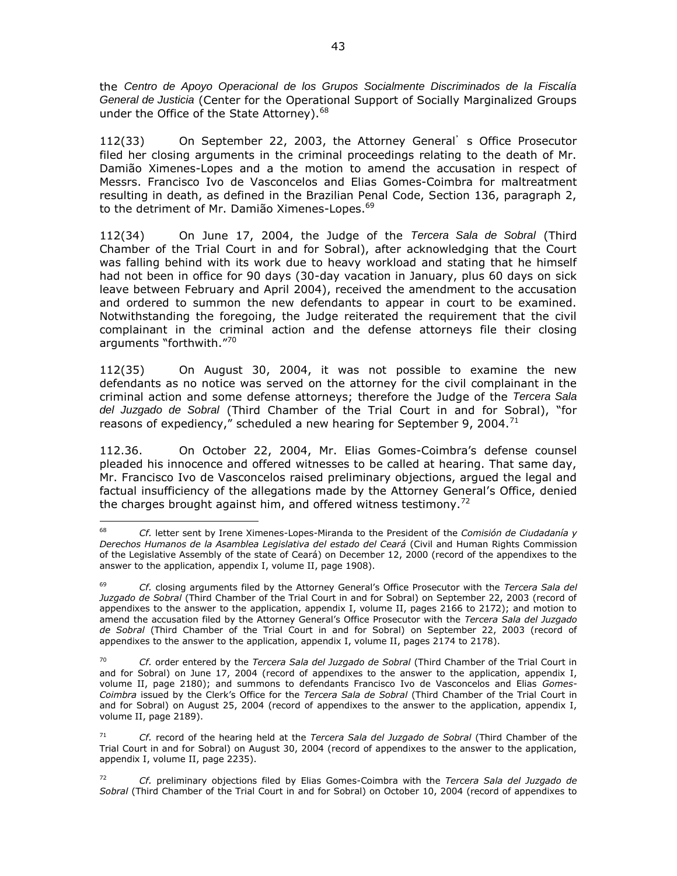the *Centro de Apoyo Operacional de los Grupos Socialmente Discriminados de la Fiscalía General de Justicia* (Center for the Operational Support of Socially Marginalized Groups under the Office of the State Attorney).<sup>68</sup>

112(33) On September 22, 2003, the Attorney General's Office Prosecutor filed her closing arguments in the criminal proceedings relating to the death of Mr. Damião Ximenes-Lopes and a the motion to amend the accusation in respect of Messrs. Francisco Ivo de Vasconcelos and Elias Gomes-Coimbra for maltreatment resulting in death, as defined in the Brazilian Penal Code, Section 136, paragraph 2, to the detriment of Mr. Damião Ximenes-Lopes.<sup>69</sup>

112(34) On June 17, 2004, the Judge of the *Tercera Sala de Sobral* (Third Chamber of the Trial Court in and for Sobral), after acknowledging that the Court was falling behind with its work due to heavy workload and stating that he himself had not been in office for 90 days (30-day vacation in January, plus 60 days on sick leave between February and April 2004), received the amendment to the accusation and ordered to summon the new defendants to appear in court to be examined. Notwithstanding the foregoing, the Judge reiterated the requirement that the civil complainant in the criminal action and the defense attorneys file their closing arguments "forthwith."<sup>70</sup>

112(35) On August 30, 2004, it was not possible to examine the new defendants as no notice was served on the attorney for the civil complainant in the criminal action and some defense attorneys; therefore the Judge of the *Tercera Sala del Juzgado de Sobral* (Third Chamber of the Trial Court in and for Sobral), "for reasons of expediency," scheduled a new hearing for September 9, 2004.<sup>71</sup>

112.36. On October 22, 2004, Mr. Elias Gomes-Coimbra's defense counsel pleaded his innocence and offered witnesses to be called at hearing. That same day, Mr. Francisco Ivo de Vasconcelos raised preliminary objections, argued the legal and factual insufficiency of the allegations made by the Attorney General's Office, denied the charges brought against him, and offered witness testimony.<sup>72</sup>

 $\overline{a}$ 

<sup>68</sup> *Cf.* letter sent by Irene Ximenes-Lopes-Miranda to the President of the *Comisión de Ciudadanía y Derechos Humanos de la Asamblea Legislativa del estado del Ceará* (Civil and Human Rights Commission of the Legislative Assembly of the state of Ceará) on December 12, 2000 (record of the appendixes to the answer to the application, appendix I, volume II, page 1908).

<sup>69</sup> *Cf.* closing arguments filed by the Attorney General's Office Prosecutor with the *Tercera Sala del Juzgado de Sobral* (Third Chamber of the Trial Court in and for Sobral) on September 22, 2003 (record of appendixes to the answer to the application, appendix I, volume II, pages 2166 to 2172); and motion to amend the accusation filed by the Attorney General's Office Prosecutor with the *Tercera Sala del Juzgado de Sobral* (Third Chamber of the Trial Court in and for Sobral) on September 22, 2003 (record of appendixes to the answer to the application, appendix I, volume II, pages 2174 to 2178).

<sup>70</sup> *Cf.* order entered by the *Tercera Sala del Juzgado de Sobral* (Third Chamber of the Trial Court in and for Sobral) on June 17, 2004 (record of appendixes to the answer to the application, appendix I, volume II, page 2180); and summons to defendants Francisco Ivo de Vasconcelos and Elias *Gomes-Coimbra* issued by the Clerk's Office for the *Tercera Sala de Sobral* (Third Chamber of the Trial Court in and for Sobral) on August 25, 2004 (record of appendixes to the answer to the application, appendix I, volume II, page 2189).

<sup>71</sup> *Cf.* record of the hearing held at the *Tercera Sala del Juzgado de Sobral* (Third Chamber of the Trial Court in and for Sobral) on August 30, 2004 (record of appendixes to the answer to the application, appendix I, volume II, page 2235).

<sup>72</sup> *Cf.* preliminary objections filed by Elias Gomes-Coimbra with the *Tercera Sala del Juzgado de Sobral* (Third Chamber of the Trial Court in and for Sobral) on October 10, 2004 (record of appendixes to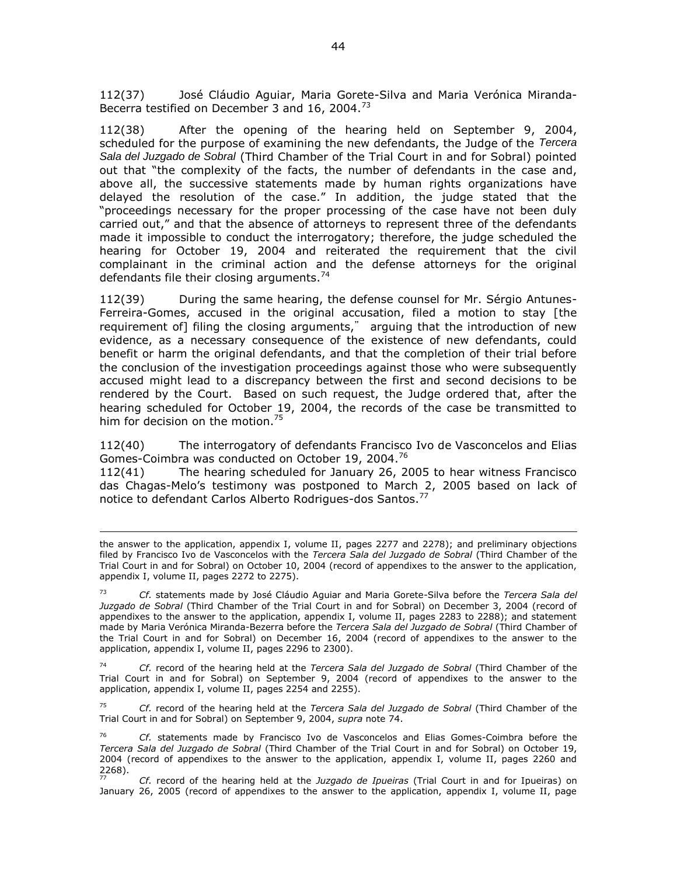112(37) José Cláudio Aguiar, Maria Gorete-Silva and Maria Verónica Miranda-Becerra testified on December 3 and 16, 2004.<sup>73</sup>

112(38) After the opening of the hearing held on September 9, 2004, scheduled for the purpose of examining the new defendants, the Judge of the *Tercera Sala del Juzgado de Sobral* (Third Chamber of the Trial Court in and for Sobral) pointed out that "the complexity of the facts, the number of defendants in the case and, above all, the successive statements made by human rights organizations have delayed the resolution of the case." In addition, the judge stated that the "proceedings necessary for the proper processing of the case have not been duly carried out," and that the absence of attorneys to represent three of the defendants made it impossible to conduct the interrogatory; therefore, the judge scheduled the hearing for October 19, 2004 and reiterated the requirement that the civil complainant in the criminal action and the defense attorneys for the original defendants file their closing arguments.<sup>74</sup>

112(39) During the same hearing, the defense counsel for Mr. Sérgio Antunes-Ferreira-Gomes, accused in the original accusation, filed a motion to stay [the requirement of] filing the closing arguments," arguing that the introduction of new evidence, as a necessary consequence of the existence of new defendants, could benefit or harm the original defendants, and that the completion of their trial before the conclusion of the investigation proceedings against those who were subsequently accused might lead to a discrepancy between the first and second decisions to be rendered by the Court. Based on such request, the Judge ordered that, after the hearing scheduled for October 19, 2004, the records of the case be transmitted to him for decision on the motion.<sup>75</sup>

112(40) The interrogatory of defendants Francisco Ivo de Vasconcelos and Elias Gomes-Coimbra was conducted on October 19, 2004.<sup>76</sup>

112(41) The hearing scheduled for January 26, 2005 to hear witness Francisco das Chagas-Melo's testimony was postponed to March 2, 2005 based on lack of notice to defendant Carlos Alberto Rodrigues-dos Santos.<sup>77</sup>

 $\overline{a}$ 

<sup>74</sup> *Cf.* record of the hearing held at the *Tercera Sala del Juzgado de Sobral* (Third Chamber of the Trial Court in and for Sobral) on September 9, 2004 (record of appendixes to the answer to the application, appendix I, volume II, pages 2254 and 2255).

<sup>75</sup> *Cf.* record of the hearing held at the *Tercera Sala del Juzgado de Sobral* (Third Chamber of the Trial Court in and for Sobral) on September 9, 2004, *supra* note 74.

<sup>76</sup> *Cf.* statements made by Francisco Ivo de Vasconcelos and Elias Gomes-Coimbra before the *Tercera Sala del Juzgado de Sobral* (Third Chamber of the Trial Court in and for Sobral) on October 19, 2004 (record of appendixes to the answer to the application, appendix I, volume II, pages 2260 and  $\frac{2268}{77}$ .

<sup>77</sup> *Cf.* record of the hearing held at the *Juzgado de Ipueiras* (Trial Court in and for Ipueiras) on January 26, 2005 (record of appendixes to the answer to the application, appendix I, volume II, page

the answer to the application, appendix I, volume II, pages 2277 and 2278); and preliminary objections filed by Francisco Ivo de Vasconcelos with the *Tercera Sala del Juzgado de Sobral* (Third Chamber of the Trial Court in and for Sobral) on October 10, 2004 (record of appendixes to the answer to the application, appendix I, volume II, pages 2272 to 2275).

<sup>73</sup> *Cf.* statements made by José Cláudio Aguiar and Maria Gorete-Silva before the *Tercera Sala del Juzgado de Sobral* (Third Chamber of the Trial Court in and for Sobral) on December 3, 2004 (record of appendixes to the answer to the application, appendix I, volume II, pages 2283 to 2288); and statement made by Maria Verónica Miranda-Bezerra before the *Tercera Sala del Juzgado de Sobral* (Third Chamber of the Trial Court in and for Sobral) on December 16, 2004 (record of appendixes to the answer to the application, appendix I, volume II, pages 2296 to 2300).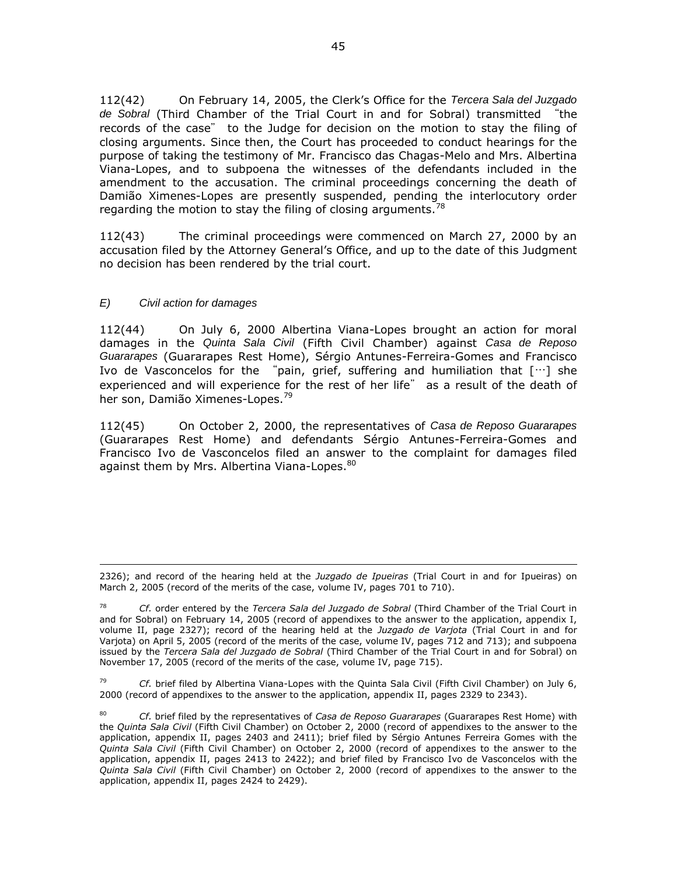112(42) On February 14, 2005, the Clerk's Office for the *Tercera Sala del Juzgado de Sobral* (Third Chamber of the Trial Court in and for Sobral) transmitted "the records of the case" to the Judge for decision on the motion to stay the filing of closing arguments. Since then, the Court has proceeded to conduct hearings for the purpose of taking the testimony of Mr. Francisco das Chagas-Melo and Mrs. Albertina Viana-Lopes, and to subpoena the witnesses of the defendants included in the amendment to the accusation. The criminal proceedings concerning the death of Damião Ximenes-Lopes are presently suspended, pending the interlocutory order regarding the motion to stay the filing of closing arguments. $78$ 

112(43) The criminal proceedings were commenced on March 27, 2000 by an accusation filed by the Attorney General's Office, and up to the date of this Judgment no decision has been rendered by the trial court.

# *E) Civil action for damages*

 $\overline{a}$ 

112(44) On July 6, 2000 Albertina Viana-Lopes brought an action for moral damages in the *Quinta Sala Civil* (Fifth Civil Chamber) against *Casa de Reposo Guararapes* (Guararapes Rest Home), Sérgio Antunes-Ferreira-Gomes and Francisco Ivo de Vasconcelos for the "pain, grief, suffering and humiliation that  $[\cdots]$  she experienced and will experience for the rest of her life" as a result of the death of her son, Damião Ximenes-Lopes.<sup>79</sup>

112(45) On October 2, 2000, the representatives of *Casa de Reposo Guararapes* (Guararapes Rest Home) and defendants Sérgio Antunes-Ferreira-Gomes and Francisco Ivo de Vasconcelos filed an answer to the complaint for damages filed against them by Mrs. Albertina Viana-Lopes.<sup>80</sup>

<sup>79</sup> *Cf.* brief filed by Albertina Viana-Lopes with the Quinta Sala Civil (Fifth Civil Chamber) on July 6, 2000 (record of appendixes to the answer to the application, appendix II, pages 2329 to 2343).

<sup>2326);</sup> and record of the hearing held at the *Juzgado de Ipueiras* (Trial Court in and for Ipueiras) on March 2, 2005 (record of the merits of the case, volume IV, pages 701 to 710).

<sup>78</sup> *Cf.* order entered by the *Tercera Sala del Juzgado de Sobral* (Third Chamber of the Trial Court in and for Sobral) on February 14, 2005 (record of appendixes to the answer to the application, appendix I, volume II, page 2327); record of the hearing held at the *Juzgado de Varjota* (Trial Court in and for Varjota) on April 5, 2005 (record of the merits of the case, volume IV, pages 712 and 713); and subpoena issued by the *Tercera Sala del Juzgado de Sobral* (Third Chamber of the Trial Court in and for Sobral) on November 17, 2005 (record of the merits of the case, volume IV, page 715).

<sup>80</sup> *Cf.* brief filed by the representatives of *Casa de Reposo Guararapes* (Guararapes Rest Home) with the *Quinta Sala Civil* (Fifth Civil Chamber) on October 2, 2000 (record of appendixes to the answer to the application, appendix II, pages 2403 and 2411); brief filed by Sérgio Antunes Ferreira Gomes with the *Quinta Sala Civil* (Fifth Civil Chamber) on October 2, 2000 (record of appendixes to the answer to the application, appendix II, pages 2413 to 2422); and brief filed by Francisco Ivo de Vasconcelos with the *Quinta Sala Civil* (Fifth Civil Chamber) on October 2, 2000 (record of appendixes to the answer to the application, appendix II, pages 2424 to 2429).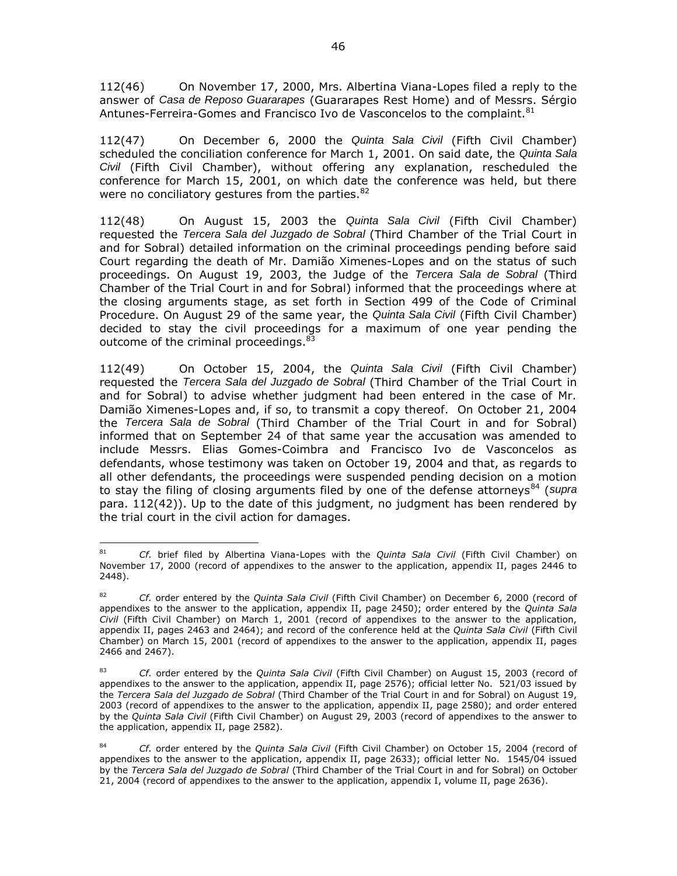112(46) On November 17, 2000, Mrs. Albertina Viana-Lopes filed a reply to the answer of *Casa de Reposo Guararapes* (Guararapes Rest Home) and of Messrs. Sérgio Antunes-Ferreira-Gomes and Francisco Ivo de Vasconcelos to the complaint.<sup>81</sup>

112(47) On December 6, 2000 the *Quinta Sala Civil* (Fifth Civil Chamber) scheduled the conciliation conference for March 1, 2001. On said date, the *Quinta Sala Civil* (Fifth Civil Chamber), without offering any explanation, rescheduled the conference for March 15, 2001, on which date the conference was held, but there were no conciliatory gestures from the parties. 82

112(48) On August 15, 2003 the *Quinta Sala Civil* (Fifth Civil Chamber) requested the *Tercera Sala del Juzgado de Sobral* (Third Chamber of the Trial Court in and for Sobral) detailed information on the criminal proceedings pending before said Court regarding the death of Mr. Damião Ximenes-Lopes and on the status of such proceedings. On August 19, 2003, the Judge of the *Tercera Sala de Sobral* (Third Chamber of the Trial Court in and for Sobral) informed that the proceedings where at the closing arguments stage, as set forth in Section 499 of the Code of Criminal Procedure. On August 29 of the same year, the *Quinta Sala Civil* (Fifth Civil Chamber) decided to stay the civil proceedings for a maximum of one year pending the outcome of the criminal proceedings.<sup>83</sup>

112(49) On October 15, 2004, the *Quinta Sala Civil* (Fifth Civil Chamber) requested the *Tercera Sala del Juzgado de Sobral* (Third Chamber of the Trial Court in and for Sobral) to advise whether judgment had been entered in the case of Mr. Damião Ximenes-Lopes and, if so, to transmit a copy thereof. On October 21, 2004 the *Tercera Sala de Sobral* (Third Chamber of the Trial Court in and for Sobral) informed that on September 24 of that same year the accusation was amended to include Messrs. Elias Gomes-Coimbra and Francisco Ivo de Vasconcelos as defendants, whose testimony was taken on October 19, 2004 and that, as regards to all other defendants, the proceedings were suspended pending decision on a motion to stay the filing of closing arguments filed by one of the defense attorneys<sup>84</sup> (*supra* para. 112(42)). Up to the date of this judgment, no judgment has been rendered by the trial court in the civil action for damages.

 $81$ <sup>81</sup> *Cf.* brief filed by Albertina Viana-Lopes with the *Quinta Sala Civil* (Fifth Civil Chamber) on November 17, 2000 (record of appendixes to the answer to the application, appendix II, pages 2446 to 2448).

<sup>82</sup> *Cf.* order entered by the *Quinta Sala Civil* (Fifth Civil Chamber) on December 6, 2000 (record of appendixes to the answer to the application, appendix II, page 2450); order entered by the *Quinta Sala Civil* (Fifth Civil Chamber) on March 1, 2001 (record of appendixes to the answer to the application, appendix II, pages 2463 and 2464); and record of the conference held at the *Quinta Sala Civil* (Fifth Civil Chamber) on March 15, 2001 (record of appendixes to the answer to the application, appendix II, pages 2466 and 2467).

<sup>83</sup> *Cf.* order entered by the *Quinta Sala Civil* (Fifth Civil Chamber) on August 15, 2003 (record of appendixes to the answer to the application, appendix II, page 2576); official letter No. 521/03 issued by the *Tercera Sala del Juzgado de Sobral* (Third Chamber of the Trial Court in and for Sobral) on August 19, 2003 (record of appendixes to the answer to the application, appendix II, page 2580); and order entered by the *Quinta Sala Civil* (Fifth Civil Chamber) on August 29, 2003 (record of appendixes to the answer to the application, appendix II, page 2582).

<sup>84</sup> *Cf.* order entered by the *Quinta Sala Civil* (Fifth Civil Chamber) on October 15, 2004 (record of appendixes to the answer to the application, appendix II, page 2633); official letter No. 1545/04 issued by the *Tercera Sala del Juzgado de Sobral* (Third Chamber of the Trial Court in and for Sobral) on October 21, 2004 (record of appendixes to the answer to the application, appendix I, volume II, page 2636).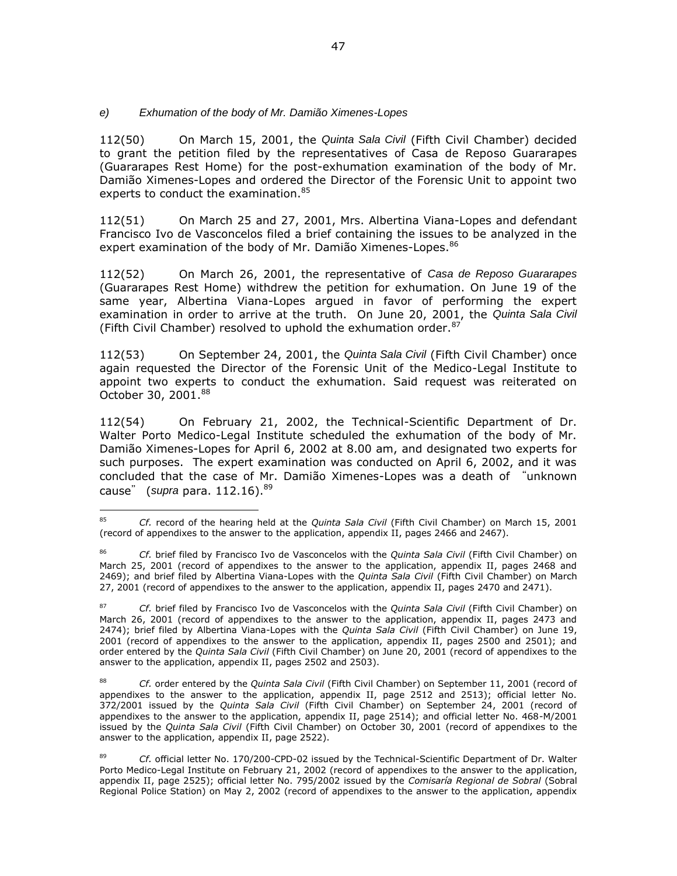# *e) Exhumation of the body of Mr. Damião Ximenes-Lopes*

112(50) On March 15, 2001, the *Quinta Sala Civil* (Fifth Civil Chamber) decided to grant the petition filed by the representatives of Casa de Reposo Guararapes (Guararapes Rest Home) for the post-exhumation examination of the body of Mr. Damião Ximenes-Lopes and ordered the Director of the Forensic Unit to appoint two experts to conduct the examination.<sup>85</sup>

112(51) On March 25 and 27, 2001, Mrs. Albertina Viana-Lopes and defendant Francisco Ivo de Vasconcelos filed a brief containing the issues to be analyzed in the expert examination of the body of Mr. Damião Ximenes-Lopes. 86

112(52) On March 26, 2001, the representative of *Casa de Reposo Guararapes*  (Guararapes Rest Home) withdrew the petition for exhumation. On June 19 of the same year, Albertina Viana-Lopes argued in favor of performing the expert examination in order to arrive at the truth. On June 20, 2001, the *Quinta Sala Civil* (Fifth Civil Chamber) resolved to uphold the exhumation order. $87$ 

112(53) On September 24, 2001, the *Quinta Sala Civil* (Fifth Civil Chamber) once again requested the Director of the Forensic Unit of the Medico-Legal Institute to appoint two experts to conduct the exhumation. Said request was reiterated on October 30, 2001.<sup>88</sup>

112(54) On February 21, 2002, the Technical-Scientific Department of Dr. Walter Porto Medico-Legal Institute scheduled the exhumation of the body of Mr. Damião Ximenes-Lopes for April 6, 2002 at 8.00 am, and designated two experts for such purposes. The expert examination was conducted on April 6, 2002, and it was concluded that the case of Mr. Damião Ximenes-Lopes was a death of "unknown cause" (*supra* para. 112.16).<sup>89</sup>

<sup>85</sup> <sup>85</sup> *Cf.* record of the hearing held at the *Quinta Sala Civil* (Fifth Civil Chamber) on March 15, 2001 (record of appendixes to the answer to the application, appendix II, pages 2466 and 2467).

<sup>86</sup> *Cf.* brief filed by Francisco Ivo de Vasconcelos with the *Quinta Sala Civil* (Fifth Civil Chamber) on March 25, 2001 (record of appendixes to the answer to the application, appendix II, pages 2468 and 2469); and brief filed by Albertina Viana-Lopes with the *Quinta Sala Civil* (Fifth Civil Chamber) on March 27, 2001 (record of appendixes to the answer to the application, appendix II, pages 2470 and 2471).

<sup>87</sup> *Cf.* brief filed by Francisco Ivo de Vasconcelos with the *Quinta Sala Civil* (Fifth Civil Chamber) on March 26, 2001 (record of appendixes to the answer to the application, appendix II, pages 2473 and 2474); brief filed by Albertina Viana-Lopes with the *Quinta Sala Civil* (Fifth Civil Chamber) on June 19, 2001 (record of appendixes to the answer to the application, appendix II, pages 2500 and 2501); and order entered by the *Quinta Sala Civil* (Fifth Civil Chamber) on June 20, 2001 (record of appendixes to the answer to the application, appendix II, pages 2502 and 2503).

<sup>88</sup> *Cf.* order entered by the *Quinta Sala Civil* (Fifth Civil Chamber) on September 11, 2001 (record of appendixes to the answer to the application, appendix II, page 2512 and 2513); official letter No. 372/2001 issued by the *Quinta Sala Civil* (Fifth Civil Chamber) on September 24, 2001 (record of appendixes to the answer to the application, appendix II, page 2514); and official letter No. 468-M/2001 issued by the *Quinta Sala Civil* (Fifth Civil Chamber) on October 30, 2001 (record of appendixes to the answer to the application, appendix II, page 2522).

<sup>89</sup> *Cf.* official letter No. 170/200-CPD-02 issued by the Technical-Scientific Department of Dr. Walter Porto Medico-Legal Institute on February 21, 2002 (record of appendixes to the answer to the application, appendix II, page 2525); official letter No. 795/2002 issued by the *Comisaría Regional de Sobral* (Sobral Regional Police Station) on May 2, 2002 (record of appendixes to the answer to the application, appendix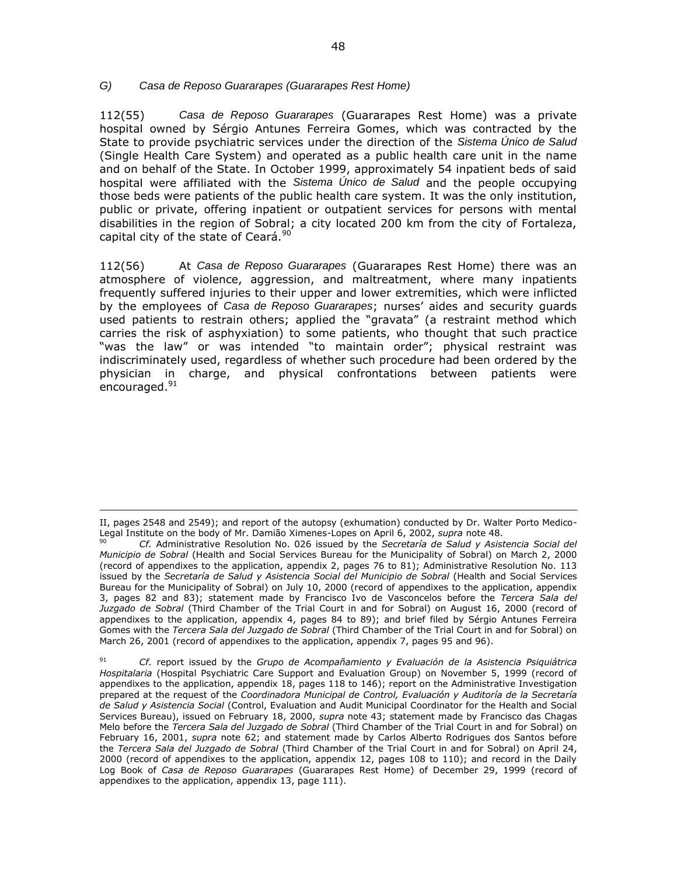### *G) Casa de Reposo Guararapes (Guararapes Rest Home)*

 $\overline{a}$ 

112(55) *Casa de Reposo Guararapes* (Guararapes Rest Home) was a private hospital owned by Sérgio Antunes Ferreira Gomes, which was contracted by the State to provide psychiatric services under the direction of the *Sistema Único de Salud* (Single Health Care System) and operated as a public health care unit in the name and on behalf of the State. In October 1999, approximately 54 inpatient beds of said hospital were affiliated with the *Sistema Único de Salud* and the people occupying those beds were patients of the public health care system. It was the only institution, public or private, offering inpatient or outpatient services for persons with mental disabilities in the region of Sobral; a city located 200 km from the city of Fortaleza, capital city of the state of Ceará.<sup>90</sup>

112(56) At *Casa de Reposo Guararapes* (Guararapes Rest Home) there was an atmosphere of violence, aggression, and maltreatment, where many inpatients frequently suffered injuries to their upper and lower extremities, which were inflicted by the employees of *Casa de Reposo Guararapes*; nurses' aides and security guards used patients to restrain others; applied the "gravata" (a restraint method which carries the risk of asphyxiation) to some patients, who thought that such practice "was the law" or was intended "to maintain order"; physical restraint was indiscriminately used, regardless of whether such procedure had been ordered by the physician in charge, and physical confrontations between patients were encouraged.<sup>91</sup>

II, pages 2548 and 2549); and report of the autopsy (exhumation) conducted by Dr. Walter Porto Medico-Legal Institute on the body of Mr. Damião Ximenes-Lopes on April 6, 2002, *supra* note 48.

<sup>90</sup> *Cf.* Administrative Resolution No. 026 issued by the *Secretaría de Salud y Asistencia Social del Municipio de Sobral* (Health and Social Services Bureau for the Municipality of Sobral) on March 2, 2000 (record of appendixes to the application, appendix 2, pages 76 to 81); Administrative Resolution No. 113 issued by the *Secretaría de Salud y Asistencia Social del Municipio de Sobral* (Health and Social Services Bureau for the Municipality of Sobral) on July 10, 2000 (record of appendixes to the application, appendix 3, pages 82 and 83); statement made by Francisco Ivo de Vasconcelos before the *Tercera Sala del Juzgado de Sobral* (Third Chamber of the Trial Court in and for Sobral) on August 16, 2000 (record of appendixes to the application, appendix 4, pages 84 to 89); and brief filed by Sérgio Antunes Ferreira Gomes with the *Tercera Sala del Juzgado de Sobral* (Third Chamber of the Trial Court in and for Sobral) on March 26, 2001 (record of appendixes to the application, appendix 7, pages 95 and 96).

<sup>91</sup> *Cf.* report issued by the *Grupo de Acompañamiento y Evaluación de la Asistencia Psiquiátrica Hospitalaria* (Hospital Psychiatric Care Support and Evaluation Group) on November 5, 1999 (record of appendixes to the application, appendix 18, pages 118 to 146); report on the Administrative Investigation prepared at the request of the *Coordinadora Municipal de Control, Evaluación y Auditoría de la Secretaría de Salud y Asistencia Social* (Control, Evaluation and Audit Municipal Coordinator for the Health and Social Services Bureau), issued on February 18, 2000, *supra* note 43; statement made by Francisco das Chagas Melo before the *Tercera Sala del Juzgado de Sobral* (Third Chamber of the Trial Court in and for Sobral) on February 16, 2001, *supra* note 62; and statement made by Carlos Alberto Rodrigues dos Santos before the *Tercera Sala del Juzgado de Sobral* (Third Chamber of the Trial Court in and for Sobral) on April 24, 2000 (record of appendixes to the application, appendix 12, pages 108 to 110); and record in the Daily Log Book of *Casa de Reposo Guararapes* (Guararapes Rest Home) of December 29, 1999 (record of appendixes to the application, appendix 13, page 111).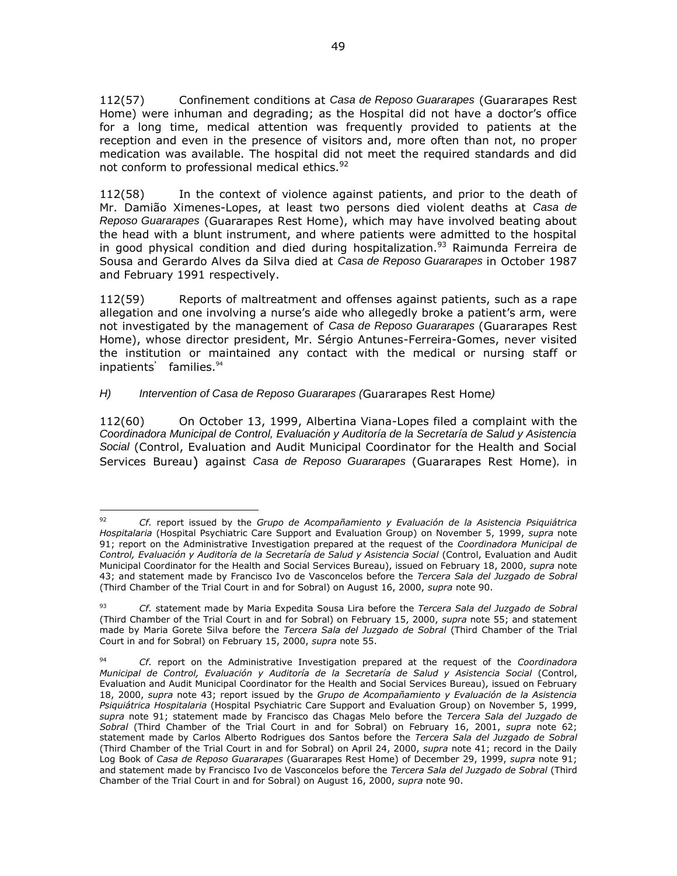112(57) Confinement conditions at *Casa de Reposo Guararapes* (Guararapes Rest Home) were inhuman and degrading; as the Hospital did not have a doctor's office for a long time, medical attention was frequently provided to patients at the reception and even in the presence of visitors and, more often than not, no proper medication was available. The hospital did not meet the required standards and did not conform to professional medical ethics.<sup>92</sup>

112(58) In the context of violence against patients, and prior to the death of Mr. Damião Ximenes-Lopes, at least two persons died violent deaths at *Casa de Reposo Guararapes* (Guararapes Rest Home), which may have involved beating about the head with a blunt instrument, and where patients were admitted to the hospital in good physical condition and died during hospitalization.<sup>93</sup> Raimunda Ferreira de Sousa and Gerardo Alves da Silva died at *Casa de Reposo Guararapes* in October 1987 and February 1991 respectively.

112(59) Reports of maltreatment and offenses against patients, such as a rape allegation and one involving a nurse's aide who allegedly broke a patient's arm, were not investigated by the management of *Casa de Reposo Guararapes* (Guararapes Rest Home), whose director president, Mr. Sérgio Antunes-Ferreira-Gomes, never visited the institution or maintained any contact with the medical or nursing staff or inpatients' families.<sup>94</sup>

# *H) Intervention of Casa de Reposo Guararapes (*Guararapes Rest Home*)*

 $\overline{a}$ 

112(60) On October 13, 1999, Albertina Viana-Lopes filed a complaint with the *Coordinadora Municipal de Control, Evaluación y Auditoría de la Secretaría de Salud y Asistencia Social* (Control, Evaluation and Audit Municipal Coordinator for the Health and Social Services Bureau) against *Casa de Reposo Guararapes* (Guararapes Rest Home)*,* in

<sup>92</sup> *Cf.* report issued by the *Grupo de Acompañamiento y Evaluación de la Asistencia Psiquiátrica Hospitalaria* (Hospital Psychiatric Care Support and Evaluation Group) on November 5, 1999, *supra* note 91; report on the Administrative Investigation prepared at the request of the *Coordinadora Municipal de Control, Evaluación y Auditoría de la Secretaría de Salud y Asistencia Social* (Control, Evaluation and Audit Municipal Coordinator for the Health and Social Services Bureau), issued on February 18, 2000, *supra* note 43; and statement made by Francisco Ivo de Vasconcelos before the *Tercera Sala del Juzgado de Sobral*  (Third Chamber of the Trial Court in and for Sobral) on August 16, 2000, *supra* note 90.

<sup>93</sup> *Cf.* statement made by Maria Expedita Sousa Lira before the *Tercera Sala del Juzgado de Sobral* (Third Chamber of the Trial Court in and for Sobral) on February 15, 2000, *supra* note 55; and statement made by Maria Gorete Silva before the *Tercera Sala del Juzgado de Sobral* (Third Chamber of the Trial Court in and for Sobral) on February 15, 2000, *supra* note 55.

 <sup>94</sup> *Cf.* report on the Administrative Investigation prepared at the request of the *Coordinadora Municipal de Control, Evaluación y Auditoría de la Secretaría de Salud y Asistencia Social* (Control, Evaluation and Audit Municipal Coordinator for the Health and Social Services Bureau), issued on February 18, 2000, *supra* note 43; report issued by the *Grupo de Acompañamiento y Evaluación de la Asistencia Psiquiátrica Hospitalaria* (Hospital Psychiatric Care Support and Evaluation Group) on November 5, 1999, *supra* note 91; statement made by Francisco das Chagas Melo before the *Tercera Sala del Juzgado de Sobral* (Third Chamber of the Trial Court in and for Sobral) on February 16, 2001, *supra* note 62; statement made by Carlos Alberto Rodrigues dos Santos before the *Tercera Sala del Juzgado de Sobral*  (Third Chamber of the Trial Court in and for Sobral) on April 24, 2000, *supra* note 41; record in the Daily Log Book of *Casa de Reposo Guararapes* (Guararapes Rest Home) of December 29, 1999, *supra* note 91; and statement made by Francisco Ivo de Vasconcelos before the *Tercera Sala del Juzgado de Sobral* (Third Chamber of the Trial Court in and for Sobral) on August 16, 2000, *supra* note 90.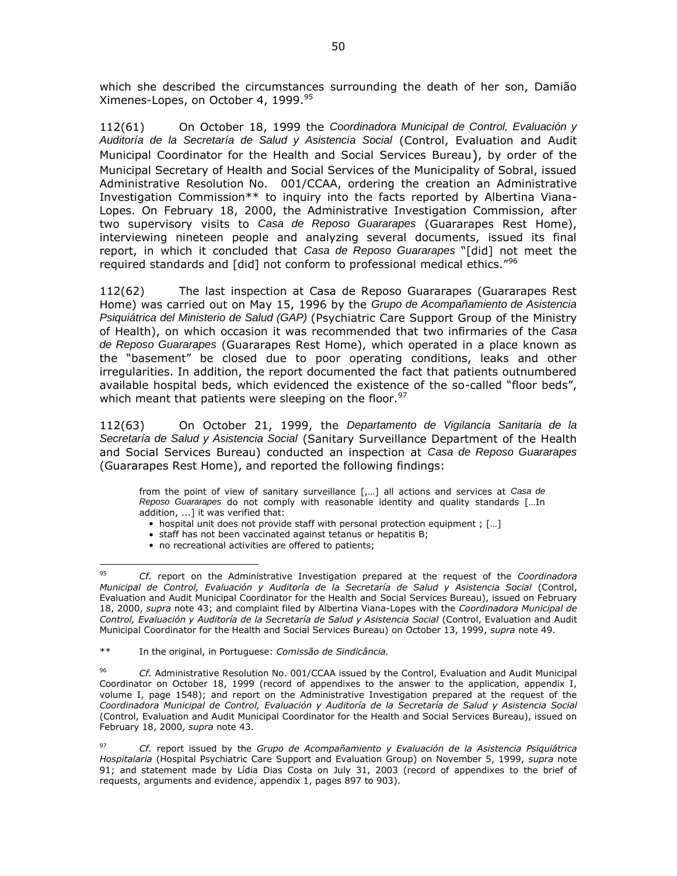which she described the circumstances surrounding the death of her son, Damião Ximenes-Lopes, on October 4, 1999.<sup>95</sup>

112(61) On October 18, 1999 the *Coordinadora Municipal de Control, Evaluación y Auditoría de la Secretaría de Salud y Asistencia Social* (Control, Evaluation and Audit Municipal Coordinator for the Health and Social Services Bureau), by order of the Municipal Secretary of Health and Social Services of the Municipality of Sobral, issued Administrative Resolution No. 001/CCAA, ordering the creation an Administrative Investigation Commission\*\* to inquiry into the facts reported by Albertina Viana-Lopes. On February 18, 2000, the Administrative Investigation Commission, after two supervisory visits to *Casa de Reposo Guararapes* (Guararapes Rest Home), interviewing nineteen people and analyzing several documents, issued its final report, in which it concluded that *Casa de Reposo Guararapes* "[did] not meet the required standards and [did] not conform to professional medical ethics."<sup>96</sup>

112(62) The last inspection at Casa de Reposo Guararapes (Guararapes Rest Home) was carried out on May 15, 1996 by the *Grupo de Acompañamiento de Asistencia Psiquiátrica del Ministerio de Salud (GAP)* (Psychiatric Care Support Group of the Ministry of Health), on which occasion it was recommended that two infirmaries of the *Casa de Reposo Guararapes* (Guararapes Rest Home), which operated in a place known as the "basement" be closed due to poor operating conditions, leaks and other irregularities. In addition, the report documented the fact that patients outnumbered available hospital beds, which evidenced the existence of the so-called "floor beds", which meant that patients were sleeping on the floor.  $97$ 

112(63) On October 21, 1999, the *Departamento de Vigilancia Sanitaria de la Secretaría de Salud y Asistencia Social* (Sanitary Surveillance Department of the Health and Social Services Bureau) conducted an inspection at *Casa de Reposo Guararapes* (Guararapes Rest Home), and reported the following findings:

from the point of view of sanitary surveillance [,…] all actions and services at *Casa de Reposo Guararapes* do not comply with reasonable identity and quality standards […In addition, ...] it was verified that:

- hospital unit does not provide staff with personal protection equipment ; [...]
- staff has not been vaccinated against tetanus or hepatitis B;
- no recreational activities are offered to patients;

 $\overline{a}$ 

<sup>95</sup> *Cf.* report on the Administrative Investigation prepared at the request of the *Coordinadora Municipal de Control, Evaluación y Auditoría de la Secretaría de Salud y Asistencia Social* (Control, Evaluation and Audit Municipal Coordinator for the Health and Social Services Bureau), issued on February 18, 2000, *supra* note 43; and complaint filed by Albertina Viana-Lopes with the *Coordinadora Municipal de Control, Evaluación y Auditoría de la Secretaría de Salud y Asistencia Social* (Control, Evaluation and Audit Municipal Coordinator for the Health and Social Services Bureau) on October 13, 1999, *supra* note 49.

<sup>\*\*</sup> In the original, in Portuguese: *Comissão de Sindicância.*

<sup>96</sup> *Cf.* Administrative Resolution No. 001/CCAA issued by the Control, Evaluation and Audit Municipal Coordinator on October 18, 1999 (record of appendixes to the answer to the application, appendix I, volume I, page 1548); and report on the Administrative Investigation prepared at the request of the *Coordinadora Municipal de Control, Evaluación y Auditoría de la Secretaría de Salud y Asistencia Social*  (Control, Evaluation and Audit Municipal Coordinator for the Health and Social Services Bureau), issued on February 18, 2000, *supra* note 43.

<sup>97</sup> *Cf.* report issued by the *Grupo de Acompañamiento y Evaluación de la Asistencia Psiquiátrica Hospitalaria* (Hospital Psychiatric Care Support and Evaluation Group) on November 5, 1999, *supra* note 91; and statement made by Lídia Dias Costa on July 31, 2003 (record of appendixes to the brief of requests, arguments and evidence, appendix 1, pages 897 to 903).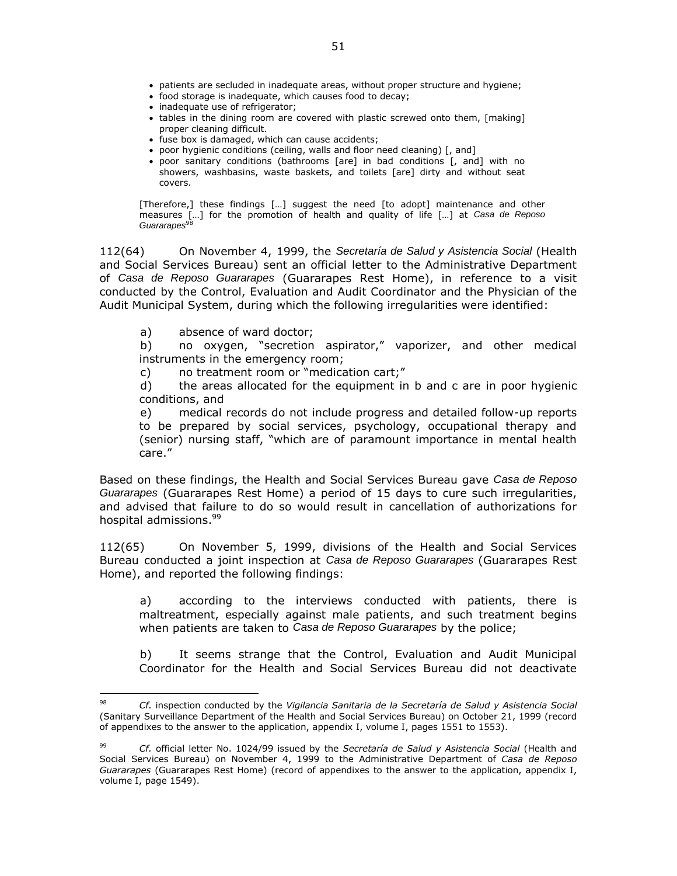- patients are secluded in inadequate areas, without proper structure and hygiene;
- food storage is inadequate, which causes food to decay;
- inadequate use of refrigerator;
- tables in the dining room are covered with plastic screwed onto them, [making] proper cleaning difficult.
- fuse box is damaged, which can cause accidents;
- poor hygienic conditions (ceiling, walls and floor need cleaning) [, and]
- poor sanitary conditions (bathrooms [are] in bad conditions [, and] with no showers, washbasins, waste baskets, and toilets [are] dirty and without seat covers.

[Therefore,] these findings […] suggest the need [to adopt] maintenance and other measures […] for the promotion of health and quality of life […] at *Casa de Reposo*  Guararapes<sup>98</sup>

112(64) On November 4, 1999, the *Secretaría de Salud y Asistencia Social* (Health and Social Services Bureau) sent an official letter to the Administrative Department of *Casa de Reposo Guararapes* (Guararapes Rest Home), in reference to a visit conducted by the Control, Evaluation and Audit Coordinator and the Physician of the Audit Municipal System, during which the following irregularities were identified:

a) absence of ward doctor;

 $\overline{a}$ 

b) no oxygen, "secretion aspirator," vaporizer, and other medical instruments in the emergency room;

c) no treatment room or "medication cart;"

d) the areas allocated for the equipment in b and c are in poor hygienic conditions, and

e) medical records do not include progress and detailed follow-up reports to be prepared by social services, psychology, occupational therapy and (senior) nursing staff, "which are of paramount importance in mental health care."

Based on these findings, the Health and Social Services Bureau gave *Casa de Reposo Guararapes* (Guararapes Rest Home) a period of 15 days to cure such irregularities, and advised that failure to do so would result in cancellation of authorizations for hospital admissions.<sup>99</sup>

112(65) On November 5, 1999, divisions of the Health and Social Services Bureau conducted a joint inspection at *Casa de Reposo Guararapes* (Guararapes Rest Home), and reported the following findings:

a) according to the interviews conducted with patients, there is maltreatment, especially against male patients, and such treatment begins when patients are taken to *Casa de Reposo Guararapes* by the police;

b) It seems strange that the Control, Evaluation and Audit Municipal Coordinator for the Health and Social Services Bureau did not deactivate

<sup>98</sup> *Cf.* inspection conducted by the *Vigilancia Sanitaria de la Secretaría de Salud y Asistencia Social* (Sanitary Surveillance Department of the Health and Social Services Bureau) on October 21, 1999 (record of appendixes to the answer to the application, appendix I, volume I, pages 1551 to 1553).

<sup>99</sup> *Cf.* official letter No. 1024/99 issued by the *Secretaría de Salud y Asistencia Social* (Health and Social Services Bureau) on November 4, 1999 to the Administrative Department of *Casa de Reposo Guararapes* (Guararapes Rest Home) (record of appendixes to the answer to the application, appendix I, volume I, page 1549).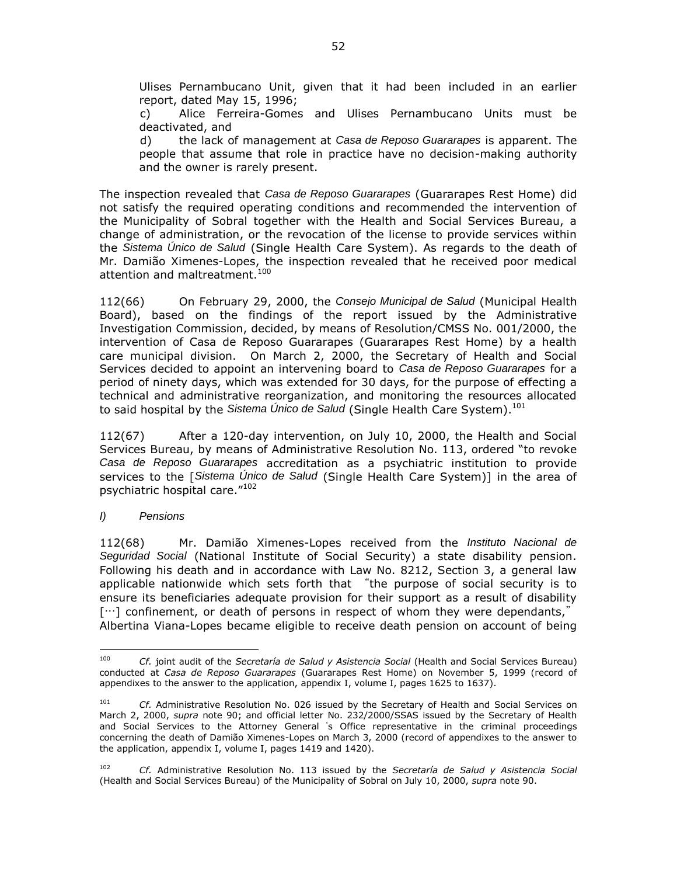Ulises Pernambucano Unit, given that it had been included in an earlier report, dated May 15, 1996;

c) Alice Ferreira-Gomes and Ulises Pernambucano Units must be deactivated, and

d) the lack of management at *Casa de Reposo Guararapes* is apparent. The people that assume that role in practice have no decision-making authority and the owner is rarely present.

The inspection revealed that *Casa de Reposo Guararapes* (Guararapes Rest Home) did not satisfy the required operating conditions and recommended the intervention of the Municipality of Sobral together with the Health and Social Services Bureau, a change of administration, or the revocation of the license to provide services within the *Sistema Único de Salud* (Single Health Care System). As regards to the death of Mr. Damião Ximenes-Lopes, the inspection revealed that he received poor medical attention and maltreatment.<sup>100</sup>

112(66) On February 29, 2000, the *Consejo Municipal de Salud* (Municipal Health Board), based on the findings of the report issued by the Administrative Investigation Commission, decided, by means of Resolution/CMSS No. 001/2000, the intervention of Casa de Reposo Guararapes (Guararapes Rest Home) by a health care municipal division. On March 2, 2000, the Secretary of Health and Social Services decided to appoint an intervening board to *Casa de Reposo Guararapes* for a period of ninety days, which was extended for 30 days, for the purpose of effecting a technical and administrative reorganization, and monitoring the resources allocated to said hospital by the Sistema Unico de Salud (Single Health Care System).<sup>101</sup>

112(67) After a 120-day intervention, on July 10, 2000, the Health and Social Services Bureau, by means of Administrative Resolution No. 113, ordered "to revoke *Casa de Reposo Guararapes* accreditation as a psychiatric institution to provide services to the [*Sistema Único de Salud* (Single Health Care System)] in the area of psychiatric hospital care."<sup>102</sup>

*I) Pensions*

 $\overline{a}$ 

112(68) Mr. Damião Ximenes-Lopes received from the *Instituto Nacional de Seguridad Social* (National Institute of Social Security) a state disability pension. Following his death and in accordance with Law No. 8212, Section 3, a general law applicable nationwide which sets forth that "the purpose of social security is to ensure its beneficiaries adequate provision for their support as a result of disability […] confinement, or death of persons in respect of whom they were dependants," Albertina Viana-Lopes became eligible to receive death pension on account of being

<sup>100</sup> *Cf.* joint audit of the *Secretaría de Salud y Asistencia Social* (Health and Social Services Bureau) conducted at *Casa de Reposo Guararapes* (Guararapes Rest Home) on November 5, 1999 (record of appendixes to the answer to the application, appendix I, volume I, pages 1625 to 1637).

<sup>&</sup>lt;sup>101</sup> *Cf.* Administrative Resolution No. 026 issued by the Secretary of Health and Social Services on March 2, 2000, *supra* note 90; and official letter No. 232/2000/SSAS issued by the Secretary of Health and Social Services to the Attorney General's Office representative in the criminal proceedings concerning the death of Damião Ximenes-Lopes on March 3, 2000 (record of appendixes to the answer to the application, appendix I, volume I, pages 1419 and 1420).

<sup>102</sup> *Cf.* Administrative Resolution No. 113 issued by the *Secretaría de Salud y Asistencia Social*  (Health and Social Services Bureau) of the Municipality of Sobral on July 10, 2000, *supra* note 90.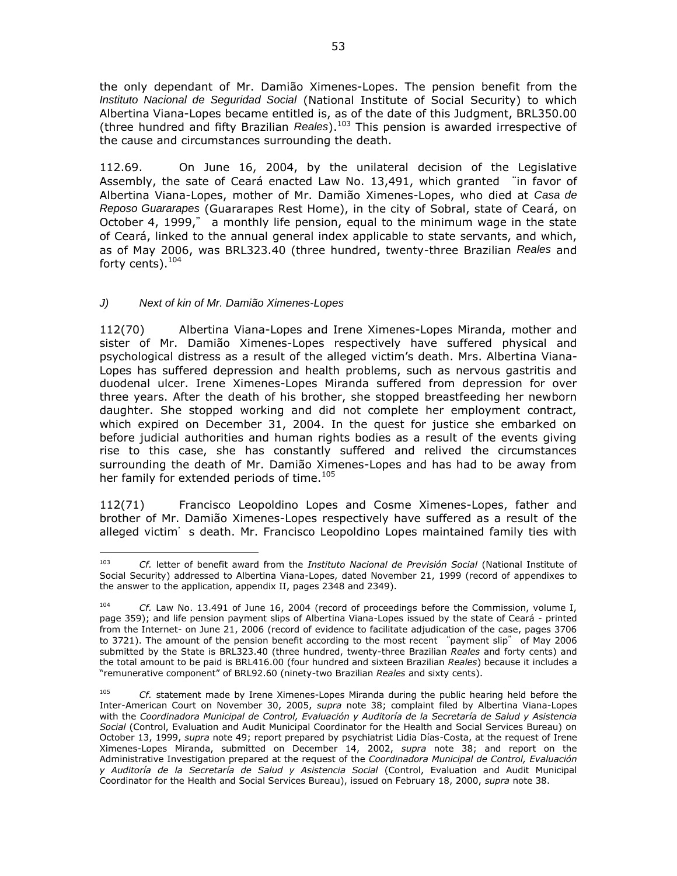the only dependant of Mr. Damião Ximenes-Lopes. The pension benefit from the *Instituto Nacional de Seguridad Social* (National Institute of Social Security) to which Albertina Viana-Lopes became entitled is, as of the date of this Judgment, BRL350.00 (three hundred and fifty Brazilian *Reales*).<sup>103</sup> This pension is awarded irrespective of the cause and circumstances surrounding the death.

112.69. On June 16, 2004, by the unilateral decision of the Legislative Assembly, the sate of Ceará enacted Law No. 13,491, which granted "in favor of Albertina Viana-Lopes, mother of Mr. Damião Ximenes-Lopes, who died at *Casa de Reposo Guararapes* (Guararapes Rest Home), in the city of Sobral, state of Ceará, on October 4, 1999," a monthly life pension, equal to the minimum wage in the state of Ceará, linked to the annual general index applicable to state servants, and which, as of May 2006, was BRL323.40 (three hundred, twenty-three Brazilian *Reales* and forty cents). $104$ 

# *J) Next of kin of Mr. Damião Ximenes-Lopes*

112(70) Albertina Viana-Lopes and Irene Ximenes-Lopes Miranda, mother and sister of Mr. Damião Ximenes-Lopes respectively have suffered physical and psychological distress as a result of the alleged victim's death. Mrs. Albertina Viana-Lopes has suffered depression and health problems, such as nervous gastritis and duodenal ulcer. Irene Ximenes-Lopes Miranda suffered from depression for over three years. After the death of his brother, she stopped breastfeeding her newborn daughter. She stopped working and did not complete her employment contract, which expired on December 31, 2004. In the quest for justice she embarked on before judicial authorities and human rights bodies as a result of the events giving rise to this case, she has constantly suffered and relived the circumstances surrounding the death of Mr. Damião Ximenes-Lopes and has had to be away from her family for extended periods of time.<sup>105</sup>

112(71) Francisco Leopoldino Lopes and Cosme Ximenes-Lopes, father and brother of Mr. Damião Ximenes-Lopes respectively have suffered as a result of the alleged victim's death. Mr. Francisco Leopoldino Lopes maintained family ties with

 $\overline{a}$ <sup>103</sup> *Cf.* letter of benefit award from the *Instituto Nacional de Previsión Social* (National Institute of Social Security) addressed to Albertina Viana-Lopes, dated November 21, 1999 (record of appendixes to the answer to the application, appendix II, pages 2348 and 2349).

<sup>104</sup> *Cf.* Law No. 13.491 of June 16, 2004 (record of proceedings before the Commission, volume I, page 359); and life pension payment slips of Albertina Viana-Lopes issued by the state of Ceará - printed from the Internet- on June 21, 2006 (record of evidence to facilitate adjudication of the case, pages 3706 to 3721). The amount of the pension benefit according to the most recent "payment slip" of May 2006 submitted by the State is BRL323.40 (three hundred, twenty-three Brazilian *Reales* and forty cents) and the total amount to be paid is BRL416.00 (four hundred and sixteen Brazilian *Reales*) because it includes a "remunerative component" of BRL92.60 (ninety-two Brazilian *Reales* and sixty cents).

<sup>105</sup> *Cf.* statement made by Irene Ximenes-Lopes Miranda during the public hearing held before the Inter-American Court on November 30, 2005, *supra* note 38; complaint filed by Albertina Viana-Lopes with the *Coordinadora Municipal de Control, Evaluación y Auditoría de la Secretaría de Salud y Asistencia Social* (Control, Evaluation and Audit Municipal Coordinator for the Health and Social Services Bureau) on October 13, 1999, *supra* note 49; report prepared by psychiatrist Lidia Días-Costa, at the request of Irene Ximenes-Lopes Miranda, submitted on December 14, 2002, *supra* note 38; and report on the Administrative Investigation prepared at the request of the *Coordinadora Municipal de Control, Evaluación y Auditoría de la Secretaría de Salud y Asistencia Social* (Control, Evaluation and Audit Municipal Coordinator for the Health and Social Services Bureau), issued on February 18, 2000, *supra* note 38.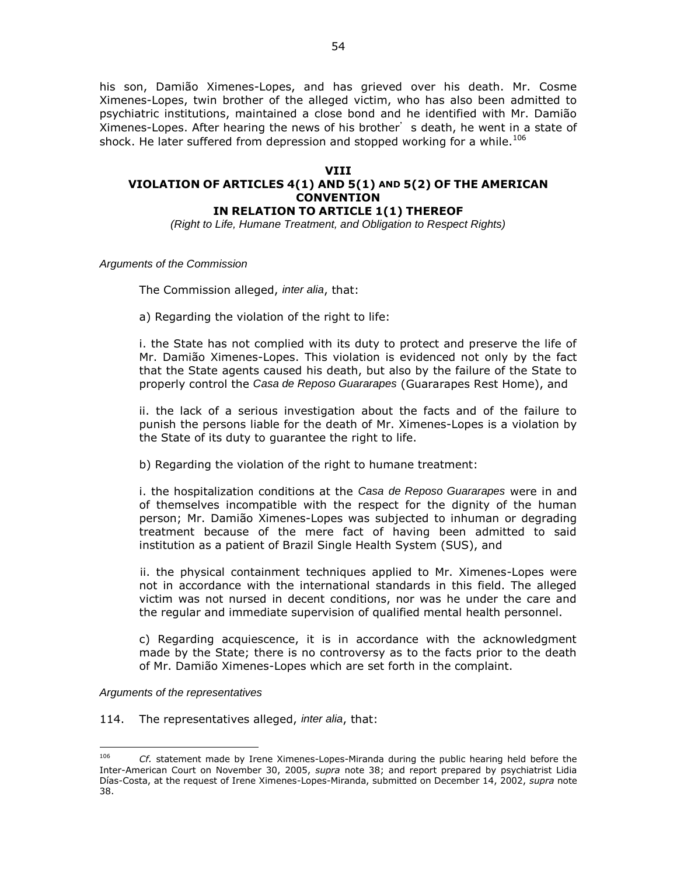his son, Damião Ximenes-Lopes, and has grieved over his death. Mr. Cosme Ximenes-Lopes, twin brother of the alleged victim, who has also been admitted to psychiatric institutions, maintained a close bond and he identified with Mr. Damião Ximenes-Lopes. After hearing the news of his brother's death, he went in a state of shock. He later suffered from depression and stopped working for a while.<sup>106</sup>

### **VIII**

# **VIOLATION OF ARTICLES 4(1) AND 5(1) AND 5(2) OF THE AMERICAN CONVENTION**

**IN RELATION TO ARTICLE 1(1) THEREOF**

*(Right to Life, Humane Treatment, and Obligation to Respect Rights)*

*Arguments of the Commission*

The Commission alleged, *inter alia*, that:

a) Regarding the violation of the right to life:

i. the State has not complied with its duty to protect and preserve the life of Mr. Damião Ximenes-Lopes. This violation is evidenced not only by the fact that the State agents caused his death, but also by the failure of the State to properly control the *Casa de Reposo Guararapes* (Guararapes Rest Home), and

ii. the lack of a serious investigation about the facts and of the failure to punish the persons liable for the death of Mr. Ximenes-Lopes is a violation by the State of its duty to guarantee the right to life.

b) Regarding the violation of the right to humane treatment:

i. the hospitalization conditions at the *Casa de Reposo Guararapes* were in and of themselves incompatible with the respect for the dignity of the human person; Mr. Damião Ximenes-Lopes was subjected to inhuman or degrading treatment because of the mere fact of having been admitted to said institution as a patient of Brazil Single Health System (SUS), and

ii. the physical containment techniques applied to Mr. Ximenes-Lopes were not in accordance with the international standards in this field. The alleged victim was not nursed in decent conditions, nor was he under the care and the regular and immediate supervision of qualified mental health personnel.

c) Regarding acquiescence, it is in accordance with the acknowledgment made by the State; there is no controversy as to the facts prior to the death of Mr. Damião Ximenes-Lopes which are set forth in the complaint.

*Arguments of the representatives*

 $\overline{a}$ 

114. The representatives alleged, *inter alia*, that:

<sup>106</sup> *Cf.* statement made by Irene Ximenes-Lopes-Miranda during the public hearing held before the Inter-American Court on November 30, 2005, *supra* note 38; and report prepared by psychiatrist Lidia Días-Costa, at the request of Irene Ximenes-Lopes-Miranda, submitted on December 14, 2002, *supra* note 38.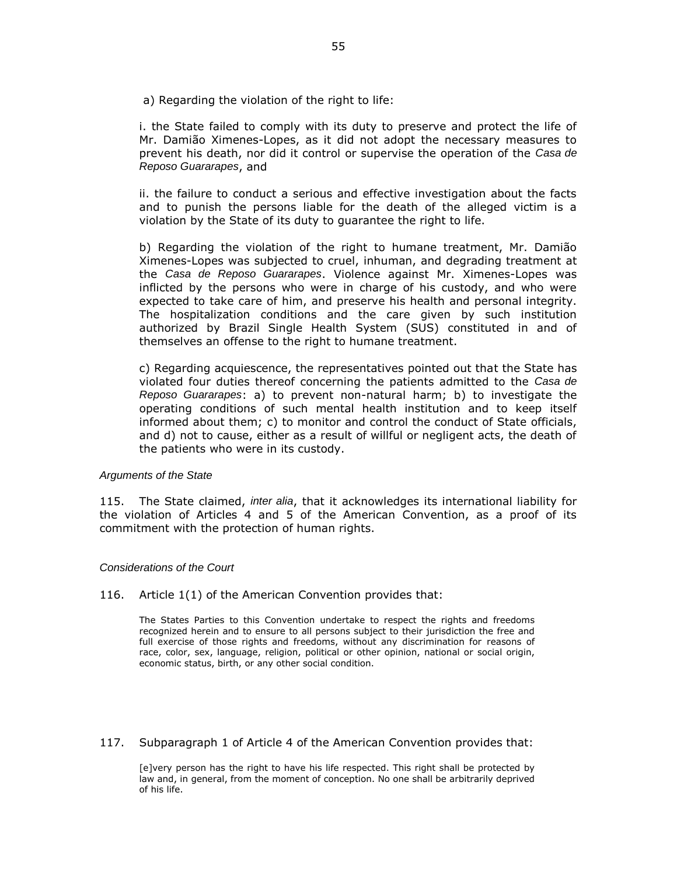a) Regarding the violation of the right to life:

i. the State failed to comply with its duty to preserve and protect the life of Mr. Damião Ximenes-Lopes, as it did not adopt the necessary measures to prevent his death, nor did it control or supervise the operation of the *Casa de Reposo Guararapes*, and

ii. the failure to conduct a serious and effective investigation about the facts and to punish the persons liable for the death of the alleged victim is a violation by the State of its duty to guarantee the right to life.

b) Regarding the violation of the right to humane treatment, Mr. Damião Ximenes-Lopes was subjected to cruel, inhuman, and degrading treatment at the *Casa de Reposo Guararapes*. Violence against Mr. Ximenes-Lopes was inflicted by the persons who were in charge of his custody, and who were expected to take care of him, and preserve his health and personal integrity. The hospitalization conditions and the care given by such institution authorized by Brazil Single Health System (SUS) constituted in and of themselves an offense to the right to humane treatment.

c) Regarding acquiescence, the representatives pointed out that the State has violated four duties thereof concerning the patients admitted to the *Casa de Reposo Guararapes*: a) to prevent non-natural harm; b) to investigate the operating conditions of such mental health institution and to keep itself informed about them; c) to monitor and control the conduct of State officials, and d) not to cause, either as a result of willful or negligent acts, the death of the patients who were in its custody.

#### *Arguments of the State*

115. The State claimed, *inter alia*, that it acknowledges its international liability for the violation of Articles 4 and 5 of the American Convention, as a proof of its commitment with the protection of human rights.

#### *Considerations of the Court*

116. Article 1(1) of the American Convention provides that:

The States Parties to this Convention undertake to respect the rights and freedoms recognized herein and to ensure to all persons subject to their jurisdiction the free and full exercise of those rights and freedoms, without any discrimination for reasons of race, color, sex, language, religion, political or other opinion, national or social origin, economic status, birth, or any other social condition.

### 117. Subparagraph 1 of Article 4 of the American Convention provides that:

[e]very person has the right to have his life respected. This right shall be protected by law and, in general, from the moment of conception. No one shall be arbitrarily deprived of his life.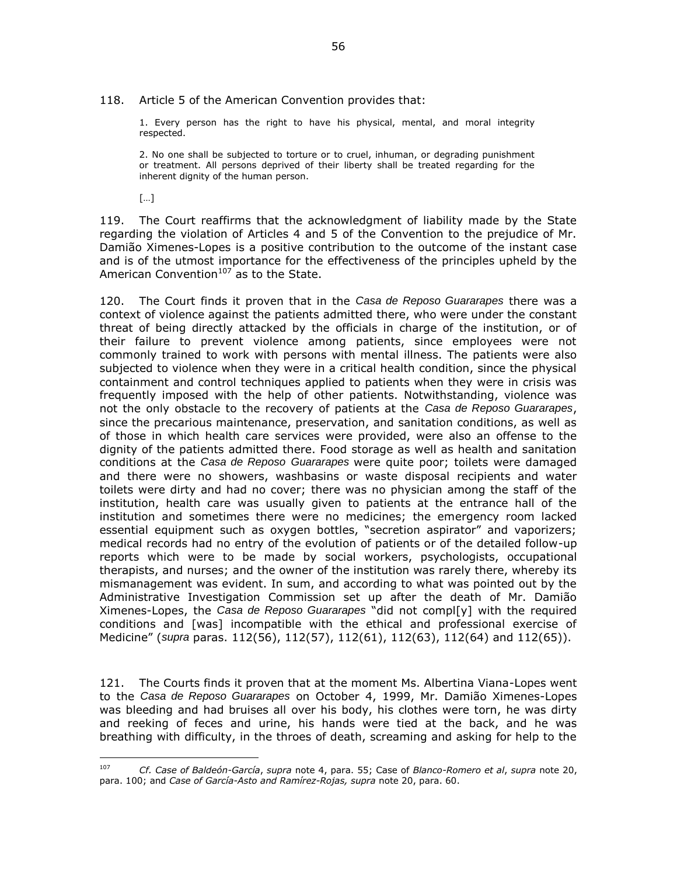#### 118. Article 5 of the American Convention provides that:

1. Every person has the right to have his physical, mental, and moral integrity respected.

2. No one shall be subjected to torture or to cruel, inhuman, or degrading punishment or treatment. All persons deprived of their liberty shall be treated regarding for the inherent dignity of the human person.

[…]

 $\overline{a}$ 

119. The Court reaffirms that the acknowledgment of liability made by the State regarding the violation of Articles 4 and 5 of the Convention to the prejudice of Mr. Damião Ximenes-Lopes is a positive contribution to the outcome of the instant case and is of the utmost importance for the effectiveness of the principles upheld by the American Convention $107$  as to the State.

120. The Court finds it proven that in the *Casa de Reposo Guararapes* there was a context of violence against the patients admitted there, who were under the constant threat of being directly attacked by the officials in charge of the institution, or of their failure to prevent violence among patients, since employees were not commonly trained to work with persons with mental illness. The patients were also subjected to violence when they were in a critical health condition, since the physical containment and control techniques applied to patients when they were in crisis was frequently imposed with the help of other patients. Notwithstanding, violence was not the only obstacle to the recovery of patients at the *Casa de Reposo Guararapes*, since the precarious maintenance, preservation, and sanitation conditions, as well as of those in which health care services were provided, were also an offense to the dignity of the patients admitted there. Food storage as well as health and sanitation conditions at the *Casa de Reposo Guararapes* were quite poor; toilets were damaged and there were no showers, washbasins or waste disposal recipients and water toilets were dirty and had no cover; there was no physician among the staff of the institution, health care was usually given to patients at the entrance hall of the institution and sometimes there were no medicines; the emergency room lacked essential equipment such as oxygen bottles, "secretion aspirator" and vaporizers; medical records had no entry of the evolution of patients or of the detailed follow-up reports which were to be made by social workers, psychologists, occupational therapists, and nurses; and the owner of the institution was rarely there, whereby its mismanagement was evident. In sum, and according to what was pointed out by the Administrative Investigation Commission set up after the death of Mr. Damião Ximenes-Lopes, the *Casa de Reposo Guararapes* "did not compl[y] with the required conditions and [was] incompatible with the ethical and professional exercise of Medicine" (*supra* paras. 112(56), 112(57), 112(61), 112(63), 112(64) and 112(65)).

121. The Courts finds it proven that at the moment Ms. Albertina Viana-Lopes went to the *Casa de Reposo Guararapes* on October 4, 1999, Mr. Damião Ximenes-Lopes was bleeding and had bruises all over his body, his clothes were torn, he was dirty and reeking of feces and urine, his hands were tied at the back, and he was breathing with difficulty, in the throes of death, screaming and asking for help to the

<sup>107</sup> *Cf. Case of Baldeón-García*, *supra* note 4, para. 55; Case of *Blanco-Romero et al*, *supra* note 20, para. 100; and *Case of García-Asto and Ramírez-Rojas, supra* note 20, para. 60.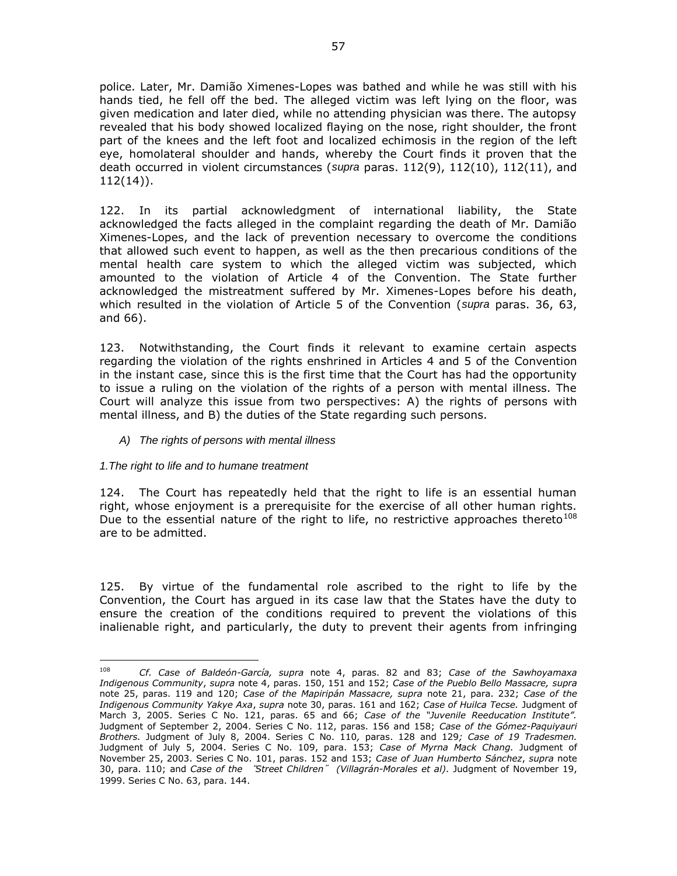police. Later, Mr. Damião Ximenes-Lopes was bathed and while he was still with his hands tied, he fell off the bed. The alleged victim was left lying on the floor, was given medication and later died, while no attending physician was there. The autopsy revealed that his body showed localized flaying on the nose, right shoulder, the front part of the knees and the left foot and localized echimosis in the region of the left eye, homolateral shoulder and hands, whereby the Court finds it proven that the death occurred in violent circumstances (*supra* paras. 112(9), 112(10), 112(11), and 112(14)).

122. In its partial acknowledgment of international liability, the State acknowledged the facts alleged in the complaint regarding the death of Mr. Damião Ximenes-Lopes, and the lack of prevention necessary to overcome the conditions that allowed such event to happen, as well as the then precarious conditions of the mental health care system to which the alleged victim was subjected, which amounted to the violation of Article 4 of the Convention. The State further acknowledged the mistreatment suffered by Mr. Ximenes-Lopes before his death, which resulted in the violation of Article 5 of the Convention (*supra* paras. 36, 63, and 66).

123. Notwithstanding, the Court finds it relevant to examine certain aspects regarding the violation of the rights enshrined in Articles 4 and 5 of the Convention in the instant case, since this is the first time that the Court has had the opportunity to issue a ruling on the violation of the rights of a person with mental illness. The Court will analyze this issue from two perspectives: A) the rights of persons with mental illness, and B) the duties of the State regarding such persons.

*A) The rights of persons with mental illness*

# *1.The right to life and to humane treatment*

124. The Court has repeatedly held that the right to life is an essential human right, whose enjoyment is a prerequisite for the exercise of all other human rights. Due to the essential nature of the right to life, no restrictive approaches thereto<sup>108</sup> are to be admitted.

125. By virtue of the fundamental role ascribed to the right to life by the Convention, the Court has argued in its case law that the States have the duty to ensure the creation of the conditions required to prevent the violations of this inalienable right, and particularly, the duty to prevent their agents from infringing

<sup>108</sup> <sup>108</sup> *Cf. Case of Baldeón-García, supra* note 4, paras. 82 and 83; *Case of the Sawhoyamaxa Indigenous Community*, *supra* note 4, paras. 150, 151 and 152; *Case of the Pueblo Bello Massacre, supra* note 25, paras. 119 and 120; *Case of the Mapiripán Massacre, supra* note 21, para. 232; *Case of the Indigenous Community Yakye Axa*, *supra* note 30, paras. 161 and 162; *Case of Huilca Tecse.* Judgment of March 3, 2005. Series C No. 121, paras. 65 and 66; *Case of the "Juvenile Reeducation Institute".*  Judgment of September 2, 2004. Series C No. 112, paras. 156 and 158; *Case of the Gómez-Paquiyauri Brothers.* Judgment of July 8, 2004. Series C No. 110*,* paras. 128 and 129*; Case of 19 Tradesmen.*  Judgment of July 5, 2004. Series C No. 109, para. 153; *Case of Myrna Mack Chang.* Judgment of November 25, 2003. Series C No. 101, paras. 152 and 153; *Case of Juan Humberto Sánchez*, *supra* note 30, para. 110; and *Case of the* "*Street Children*" *(Villagrán-Morales et al)*. Judgment of November 19, 1999. Series C No. 63, para. 144.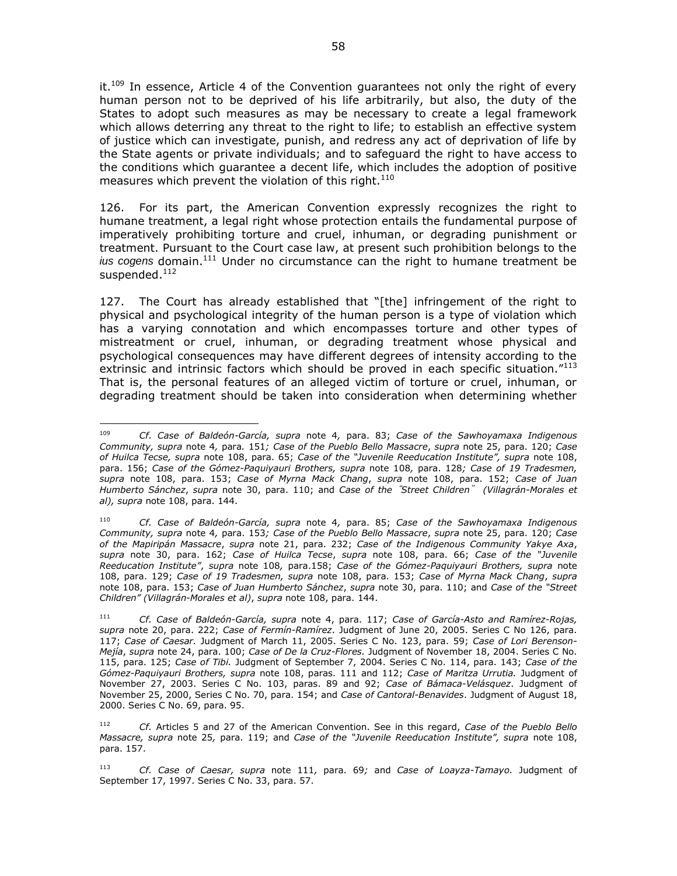it. $109$  In essence, Article 4 of the Convention guarantees not only the right of every human person not to be deprived of his life arbitrarily, but also, the duty of the States to adopt such measures as may be necessary to create a legal framework which allows deterring any threat to the right to life; to establish an effective system of justice which can investigate, punish, and redress any act of deprivation of life by the State agents or private individuals; and to safeguard the right to have access to the conditions which guarantee a decent life, which includes the adoption of positive measures which prevent the violation of this right.<sup>110</sup>

126. For its part, the American Convention expressly recognizes the right to humane treatment, a legal right whose protection entails the fundamental purpose of imperatively prohibiting torture and cruel, inhuman, or degrading punishment or treatment. Pursuant to the Court case law, at present such prohibition belongs to the *ius cogens* domain.<sup>111</sup> Under no circumstance can the right to humane treatment be suspended. $^{112}$ 

127. The Court has already established that "[the] infringement of the right to physical and psychological integrity of the human person is a type of violation which has a varying connotation and which encompasses torture and other types of mistreatment or cruel, inhuman, or degrading treatment whose physical and psychological consequences may have different degrees of intensity according to the extrinsic and intrinsic factors which should be proved in each specific situation."<sup>113</sup> That is, the personal features of an alleged victim of torture or cruel, inhuman, or degrading treatment should be taken into consideration when determining whether

 $\overline{a}$ <sup>109</sup> *Cf. Case of Baldeón-García, supra* note 4*,* para. 83; *Case of the Sawhoyamaxa Indigenous Community, supra* note 4*,* para*.* 151*; Case of the Pueblo Bello Massacre*, *supra* note 25, para. 120; *Case of Huilca Tecse, supra* note 108, para. 65; *Case of the "Juvenile Reeducation Institute", supra* note 108, para. 156; *Case of the Gómez-Paquiyauri Brothers, supra* note 108*,* para. 128*; Case of 19 Tradesmen, supra* note 108, para. 153; *Case of Myrna Mack Chang*, *supra* note 108, para. 152; *Case of Juan Humberto Sánchez*, *supra* note 30, para. 110; and *Case of the*"*Street Children*" *(Villagrán-Morales et al), supra* note 108, para. 144.

<sup>110</sup> *Cf. Case of Baldeón-García, supra* note 4*,* para. 85; *Case of the Sawhoyamaxa Indigenous Community, supra* note 4*,* para. 153*; Case of the Pueblo Bello Massacre*, *supra* note 25, para. 120; *Case of the Mapiripán Massacre*, *supra* note 21, para. 232; *Case of the Indigenous Community Yakye Axa*, *supra* note 30, para. 162; *Case of Huilca Tecse*, *supra* note 108, para. 66; *Case of the "Juvenile Reeducation Institute"*, *supra* note 108*,* para.158; *Case of the Gómez-Paquiyauri Brothers, supra* note 108, para. 129; *Case of 19 Tradesmen, supra* note 108, para. 153; *Case of Myrna Mack Chang*, *supra*  note 108, para. 153; *Case of Juan Humberto Sánchez*, *supra* note 30, para. 110; and *Case of the "Street Children" (Villagrán-Morales et al)*, *supra* note 108, para. 144.

<sup>111</sup> *Cf. Case of Baldeón-García, supra* note 4, para. 117; *Case of García-Asto and Ramírez-Rojas, supra* note 20, para. 222; *Case of Fermín-Ramírez*. Judgment of June 20, 2005. Series C No 126, para. 117; *Case of Caesar.* Judgment of March 11, 2005. Series C No. 123, para. 59; *Case of Lori Berenson-Mejía*, *supra* note 24, para. 100; *Case of De la Cruz-Flores.* Judgment of November 18, 2004. Series C No. 115, para. 125; *Case of Tibi.* Judgment of September 7, 2004. Series C No. 114, para. 143; *Case of the Gómez-Paquiyauri Brothers, supra* note 108, paras. 111 and 112; *Case of Maritza Urrutia.* Judgment of November 27, 2003. Series C No. 103, paras. 89 and 92; *Case of Bámaca-Velásquez*. Judgment of November 25, 2000, Series C No. 70, para. 154; and *Case of Cantoral-Benavides*. Judgment of August 18, 2000. Series C No. 69, para. 95.

<sup>112</sup> *Cf.* Articles 5 and 27 of the American Convention. See in this regard, *Case of the Pueblo Bello Massacre, supra* note 25*,* para. 119; and *Case of the "Juvenile Reeducation Institute", supra* note 108, para. 157.

<sup>113</sup> *Cf. Case of Caesar, supra* note 111*,* para. 69*;* and *Case of Loayza-Tamayo.* Judgment of September 17, 1997. Series C No. 33, para. 57.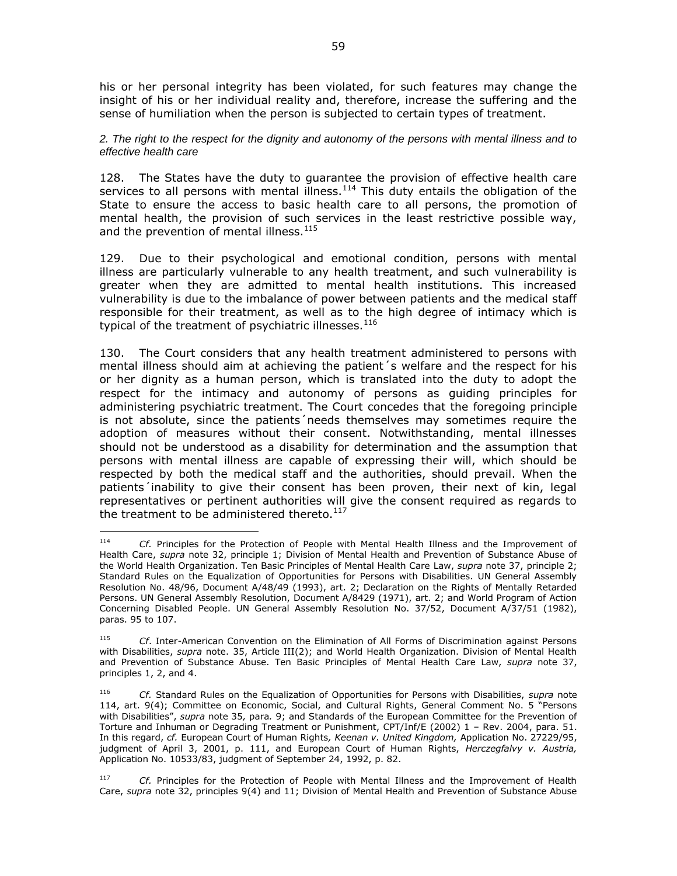his or her personal integrity has been violated, for such features may change the insight of his or her individual reality and, therefore, increase the suffering and the sense of humiliation when the person is subjected to certain types of treatment.

*2. The right to the respect for the dignity and autonomy of the persons with mental illness and to effective health care* 

128. The States have the duty to guarantee the provision of effective health care services to all persons with mental illness.<sup>114</sup> This duty entails the obligation of the State to ensure the access to basic health care to all persons, the promotion of mental health, the provision of such services in the least restrictive possible way, and the prevention of mental illness.<sup>115</sup>

129. Due to their psychological and emotional condition, persons with mental illness are particularly vulnerable to any health treatment, and such vulnerability is greater when they are admitted to mental health institutions. This increased vulnerability is due to the imbalance of power between patients and the medical staff responsible for their treatment, as well as to the high degree of intimacy which is typical of the treatment of psychiatric illnesses.  $^{116}$ 

130. The Court considers that any health treatment administered to persons with mental illness should aim at achieving the patient´s welfare and the respect for his or her dignity as a human person, which is translated into the duty to adopt the respect for the intimacy and autonomy of persons as guiding principles for administering psychiatric treatment. The Court concedes that the foregoing principle is not absolute, since the patients´needs themselves may sometimes require the adoption of measures without their consent. Notwithstanding, mental illnesses should not be understood as a disability for determination and the assumption that persons with mental illness are capable of expressing their will, which should be respected by both the medical staff and the authorities, should prevail. When the patients´inability to give their consent has been proven, their next of kin, legal representatives or pertinent authorities will give the consent required as regards to the treatment to be administered thereto.<sup>117</sup>

<sup>114</sup> Cf. Principles for the Protection of People with Mental Health Illness and the Improvement of Health Care, *supra* note 32, principle 1; Division of Mental Health and Prevention of Substance Abuse of the World Health Organization. Ten Basic Principles of Mental Health Care Law, *supra* note 37, principle 2; Standard Rules on the Equalization of Opportunities for Persons with Disabilities. UN General Assembly Resolution No. 48/96, Document A/48/49 (1993), art. 2; Declaration on the Rights of Mentally Retarded Persons. UN General Assembly Resolution, Document A/8429 (1971), art. 2; and World Program of Action Concerning Disabled People. UN General Assembly Resolution No. 37/52, Document A/37/51 (1982), paras. 95 to 107.

<sup>115</sup> *Cf*. Inter-American Convention on the Elimination of All Forms of Discrimination against Persons with Disabilities, *supra* note. 35, Article III(2); and World Health Organization. Division of Mental Health and Prevention of Substance Abuse. Ten Basic Principles of Mental Health Care Law, *supra* note 37, principles 1, 2, and 4.

<sup>116</sup> *Cf.* Standard Rules on the Equalization of Opportunities for Persons with Disabilities, *supra* note 114, art. 9(4); Committee on Economic, Social, and Cultural Rights, General Comment No. 5 "Persons with Disabilities", *supra* note 35*,* para*.* 9; and Standards of the European Committee for the Prevention of Torture and Inhuman or Degrading Treatment or Punishment, CPT/Inf/E (2002) 1 – Rev. 2004, para. 51. In this regard, *cf.* European Court of Human Rights*, Keenan v. United Kingdom,* Application No. 27229/95, judgment of April 3, 2001, p. 111, and European Court of Human Rights, *Herczegfalvy v. Austria,*  Application No. 10533/83, judgment of September 24, 1992, p. 82.

<sup>117</sup> *Cf.* Principles for the Protection of People with Mental Illness and the Improvement of Health Care, *supra* note 32, principles 9(4) and 11; Division of Mental Health and Prevention of Substance Abuse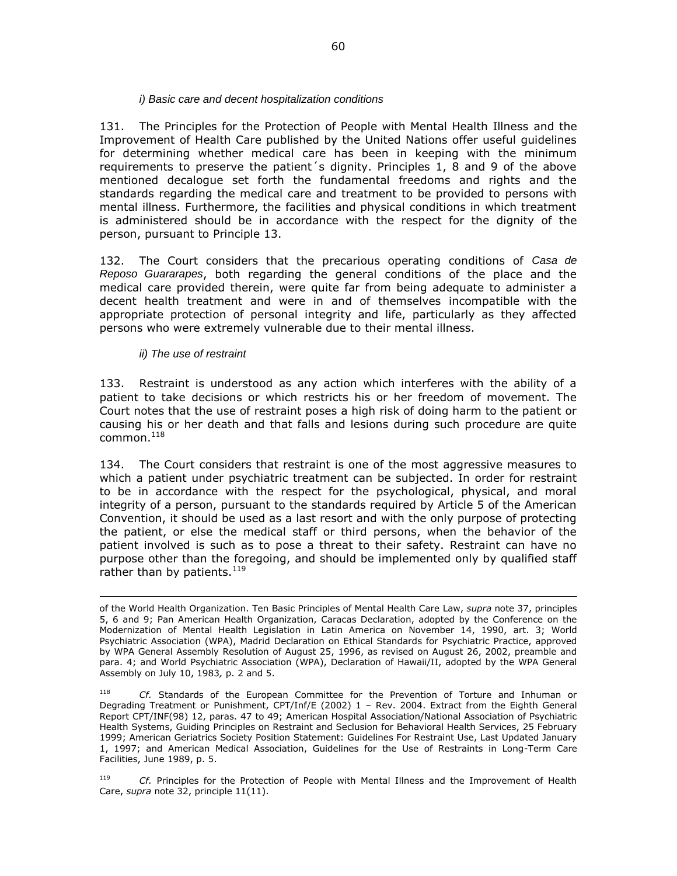### *i) Basic care and decent hospitalization conditions*

131. The Principles for the Protection of People with Mental Health Illness and the Improvement of Health Care published by the United Nations offer useful guidelines for determining whether medical care has been in keeping with the minimum requirements to preserve the patient´s dignity. Principles 1, 8 and 9 of the above mentioned decalogue set forth the fundamental freedoms and rights and the standards regarding the medical care and treatment to be provided to persons with mental illness. Furthermore, the facilities and physical conditions in which treatment is administered should be in accordance with the respect for the dignity of the person, pursuant to Principle 13.

132. The Court considers that the precarious operating conditions of *Casa de Reposo Guararapes*, both regarding the general conditions of the place and the medical care provided therein, were quite far from being adequate to administer a decent health treatment and were in and of themselves incompatible with the appropriate protection of personal integrity and life, particularly as they affected persons who were extremely vulnerable due to their mental illness.

# *ii) The use of restraint*

 $\overline{a}$ 

133. Restraint is understood as any action which interferes with the ability of a patient to take decisions or which restricts his or her freedom of movement. The Court notes that the use of restraint poses a high risk of doing harm to the patient or causing his or her death and that falls and lesions during such procedure are quite common.<sup>118</sup>

134. The Court considers that restraint is one of the most aggressive measures to which a patient under psychiatric treatment can be subjected. In order for restraint to be in accordance with the respect for the psychological, physical, and moral integrity of a person, pursuant to the standards required by Article 5 of the American Convention, it should be used as a last resort and with the only purpose of protecting the patient, or else the medical staff or third persons, when the behavior of the patient involved is such as to pose a threat to their safety. Restraint can have no purpose other than the foregoing, and should be implemented only by qualified staff rather than by patients.  $^{119}$ 

<sup>119</sup> *Cf.* Principles for the Protection of People with Mental Illness and the Improvement of Health Care, *supra* note 32, principle 11(11).

of the World Health Organization. Ten Basic Principles of Mental Health Care Law, *supra* note 37, principles 5, 6 and 9; Pan American Health Organization, Caracas Declaration, adopted by the Conference on the Modernization of Mental Health Legislation in Latin America on November 14, 1990, art. 3; World Psychiatric Association (WPA), Madrid Declaration on Ethical Standards for Psychiatric Practice, approved by WPA General Assembly Resolution of August 25, 1996, as revised on August 26, 2002, preamble and para. 4; and World Psychiatric Association (WPA), Declaration of Hawaii/II, adopted by the WPA General Assembly on July 10, 1983*,* p. 2 and 5.

Cf. Standards of the European Committee for the Prevention of Torture and Inhuman or Degrading Treatment or Punishment, CPT/Inf/E (2002) 1 – Rev. 2004. Extract from the Eighth General Report CPT/INF(98) 12, paras. 47 to 49; American Hospital Association/National Association of Psychiatric Health Systems, Guiding Principles on Restraint and Seclusion for Behavioral Health Services, 25 February 1999; American Geriatrics Society Position Statement: Guidelines For Restraint Use, Last Updated January 1, 1997; and American Medical Association, Guidelines for the Use of Restraints in Long-Term Care Facilities, June 1989, p. 5.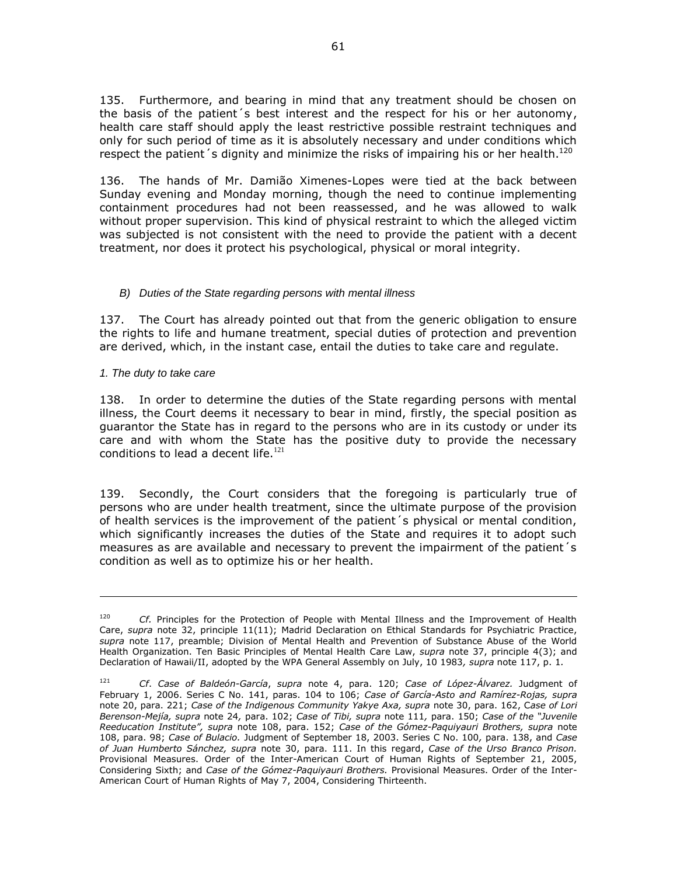135. Furthermore, and bearing in mind that any treatment should be chosen on the basis of the patient´s best interest and the respect for his or her autonomy, health care staff should apply the least restrictive possible restraint techniques and only for such period of time as it is absolutely necessary and under conditions which respect the patient s dignity and minimize the risks of impairing his or her health.<sup>120</sup>

136. The hands of Mr. Damião Ximenes-Lopes were tied at the back between Sunday evening and Monday morning, though the need to continue implementing containment procedures had not been reassessed, and he was allowed to walk without proper supervision. This kind of physical restraint to which the alleged victim was subjected is not consistent with the need to provide the patient with a decent treatment, nor does it protect his psychological, physical or moral integrity.

# *B) Duties of the State regarding persons with mental illness*

137. The Court has already pointed out that from the generic obligation to ensure the rights to life and humane treatment, special duties of protection and prevention are derived, which, in the instant case, entail the duties to take care and regulate.

*1. The duty to take care*

 $\overline{a}$ 

138. In order to determine the duties of the State regarding persons with mental illness, the Court deems it necessary to bear in mind, firstly, the special position as guarantor the State has in regard to the persons who are in its custody or under its care and with whom the State has the positive duty to provide the necessary conditions to lead a decent life. $121$ 

139. Secondly, the Court considers that the foregoing is particularly true of persons who are under health treatment, since the ultimate purpose of the provision of health services is the improvement of the patient´s physical or mental condition, which significantly increases the duties of the State and requires it to adopt such measures as are available and necessary to prevent the impairment of the patient´s condition as well as to optimize his or her health.

<sup>&</sup>lt;sup>120</sup> *Cf.* Principles for the Protection of People with Mental Illness and the Improvement of Health Care, *supra* note 32, principle 11(11); Madrid Declaration on Ethical Standards for Psychiatric Practice, *supra* note 117, preamble; Division of Mental Health and Prevention of Substance Abuse of the World Health Organization. Ten Basic Principles of Mental Health Care Law, *supra* note 37, principle 4(3); and Declaration of Hawaii/II, adopted by the WPA General Assembly on July, 10 1983*, supra* note 117, p. 1*.*

<sup>121</sup> *Cf*. *Case of Baldeón-García*, *supra* note 4, para. 120; *Case of López-Álvarez.* Judgment of February 1, 2006. Series C No. 141, paras. 104 to 106; *Case of García-Asto and Ramírez-Rojas, supra*  note 20, para. 221; *Case of the Indigenous Community Yakye Axa, supra* note 30, para. 162, C*ase of Lori Berenson-Mejía, supra* note 24*,* para. 102; *Case of Tibi, supra* note 111*,* para. 150; *Case of the "Juvenile Reeducation Institute", supra* note 108, para. 152; *Case of the Gómez-Paquiyauri Brothers, supra* note 108, para. 98; *Case of Bulacio.* Judgment of September 18, 2003. Series C No. 100*,* para. 138, and *Case of Juan Humberto Sánchez, supra* note 30, para. 111. In this regard, *Case of the Urso Branco Prison.*  Provisional Measures. Order of the Inter-American Court of Human Rights of September 21, 2005, Considering Sixth; and *Case of the Gómez-Paquiyauri Brothers.* Provisional Measures. Order of the Inter-American Court of Human Rights of May 7, 2004, Considering Thirteenth.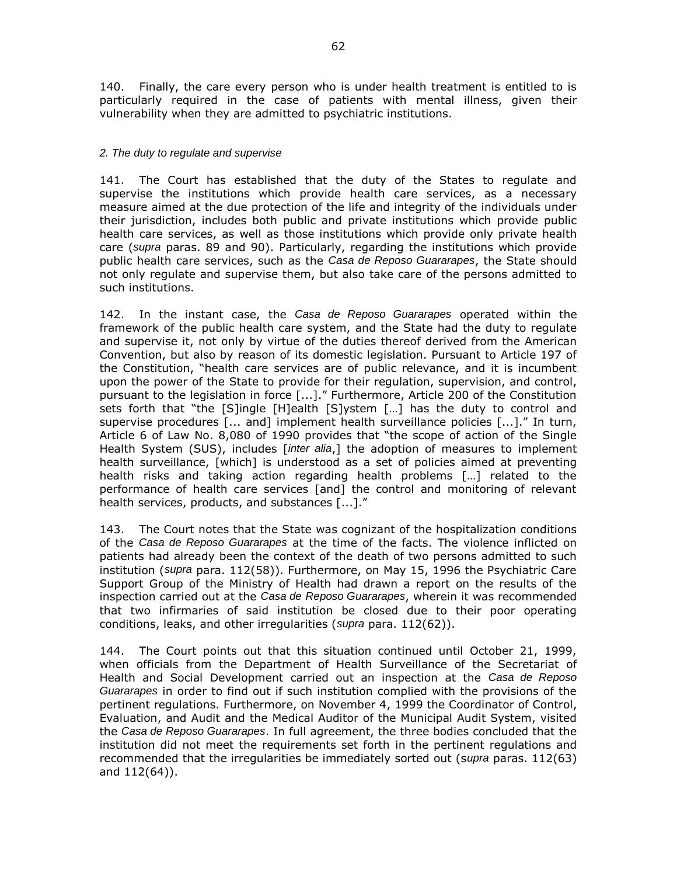140. Finally, the care every person who is under health treatment is entitled to is particularly required in the case of patients with mental illness, given their vulnerability when they are admitted to psychiatric institutions.

# *2. The duty to regulate and supervise*

141. The Court has established that the duty of the States to regulate and supervise the institutions which provide health care services, as a necessary measure aimed at the due protection of the life and integrity of the individuals under their jurisdiction, includes both public and private institutions which provide public health care services, as well as those institutions which provide only private health care (*supra* paras. 89 and 90). Particularly, regarding the institutions which provide public health care services, such as the *Casa de Reposo Guararapes*, the State should not only regulate and supervise them, but also take care of the persons admitted to such institutions.

142. In the instant case, the *Casa de Reposo Guararapes* operated within the framework of the public health care system, and the State had the duty to regulate and supervise it, not only by virtue of the duties thereof derived from the American Convention, but also by reason of its domestic legislation. Pursuant to Article 197 of the Constitution, "health care services are of public relevance, and it is incumbent upon the power of the State to provide for their regulation, supervision, and control, pursuant to the legislation in force [...]." Furthermore, Article 200 of the Constitution sets forth that "the [S]ingle [H]ealth [S]ystem […] has the duty to control and supervise procedures [... and] implement health surveillance policies [...]." In turn, Article 6 of Law No. 8,080 of 1990 provides that "the scope of action of the Single Health System (SUS), includes [*inter alia*,] the adoption of measures to implement health surveillance, [which] is understood as a set of policies aimed at preventing health risks and taking action regarding health problems […] related to the performance of health care services [and] the control and monitoring of relevant health services, products, and substances [...]."

143. The Court notes that the State was cognizant of the hospitalization conditions of the *Casa de Reposo Guararapes* at the time of the facts. The violence inflicted on patients had already been the context of the death of two persons admitted to such institution (*supra* para. 112(58)). Furthermore, on May 15, 1996 the Psychiatric Care Support Group of the Ministry of Health had drawn a report on the results of the inspection carried out at the *Casa de Reposo Guararapes*, wherein it was recommended that two infirmaries of said institution be closed due to their poor operating conditions, leaks, and other irregularities (*supra* para. 112(62)).

144. The Court points out that this situation continued until October 21, 1999, when officials from the Department of Health Surveillance of the Secretariat of Health and Social Development carried out an inspection at the *Casa de Reposo Guararapes* in order to find out if such institution complied with the provisions of the pertinent regulations. Furthermore, on November 4, 1999 the Coordinator of Control, Evaluation, and Audit and the Medical Auditor of the Municipal Audit System, visited the *Casa de Reposo Guararapes*. In full agreement, the three bodies concluded that the institution did not meet the requirements set forth in the pertinent regulations and recommended that the irregularities be immediately sorted out (s*upra* paras. 112(63) and 112(64)).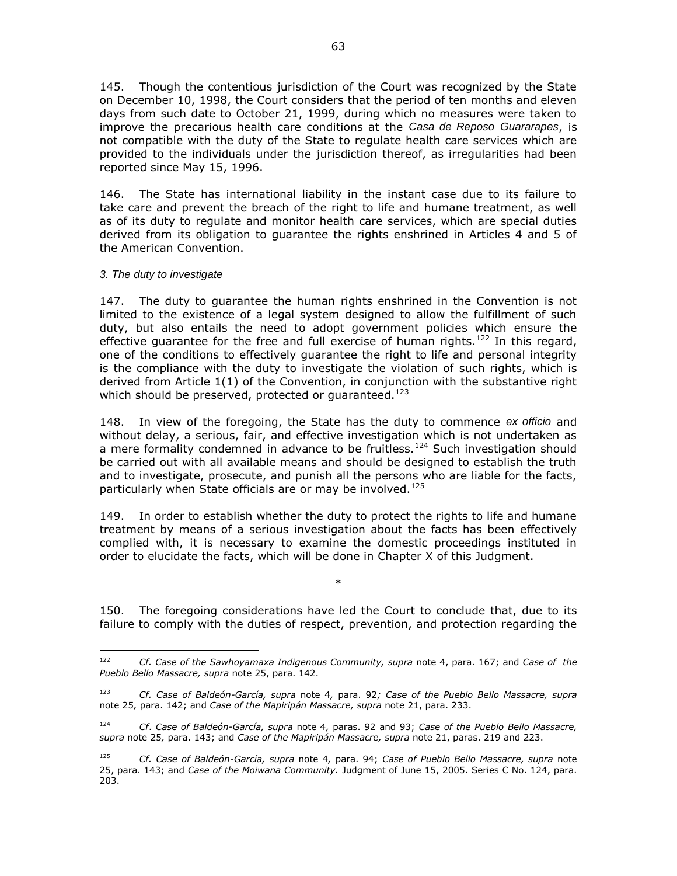145. Though the contentious jurisdiction of the Court was recognized by the State on December 10, 1998, the Court considers that the period of ten months and eleven days from such date to October 21, 1999, during which no measures were taken to improve the precarious health care conditions at the *Casa de Reposo Guararapes*, is not compatible with the duty of the State to regulate health care services which are provided to the individuals under the jurisdiction thereof, as irregularities had been reported since May 15, 1996.

146. The State has international liability in the instant case due to its failure to take care and prevent the breach of the right to life and humane treatment, as well as of its duty to regulate and monitor health care services, which are special duties derived from its obligation to guarantee the rights enshrined in Articles 4 and 5 of the American Convention.

# *3. The duty to investigate*

147. The duty to guarantee the human rights enshrined in the Convention is not limited to the existence of a legal system designed to allow the fulfillment of such duty, but also entails the need to adopt government policies which ensure the effective quarantee for the free and full exercise of human rights.<sup>122</sup> In this regard, one of the conditions to effectively guarantee the right to life and personal integrity is the compliance with the duty to investigate the violation of such rights, which is derived from Article 1(1) of the Convention, in conjunction with the substantive right which should be preserved, protected or guaranteed. $^{123}$ 

148. In view of the foregoing, the State has the duty to commence *ex officio* and without delay, a serious, fair, and effective investigation which is not undertaken as a mere formality condemned in advance to be fruitless.<sup>124</sup> Such investigation should be carried out with all available means and should be designed to establish the truth and to investigate, prosecute, and punish all the persons who are liable for the facts, particularly when State officials are or may be involved.<sup>125</sup>

149. In order to establish whether the duty to protect the rights to life and humane treatment by means of a serious investigation about the facts has been effectively complied with, it is necessary to examine the domestic proceedings instituted in order to elucidate the facts, which will be done in Chapter X of this Judgment.

150. The foregoing considerations have led the Court to conclude that, due to its failure to comply with the duties of respect, prevention, and protection regarding the

\*

<sup>122</sup> <sup>122</sup> *Cf. Case of the Sawhoyamaxa Indigenous Community, supra* note 4, para. 167; and *Case of the Pueblo Bello Massacre, supra* note 25, para. 142.

<sup>123</sup> *Cf. Case of Baldeón-García, supra* note 4*,* para. 92*; Case of the Pueblo Bello Massacre, supra*  note 25*,* para. 142; and *Case of the Mapiripán Massacre, supra* note 21, para. 233.

<sup>124</sup> *Cf*. *Case of Baldeón-García, supra* note 4*,* paras. 92 and 93; *Case of the Pueblo Bello Massacre, supra* note 25*,* para. 143; and *Case of the Mapiripán Massacre, supra* note 21, paras. 219 and 223.

<sup>125</sup> *Cf. Case of Baldeón-García, supra* note 4*,* para. 94; *Case of Pueblo Bello Massacre, supra* note 25, para. 143; and *Case of the Moiwana Community.* Judgment of June 15, 2005. Series C No. 124, para. 203.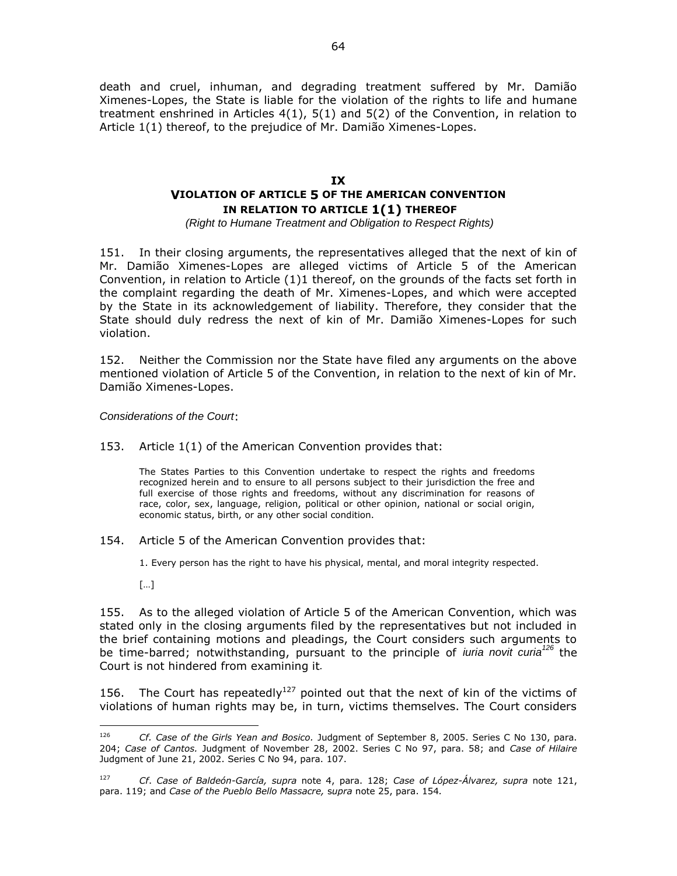death and cruel, inhuman, and degrading treatment suffered by Mr. Damião Ximenes-Lopes, the State is liable for the violation of the rights to life and humane treatment enshrined in Articles 4(1), 5(1) and 5(2) of the Convention, in relation to Article 1(1) thereof, to the prejudice of Mr. Damião Ximenes-Lopes.

# **IX VIOLATION OF ARTICLE 5 OF THE AMERICAN CONVENTION IN RELATION TO ARTICLE 1(1) THEREOF**

*(Right to Humane Treatment and Obligation to Respect Rights)*

151. In their closing arguments, the representatives alleged that the next of kin of Mr. Damião Ximenes-Lopes are alleged victims of Article 5 of the American Convention, in relation to Article (1)1 thereof, on the grounds of the facts set forth in the complaint regarding the death of Mr. Ximenes-Lopes, and which were accepted by the State in its acknowledgement of liability. Therefore, they consider that the State should duly redress the next of kin of Mr. Damião Ximenes-Lopes for such violation.

152. Neither the Commission nor the State have filed any arguments on the above mentioned violation of Article 5 of the Convention, in relation to the next of kin of Mr. Damião Ximenes-Lopes.

*Considerations of the Court*:

153. Article 1(1) of the American Convention provides that:

The States Parties to this Convention undertake to respect the rights and freedoms recognized herein and to ensure to all persons subject to their jurisdiction the free and full exercise of those rights and freedoms, without any discrimination for reasons of race, color, sex, language, religion, political or other opinion, national or social origin, economic status, birth, or any other social condition.

- 154. Article 5 of the American Convention provides that:
	- 1. Every person has the right to have his physical, mental, and moral integrity respected.
	- […]

155. As to the alleged violation of Article 5 of the American Convention, which was stated only in the closing arguments filed by the representatives but not included in the brief containing motions and pleadings, the Court considers such arguments to be time-barred; notwithstanding, pursuant to the principle of *iuria novit curia<sup>126</sup>* the Court is not hindered from examining it*.*

156. The Court has repeatedly<sup>127</sup> pointed out that the next of kin of the victims of violations of human rights may be, in turn, victims themselves. The Court considers

<sup>126</sup> <sup>126</sup> *Cf. Case of the Girls Yean and Bosico.* Judgment of September 8, 2005. Series C No 130, para. 204; *Case of Cantos.* Judgment of November 28, 2002. Series C No 97, para. 58; and *Case of Hilaire*  Judgment of June 21, 2002. Series C No 94, para. 107.

<sup>127</sup> *Cf*. *Case of Baldeón-García, supra* note 4, para. 128; *Case of López-Álvarez, supra* note 121, para. 119; and *Case of the Pueblo Bello Massacre,* s*upra* note 25, para. 154*.*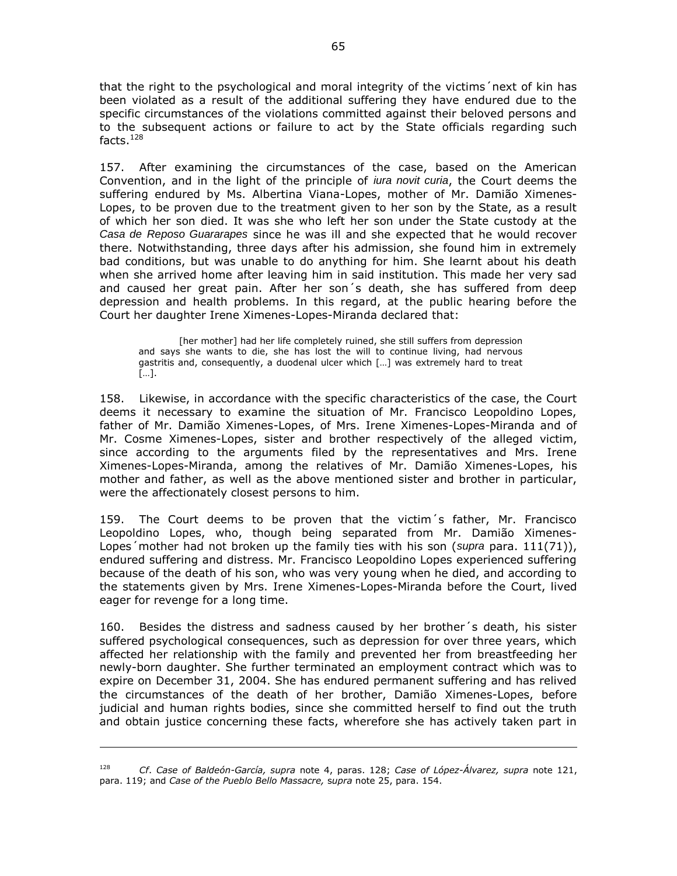that the right to the psychological and moral integrity of the victims´next of kin has been violated as a result of the additional suffering they have endured due to the specific circumstances of the violations committed against their beloved persons and to the subsequent actions or failure to act by the State officials regarding such facts. $128$ 

157. After examining the circumstances of the case, based on the American Convention, and in the light of the principle of *iura novit curia*, the Court deems the suffering endured by Ms. Albertina Viana-Lopes, mother of Mr. Damião Ximenes-Lopes, to be proven due to the treatment given to her son by the State, as a result of which her son died. It was she who left her son under the State custody at the *Casa de Reposo Guararapes* since he was ill and she expected that he would recover there. Notwithstanding, three days after his admission, she found him in extremely bad conditions, but was unable to do anything for him. She learnt about his death when she arrived home after leaving him in said institution. This made her very sad and caused her great pain. After her son´s death, she has suffered from deep depression and health problems. In this regard, at the public hearing before the Court her daughter Irene Ximenes-Lopes-Miranda declared that:

[her mother] had her life completely ruined, she still suffers from depression and says she wants to die, she has lost the will to continue living, had nervous gastritis and, consequently, a duodenal ulcer which […] was extremely hard to treat […].

158. Likewise, in accordance with the specific characteristics of the case, the Court deems it necessary to examine the situation of Mr. Francisco Leopoldino Lopes, father of Mr. Damião Ximenes-Lopes, of Mrs. Irene Ximenes-Lopes-Miranda and of Mr. Cosme Ximenes-Lopes, sister and brother respectively of the alleged victim, since according to the arguments filed by the representatives and Mrs. Irene Ximenes-Lopes-Miranda, among the relatives of Mr. Damião Ximenes-Lopes, his mother and father, as well as the above mentioned sister and brother in particular, were the affectionately closest persons to him.

159. The Court deems to be proven that the victim´s father, Mr. Francisco Leopoldino Lopes, who, though being separated from Mr. Damião Ximenes-Lopes´mother had not broken up the family ties with his son (*supra* para. 111(71)), endured suffering and distress. Mr. Francisco Leopoldino Lopes experienced suffering because of the death of his son, who was very young when he died, and according to the statements given by Mrs. Irene Ximenes-Lopes-Miranda before the Court, lived eager for revenge for a long time.

160. Besides the distress and sadness caused by her brother´s death, his sister suffered psychological consequences, such as depression for over three years, which affected her relationship with the family and prevented her from breastfeeding her newly-born daughter. She further terminated an employment contract which was to expire on December 31, 2004. She has endured permanent suffering and has relived the circumstances of the death of her brother, Damião Ximenes-Lopes, before judicial and human rights bodies, since she committed herself to find out the truth and obtain justice concerning these facts, wherefore she has actively taken part in

 $\overline{a}$ 

<sup>128</sup> *Cf*. *Case of Baldeón-García, supra* note 4, paras. 128; *Case of López-Álvarez, supra* note 121, para. 119; and *Case of the Pueblo Bello Massacre,* s*upra* note 25, para. 154.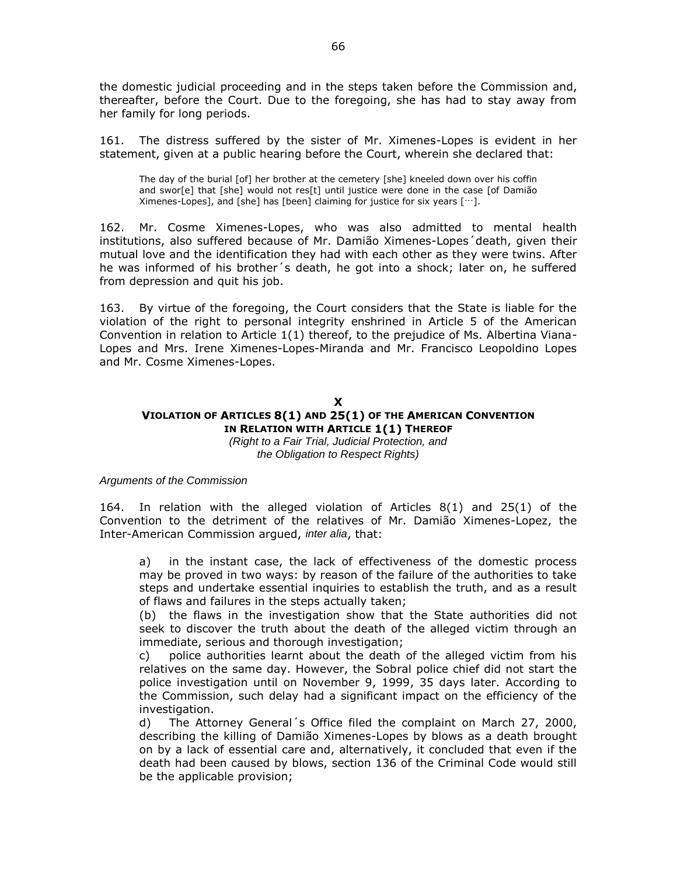the domestic judicial proceeding and in the steps taken before the Commission and, thereafter, before the Court. Due to the foregoing, she has had to stay away from her family for long periods.

161. The distress suffered by the sister of Mr. Ximenes-Lopes is evident in her statement, given at a public hearing before the Court, wherein she declared that:

The day of the burial [of] her brother at the cemetery [she] kneeled down over his coffin and swor[e] that [she] would not res[t] until justice were done in the case [of Damião Ximenes-Lopes], and [she] has [been] claiming for justice for six years […].

162. Mr. Cosme Ximenes-Lopes, who was also admitted to mental health institutions, also suffered because of Mr. Damião Ximenes-Lopes´death, given their mutual love and the identification they had with each other as they were twins. After he was informed of his brother´s death, he got into a shock; later on, he suffered from depression and quit his job.

163. By virtue of the foregoing, the Court considers that the State is liable for the violation of the right to personal integrity enshrined in Article 5 of the American Convention in relation to Article 1(1) thereof, to the prejudice of Ms. Albertina Viana-Lopes and Mrs. Irene Ximenes-Lopes-Miranda and Mr. Francisco Leopoldino Lopes and Mr. Cosme Ximenes-Lopes.

#### **X**

# **VIOLATION OF ARTICLES 8(1) AND 25(1) OF THE AMERICAN CONVENTION IN RELATION WITH ARTICLE 1(1) THEREOF**

*(Right to a Fair Trial, Judicial Protection, and the Obligation to Respect Rights)*

#### *Arguments of the Commission*

164. In relation with the alleged violation of Articles 8(1) and 25(1) of the Convention to the detriment of the relatives of Mr. Damião Ximenes-Lopez, the Inter-American Commission argued, *inter alia*, that:

a) in the instant case, the lack of effectiveness of the domestic process may be proved in two ways: by reason of the failure of the authorities to take steps and undertake essential inquiries to establish the truth, and as a result of flaws and failures in the steps actually taken;

(b) the flaws in the investigation show that the State authorities did not seek to discover the truth about the death of the alleged victim through an immediate, serious and thorough investigation;

c) police authorities learnt about the death of the alleged victim from his relatives on the same day. However, the Sobral police chief did not start the police investigation until on November 9, 1999, 35 days later. According to the Commission, such delay had a significant impact on the efficiency of the investigation.

d) The Attorney General´s Office filed the complaint on March 27, 2000, describing the killing of Damião Ximenes-Lopes by blows as a death brought on by a lack of essential care and, alternatively, it concluded that even if the death had been caused by blows, section 136 of the Criminal Code would still be the applicable provision;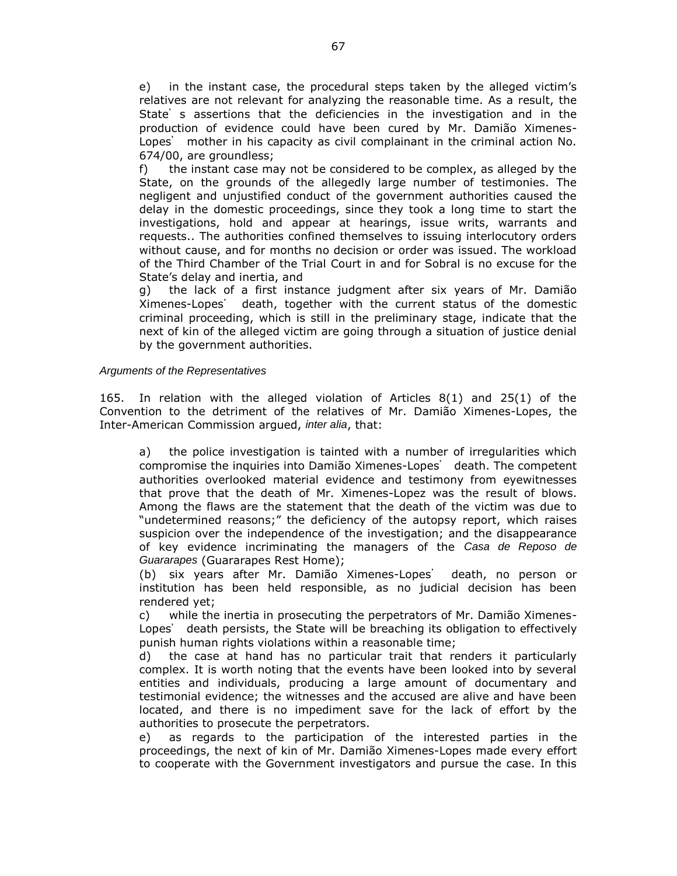e) in the instant case, the procedural steps taken by the alleged victim's relatives are not relevant for analyzing the reasonable time. As a result, the State's assertions that the deficiencies in the investigation and in the production of evidence could have been cured by Mr. Damião Ximenes-Lopes' mother in his capacity as civil complainant in the criminal action No. 674/00, are groundless;

f) the instant case may not be considered to be complex, as alleged by the State, on the grounds of the allegedly large number of testimonies. The negligent and unjustified conduct of the government authorities caused the delay in the domestic proceedings, since they took a long time to start the investigations, hold and appear at hearings, issue writs, warrants and requests.. The authorities confined themselves to issuing interlocutory orders without cause, and for months no decision or order was issued. The workload of the Third Chamber of the Trial Court in and for Sobral is no excuse for the State's delay and inertia, and

g) the lack of a first instance judgment after six years of Mr. Damião Ximenes-Lopes' death, together with the current status of the domestic criminal proceeding, which is still in the preliminary stage, indicate that the next of kin of the alleged victim are going through a situation of justice denial by the government authorities.

### *Arguments of the Representatives*

165. In relation with the alleged violation of Articles 8(1) and 25(1) of the Convention to the detriment of the relatives of Mr. Damião Ximenes-Lopes, the Inter-American Commission argued, *inter alia*, that:

a) the police investigation is tainted with a number of irregularities which compromise the inquiries into Damião Ximenes-Lopes' death. The competent authorities overlooked material evidence and testimony from eyewitnesses that prove that the death of Mr. Ximenes-Lopez was the result of blows. Among the flaws are the statement that the death of the victim was due to "undetermined reasons;" the deficiency of the autopsy report, which raises suspicion over the independence of the investigation; and the disappearance of key evidence incriminating the managers of the *Casa de Reposo de Guararapes* (Guararapes Rest Home);

(b) six years after Mr. Damião Ximenes-Lopes' death, no person or institution has been held responsible, as no judicial decision has been rendered yet;

c) while the inertia in prosecuting the perpetrators of Mr. Damião Ximenes-Lopes' death persists, the State will be breaching its obligation to effectively punish human rights violations within a reasonable time;

d) the case at hand has no particular trait that renders it particularly complex. It is worth noting that the events have been looked into by several entities and individuals, producing a large amount of documentary and testimonial evidence; the witnesses and the accused are alive and have been located, and there is no impediment save for the lack of effort by the authorities to prosecute the perpetrators.

e) as regards to the participation of the interested parties in the proceedings, the next of kin of Mr. Damião Ximenes-Lopes made every effort to cooperate with the Government investigators and pursue the case. In this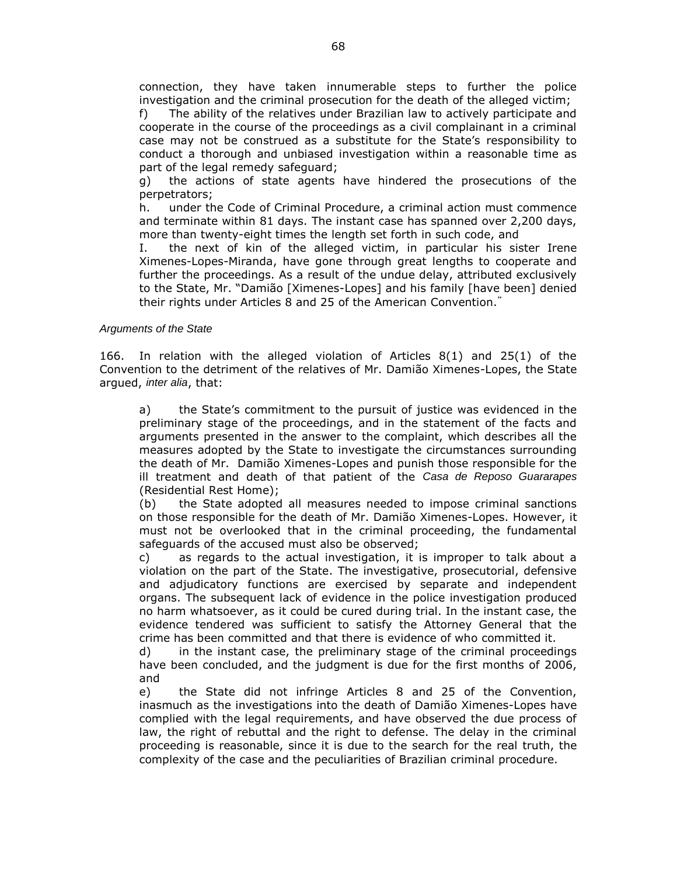connection, they have taken innumerable steps to further the police investigation and the criminal prosecution for the death of the alleged victim;

f) The ability of the relatives under Brazilian law to actively participate and cooperate in the course of the proceedings as a civil complainant in a criminal case may not be construed as a substitute for the State's responsibility to conduct a thorough and unbiased investigation within a reasonable time as part of the legal remedy safeguard;

g) the actions of state agents have hindered the prosecutions of the perpetrators;

h. under the Code of Criminal Procedure, a criminal action must commence and terminate within 81 days. The instant case has spanned over 2,200 days, more than twenty-eight times the length set forth in such code, and

I. the next of kin of the alleged victim, in particular his sister Irene Ximenes-Lopes-Miranda, have gone through great lengths to cooperate and further the proceedings. As a result of the undue delay, attributed exclusively to the State, Mr. "Damião [Ximenes-Lopes] and his family [have been] denied their rights under Articles 8 and 25 of the American Convention."

### *Arguments of the State*

166. In relation with the alleged violation of Articles 8(1) and 25(1) of the Convention to the detriment of the relatives of Mr. Damião Ximenes-Lopes, the State argued, *inter alia*, that:

a) the State's commitment to the pursuit of justice was evidenced in the preliminary stage of the proceedings, and in the statement of the facts and arguments presented in the answer to the complaint, which describes all the measures adopted by the State to investigate the circumstances surrounding the death of Mr. Damião Ximenes-Lopes and punish those responsible for the ill treatment and death of that patient of the *Casa de Reposo Guararapes* (Residential Rest Home);

(b) the State adopted all measures needed to impose criminal sanctions on those responsible for the death of Mr. Damião Ximenes-Lopes. However, it must not be overlooked that in the criminal proceeding, the fundamental safeguards of the accused must also be observed;

c) as regards to the actual investigation, it is improper to talk about a violation on the part of the State. The investigative, prosecutorial, defensive and adjudicatory functions are exercised by separate and independent organs. The subsequent lack of evidence in the police investigation produced no harm whatsoever, as it could be cured during trial. In the instant case, the evidence tendered was sufficient to satisfy the Attorney General that the crime has been committed and that there is evidence of who committed it.

d) in the instant case, the preliminary stage of the criminal proceedings have been concluded, and the judgment is due for the first months of 2006, and

e) the State did not infringe Articles 8 and 25 of the Convention, inasmuch as the investigations into the death of Damião Ximenes-Lopes have complied with the legal requirements, and have observed the due process of law, the right of rebuttal and the right to defense. The delay in the criminal proceeding is reasonable, since it is due to the search for the real truth, the complexity of the case and the peculiarities of Brazilian criminal procedure.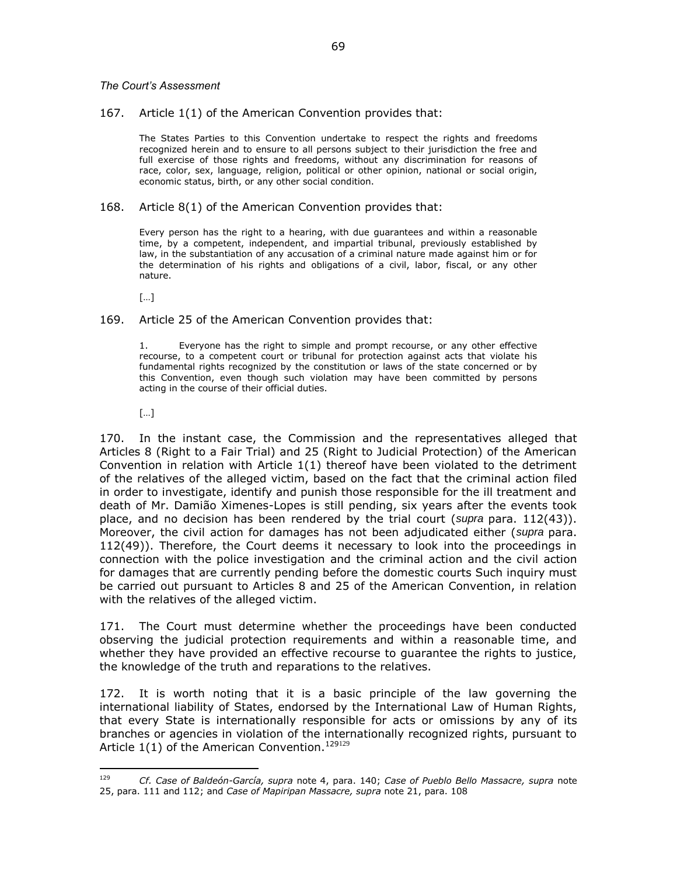#### *The Court's Assessment*

### 167. Article 1(1) of the American Convention provides that:

The States Parties to this Convention undertake to respect the rights and freedoms recognized herein and to ensure to all persons subject to their jurisdiction the free and full exercise of those rights and freedoms, without any discrimination for reasons of race, color, sex, language, religion, political or other opinion, national or social origin, economic status, birth, or any other social condition.

#### 168. Article 8(1) of the American Convention provides that:

Every person has the right to a hearing, with due guarantees and within a reasonable time, by a competent, independent, and impartial tribunal, previously established by law, in the substantiation of any accusation of a criminal nature made against him or for the determination of his rights and obligations of a civil, labor, fiscal, or any other nature.

[…]

### 169. Article 25 of the American Convention provides that:

1. Everyone has the right to simple and prompt recourse, or any other effective recourse, to a competent court or tribunal for protection against acts that violate his fundamental rights recognized by the constitution or laws of the state concerned or by this Convention, even though such violation may have been committed by persons acting in the course of their official duties.

[…]

170. In the instant case, the Commission and the representatives alleged that Articles 8 (Right to a Fair Trial) and 25 (Right to Judicial Protection) of the American Convention in relation with Article 1(1) thereof have been violated to the detriment of the relatives of the alleged victim, based on the fact that the criminal action filed in order to investigate, identify and punish those responsible for the ill treatment and death of Mr. Damião Ximenes-Lopes is still pending, six years after the events took place, and no decision has been rendered by the trial court (*supra* para. 112(43)). Moreover, the civil action for damages has not been adjudicated either (*supra* para. 112(49)). Therefore, the Court deems it necessary to look into the proceedings in connection with the police investigation and the criminal action and the civil action for damages that are currently pending before the domestic courts Such inquiry must be carried out pursuant to Articles 8 and 25 of the American Convention, in relation with the relatives of the alleged victim.

171. The Court must determine whether the proceedings have been conducted observing the judicial protection requirements and within a reasonable time, and whether they have provided an effective recourse to guarantee the rights to justice, the knowledge of the truth and reparations to the relatives.

172. It is worth noting that it is a basic principle of the law governing the international liability of States, endorsed by the International Law of Human Rights, that every State is internationally responsible for acts or omissions by any of its branches or agencies in violation of the internationally recognized rights, pursuant to Article  $1(1)$  of the American Convention.<sup>129129</sup>

<sup>129</sup> <sup>129</sup> *Cf. Case of Baldeón-García, supra* note 4, para. 140; *Case of Pueblo Bello Massacre, supra* note 25, para. 111 and 112; and *Case of Mapiripan Massacre, supra* note 21, para. 108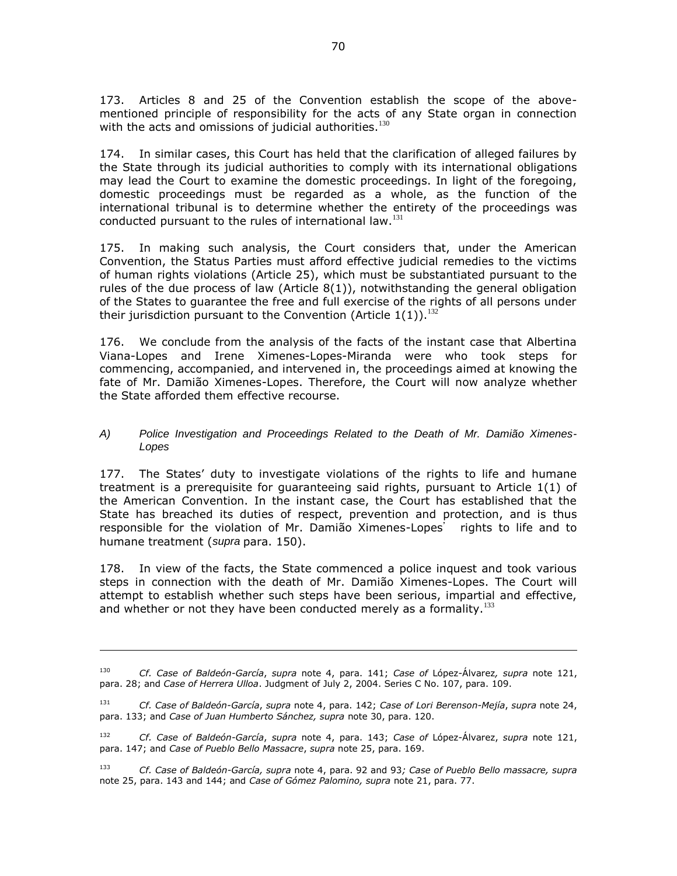173. Articles 8 and 25 of the Convention establish the scope of the abovementioned principle of responsibility for the acts of any State organ in connection with the acts and omissions of judicial authorities. $130$ 

174. In similar cases, this Court has held that the clarification of alleged failures by the State through its judicial authorities to comply with its international obligations may lead the Court to examine the domestic proceedings. In light of the foregoing, domestic proceedings must be regarded as a whole, as the function of the international tribunal is to determine whether the entirety of the proceedings was conducted pursuant to the rules of international law.<sup>131</sup>

175. In making such analysis, the Court considers that, under the American Convention, the Status Parties must afford effective judicial remedies to the victims of human rights violations (Article 25), which must be substantiated pursuant to the rules of the due process of law (Article 8(1)), notwithstanding the general obligation of the States to guarantee the free and full exercise of the rights of all persons under their jurisdiction pursuant to the Convention (Article  $1(1)$ ).<sup>132</sup>

176. We conclude from the analysis of the facts of the instant case that Albertina Viana-Lopes and Irene Ximenes-Lopes-Miranda were who took steps for commencing, accompanied, and intervened in, the proceedings aimed at knowing the fate of Mr. Damião Ximenes-Lopes. Therefore, the Court will now analyze whether the State afforded them effective recourse.

# *A) Police Investigation and Proceedings Related to the Death of Mr. Damião Ximenes-Lopes*

177. The States' duty to investigate violations of the rights to life and humane treatment is a prerequisite for guaranteeing said rights, pursuant to Article 1(1) of the American Convention. In the instant case, the Court has established that the State has breached its duties of respect, prevention and protection, and is thus responsible for the violation of Mr. Damião Ximenes-Lopes' rights to life and to humane treatment (*supra* para. 150).

178. In view of the facts, the State commenced a police inquest and took various steps in connection with the death of Mr. Damião Ximenes-Lopes. The Court will attempt to establish whether such steps have been serious, impartial and effective, and whether or not they have been conducted merely as a formality. $133$ 

 $\overline{a}$ 

<sup>130</sup> *Cf. Case of Baldeón-García*, *supra* note 4, para. 141; *Case of* López-Álvarez*, supra* note 121, para. 28; and *Case of Herrera Ulloa*. Judgment of July 2, 2004. Series C No. 107, para. 109.

<sup>131</sup> *Cf. Case of Baldeón-García*, *supra* note 4, para. 142; *Case of Lori Berenson-Mejía*, *supra* note 24, para. 133; and *Case of Juan Humberto Sánchez, supra* note 30, para. 120.

<sup>132</sup> *Cf. Case of Baldeón-García*, *supra* note 4, para. 143; *Case of* López-Álvarez, *supra* note 121, para. 147; and *Case of Pueblo Bello Massacre*, *supra* note 25, para. 169.

<sup>133</sup> *Cf. Case of Baldeón-García, supra* note 4, para. 92 and 93*; Case of Pueblo Bello massacre, supra*  note 25, para. 143 and 144; and *Case of Gómez Palomino, supra* note 21, para. 77.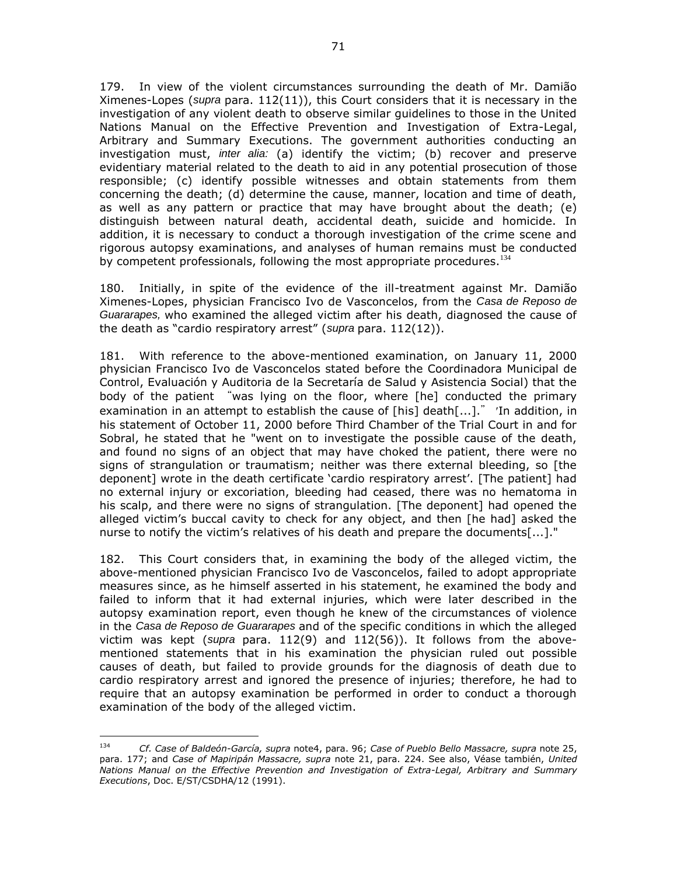179. In view of the violent circumstances surrounding the death of Mr. Damião Ximenes-Lopes (*supra* para. 112(11)), this Court considers that it is necessary in the investigation of any violent death to observe similar guidelines to those in the United Nations Manual on the Effective Prevention and Investigation of Extra-Legal, Arbitrary and Summary Executions. The government authorities conducting an investigation must, *inter alia:* (a) identify the victim; (b) recover and preserve evidentiary material related to the death to aid in any potential prosecution of those responsible; (c) identify possible witnesses and obtain statements from them concerning the death; (d) determine the cause, manner, location and time of death, as well as any pattern or practice that may have brought about the death; (e) distinguish between natural death, accidental death, suicide and homicide. In addition, it is necessary to conduct a thorough investigation of the crime scene and rigorous autopsy examinations, and analyses of human remains must be conducted by competent professionals, following the most appropriate procedures.<sup>134</sup>

180. Initially, in spite of the evidence of the ill-treatment against Mr. Damião Ximenes-Lopes, physician Francisco Ivo de Vasconcelos, from the *Casa de Reposo de Guararapes,* who examined the alleged victim after his death, diagnosed the cause of the death as "cardio respiratory arrest" (*supra* para. 112(12)).

181. With reference to the above-mentioned examination, on January 11, 2000 physician Francisco Ivo de Vasconcelos stated before the Coordinadora Municipal de Control, Evaluación y Auditoria de la Secretaría de Salud y Asistencia Social) that the body of the patient "was lying on the floor, where [he] conducted the primary examination in an attempt to establish the cause of  $[his]$  death $[...]$ ." In addition, in his statement of October 11, 2000 before Third Chamber of the Trial Court in and for Sobral, he stated that he "went on to investigate the possible cause of the death, and found no signs of an object that may have choked the patient, there were no signs of strangulation or traumatism; neither was there external bleeding, so [the deponent] wrote in the death certificate 'cardio respiratory arrest'. [The patient] had no external injury or excoriation, bleeding had ceased, there was no hematoma in his scalp, and there were no signs of strangulation. [The deponent] had opened the alleged victim's buccal cavity to check for any object, and then [he had] asked the nurse to notify the victim's relatives of his death and prepare the documents[...]."

182. This Court considers that, in examining the body of the alleged victim, the above-mentioned physician Francisco Ivo de Vasconcelos, failed to adopt appropriate measures since, as he himself asserted in his statement, he examined the body and failed to inform that it had external injuries, which were later described in the autopsy examination report, even though he knew of the circumstances of violence in the *Casa de Reposo de Guararapes* and of the specific conditions in which the alleged victim was kept (*supra* para. 112(9) and 112(56)). It follows from the abovementioned statements that in his examination the physician ruled out possible causes of death, but failed to provide grounds for the diagnosis of death due to cardio respiratory arrest and ignored the presence of injuries; therefore, he had to require that an autopsy examination be performed in order to conduct a thorough examination of the body of the alleged victim.

<sup>134</sup> <sup>134</sup> *Cf. Case of Baldeón-García, supra* note4, para. 96; *Case of Pueblo Bello Massacre, supra* note 25, para. 177; and *Case of Mapiripán Massacre, supra* note 21, para. 224. See also, Véase también, *United Nations Manual on the Effective Prevention and Investigation of Extra-Legal, Arbitrary and Summary Executions*, Doc. E/ST/CSDHA/12 (1991).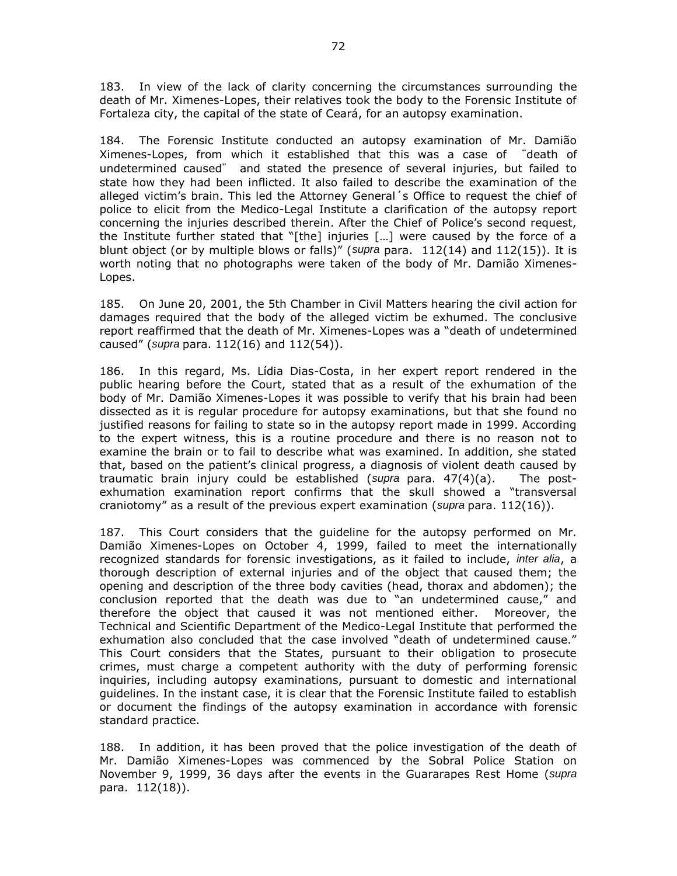183. In view of the lack of clarity concerning the circumstances surrounding the death of Mr. Ximenes-Lopes, their relatives took the body to the Forensic Institute of Fortaleza city, the capital of the state of Ceará, for an autopsy examination.

184. The Forensic Institute conducted an autopsy examination of Mr. Damião Ximenes-Lopes, from which it established that this was a case of "death of undetermined caused" and stated the presence of several injuries, but failed to state how they had been inflicted. It also failed to describe the examination of the alleged victim's brain. This led the Attorney General´s Office to request the chief of police to elicit from the Medico-Legal Institute a clarification of the autopsy report concerning the injuries described therein. After the Chief of Police's second request, the Institute further stated that "[the] injuries  $[\dots]$  were caused by the force of a blunt object (or by multiple blows or falls)" (*supra* para. 112(14) and 112(15)). It is worth noting that no photographs were taken of the body of Mr. Damião Ximenes-Lopes.

185. On June 20, 2001, the 5th Chamber in Civil Matters hearing the civil action for damages required that the body of the alleged victim be exhumed. The conclusive report reaffirmed that the death of Mr. Ximenes-Lopes was a "death of undetermined caused" (*supra* para. 112(16) and 112(54)).

186. In this regard, Ms. Lídia Dias-Costa, in her expert report rendered in the public hearing before the Court, stated that as a result of the exhumation of the body of Mr. Damião Ximenes-Lopes it was possible to verify that his brain had been dissected as it is regular procedure for autopsy examinations, but that she found no justified reasons for failing to state so in the autopsy report made in 1999. According to the expert witness, this is a routine procedure and there is no reason not to examine the brain or to fail to describe what was examined. In addition, she stated that, based on the patient's clinical progress, a diagnosis of violent death caused by traumatic brain injury could be established (*supra* para. 47(4)(a). The postexhumation examination report confirms that the skull showed a "transversal craniotomy" as a result of the previous expert examination (*supra* para. 112(16)).

187. This Court considers that the guideline for the autopsy performed on Mr. Damião Ximenes-Lopes on October 4, 1999, failed to meet the internationally recognized standards for forensic investigations, as it failed to include, *inter alia*, a thorough description of external injuries and of the object that caused them; the opening and description of the three body cavities (head, thorax and abdomen); the conclusion reported that the death was due to "an undetermined cause," and therefore the object that caused it was not mentioned either. Moreover, the Technical and Scientific Department of the Medico-Legal Institute that performed the exhumation also concluded that the case involved "death of undetermined cause." This Court considers that the States, pursuant to their obligation to prosecute crimes, must charge a competent authority with the duty of performing forensic inquiries, including autopsy examinations, pursuant to domestic and international guidelines. In the instant case, it is clear that the Forensic Institute failed to establish or document the findings of the autopsy examination in accordance with forensic standard practice.

188. In addition, it has been proved that the police investigation of the death of Mr. Damião Ximenes-Lopes was commenced by the Sobral Police Station on November 9, 1999, 36 days after the events in the Guararapes Rest Home (*supra*  para. 112(18)).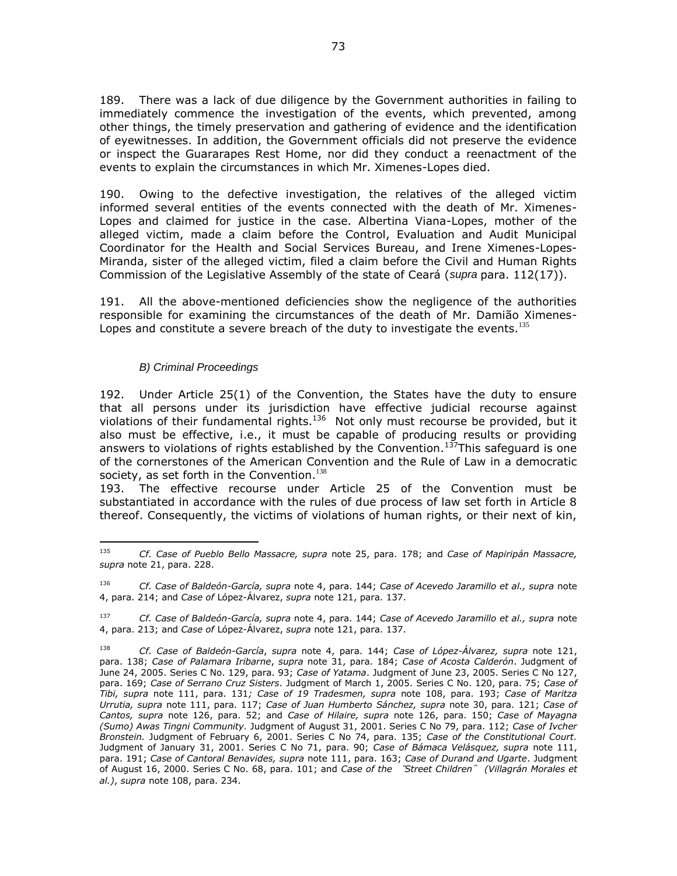189. There was a lack of due diligence by the Government authorities in failing to immediately commence the investigation of the events, which prevented, among other things, the timely preservation and gathering of evidence and the identification of eyewitnesses. In addition, the Government officials did not preserve the evidence or inspect the Guararapes Rest Home, nor did they conduct a reenactment of the events to explain the circumstances in which Mr. Ximenes-Lopes died.

190. Owing to the defective investigation, the relatives of the alleged victim informed several entities of the events connected with the death of Mr. Ximenes-Lopes and claimed for justice in the case. Albertina Viana-Lopes, mother of the alleged victim, made a claim before the Control, Evaluation and Audit Municipal Coordinator for the Health and Social Services Bureau, and Irene Ximenes-Lopes-Miranda, sister of the alleged victim, filed a claim before the Civil and Human Rights Commission of the Legislative Assembly of the state of Ceará (*supra* para. 112(17)).

191. All the above-mentioned deficiencies show the negligence of the authorities responsible for examining the circumstances of the death of Mr. Damião Ximenes-Lopes and constitute a severe breach of the duty to investigate the events. $135$ 

### *B) Criminal Proceedings*

 $\overline{a}$ 

192. Under Article 25(1) of the Convention, the States have the duty to ensure that all persons under its jurisdiction have effective judicial recourse against violations of their fundamental rights. $136$  Not only must recourse be provided, but it also must be effective, i.e., it must be capable of producing results or providing answers to violations of rights established by the Convention.<sup>137</sup>This safeguard is one of the cornerstones of the American Convention and the Rule of Law in a democratic society, as set forth in the Convention. $138$ 

193. The effective recourse under Article 25 of the Convention must be substantiated in accordance with the rules of due process of law set forth in Article 8 thereof. Consequently, the victims of violations of human rights, or their next of kin,

<sup>135</sup> *Cf. Case of Pueblo Bello Massacre, supra* note 25, para. 178; and *Case of Mapiripán Massacre, supra* note 21, para. 228.

<sup>136</sup> *Cf. Case of Baldeón-García, supra* note 4, para. 144; *Case of Acevedo Jaramillo et al., supra* note 4, para. 214; and *Case of* López-Álvarez, *supra* note 121, para. 137.

<sup>137</sup> *Cf. Case of Baldeón-García, supra* note 4, para. 144; *Case of Acevedo Jaramillo et al., supra* note 4, para. 213; and *Case of* López-Álvarez, *supra* note 121, para. 137.

<sup>138</sup> *Cf. Case of Baldeón-García*, *supra* note 4, para. 144; *Case of López-Álvarez, supra* note 121, para. 138; *Case of Palamara Iribarne*, *supra* note 31, para. 184; *Case of Acosta Calderón*. Judgment of June 24, 2005. Series C No. 129, para. 93; *Case of Yatama*. Judgment of June 23, 2005. Series C No 127, para. 169; *Case of Serrano Cruz Sisters*. Judgment of March 1, 2005. Series C No. 120, para. 75; *Case of Tibi, supra* note 111, para. 131*; Case of 19 Tradesmen, supra* note 108, para. 193; *Case of Maritza Urrutia, supra* note 111, para. 117; *Case of Juan Humberto Sánchez, supra* note 30, para. 121; *Case of Cantos, supra* note 126, para. 52; and *Case of Hilaire, supra* note 126, para. 150; *Case of Mayagna (Sumo) Awas Tingni Community.* Judgment of August 31, 2001. Series C No 79, para. 112; *Case of Ivcher Bronstein.* Judgment of February 6, 2001. Series C No 74, para. 135; *Case of the Constitutional Court.* Judgment of January 31, 2001. Series C No 71, para. 90; *Case of Bámaca Velásquez, supra* note 111, para. 191; *Case of Cantoral Benavides, supra* note 111, para. 163; *Case of Durand and Ugarte*. Judgment of August 16, 2000. Series C No. 68, para. 101; and *Case of the* "*Street Children*" *(Villagrán Morales et al.)*, *supra* note 108, para. 234.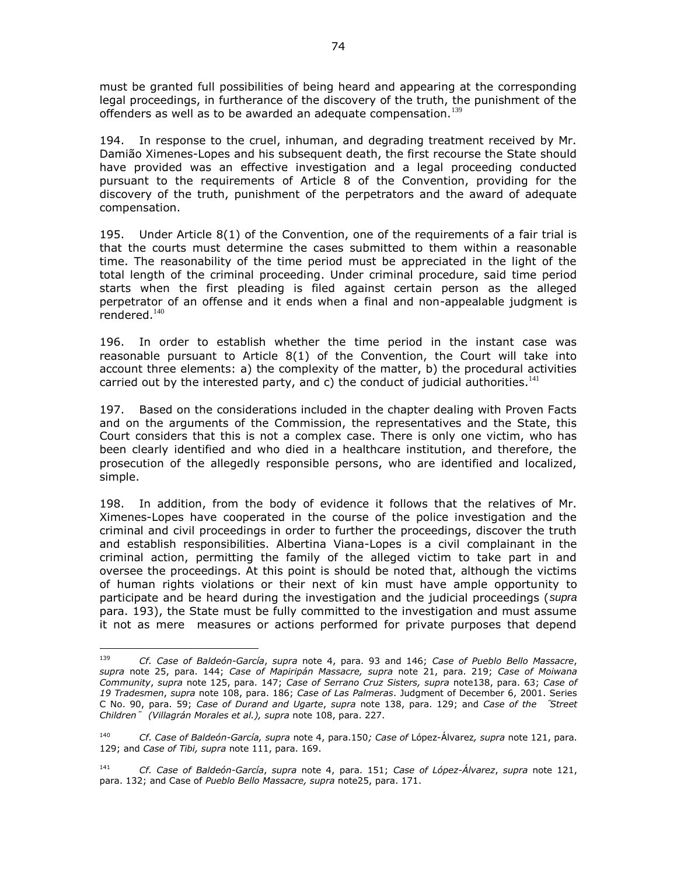must be granted full possibilities of being heard and appearing at the corresponding legal proceedings, in furtherance of the discovery of the truth, the punishment of the offenders as well as to be awarded an adequate compensation.<sup>139</sup>

194. In response to the cruel, inhuman, and degrading treatment received by Mr. Damião Ximenes-Lopes and his subsequent death, the first recourse the State should have provided was an effective investigation and a legal proceeding conducted pursuant to the requirements of Article 8 of the Convention, providing for the discovery of the truth, punishment of the perpetrators and the award of adequate compensation.

195. Under Article 8(1) of the Convention, one of the requirements of a fair trial is that the courts must determine the cases submitted to them within a reasonable time. The reasonability of the time period must be appreciated in the light of the total length of the criminal proceeding. Under criminal procedure, said time period starts when the first pleading is filed against certain person as the alleged perpetrator of an offense and it ends when a final and non-appealable judgment is rendered. $140$ 

196. In order to establish whether the time period in the instant case was reasonable pursuant to Article 8(1) of the Convention, the Court will take into account three elements: a) the complexity of the matter, b) the procedural activities carried out by the interested party, and c) the conduct of judicial authorities.<sup>141</sup>

197. Based on the considerations included in the chapter dealing with Proven Facts and on the arguments of the Commission, the representatives and the State, this Court considers that this is not a complex case. There is only one victim, who has been clearly identified and who died in a healthcare institution, and therefore, the prosecution of the allegedly responsible persons, who are identified and localized, simple.

198. In addition, from the body of evidence it follows that the relatives of Mr. Ximenes-Lopes have cooperated in the course of the police investigation and the criminal and civil proceedings in order to further the proceedings, discover the truth and establish responsibilities. Albertina Viana-Lopes is a civil complainant in the criminal action, permitting the family of the alleged victim to take part in and oversee the proceedings. At this point is should be noted that, although the victims of human rights violations or their next of kin must have ample opportunity to participate and be heard during the investigation and the judicial proceedings (*supra*  para. 193), the State must be fully committed to the investigation and must assume it not as mere measures or actions performed for private purposes that depend

<sup>139</sup> <sup>139</sup> *Cf. Case of Baldeón-García*, *supra* note 4, para. 93 and 146; *Case of Pueblo Bello Massacre*, *supra* note 25, para. 144; *Case of Mapiripán Massacre, supra* note 21, para. 219; *Case of Moiwana Community*, *supra* note 125, para. 147; *Case of Serrano Cruz Sisters, supra* note138, para. 63; *Case of 19 Tradesmen*, *supra* note 108, para. 186; *Case of Las Palmeras*. Judgment of December 6, 2001. Series C No. 90, para. 59; *Case of Durand and Ugarte*, *supra* note 138, para. 129; and *Case of the* "*Street Children*" *(Villagrán Morales et al.), supra* note 108, para. 227.

<sup>140</sup> *Cf. Case of Baldeón-García, supra* note 4, para.150*; Case of* López-Álvarez*, supra* note 121, para. 129; and *Case of Tibi, supra* note 111, para. 169.

<sup>141</sup> *Cf. Case of Baldeón-García*, *supra* note 4, para. 151; *Case of López-Álvarez*, *supra* note 121, para. 132; and Case of *Pueblo Bello Massacre, supra* note25, para. 171.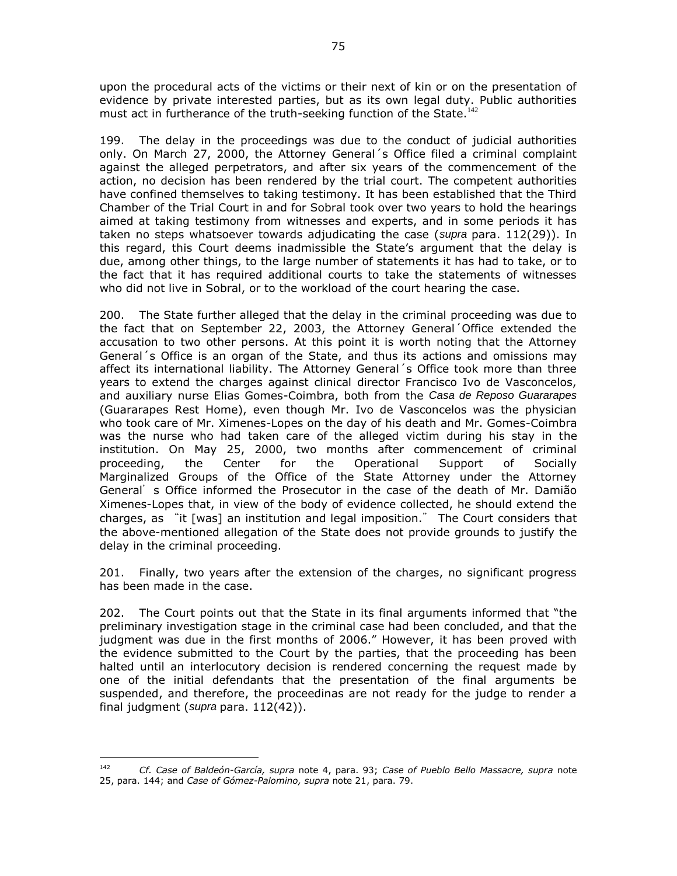upon the procedural acts of the victims or their next of kin or on the presentation of evidence by private interested parties, but as its own legal duty. Public authorities must act in furtherance of the truth-seeking function of the State.<sup>142</sup>

199. The delay in the proceedings was due to the conduct of judicial authorities only. On March 27, 2000, the Attorney General´s Office filed a criminal complaint against the alleged perpetrators, and after six years of the commencement of the action, no decision has been rendered by the trial court. The competent authorities have confined themselves to taking testimony. It has been established that the Third Chamber of the Trial Court in and for Sobral took over two years to hold the hearings aimed at taking testimony from witnesses and experts, and in some periods it has taken no steps whatsoever towards adjudicating the case (*supra* para. 112(29)). In this regard, this Court deems inadmissible the State's argument that the delay is due, among other things, to the large number of statements it has had to take, or to the fact that it has required additional courts to take the statements of witnesses who did not live in Sobral, or to the workload of the court hearing the case.

200. The State further alleged that the delay in the criminal proceeding was due to the fact that on September 22, 2003, the Attorney General´Office extended the accusation to two other persons. At this point it is worth noting that the Attorney General´s Office is an organ of the State, and thus its actions and omissions may affect its international liability. The Attorney General´s Office took more than three years to extend the charges against clinical director Francisco Ivo de Vasconcelos, and auxiliary nurse Elias Gomes-Coimbra, both from the *Casa de Reposo Guararapes* (Guararapes Rest Home), even though Mr. Ivo de Vasconcelos was the physician who took care of Mr. Ximenes-Lopes on the day of his death and Mr. Gomes-Coimbra was the nurse who had taken care of the alleged victim during his stay in the institution. On May 25, 2000, two months after commencement of criminal proceeding, the Center for the Operational Support of Socially Marginalized Groups of the Office of the State Attorney under the Attorney General's Office informed the Prosecutor in the case of the death of Mr. Damião Ximenes-Lopes that, in view of the body of evidence collected, he should extend the charges, as "it [was] an institution and legal imposition." The Court considers that the above-mentioned allegation of the State does not provide grounds to justify the delay in the criminal proceeding.

201. Finally, two years after the extension of the charges, no significant progress has been made in the case.

202. The Court points out that the State in its final arguments informed that "the preliminary investigation stage in the criminal case had been concluded, and that the judgment was due in the first months of 2006." However, it has been proved with the evidence submitted to the Court by the parties, that the proceeding has been halted until an interlocutory decision is rendered concerning the request made by one of the initial defendants that the presentation of the final arguments be suspended, and therefore, the proceedinas are not ready for the judge to render a final judgment (*supra* para. 112(42)).

 $\overline{a}$ 

<sup>142</sup> *Cf. Case of Baldeón-García, supra* note 4, para. 93; *Case of Pueblo Bello Massacre, supra* note 25, para. 144; and *Case of Gómez-Palomino, supra* note 21, para. 79.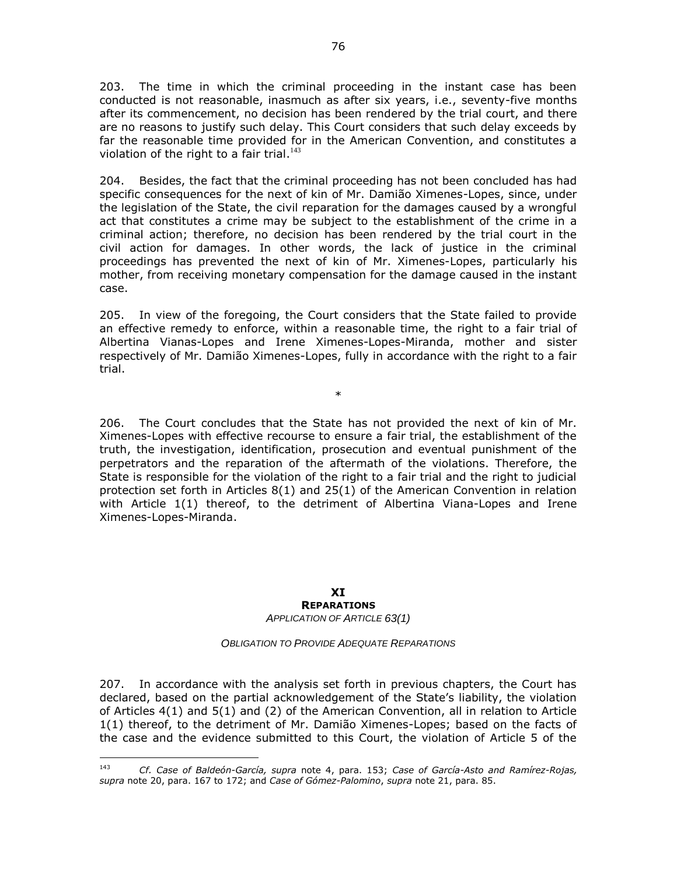203. The time in which the criminal proceeding in the instant case has been conducted is not reasonable, inasmuch as after six years, i.e., seventy-five months after its commencement, no decision has been rendered by the trial court, and there are no reasons to justify such delay. This Court considers that such delay exceeds by far the reasonable time provided for in the American Convention, and constitutes a violation of the right to a fair trial. $143$ 

204. Besides, the fact that the criminal proceeding has not been concluded has had specific consequences for the next of kin of Mr. Damião Ximenes-Lopes, since, under the legislation of the State, the civil reparation for the damages caused by a wrongful act that constitutes a crime may be subject to the establishment of the crime in a criminal action; therefore, no decision has been rendered by the trial court in the civil action for damages. In other words, the lack of justice in the criminal proceedings has prevented the next of kin of Mr. Ximenes-Lopes, particularly his mother, from receiving monetary compensation for the damage caused in the instant case.

205. In view of the foregoing, the Court considers that the State failed to provide an effective remedy to enforce, within a reasonable time, the right to a fair trial of Albertina Vianas-Lopes and Irene Ximenes-Lopes-Miranda, mother and sister respectively of Mr. Damião Ximenes-Lopes, fully in accordance with the right to a fair trial.

\*

206. The Court concludes that the State has not provided the next of kin of Mr. Ximenes-Lopes with effective recourse to ensure a fair trial, the establishment of the truth, the investigation, identification, prosecution and eventual punishment of the perpetrators and the reparation of the aftermath of the violations. Therefore, the State is responsible for the violation of the right to a fair trial and the right to judicial protection set forth in Articles 8(1) and 25(1) of the American Convention in relation with Article 1(1) thereof, to the detriment of Albertina Viana-Lopes and Irene Ximenes-Lopes-Miranda.

## **XI REPARATIONS**

*APPLICATION OF ARTICLE 63(1)*

*OBLIGATION TO PROVIDE ADEQUATE REPARATIONS*

207. In accordance with the analysis set forth in previous chapters, the Court has declared, based on the partial acknowledgement of the State's liability, the violation of Articles 4(1) and 5(1) and (2) of the American Convention, all in relation to Article 1(1) thereof, to the detriment of Mr. Damião Ximenes-Lopes; based on the facts of the case and the evidence submitted to this Court, the violation of Article 5 of the

 $\overline{a}$ 

<sup>143</sup> *Cf. Case of Baldeón-García, supra* note 4, para. 153; *Case of García-Asto and Ramírez-Rojas, supra* note 20, para. 167 to 172; and *Case of Gómez-Palomino*, *supra* note 21, para. 85.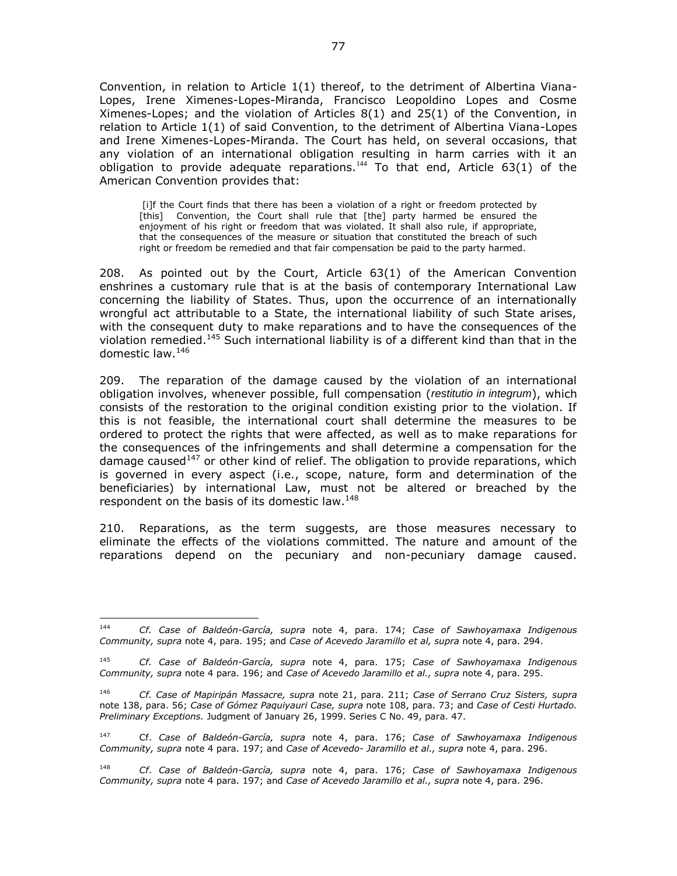Convention, in relation to Article 1(1) thereof, to the detriment of Albertina Viana-Lopes, Irene Ximenes-Lopes-Miranda, Francisco Leopoldino Lopes and Cosme Ximenes-Lopes; and the violation of Articles 8(1) and 25(1) of the Convention, in relation to Article 1(1) of said Convention, to the detriment of Albertina Viana-Lopes and Irene Ximenes-Lopes-Miranda. The Court has held, on several occasions, that any violation of an international obligation resulting in harm carries with it an obligation to provide adequate reparations.<sup>144</sup> To that end, Article  $63(1)$  of the American Convention provides that:

[i]f the Court finds that there has been a violation of a right or freedom protected by [this] Convention, the Court shall rule that [the] party harmed be ensured the enjoyment of his right or freedom that was violated. It shall also rule, if appropriate, that the consequences of the measure or situation that constituted the breach of such right or freedom be remedied and that fair compensation be paid to the party harmed.

208. As pointed out by the Court, Article 63(1) of the American Convention enshrines a customary rule that is at the basis of contemporary International Law concerning the liability of States. Thus, upon the occurrence of an internationally wrongful act attributable to a State, the international liability of such State arises, with the consequent duty to make reparations and to have the consequences of the violation remedied.<sup>145</sup> Such international liability is of a different kind than that in the domestic law.<sup>146</sup>

209. The reparation of the damage caused by the violation of an international obligation involves, whenever possible, full compensation (*restitutio in integrum*), which consists of the restoration to the original condition existing prior to the violation. If this is not feasible, the international court shall determine the measures to be ordered to protect the rights that were affected, as well as to make reparations for the consequences of the infringements and shall determine a compensation for the damage caused<sup>147</sup> or other kind of relief. The obligation to provide reparations, which is governed in every aspect (i.e., scope, nature, form and determination of the beneficiaries) by international Law, must not be altered or breached by the respondent on the basis of its domestic law.<sup>148</sup>

210. Reparations, as the term suggests, are those measures necessary to eliminate the effects of the violations committed. The nature and amount of the reparations depend on the pecuniary and non-pecuniary damage caused.

<sup>144</sup> <sup>144</sup> *Cf. Case of Baldeón-García, supra* note 4, para. 174; *Case of Sawhoyamaxa Indigenous Community, supra* note 4, para. 195; and *Case of Acevedo Jaramillo et al, supra* note 4, para. 294.

<sup>145</sup> *Cf. Case of Baldeón-García, supra* note 4, para. 175; *Case of Sawhoyamaxa Indigenous Community, supra* note 4 para. 196; and *Case of Acevedo Jaramillo et al., supra* note 4, para. 295.

<sup>146</sup> *Cf. Case of Mapiripán Massacre, supra* note 21, para. 211; *Case of Serrano Cruz Sisters, supra* note 138, para. 56; *Case of Gómez Paquiyauri Case, supra* note 108, para. 73; and *Case of Cesti Hurtado. Preliminary Exceptions.* Judgment of January 26, 1999. Series C No. 49, para. 47.

<sup>147</sup> Cf. *Case of Baldeón-García, supra* note 4, para. 176; *Case of Sawhoyamaxa Indigenous Community, supra* note 4 para. 197; and *Case of Acevedo- Jaramillo et al., supra* note 4, para. 296.

<sup>148</sup> *Cf*. *Case of Baldeón-García, supra* note 4, para. 176; *Case of Sawhoyamaxa Indigenous Community, supra* note 4 para. 197; and *Case of Acevedo Jaramillo et al., supra* note 4, para. 296.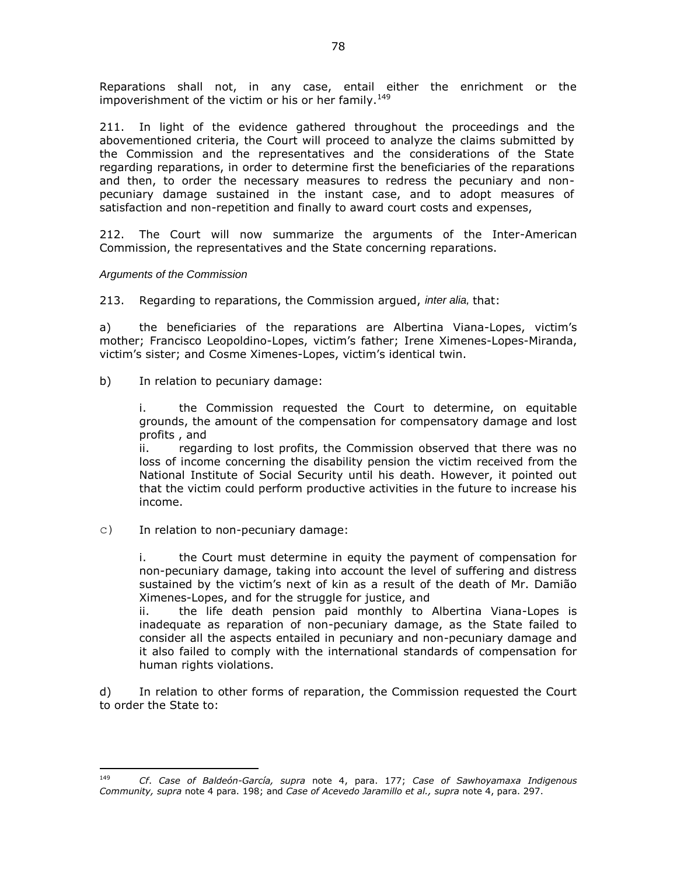Reparations shall not, in any case, entail either the enrichment or the impoverishment of the victim or his or her family.<sup>149</sup>

211. In light of the evidence gathered throughout the proceedings and the abovementioned criteria, the Court will proceed to analyze the claims submitted by the Commission and the representatives and the considerations of the State regarding reparations, in order to determine first the beneficiaries of the reparations and then, to order the necessary measures to redress the pecuniary and nonpecuniary damage sustained in the instant case, and to adopt measures of satisfaction and non-repetition and finally to award court costs and expenses,

212. The Court will now summarize the arguments of the Inter-American Commission, the representatives and the State concerning reparations.

#### *Arguments of the Commission*

213. Regarding to reparations, the Commission argued, *inter alia,* that:

a) the beneficiaries of the reparations are Albertina Viana-Lopes, victim's mother; Francisco Leopoldino-Lopes, victim's father; Irene Ximenes-Lopes-Miranda, victim's sister; and Cosme Ximenes-Lopes, victim's identical twin.

b) In relation to pecuniary damage:

i. the Commission requested the Court to determine, on equitable grounds, the amount of the compensation for compensatory damage and lost profits , and

ii. regarding to lost profits, the Commission observed that there was no loss of income concerning the disability pension the victim received from the National Institute of Social Security until his death. However, it pointed out that the victim could perform productive activities in the future to increase his income.

c) In relation to non-pecuniary damage:

i. the Court must determine in equity the payment of compensation for non-pecuniary damage, taking into account the level of suffering and distress sustained by the victim's next of kin as a result of the death of Mr. Damião Ximenes-Lopes, and for the struggle for justice, and

ii. the life death pension paid monthly to Albertina Viana-Lopes is inadequate as reparation of non-pecuniary damage, as the State failed to consider all the aspects entailed in pecuniary and non-pecuniary damage and it also failed to comply with the international standards of compensation for human rights violations.

d) In relation to other forms of reparation, the Commission requested the Court to order the State to:

 $149$ <sup>149</sup> *Cf*. *Case of Baldeón-García, supra* note 4, para. 177; *Case of Sawhoyamaxa Indigenous Community, supra* note 4 para. 198; and *Case of Acevedo Jaramillo et al., supra* note 4, para. 297.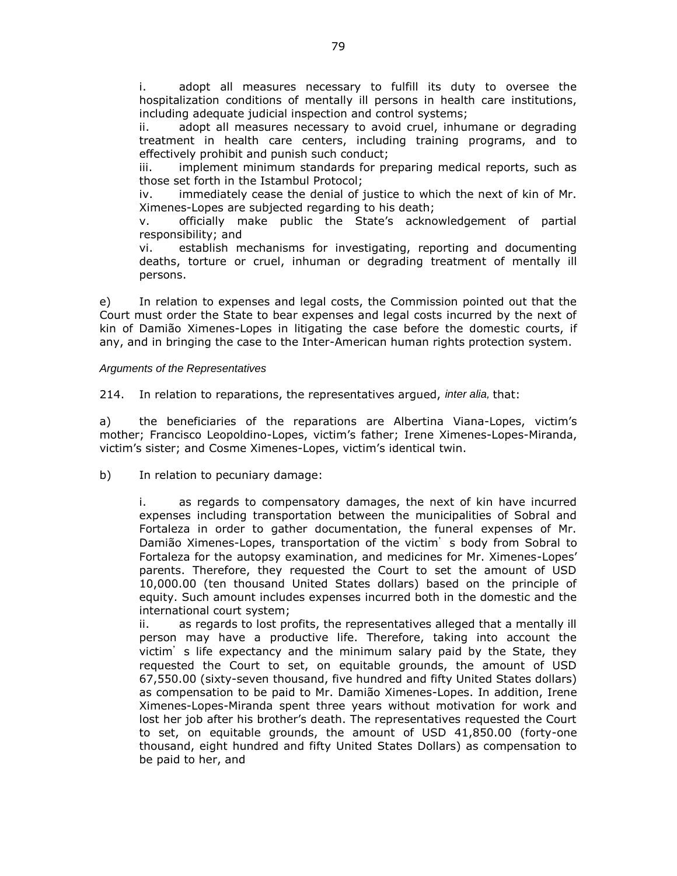i. adopt all measures necessary to fulfill its duty to oversee the hospitalization conditions of mentally ill persons in health care institutions, including adequate judicial inspection and control systems;

ii. adopt all measures necessary to avoid cruel, inhumane or degrading treatment in health care centers, including training programs, and to effectively prohibit and punish such conduct;

iii. implement minimum standards for preparing medical reports, such as those set forth in the Istambul Protocol;

iv. immediately cease the denial of justice to which the next of kin of Mr. Ximenes-Lopes are subjected regarding to his death;

v. officially make public the State's acknowledgement of partial responsibility; and

vi. establish mechanisms for investigating, reporting and documenting deaths, torture or cruel, inhuman or degrading treatment of mentally ill persons.

e) In relation to expenses and legal costs, the Commission pointed out that the Court must order the State to bear expenses and legal costs incurred by the next of kin of Damião Ximenes-Lopes in litigating the case before the domestic courts, if any, and in bringing the case to the Inter-American human rights protection system.

#### *Arguments of the Representatives*

214. In relation to reparations, the representatives argued, *inter alia,* that:

a) the beneficiaries of the reparations are Albertina Viana-Lopes, victim's mother; Francisco Leopoldino-Lopes, victim's father; Irene Ximenes-Lopes-Miranda, victim's sister; and Cosme Ximenes-Lopes, victim's identical twin.

b) In relation to pecuniary damage:

i. as regards to compensatory damages, the next of kin have incurred expenses including transportation between the municipalities of Sobral and Fortaleza in order to gather documentation, the funeral expenses of Mr. Damião Ximenes-Lopes, transportation of the victim's body from Sobral to Fortaleza for the autopsy examination, and medicines for Mr. Ximenes-Lopes' parents. Therefore, they requested the Court to set the amount of USD 10,000.00 (ten thousand United States dollars) based on the principle of equity. Such amount includes expenses incurred both in the domestic and the international court system;

ii. as regards to lost profits, the representatives alleged that a mentally ill person may have a productive life. Therefore, taking into account the victim's life expectancy and the minimum salary paid by the State, they requested the Court to set, on equitable grounds, the amount of USD 67,550.00 (sixty-seven thousand, five hundred and fifty United States dollars) as compensation to be paid to Mr. Damião Ximenes-Lopes. In addition, Irene Ximenes-Lopes-Miranda spent three years without motivation for work and lost her job after his brother's death. The representatives requested the Court to set, on equitable grounds, the amount of USD 41,850.00 (forty-one thousand, eight hundred and fifty United States Dollars) as compensation to be paid to her, and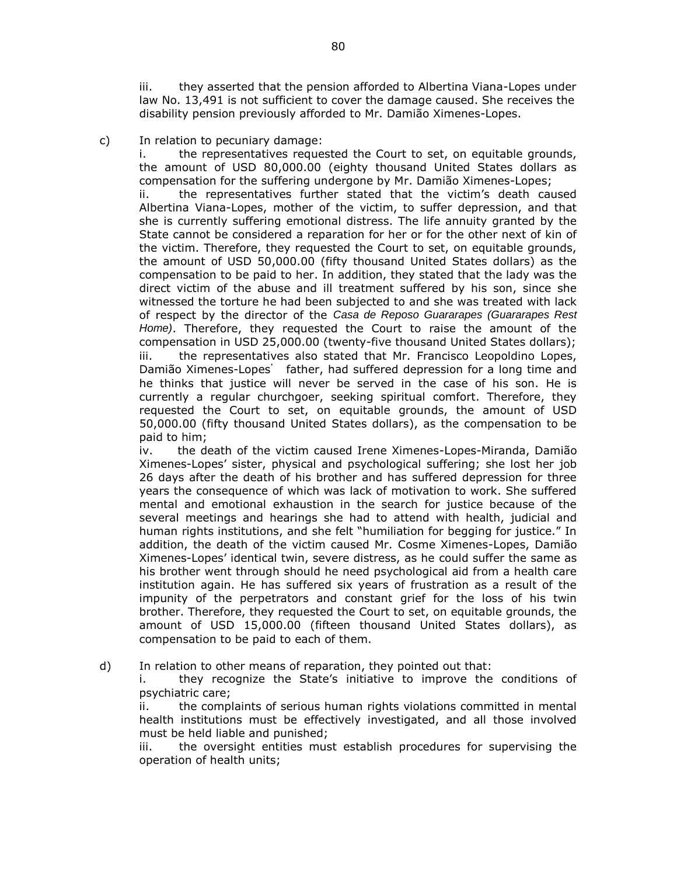iii. they asserted that the pension afforded to Albertina Viana-Lopes under law No. 13,491 is not sufficient to cover the damage caused. She receives the disability pension previously afforded to Mr. Damião Ximenes-Lopes.

## c) In relation to pecuniary damage:

i. the representatives requested the Court to set, on equitable grounds, the amount of USD 80,000.00 (eighty thousand United States dollars as compensation for the suffering undergone by Mr. Damião Ximenes-Lopes;

ii. the representatives further stated that the victim's death caused Albertina Viana-Lopes, mother of the victim, to suffer depression, and that she is currently suffering emotional distress. The life annuity granted by the State cannot be considered a reparation for her or for the other next of kin of the victim. Therefore, they requested the Court to set, on equitable grounds, the amount of USD 50,000.00 (fifty thousand United States dollars) as the compensation to be paid to her. In addition, they stated that the lady was the direct victim of the abuse and ill treatment suffered by his son, since she witnessed the torture he had been subjected to and she was treated with lack of respect by the director of the *Casa de Reposo Guararapes (Guararapes Rest Home)*. Therefore, they requested the Court to raise the amount of the compensation in USD 25,000.00 (twenty-five thousand United States dollars); iii. the representatives also stated that Mr. Francisco Leopoldino Lopes, Damião Ximenes-Lopes' father, had suffered depression for a long time and he thinks that justice will never be served in the case of his son. He is currently a regular churchgoer, seeking spiritual comfort. Therefore, they requested the Court to set, on equitable grounds, the amount of USD 50,000.00 (fifty thousand United States dollars), as the compensation to be paid to him;

iv. the death of the victim caused Irene Ximenes-Lopes-Miranda, Damião Ximenes-Lopes' sister, physical and psychological suffering; she lost her job 26 days after the death of his brother and has suffered depression for three years the consequence of which was lack of motivation to work. She suffered mental and emotional exhaustion in the search for justice because of the several meetings and hearings she had to attend with health, judicial and human rights institutions, and she felt "humiliation for begging for justice." In addition, the death of the victim caused Mr. Cosme Ximenes-Lopes, Damião Ximenes-Lopes' identical twin, severe distress, as he could suffer the same as his brother went through should he need psychological aid from a health care institution again. He has suffered six years of frustration as a result of the impunity of the perpetrators and constant grief for the loss of his twin brother. Therefore, they requested the Court to set, on equitable grounds, the amount of USD 15,000.00 (fifteen thousand United States dollars), as compensation to be paid to each of them.

d) In relation to other means of reparation, they pointed out that:

i. they recognize the State's initiative to improve the conditions of psychiatric care;

ii. the complaints of serious human rights violations committed in mental health institutions must be effectively investigated, and all those involved must be held liable and punished;

iii. the oversight entities must establish procedures for supervising the operation of health units;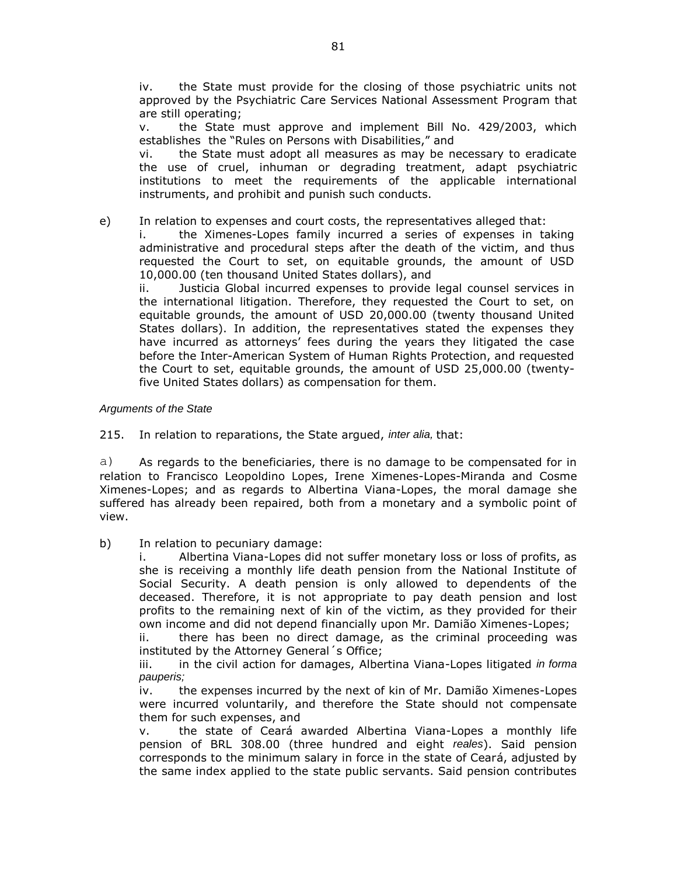iv. the State must provide for the closing of those psychiatric units not approved by the Psychiatric Care Services National Assessment Program that are still operating;

v. the State must approve and implement Bill No. 429/2003, which establishes the "Rules on Persons with Disabilities," and

vi. the State must adopt all measures as may be necessary to eradicate the use of cruel, inhuman or degrading treatment, adapt psychiatric institutions to meet the requirements of the applicable international instruments, and prohibit and punish such conducts.

#### e) In relation to expenses and court costs, the representatives alleged that:

i. the Ximenes-Lopes family incurred a series of expenses in taking administrative and procedural steps after the death of the victim, and thus requested the Court to set, on equitable grounds, the amount of USD 10,000.00 (ten thousand United States dollars), and

ii. Justicia Global incurred expenses to provide legal counsel services in the international litigation. Therefore, they requested the Court to set, on equitable grounds, the amount of USD 20,000.00 (twenty thousand United States dollars). In addition, the representatives stated the expenses they have incurred as attorneys' fees during the years they litigated the case before the Inter-American System of Human Rights Protection, and requested the Court to set, equitable grounds, the amount of USD 25,000.00 (twentyfive United States dollars) as compensation for them.

#### *Arguments of the State*

215. In relation to reparations, the State argued, *inter alia,* that:

a) As regards to the beneficiaries, there is no damage to be compensated for in relation to Francisco Leopoldino Lopes, Irene Ximenes-Lopes-Miranda and Cosme Ximenes-Lopes; and as regards to Albertina Viana-Lopes, the moral damage she suffered has already been repaired, both from a monetary and a symbolic point of view.

b) In relation to pecuniary damage:

i. Albertina Viana-Lopes did not suffer monetary loss or loss of profits, as she is receiving a monthly life death pension from the National Institute of Social Security. A death pension is only allowed to dependents of the deceased. Therefore, it is not appropriate to pay death pension and lost profits to the remaining next of kin of the victim, as they provided for their own income and did not depend financially upon Mr. Damião Ximenes-Lopes;

ii. there has been no direct damage, as the criminal proceeding was instituted by the Attorney General´s Office;

iii. in the civil action for damages, Albertina Viana-Lopes litigated *in forma pauperis;*

iv. the expenses incurred by the next of kin of Mr. Damião Ximenes-Lopes were incurred voluntarily, and therefore the State should not compensate them for such expenses, and

v. the state of Ceará awarded Albertina Viana-Lopes a monthly life pension of BRL 308.00 (three hundred and eight *reales*). Said pension corresponds to the minimum salary in force in the state of Ceará, adjusted by the same index applied to the state public servants. Said pension contributes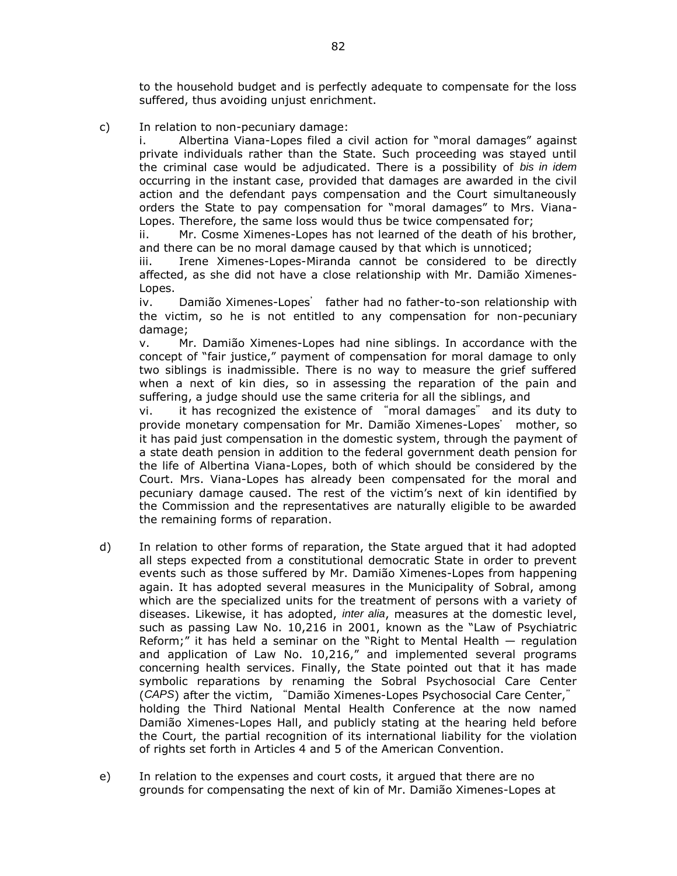to the household budget and is perfectly adequate to compensate for the loss suffered, thus avoiding unjust enrichment.

c) In relation to non-pecuniary damage:

i. Albertina Viana-Lopes filed a civil action for "moral damages" against private individuals rather than the State. Such proceeding was stayed until the criminal case would be adjudicated. There is a possibility of *bis in idem* occurring in the instant case, provided that damages are awarded in the civil action and the defendant pays compensation and the Court simultaneously orders the State to pay compensation for "moral damages" to Mrs. Viana-Lopes. Therefore, the same loss would thus be twice compensated for;

ii. Mr. Cosme Ximenes-Lopes has not learned of the death of his brother, and there can be no moral damage caused by that which is unnoticed;

iii. Irene Ximenes-Lopes-Miranda cannot be considered to be directly affected, as she did not have a close relationship with Mr. Damião Ximenes-Lopes.

iv. Damião Ximenes-Lopes' father had no father-to-son relationship with the victim, so he is not entitled to any compensation for non-pecuniary damage;

v. Mr. Damião Ximenes-Lopes had nine siblings. In accordance with the concept of "fair justice," payment of compensation for moral damage to only two siblings is inadmissible. There is no way to measure the grief suffered when a next of kin dies, so in assessing the reparation of the pain and suffering, a judge should use the same criteria for all the siblings, and

vi. it has recognized the existence of "moral damages" and its duty to provide monetary compensation for Mr. Damião Ximenes-Lopes' mother, so it has paid just compensation in the domestic system, through the payment of a state death pension in addition to the federal government death pension for the life of Albertina Viana-Lopes, both of which should be considered by the Court. Mrs. Viana-Lopes has already been compensated for the moral and pecuniary damage caused. The rest of the victim's next of kin identified by the Commission and the representatives are naturally eligible to be awarded the remaining forms of reparation.

- d) In relation to other forms of reparation, the State argued that it had adopted all steps expected from a constitutional democratic State in order to prevent events such as those suffered by Mr. Damião Ximenes-Lopes from happening again. It has adopted several measures in the Municipality of Sobral, among which are the specialized units for the treatment of persons with a variety of diseases. Likewise, it has adopted, *inter alia*, measures at the domestic level, such as passing Law No. 10,216 in 2001, known as the "Law of Psychiatric Reform;" it has held a seminar on the "Right to Mental Health  $-$  regulation and application of Law No. 10,216," and implemented several programs concerning health services. Finally, the State pointed out that it has made symbolic reparations by renaming the Sobral Psychosocial Care Center (*CAPS*) after the victim, "Damião Ximenes-Lopes Psychosocial Care Center," holding the Third National Mental Health Conference at the now named Damião Ximenes-Lopes Hall, and publicly stating at the hearing held before the Court, the partial recognition of its international liability for the violation of rights set forth in Articles 4 and 5 of the American Convention.
- e) In relation to the expenses and court costs, it argued that there are no grounds for compensating the next of kin of Mr. Damião Ximenes-Lopes at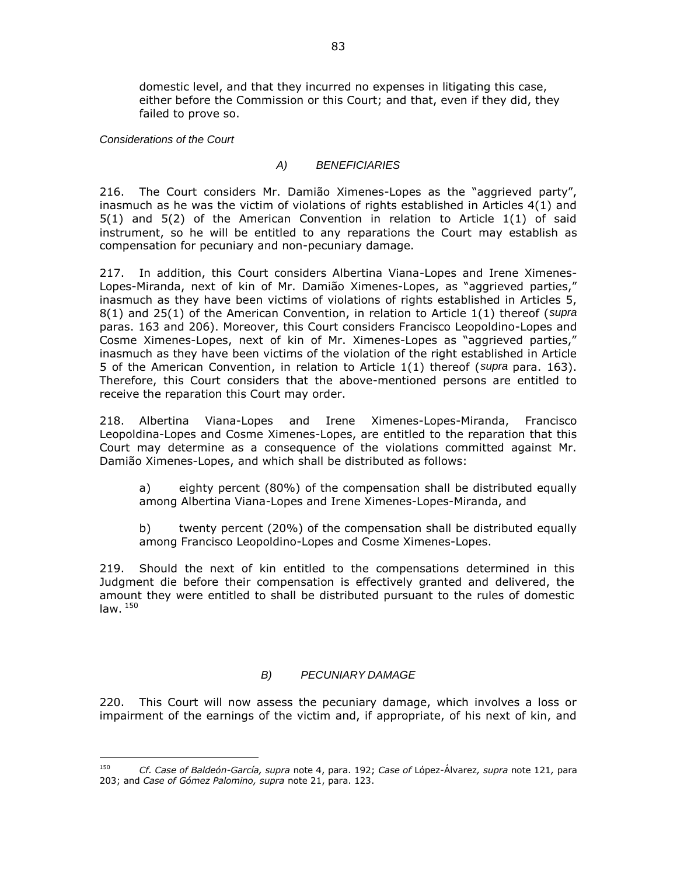domestic level, and that they incurred no expenses in litigating this case, either before the Commission or this Court; and that, even if they did, they failed to prove so.

*Considerations of the Court*

 $\overline{a}$ 

### *A) BENEFICIARIES*

216. The Court considers Mr. Damião Ximenes-Lopes as the "aggrieved party", inasmuch as he was the victim of violations of rights established in Articles 4(1) and 5(1) and 5(2) of the American Convention in relation to Article 1(1) of said instrument, so he will be entitled to any reparations the Court may establish as compensation for pecuniary and non-pecuniary damage.

217. In addition, this Court considers Albertina Viana-Lopes and Irene Ximenes-Lopes-Miranda, next of kin of Mr. Damião Ximenes-Lopes, as "aggrieved parties," inasmuch as they have been victims of violations of rights established in Articles 5, 8(1) and 25(1) of the American Convention, in relation to Article 1(1) thereof (*supra*  paras. 163 and 206). Moreover, this Court considers Francisco Leopoldino-Lopes and Cosme Ximenes-Lopes, next of kin of Mr. Ximenes-Lopes as "aggrieved parties," inasmuch as they have been victims of the violation of the right established in Article 5 of the American Convention, in relation to Article 1(1) thereof (*supra* para. 163). Therefore, this Court considers that the above-mentioned persons are entitled to receive the reparation this Court may order.

218. Albertina Viana-Lopes and Irene Ximenes-Lopes-Miranda, Francisco Leopoldina-Lopes and Cosme Ximenes-Lopes, are entitled to the reparation that this Court may determine as a consequence of the violations committed against Mr. Damião Ximenes-Lopes, and which shall be distributed as follows:

a) eighty percent (80%) of the compensation shall be distributed equally among Albertina Viana-Lopes and Irene Ximenes-Lopes-Miranda, and

b) twenty percent (20%) of the compensation shall be distributed equally among Francisco Leopoldino-Lopes and Cosme Ximenes-Lopes.

219. Should the next of kin entitled to the compensations determined in this Judgment die before their compensation is effectively granted and delivered, the amount they were entitled to shall be distributed pursuant to the rules of domestic law.  $150$ 

### *B) PECUNIARY DAMAGE*

220. This Court will now assess the pecuniary damage, which involves a loss or impairment of the earnings of the victim and, if appropriate, of his next of kin, and

<sup>150</sup> *Cf. Case of Baldeón-García, supra* note 4, para. 192; *Case of* López-Álvarez*, supra* note 121*,* para 203; and *Case of Gómez Palomino, supra* note 21, para. 123.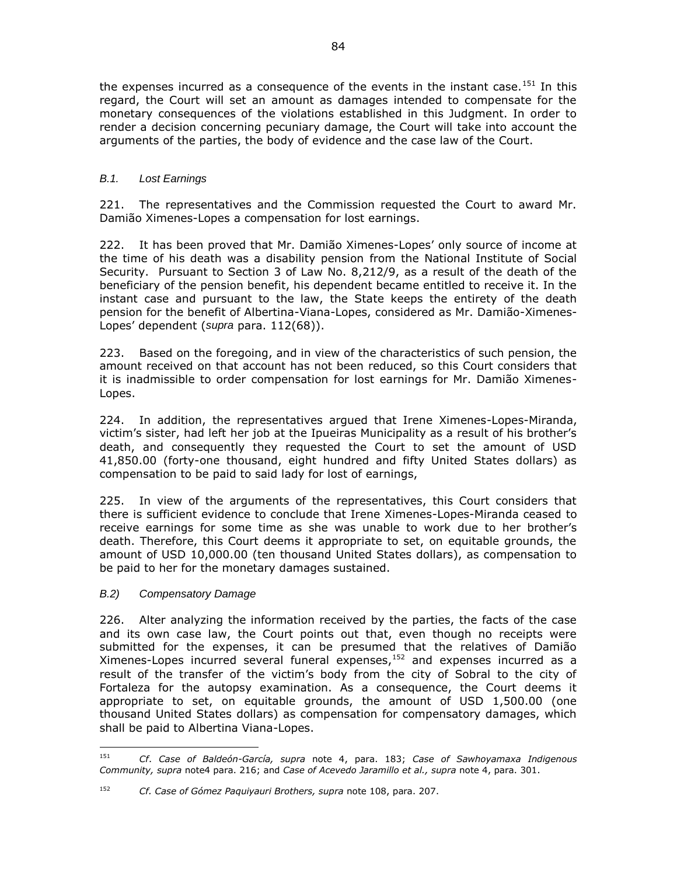the expenses incurred as a consequence of the events in the instant case.<sup>151</sup> In this regard, the Court will set an amount as damages intended to compensate for the monetary consequences of the violations established in this Judgment. In order to render a decision concerning pecuniary damage, the Court will take into account the arguments of the parties, the body of evidence and the case law of the Court.

## *B.1. Lost Earnings*

221. The representatives and the Commission requested the Court to award Mr. Damião Ximenes-Lopes a compensation for lost earnings.

222. It has been proved that Mr. Damião Ximenes-Lopes' only source of income at the time of his death was a disability pension from the National Institute of Social Security. Pursuant to Section 3 of Law No. 8,212/9, as a result of the death of the beneficiary of the pension benefit, his dependent became entitled to receive it. In the instant case and pursuant to the law, the State keeps the entirety of the death pension for the benefit of Albertina-Viana-Lopes, considered as Mr. Damião-Ximenes-Lopes' dependent (*supra* para. 112(68)).

223. Based on the foregoing, and in view of the characteristics of such pension, the amount received on that account has not been reduced, so this Court considers that it is inadmissible to order compensation for lost earnings for Mr. Damião Ximenes-Lopes.

224. In addition, the representatives argued that Irene Ximenes-Lopes-Miranda, victim's sister, had left her job at the Ipueiras Municipality as a result of his brother's death, and consequently they requested the Court to set the amount of USD 41,850.00 (forty-one thousand, eight hundred and fifty United States dollars) as compensation to be paid to said lady for lost of earnings,

225. In view of the arguments of the representatives, this Court considers that there is sufficient evidence to conclude that Irene Ximenes-Lopes-Miranda ceased to receive earnings for some time as she was unable to work due to her brother's death. Therefore, this Court deems it appropriate to set, on equitable grounds, the amount of USD 10,000.00 (ten thousand United States dollars), as compensation to be paid to her for the monetary damages sustained.

### *B.2) Compensatory Damage*

226. Alter analyzing the information received by the parties, the facts of the case and its own case law, the Court points out that, even though no receipts were submitted for the expenses, it can be presumed that the relatives of Damião Ximenes-Lopes incurred several funeral expenses,<sup>152</sup> and expenses incurred as a result of the transfer of the victim's body from the city of Sobral to the city of Fortaleza for the autopsy examination. As a consequence, the Court deems it appropriate to set, on equitable grounds, the amount of USD 1,500.00 (one thousand United States dollars) as compensation for compensatory damages, which shall be paid to Albertina Viana-Lopes.

<sup>151</sup> <sup>151</sup> *Cf*. *Case of Baldeón-García, supra* note 4, para. 183; *Case of Sawhoyamaxa Indigenous Community, supra* note4 para. 216; and *Case of Acevedo Jaramillo et al., supra* note 4, para. 301.

<sup>152</sup> *Cf. Case of Gómez Paquiyauri Brothers, supra* note 108, para. 207.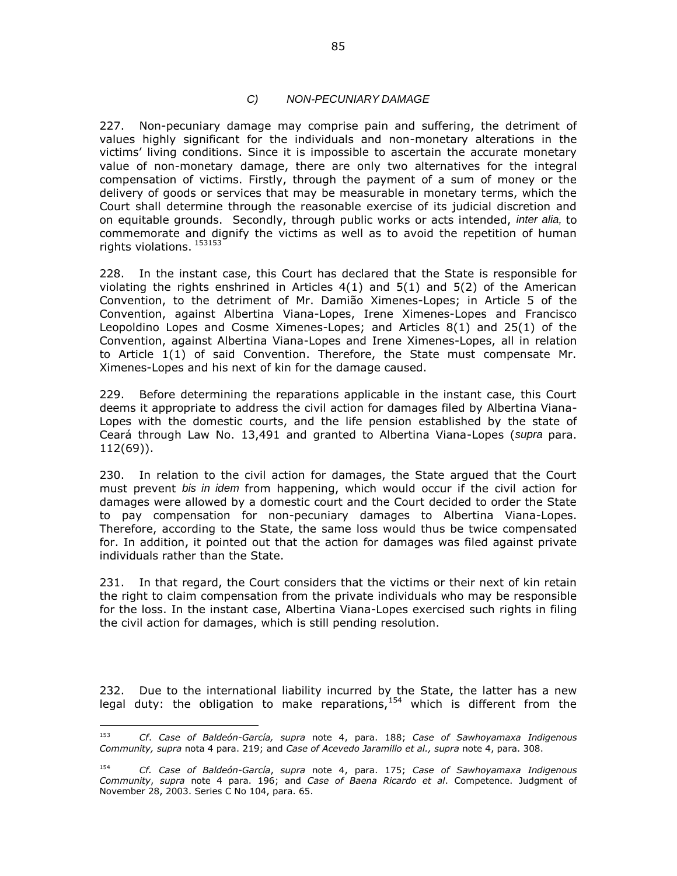#### *C) NON-PECUNIARY DAMAGE*

227. Non-pecuniary damage may comprise pain and suffering, the detriment of values highly significant for the individuals and non-monetary alterations in the victims' living conditions. Since it is impossible to ascertain the accurate monetary value of non-monetary damage, there are only two alternatives for the integral compensation of victims. Firstly, through the payment of a sum of money or the delivery of goods or services that may be measurable in monetary terms, which the Court shall determine through the reasonable exercise of its judicial discretion and on equitable grounds. Secondly, through public works or acts intended, *inter alia,* to commemorate and dignify the victims as well as to avoid the repetition of human rights violations. 153153

228. In the instant case, this Court has declared that the State is responsible for violating the rights enshrined in Articles  $4(1)$  and  $5(1)$  and  $5(2)$  of the American Convention, to the detriment of Mr. Damião Ximenes-Lopes; in Article 5 of the Convention, against Albertina Viana-Lopes, Irene Ximenes-Lopes and Francisco Leopoldino Lopes and Cosme Ximenes-Lopes; and Articles 8(1) and 25(1) of the Convention, against Albertina Viana-Lopes and Irene Ximenes-Lopes, all in relation to Article 1(1) of said Convention. Therefore, the State must compensate Mr. Ximenes-Lopes and his next of kin for the damage caused.

229. Before determining the reparations applicable in the instant case, this Court deems it appropriate to address the civil action for damages filed by Albertina Viana-Lopes with the domestic courts, and the life pension established by the state of Ceará through Law No. 13,491 and granted to Albertina Viana-Lopes (*supra* para. 112(69)).

230. In relation to the civil action for damages, the State argued that the Court must prevent *bis in idem* from happening, which would occur if the civil action for damages were allowed by a domestic court and the Court decided to order the State to pay compensation for non-pecuniary damages to Albertina Viana-Lopes. Therefore, according to the State, the same loss would thus be twice compensated for. In addition, it pointed out that the action for damages was filed against private individuals rather than the State.

231. In that regard, the Court considers that the victims or their next of kin retain the right to claim compensation from the private individuals who may be responsible for the loss. In the instant case, Albertina Viana-Lopes exercised such rights in filing the civil action for damages, which is still pending resolution.

232. Due to the international liability incurred by the State, the latter has a new legal duty: the obligation to make reparations,  $154$  which is different from the

<sup>153</sup> <sup>153</sup> *Cf*. *Case of Baldeón-García, supra* note 4, para. 188; *Case of Sawhoyamaxa Indigenous Community, supra* nota 4 para. 219; and *Case of Acevedo Jaramillo et al., supra* note 4, para. 308.

<sup>154</sup> *Cf. Case of Baldeón-García*, *supra* note 4, para. 175; *Case of Sawhoyamaxa Indigenous Community*, *supra* note 4 para. 196; and *Case of Baena Ricardo et al*. Competence. Judgment of November 28, 2003. Series C No 104, para. 65.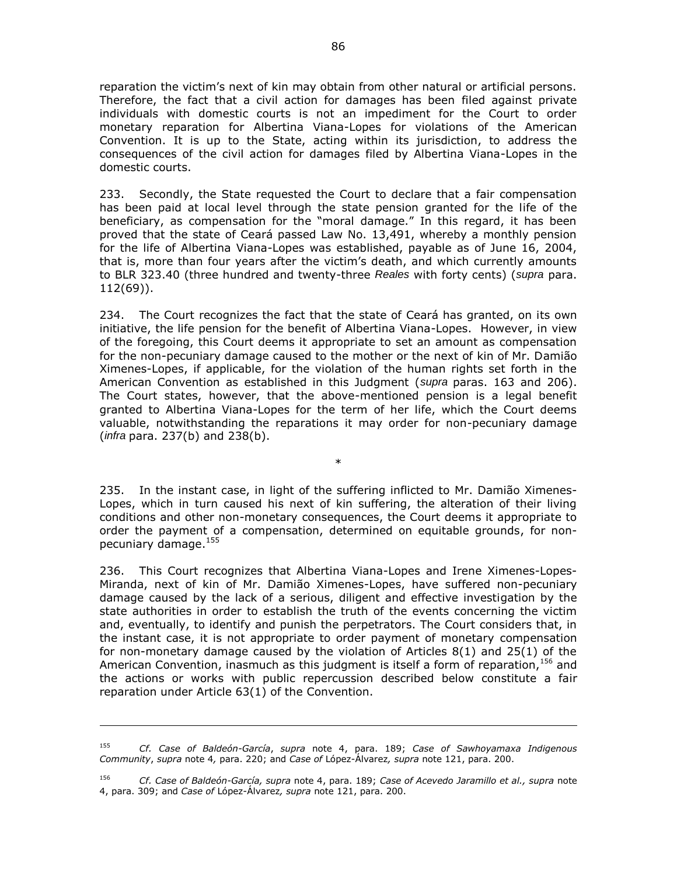reparation the victim's next of kin may obtain from other natural or artificial persons. Therefore, the fact that a civil action for damages has been filed against private individuals with domestic courts is not an impediment for the Court to order monetary reparation for Albertina Viana-Lopes for violations of the American Convention. It is up to the State, acting within its jurisdiction, to address the consequences of the civil action for damages filed by Albertina Viana-Lopes in the domestic courts.

233. Secondly, the State requested the Court to declare that a fair compensation has been paid at local level through the state pension granted for the life of the beneficiary, as compensation for the "moral damage." In this regard, it has been proved that the state of Ceará passed Law No. 13,491, whereby a monthly pension for the life of Albertina Viana-Lopes was established, payable as of June 16, 2004, that is, more than four years after the victim's death, and which currently amounts to BLR 323.40 (three hundred and twenty-three *Reales* with forty cents) (*supra* para. 112(69)).

234. The Court recognizes the fact that the state of Ceará has granted, on its own initiative, the life pension for the benefit of Albertina Viana-Lopes. However, in view of the foregoing, this Court deems it appropriate to set an amount as compensation for the non-pecuniary damage caused to the mother or the next of kin of Mr. Damião Ximenes-Lopes, if applicable, for the violation of the human rights set forth in the American Convention as established in this Judgment (*supra* paras. 163 and 206). The Court states, however, that the above-mentioned pension is a legal benefit granted to Albertina Viana-Lopes for the term of her life, which the Court deems valuable, notwithstanding the reparations it may order for non-pecuniary damage (*infra* para. 237(b) and 238(b).

235. In the instant case, in light of the suffering inflicted to Mr. Damião Ximenes-Lopes, which in turn caused his next of kin suffering, the alteration of their living conditions and other non-monetary consequences, the Court deems it appropriate to order the payment of a compensation, determined on equitable grounds, for nonpecuniary damage.<sup>155</sup>

\*

236. This Court recognizes that Albertina Viana-Lopes and Irene Ximenes-Lopes-Miranda, next of kin of Mr. Damião Ximenes-Lopes, have suffered non-pecuniary damage caused by the lack of a serious, diligent and effective investigation by the state authorities in order to establish the truth of the events concerning the victim and, eventually, to identify and punish the perpetrators. The Court considers that, in the instant case, it is not appropriate to order payment of monetary compensation for non-monetary damage caused by the violation of Articles 8(1) and 25(1) of the American Convention, inasmuch as this judgment is itself a form of reparation,  $^{156}$  and the actions or works with public repercussion described below constitute a fair reparation under Article 63(1) of the Convention.

 $\overline{a}$ 

<sup>155</sup> *Cf. Case of Baldeón-García*, *supra* note 4, para. 189; *Case of Sawhoyamaxa Indigenous Community*, *supra* note 4*,* para. 220; and *Case of* López-Álvarez*, supra* note 121, para. 200.

<sup>156</sup> *Cf. Case of Baldeón-García, supra* note 4, para. 189; *Case of Acevedo Jaramillo et al., supra* note 4, para. 309; and *Case of* López-Álvarez*, supra* note 121, para. 200.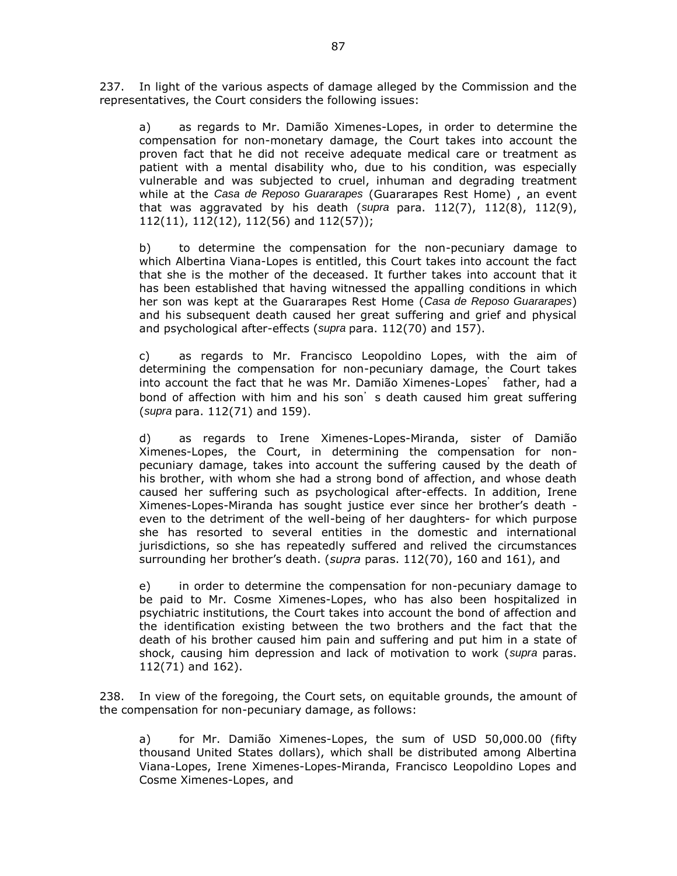237. In light of the various aspects of damage alleged by the Commission and the representatives, the Court considers the following issues:

a) as regards to Mr. Damião Ximenes-Lopes, in order to determine the compensation for non-monetary damage, the Court takes into account the proven fact that he did not receive adequate medical care or treatment as patient with a mental disability who, due to his condition, was especially vulnerable and was subjected to cruel, inhuman and degrading treatment while at the *Casa de Reposo Guararapes* (Guararapes Rest Home) , an event that was aggravated by his death (*supra* para. 112(7), 112(8), 112(9), 112(11), 112(12), 112(56) and 112(57));

b) to determine the compensation for the non-pecuniary damage to which Albertina Viana-Lopes is entitled, this Court takes into account the fact that she is the mother of the deceased. It further takes into account that it has been established that having witnessed the appalling conditions in which her son was kept at the Guararapes Rest Home (*Casa de Reposo Guararapes*) and his subsequent death caused her great suffering and grief and physical and psychological after-effects (*supra* para. 112(70) and 157).

c) as regards to Mr. Francisco Leopoldino Lopes, with the aim of determining the compensation for non-pecuniary damage, the Court takes into account the fact that he was Mr. Damião Ximenes-Lopes' father, had a bond of affection with him and his son's death caused him great suffering (*supra* para. 112(71) and 159).

d) as regards to Irene Ximenes-Lopes-Miranda, sister of Damião Ximenes-Lopes, the Court, in determining the compensation for nonpecuniary damage, takes into account the suffering caused by the death of his brother, with whom she had a strong bond of affection, and whose death caused her suffering such as psychological after-effects. In addition, Irene Ximenes-Lopes-Miranda has sought justice ever since her brother's death even to the detriment of the well-being of her daughters- for which purpose she has resorted to several entities in the domestic and international jurisdictions, so she has repeatedly suffered and relived the circumstances surrounding her brother's death. (*supra* paras. 112(70), 160 and 161), and

e) in order to determine the compensation for non-pecuniary damage to be paid to Mr. Cosme Ximenes-Lopes, who has also been hospitalized in psychiatric institutions, the Court takes into account the bond of affection and the identification existing between the two brothers and the fact that the death of his brother caused him pain and suffering and put him in a state of shock, causing him depression and lack of motivation to work (*supra* paras. 112(71) and 162).

238. In view of the foregoing, the Court sets, on equitable grounds, the amount of the compensation for non-pecuniary damage, as follows:

a) for Mr. Damião Ximenes-Lopes, the sum of USD 50,000.00 (fifty thousand United States dollars), which shall be distributed among Albertina Viana-Lopes, Irene Ximenes-Lopes-Miranda, Francisco Leopoldino Lopes and Cosme Ximenes-Lopes, and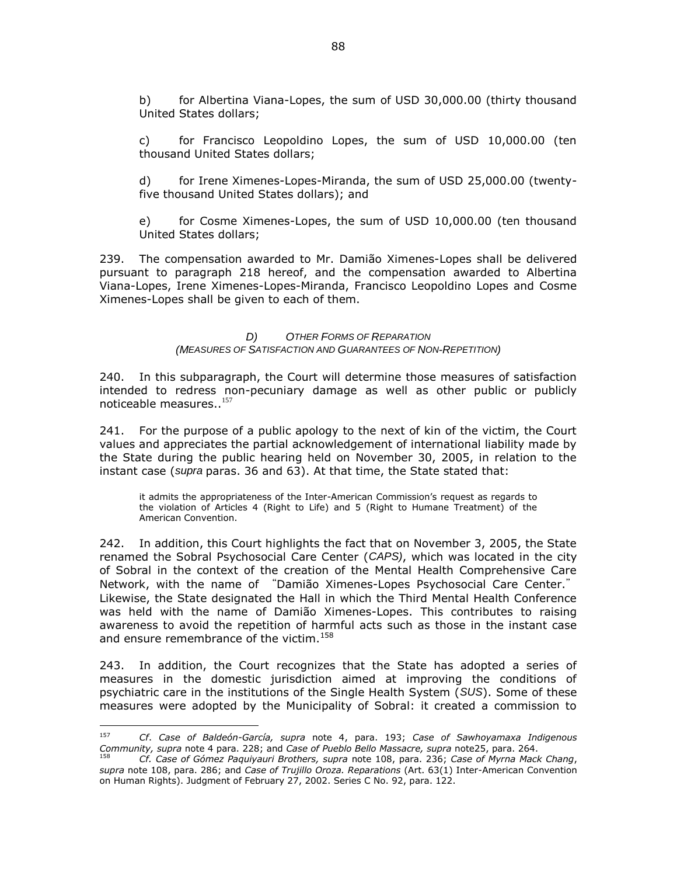b) for Albertina Viana-Lopes, the sum of USD 30,000.00 (thirty thousand United States dollars;

c) for Francisco Leopoldino Lopes, the sum of USD 10,000.00 (ten thousand United States dollars;

d) for Irene Ximenes-Lopes-Miranda, the sum of USD 25,000.00 (twentyfive thousand United States dollars); and

e) for Cosme Ximenes-Lopes, the sum of USD 10,000.00 (ten thousand United States dollars;

239. The compensation awarded to Mr. Damião Ximenes-Lopes shall be delivered pursuant to paragraph 218 hereof, and the compensation awarded to Albertina Viana-Lopes, Irene Ximenes-Lopes-Miranda, Francisco Leopoldino Lopes and Cosme Ximenes-Lopes shall be given to each of them.

#### *D) OTHER FORMS OF REPARATION (MEASURES OF SATISFACTION AND GUARANTEES OF NON-REPETITION)*

240. In this subparagraph, the Court will determine those measures of satisfaction intended to redress non-pecuniary damage as well as other public or publicly noticeable measures..<sup>157</sup>

241. For the purpose of a public apology to the next of kin of the victim, the Court values and appreciates the partial acknowledgement of international liability made by the State during the public hearing held on November 30, 2005, in relation to the instant case (*supra* paras. 36 and 63). At that time, the State stated that:

it admits the appropriateness of the Inter-American Commission's request as regards to the violation of Articles 4 (Right to Life) and 5 (Right to Humane Treatment) of the American Convention.

242. In addition, this Court highlights the fact that on November 3, 2005, the State renamed the Sobral Psychosocial Care Center (*CAPS)*, which was located in the city of Sobral in the context of the creation of the Mental Health Comprehensive Care Network, with the name of "Damião Ximenes-Lopes Psychosocial Care Center." Likewise, the State designated the Hall in which the Third Mental Health Conference was held with the name of Damião Ximenes-Lopes. This contributes to raising awareness to avoid the repetition of harmful acts such as those in the instant case and ensure remembrance of the victim.<sup>158</sup>

243. In addition, the Court recognizes that the State has adopted a series of measures in the domestic jurisdiction aimed at improving the conditions of psychiatric care in the institutions of the Single Health System (*SUS*). Some of these measures were adopted by the Municipality of Sobral: it created a commission to

<sup>157</sup> <sup>157</sup> *Cf*. *Case of Baldeón-García, supra* note 4, para. 193; *Case of Sawhoyamaxa Indigenous Community, supra* note 4 para. 228; and *Case of Pueblo Bello Massacre, supra* note25, para. 264.

<sup>158</sup> *Cf. Case of Gómez Paquiyauri Brothers, supra* note 108, para. 236; *Case of Myrna Mack Chang*, *supra* note 108, para. 286; and *Case of Trujillo Oroza. Reparations* (Art. 63(1) Inter-American Convention on Human Rights). Judgment of February 27, 2002. Series C No. 92, para. 122.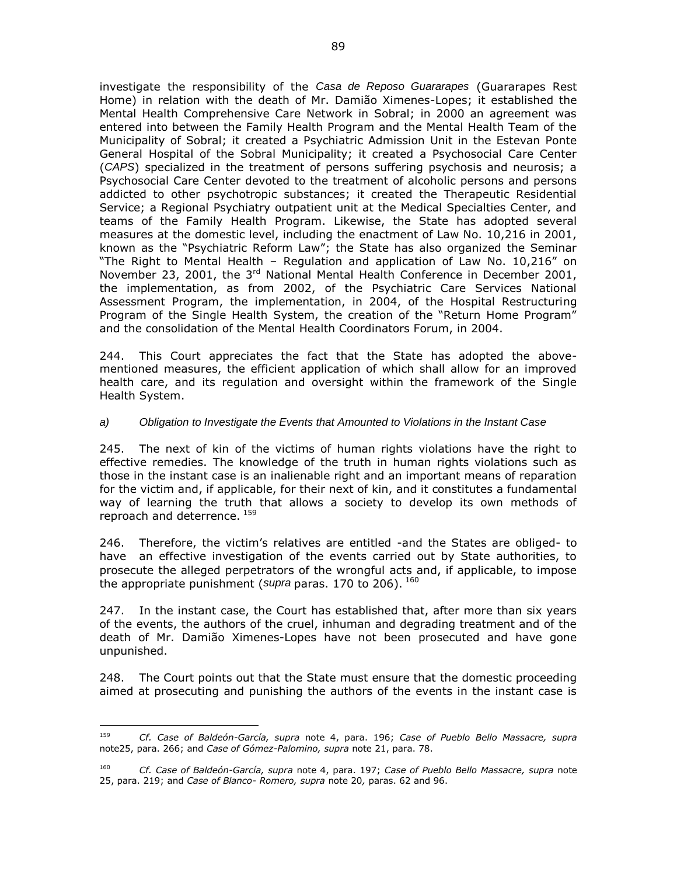investigate the responsibility of the *Casa de Reposo Guararapes* (Guararapes Rest Home) in relation with the death of Mr. Damião Ximenes-Lopes; it established the Mental Health Comprehensive Care Network in Sobral; in 2000 an agreement was entered into between the Family Health Program and the Mental Health Team of the Municipality of Sobral; it created a Psychiatric Admission Unit in the Estevan Ponte General Hospital of the Sobral Municipality; it created a Psychosocial Care Center (*CAPS*) specialized in the treatment of persons suffering psychosis and neurosis; a Psychosocial Care Center devoted to the treatment of alcoholic persons and persons addicted to other psychotropic substances; it created the Therapeutic Residential Service; a Regional Psychiatry outpatient unit at the Medical Specialties Center, and teams of the Family Health Program. Likewise, the State has adopted several measures at the domestic level, including the enactment of Law No. 10,216 in 2001, known as the "Psychiatric Reform Law"; the State has also organized the Seminar "The Right to Mental Health – Regulation and application of Law No. 10,216" on November 23, 2001, the 3<sup>rd</sup> National Mental Health Conference in December 2001, the implementation, as from 2002, of the Psychiatric Care Services National Assessment Program, the implementation, in 2004, of the Hospital Restructuring Program of the Single Health System, the creation of the "Return Home Program" and the consolidation of the Mental Health Coordinators Forum, in 2004.

244. This Court appreciates the fact that the State has adopted the abovementioned measures, the efficient application of which shall allow for an improved health care, and its regulation and oversight within the framework of the Single Health System.

### *a) Obligation to Investigate the Events that Amounted to Violations in the Instant Case*

245. The next of kin of the victims of human rights violations have the right to effective remedies. The knowledge of the truth in human rights violations such as those in the instant case is an inalienable right and an important means of reparation for the victim and, if applicable, for their next of kin, and it constitutes a fundamental way of learning the truth that allows a society to develop its own methods of reproach and deterrence. 159

246. Therefore, the victim's relatives are entitled -and the States are obliged- to have an effective investigation of the events carried out by State authorities, to prosecute the alleged perpetrators of the wrongful acts and, if applicable, to impose the appropriate punishment (*supra* paras. 170 to 206). <sup>160</sup>

247. In the instant case, the Court has established that, after more than six years of the events, the authors of the cruel, inhuman and degrading treatment and of the death of Mr. Damião Ximenes-Lopes have not been prosecuted and have gone unpunished.

248. The Court points out that the State must ensure that the domestic proceeding aimed at prosecuting and punishing the authors of the events in the instant case is

 $159$ <sup>159</sup> *Cf. Case of Baldeón-García, supra* note 4, para. 196; *Case of Pueblo Bello Massacre, supra*  note25, para. 266; and *Case of Gómez-Palomino, supra* note 21, para. 78.

<sup>160</sup> *Cf. Case of Baldeón-García, supra* note 4, para. 197; *Case of Pueblo Bello Massacre, supra* note 25, para. 219; and *Case of Blanco- Romero, supra* note 20*,* paras. 62 and 96.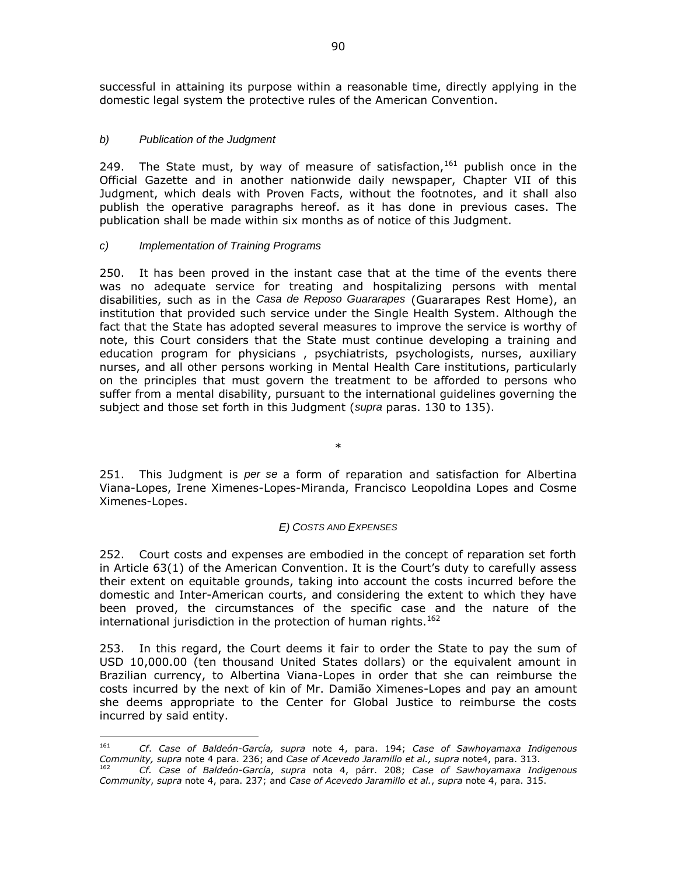successful in attaining its purpose within a reasonable time, directly applying in the domestic legal system the protective rules of the American Convention.

### *b) Publication of the Judgment*

249. The State must, by way of measure of satisfaction,  $161$  publish once in the Official Gazette and in another nationwide daily newspaper, Chapter VII of this Judgment, which deals with Proven Facts, without the footnotes, and it shall also publish the operative paragraphs hereof. as it has done in previous cases. The publication shall be made within six months as of notice of this Judgment.

#### *c) Implementation of Training Programs*

250. It has been proved in the instant case that at the time of the events there was no adequate service for treating and hospitalizing persons with mental disabilities, such as in the *Casa de Reposo Guararapes* (Guararapes Rest Home), an institution that provided such service under the Single Health System. Although the fact that the State has adopted several measures to improve the service is worthy of note, this Court considers that the State must continue developing a training and education program for physicians , psychiatrists, psychologists, nurses, auxiliary nurses, and all other persons working in Mental Health Care institutions, particularly on the principles that must govern the treatment to be afforded to persons who suffer from a mental disability, pursuant to the international guidelines governing the subject and those set forth in this Judgment (*supra* paras. 130 to 135).

251. This Judgment is *per se* a form of reparation and satisfaction for Albertina Viana-Lopes, Irene Ximenes-Lopes-Miranda, Francisco Leopoldina Lopes and Cosme Ximenes-Lopes.

\*

### *E) COSTS AND EXPENSES*

252. Court costs and expenses are embodied in the concept of reparation set forth in Article 63(1) of the American Convention. It is the Court's duty to carefully assess their extent on equitable grounds, taking into account the costs incurred before the domestic and Inter-American courts, and considering the extent to which they have been proved, the circumstances of the specific case and the nature of the international jurisdiction in the protection of human rights. $162$ 

253. In this regard, the Court deems it fair to order the State to pay the sum of USD 10,000.00 (ten thousand United States dollars) or the equivalent amount in Brazilian currency, to Albertina Viana-Lopes in order that she can reimburse the costs incurred by the next of kin of Mr. Damião Ximenes-Lopes and pay an amount she deems appropriate to the Center for Global Justice to reimburse the costs incurred by said entity.

<sup>161</sup> <sup>161</sup> *Cf*. *Case of Baldeón-García, supra* note 4, para. 194; *Case of Sawhoyamaxa Indigenous Community, supra* note 4 para. 236; and *Case of Acevedo Jaramillo et al., supra* note4, para. 313.

<sup>162</sup> *Cf. Case of Baldeón-García*, *supra* nota 4, párr. 208; *Case of Sawhoyamaxa Indigenous Community*, *supra* note 4, para. 237; and *Case of Acevedo Jaramillo et al.*, *supra* note 4, para. 315.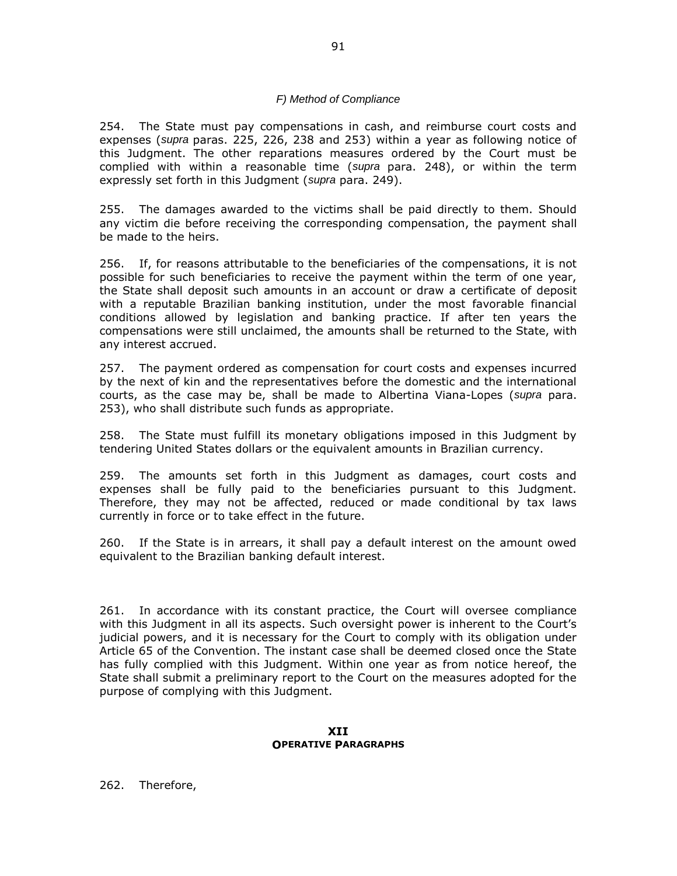#### *F) Method of Compliance*

254. The State must pay compensations in cash, and reimburse court costs and expenses (*supra* paras. 225, 226, 238 and 253) within a year as following notice of this Judgment. The other reparations measures ordered by the Court must be complied with within a reasonable time (*supra* para. 248), or within the term expressly set forth in this Judgment (*supra* para. 249).

255. The damages awarded to the victims shall be paid directly to them. Should any victim die before receiving the corresponding compensation, the payment shall be made to the heirs.

256. If, for reasons attributable to the beneficiaries of the compensations, it is not possible for such beneficiaries to receive the payment within the term of one year, the State shall deposit such amounts in an account or draw a certificate of deposit with a reputable Brazilian banking institution, under the most favorable financial conditions allowed by legislation and banking practice. If after ten years the compensations were still unclaimed, the amounts shall be returned to the State, with any interest accrued.

257. The payment ordered as compensation for court costs and expenses incurred by the next of kin and the representatives before the domestic and the international courts, as the case may be, shall be made to Albertina Viana-Lopes (*supra* para. 253), who shall distribute such funds as appropriate.

258. The State must fulfill its monetary obligations imposed in this Judgment by tendering United States dollars or the equivalent amounts in Brazilian currency.

259. The amounts set forth in this Judgment as damages, court costs and expenses shall be fully paid to the beneficiaries pursuant to this Judgment. Therefore, they may not be affected, reduced or made conditional by tax laws currently in force or to take effect in the future.

260. If the State is in arrears, it shall pay a default interest on the amount owed equivalent to the Brazilian banking default interest.

261. In accordance with its constant practice, the Court will oversee compliance with this Judgment in all its aspects. Such oversight power is inherent to the Court's judicial powers, and it is necessary for the Court to comply with its obligation under Article 65 of the Convention. The instant case shall be deemed closed once the State has fully complied with this Judgment. Within one year as from notice hereof, the State shall submit a preliminary report to the Court on the measures adopted for the purpose of complying with this Judgment.

#### **XII OPERATIVE PARAGRAPHS**

262. Therefore,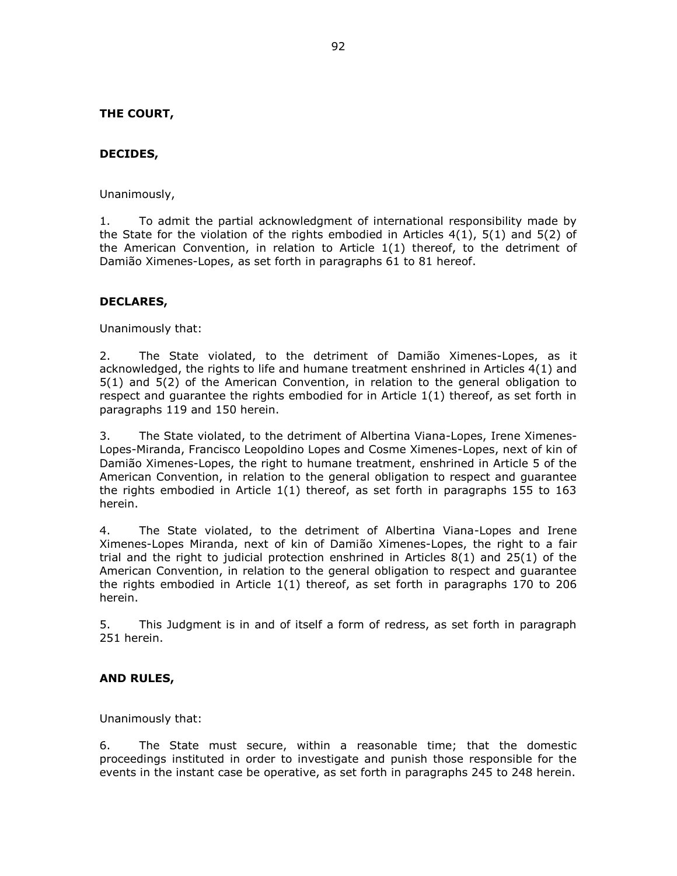## **THE COURT,**

### **DECIDES,**

Unanimously,

1. To admit the partial acknowledgment of international responsibility made by the State for the violation of the rights embodied in Articles  $4(1)$ ,  $5(1)$  and  $5(2)$  of the American Convention, in relation to Article 1(1) thereof, to the detriment of Damião Ximenes-Lopes, as set forth in paragraphs 61 to 81 hereof.

### **DECLARES,**

Unanimously that:

2. The State violated, to the detriment of Damião Ximenes-Lopes, as it acknowledged, the rights to life and humane treatment enshrined in Articles 4(1) and 5(1) and 5(2) of the American Convention, in relation to the general obligation to respect and guarantee the rights embodied for in Article 1(1) thereof, as set forth in paragraphs 119 and 150 herein.

3. The State violated, to the detriment of Albertina Viana-Lopes, Irene Ximenes-Lopes-Miranda, Francisco Leopoldino Lopes and Cosme Ximenes-Lopes, next of kin of Damião Ximenes-Lopes, the right to humane treatment, enshrined in Article 5 of the American Convention, in relation to the general obligation to respect and guarantee the rights embodied in Article 1(1) thereof, as set forth in paragraphs 155 to 163 herein.

4. The State violated, to the detriment of Albertina Viana-Lopes and Irene Ximenes-Lopes Miranda, next of kin of Damião Ximenes-Lopes, the right to a fair trial and the right to judicial protection enshrined in Articles 8(1) and 25(1) of the American Convention, in relation to the general obligation to respect and guarantee the rights embodied in Article 1(1) thereof, as set forth in paragraphs 170 to 206 herein.

5. This Judgment is in and of itself a form of redress, as set forth in paragraph 251 herein.

### **AND RULES,**

Unanimously that:

6. The State must secure, within a reasonable time; that the domestic proceedings instituted in order to investigate and punish those responsible for the events in the instant case be operative, as set forth in paragraphs 245 to 248 herein.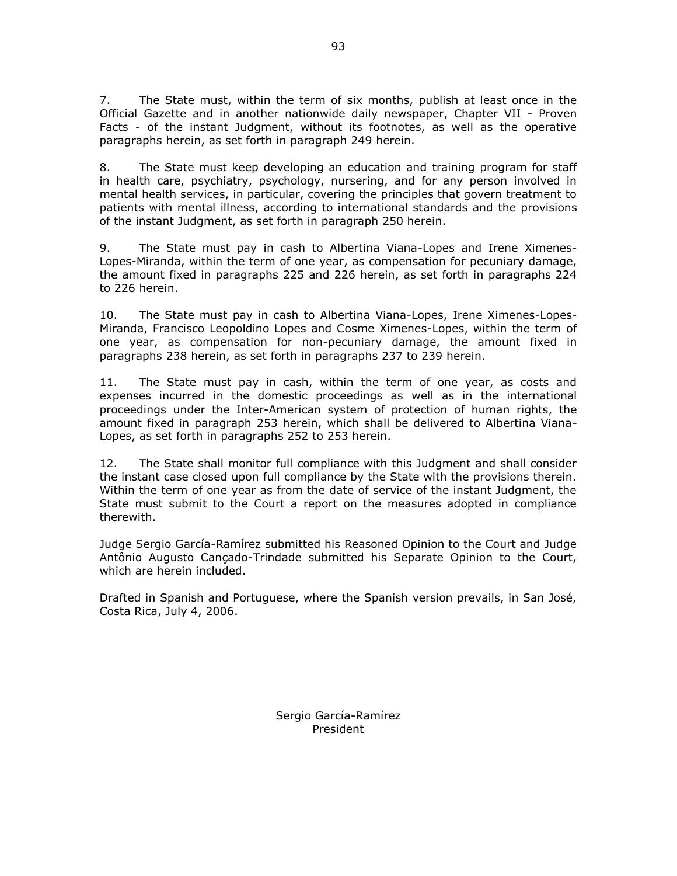7. The State must, within the term of six months, publish at least once in the Official Gazette and in another nationwide daily newspaper, Chapter VII - Proven Facts - of the instant Judgment, without its footnotes, as well as the operative paragraphs herein, as set forth in paragraph 249 herein.

8. The State must keep developing an education and training program for staff in health care, psychiatry, psychology, nursering, and for any person involved in mental health services, in particular, covering the principles that govern treatment to patients with mental illness, according to international standards and the provisions of the instant Judgment, as set forth in paragraph 250 herein.

9. The State must pay in cash to Albertina Viana-Lopes and Irene Ximenes-Lopes-Miranda, within the term of one year, as compensation for pecuniary damage, the amount fixed in paragraphs 225 and 226 herein, as set forth in paragraphs 224 to 226 herein.

10. The State must pay in cash to Albertina Viana-Lopes, Irene Ximenes-Lopes-Miranda, Francisco Leopoldino Lopes and Cosme Ximenes-Lopes, within the term of one year, as compensation for non-pecuniary damage, the amount fixed in paragraphs 238 herein, as set forth in paragraphs 237 to 239 herein.

11. The State must pay in cash, within the term of one year, as costs and expenses incurred in the domestic proceedings as well as in the international proceedings under the Inter-American system of protection of human rights, the amount fixed in paragraph 253 herein, which shall be delivered to Albertina Viana-Lopes, as set forth in paragraphs 252 to 253 herein.

12. The State shall monitor full compliance with this Judgment and shall consider the instant case closed upon full compliance by the State with the provisions therein. Within the term of one year as from the date of service of the instant Judgment, the State must submit to the Court a report on the measures adopted in compliance therewith.

Judge Sergio García-Ramírez submitted his Reasoned Opinion to the Court and Judge Antônio Augusto Cançado-Trindade submitted his Separate Opinion to the Court, which are herein included.

Drafted in Spanish and Portuguese, where the Spanish version prevails, in San José, Costa Rica, July 4, 2006.

> Sergio García-Ramírez President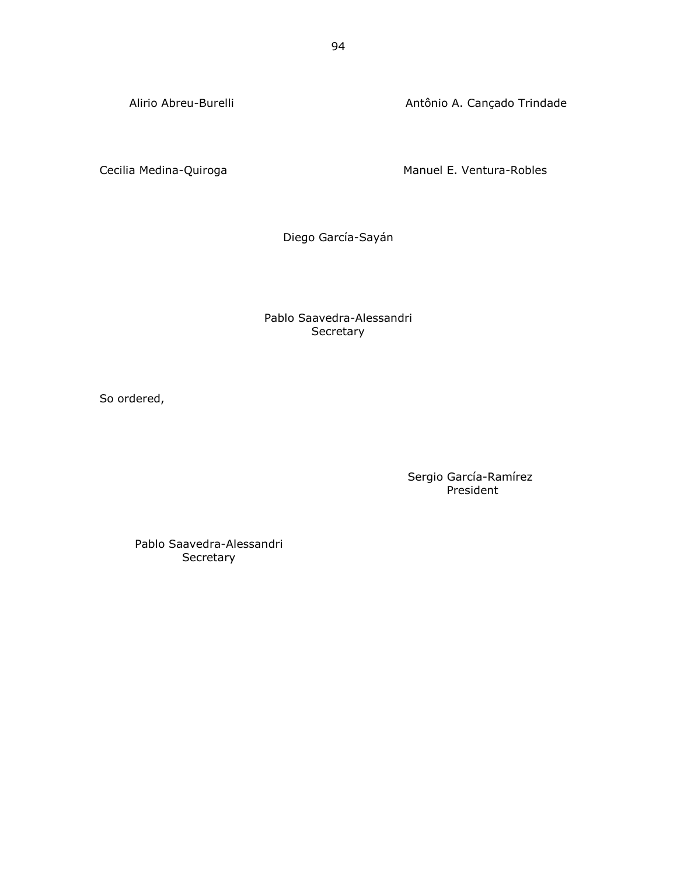Alirio Abreu-Burelli **Antônio A.** Cançado Trindade

Cecilia Medina-Quiroga **Manuel E. Ventura-Robles** Manuel E. Ventura-Robles

Diego García-Sayán

## Pablo Saavedra-Alessandri **Secretary**

So ordered,

Sergio García-Ramírez President

Pablo Saavedra-Alessandri Secretary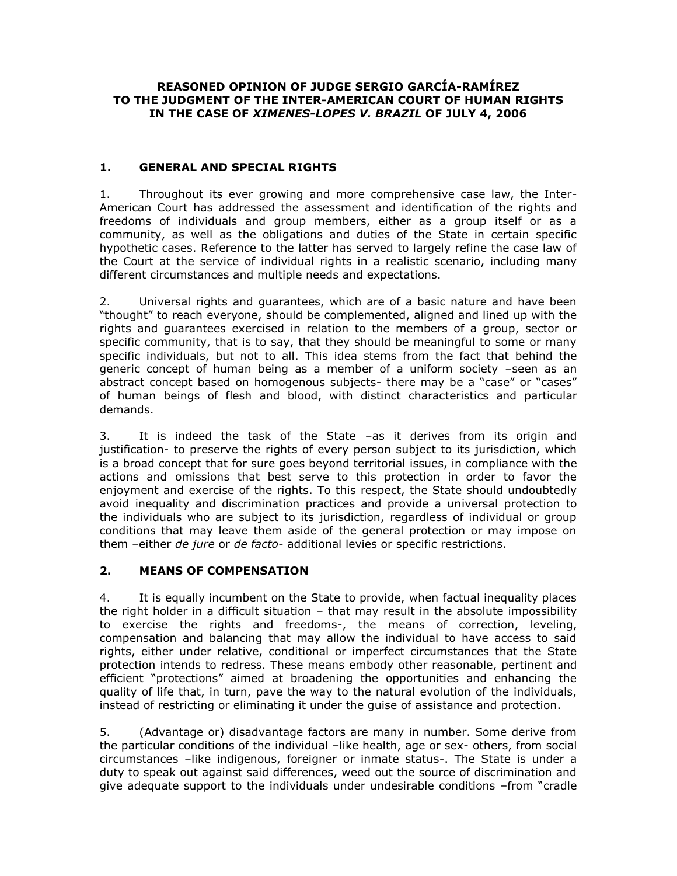## **REASONED OPINION OF JUDGE SERGIO GARCÍA-RAMÍREZ TO THE JUDGMENT OF THE INTER-AMERICAN COURT OF HUMAN RIGHTS IN THE CASE OF** *XIMENES-LOPES V. BRAZIL* **OF JULY 4, 2006**

# **1. GENERAL AND SPECIAL RIGHTS**

1. Throughout its ever growing and more comprehensive case law, the Inter-American Court has addressed the assessment and identification of the rights and freedoms of individuals and group members, either as a group itself or as a community, as well as the obligations and duties of the State in certain specific hypothetic cases. Reference to the latter has served to largely refine the case law of the Court at the service of individual rights in a realistic scenario, including many different circumstances and multiple needs and expectations.

2. Universal rights and guarantees, which are of a basic nature and have been "thought" to reach everyone, should be complemented, aligned and lined up with the rights and guarantees exercised in relation to the members of a group, sector or specific community, that is to say, that they should be meaningful to some or many specific individuals, but not to all. This idea stems from the fact that behind the generic concept of human being as a member of a uniform society –seen as an abstract concept based on homogenous subjects- there may be a "case" or "cases" of human beings of flesh and blood, with distinct characteristics and particular demands.

3. It is indeed the task of the State –as it derives from its origin and justification- to preserve the rights of every person subject to its jurisdiction, which is a broad concept that for sure goes beyond territorial issues, in compliance with the actions and omissions that best serve to this protection in order to favor the enjoyment and exercise of the rights. To this respect, the State should undoubtedly avoid inequality and discrimination practices and provide a universal protection to the individuals who are subject to its jurisdiction, regardless of individual or group conditions that may leave them aside of the general protection or may impose on them –either *de jure* or *de facto-* additional levies or specific restrictions.

# **2. MEANS OF COMPENSATION**

4. It is equally incumbent on the State to provide, when factual inequality places the right holder in a difficult situation – that may result in the absolute impossibility to exercise the rights and freedoms-, the means of correction, leveling, compensation and balancing that may allow the individual to have access to said rights, either under relative, conditional or imperfect circumstances that the State protection intends to redress. These means embody other reasonable, pertinent and efficient "protections" aimed at broadening the opportunities and enhancing the quality of life that, in turn, pave the way to the natural evolution of the individuals, instead of restricting or eliminating it under the guise of assistance and protection.

5. (Advantage or) disadvantage factors are many in number. Some derive from the particular conditions of the individual –like health, age or sex- others, from social circumstances –like indigenous, foreigner or inmate status-. The State is under a duty to speak out against said differences, weed out the source of discrimination and give adequate support to the individuals under undesirable conditions –from "cradle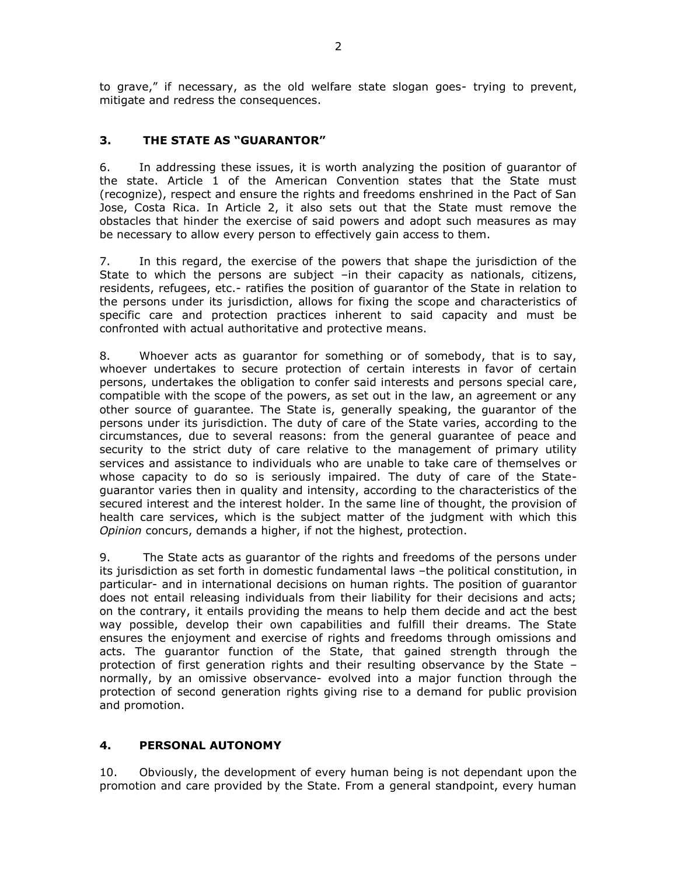to grave," if necessary, as the old welfare state slogan goes- trying to prevent, mitigate and redress the consequences.

# **3. THE STATE AS "GUARANTOR"**

6. In addressing these issues, it is worth analyzing the position of guarantor of the state. Article 1 of the American Convention states that the State must (recognize), respect and ensure the rights and freedoms enshrined in the Pact of San Jose, Costa Rica. In Article 2, it also sets out that the State must remove the obstacles that hinder the exercise of said powers and adopt such measures as may be necessary to allow every person to effectively gain access to them.

7. In this regard, the exercise of the powers that shape the jurisdiction of the State to which the persons are subject –in their capacity as nationals, citizens, residents, refugees, etc.- ratifies the position of guarantor of the State in relation to the persons under its jurisdiction, allows for fixing the scope and characteristics of specific care and protection practices inherent to said capacity and must be confronted with actual authoritative and protective means.

8. Whoever acts as guarantor for something or of somebody, that is to say, whoever undertakes to secure protection of certain interests in favor of certain persons, undertakes the obligation to confer said interests and persons special care, compatible with the scope of the powers, as set out in the law, an agreement or any other source of guarantee. The State is, generally speaking, the guarantor of the persons under its jurisdiction. The duty of care of the State varies, according to the circumstances, due to several reasons: from the general guarantee of peace and security to the strict duty of care relative to the management of primary utility services and assistance to individuals who are unable to take care of themselves or whose capacity to do so is seriously impaired. The duty of care of the Stateguarantor varies then in quality and intensity, according to the characteristics of the secured interest and the interest holder. In the same line of thought, the provision of health care services, which is the subject matter of the judgment with which this *Opinion* concurs, demands a higher, if not the highest, protection.

9. The State acts as guarantor of the rights and freedoms of the persons under its jurisdiction as set forth in domestic fundamental laws –the political constitution, in particular- and in international decisions on human rights. The position of guarantor does not entail releasing individuals from their liability for their decisions and acts; on the contrary, it entails providing the means to help them decide and act the best way possible, develop their own capabilities and fulfill their dreams. The State ensures the enjoyment and exercise of rights and freedoms through omissions and acts. The guarantor function of the State, that gained strength through the protection of first generation rights and their resulting observance by the State – normally, by an omissive observance- evolved into a major function through the protection of second generation rights giving rise to a demand for public provision and promotion.

# **4. PERSONAL AUTONOMY**

10. Obviously, the development of every human being is not dependant upon the promotion and care provided by the State. From a general standpoint, every human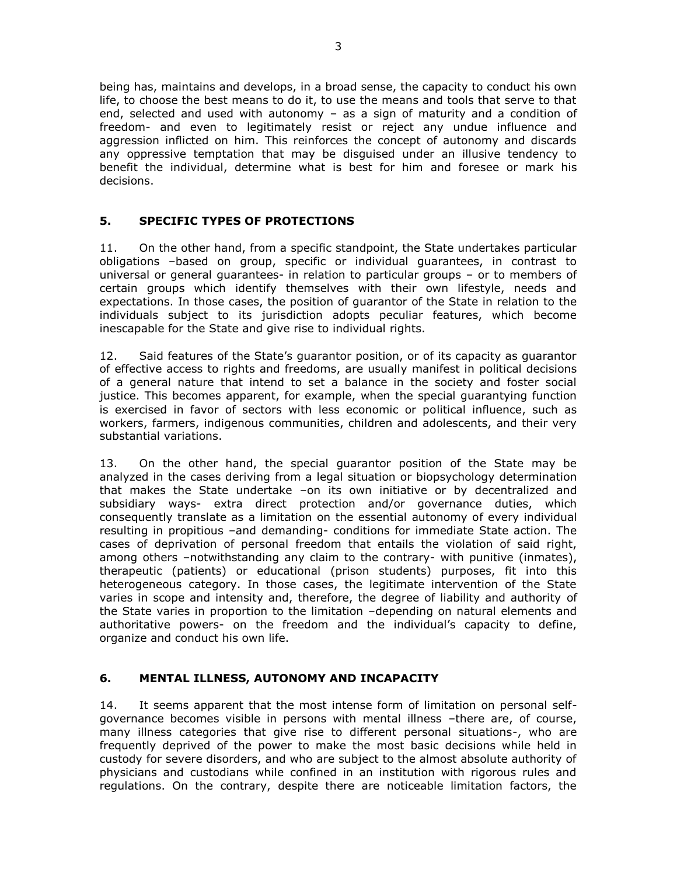being has, maintains and develops, in a broad sense, the capacity to conduct his own life, to choose the best means to do it, to use the means and tools that serve to that end, selected and used with autonomy – as a sign of maturity and a condition of freedom- and even to legitimately resist or reject any undue influence and aggression inflicted on him. This reinforces the concept of autonomy and discards any oppressive temptation that may be disguised under an illusive tendency to benefit the individual, determine what is best for him and foresee or mark his decisions.

# **5. SPECIFIC TYPES OF PROTECTIONS**

11. On the other hand, from a specific standpoint, the State undertakes particular obligations –based on group, specific or individual guarantees, in contrast to universal or general guarantees- in relation to particular groups – or to members of certain groups which identify themselves with their own lifestyle, needs and expectations. In those cases, the position of guarantor of the State in relation to the individuals subject to its jurisdiction adopts peculiar features, which become inescapable for the State and give rise to individual rights.

12. Said features of the State's guarantor position, or of its capacity as guarantor of effective access to rights and freedoms, are usually manifest in political decisions of a general nature that intend to set a balance in the society and foster social justice. This becomes apparent, for example, when the special guarantying function is exercised in favor of sectors with less economic or political influence, such as workers, farmers, indigenous communities, children and adolescents, and their very substantial variations.

13. On the other hand, the special guarantor position of the State may be analyzed in the cases deriving from a legal situation or biopsychology determination that makes the State undertake –on its own initiative or by decentralized and subsidiary ways- extra direct protection and/or governance duties, which consequently translate as a limitation on the essential autonomy of every individual resulting in propitious –and demanding- conditions for immediate State action. The cases of deprivation of personal freedom that entails the violation of said right, among others –notwithstanding any claim to the contrary- with punitive (inmates), therapeutic (patients) or educational (prison students) purposes, fit into this heterogeneous category. In those cases, the legitimate intervention of the State varies in scope and intensity and, therefore, the degree of liability and authority of the State varies in proportion to the limitation –depending on natural elements and authoritative powers- on the freedom and the individual's capacity to define, organize and conduct his own life.

# **6. MENTAL ILLNESS, AUTONOMY AND INCAPACITY**

14. It seems apparent that the most intense form of limitation on personal selfgovernance becomes visible in persons with mental illness –there are, of course, many illness categories that give rise to different personal situations-, who are frequently deprived of the power to make the most basic decisions while held in custody for severe disorders, and who are subject to the almost absolute authority of physicians and custodians while confined in an institution with rigorous rules and regulations. On the contrary, despite there are noticeable limitation factors, the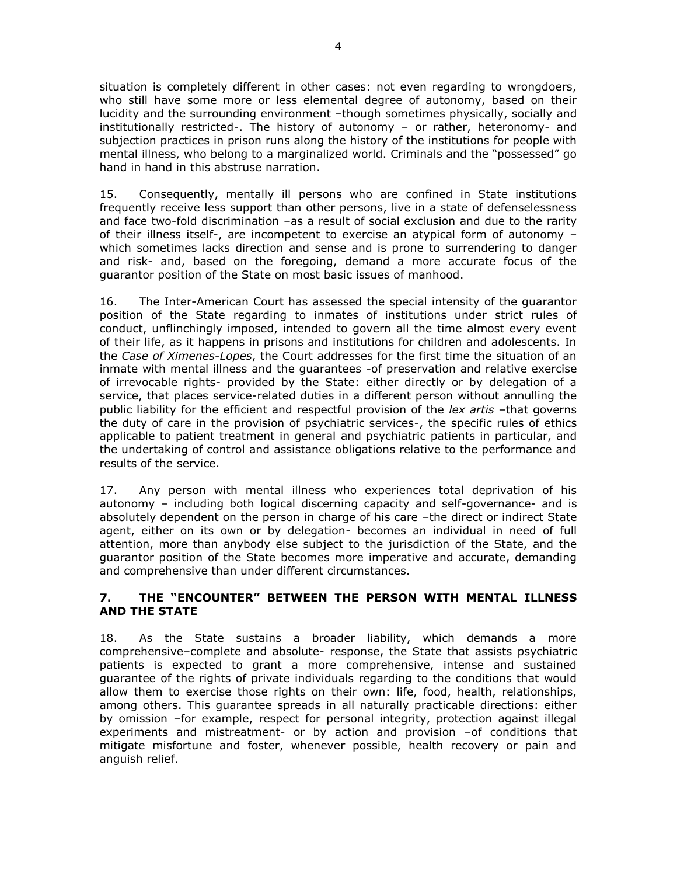situation is completely different in other cases: not even regarding to wrongdoers, who still have some more or less elemental degree of autonomy, based on their lucidity and the surrounding environment –though sometimes physically, socially and institutionally restricted-. The history of autonomy – or rather, heteronomy- and subjection practices in prison runs along the history of the institutions for people with mental illness, who belong to a marginalized world. Criminals and the "possessed" go hand in hand in this abstruse narration.

15. Consequently, mentally ill persons who are confined in State institutions frequently receive less support than other persons, live in a state of defenselessness and face two-fold discrimination –as a result of social exclusion and due to the rarity of their illness itself-, are incompetent to exercise an atypical form of autonomy – which sometimes lacks direction and sense and is prone to surrendering to danger and risk- and, based on the foregoing, demand a more accurate focus of the guarantor position of the State on most basic issues of manhood.

16. The Inter-American Court has assessed the special intensity of the guarantor position of the State regarding to inmates of institutions under strict rules of conduct, unflinchingly imposed, intended to govern all the time almost every event of their life, as it happens in prisons and institutions for children and adolescents. In the *Case of Ximenes-Lopes*, the Court addresses for the first time the situation of an inmate with mental illness and the guarantees -of preservation and relative exercise of irrevocable rights- provided by the State: either directly or by delegation of a service, that places service-related duties in a different person without annulling the public liability for the efficient and respectful provision of the *lex artis* –that governs the duty of care in the provision of psychiatric services-, the specific rules of ethics applicable to patient treatment in general and psychiatric patients in particular, and the undertaking of control and assistance obligations relative to the performance and results of the service.

17. Any person with mental illness who experiences total deprivation of his autonomy – including both logical discerning capacity and self-governance- and is absolutely dependent on the person in charge of his care –the direct or indirect State agent, either on its own or by delegation- becomes an individual in need of full attention, more than anybody else subject to the jurisdiction of the State, and the guarantor position of the State becomes more imperative and accurate, demanding and comprehensive than under different circumstances.

# **7. THE "ENCOUNTER" BETWEEN THE PERSON WITH MENTAL ILLNESS AND THE STATE**

18. As the State sustains a broader liability, which demands a more comprehensive–complete and absolute- response, the State that assists psychiatric patients is expected to grant a more comprehensive, intense and sustained guarantee of the rights of private individuals regarding to the conditions that would allow them to exercise those rights on their own: life, food, health, relationships, among others. This guarantee spreads in all naturally practicable directions: either by omission –for example, respect for personal integrity, protection against illegal experiments and mistreatment- or by action and provision -of conditions that mitigate misfortune and foster, whenever possible, health recovery or pain and anguish relief.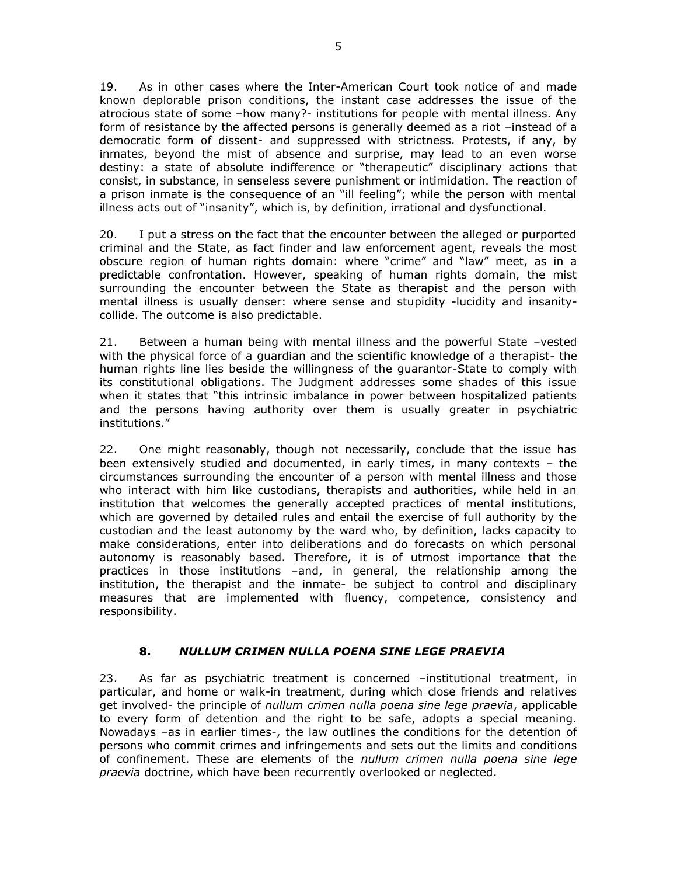19. As in other cases where the Inter-American Court took notice of and made known deplorable prison conditions, the instant case addresses the issue of the atrocious state of some –how many?- institutions for people with mental illness. Any form of resistance by the affected persons is generally deemed as a riot –instead of a democratic form of dissent- and suppressed with strictness. Protests, if any, by inmates, beyond the mist of absence and surprise, may lead to an even worse destiny: a state of absolute indifference or "therapeutic" disciplinary actions that consist, in substance, in senseless severe punishment or intimidation. The reaction of a prison inmate is the consequence of an "ill feeling"; while the person with mental illness acts out of "insanity", which is, by definition, irrational and dysfunctional.

20. I put a stress on the fact that the encounter between the alleged or purported criminal and the State, as fact finder and law enforcement agent, reveals the most obscure region of human rights domain: where "crime" and "law" meet, as in a predictable confrontation. However, speaking of human rights domain, the mist surrounding the encounter between the State as therapist and the person with mental illness is usually denser: where sense and stupidity -lucidity and insanitycollide. The outcome is also predictable.

21. Between a human being with mental illness and the powerful State –vested with the physical force of a guardian and the scientific knowledge of a therapist- the human rights line lies beside the willingness of the guarantor-State to comply with its constitutional obligations. The Judgment addresses some shades of this issue when it states that "this intrinsic imbalance in power between hospitalized patients and the persons having authority over them is usually greater in psychiatric institutions."

22. One might reasonably, though not necessarily, conclude that the issue has been extensively studied and documented, in early times, in many contexts – the circumstances surrounding the encounter of a person with mental illness and those who interact with him like custodians, therapists and authorities, while held in an institution that welcomes the generally accepted practices of mental institutions, which are governed by detailed rules and entail the exercise of full authority by the custodian and the least autonomy by the ward who, by definition, lacks capacity to make considerations, enter into deliberations and do forecasts on which personal autonomy is reasonably based. Therefore, it is of utmost importance that the practices in those institutions –and, in general, the relationship among the institution, the therapist and the inmate- be subject to control and disciplinary measures that are implemented with fluency, competence, consistency and responsibility.

# **8.** *NULLUM CRIMEN NULLA POENA SINE LEGE PRAEVIA*

23. As far as psychiatric treatment is concerned –institutional treatment, in particular, and home or walk-in treatment, during which close friends and relatives get involved- the principle of *nullum crimen nulla poena sine lege praevia*, applicable to every form of detention and the right to be safe, adopts a special meaning. Nowadays –as in earlier times-, the law outlines the conditions for the detention of persons who commit crimes and infringements and sets out the limits and conditions of confinement. These are elements of the *nullum crimen nulla poena sine lege praevia* doctrine, which have been recurrently overlooked or neglected.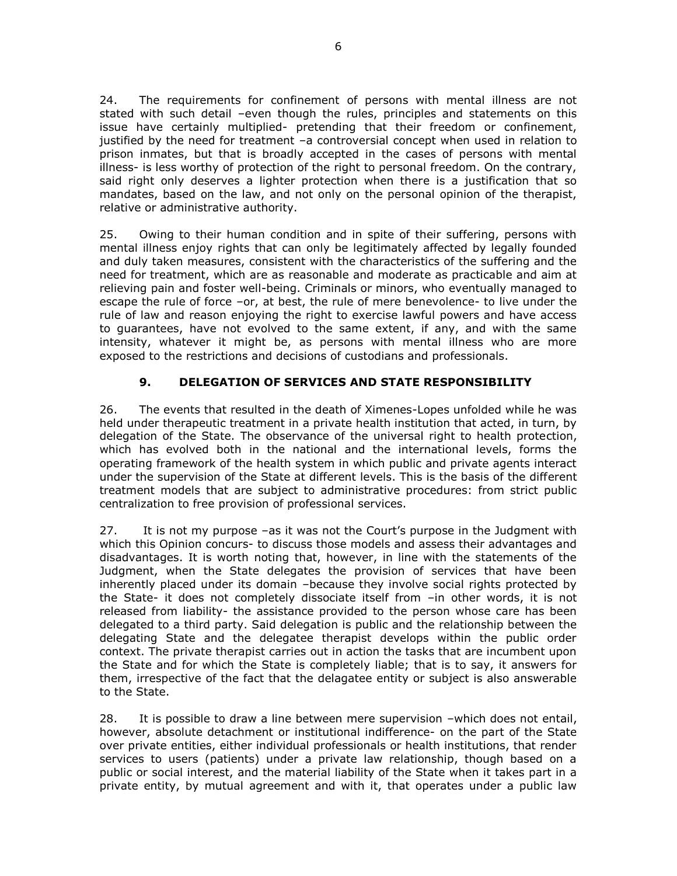24. The requirements for confinement of persons with mental illness are not stated with such detail –even though the rules, principles and statements on this issue have certainly multiplied- pretending that their freedom or confinement, justified by the need for treatment –a controversial concept when used in relation to prison inmates, but that is broadly accepted in the cases of persons with mental illness- is less worthy of protection of the right to personal freedom. On the contrary, said right only deserves a lighter protection when there is a justification that so mandates, based on the law, and not only on the personal opinion of the therapist, relative or administrative authority.

25. Owing to their human condition and in spite of their suffering, persons with mental illness enjoy rights that can only be legitimately affected by legally founded and duly taken measures, consistent with the characteristics of the suffering and the need for treatment, which are as reasonable and moderate as practicable and aim at relieving pain and foster well-being. Criminals or minors, who eventually managed to escape the rule of force –or, at best, the rule of mere benevolence- to live under the rule of law and reason enjoying the right to exercise lawful powers and have access to guarantees, have not evolved to the same extent, if any, and with the same intensity, whatever it might be, as persons with mental illness who are more exposed to the restrictions and decisions of custodians and professionals.

# **9. DELEGATION OF SERVICES AND STATE RESPONSIBILITY**

26. The events that resulted in the death of Ximenes-Lopes unfolded while he was held under therapeutic treatment in a private health institution that acted, in turn, by delegation of the State. The observance of the universal right to health protection, which has evolved both in the national and the international levels, forms the operating framework of the health system in which public and private agents interact under the supervision of the State at different levels. This is the basis of the different treatment models that are subject to administrative procedures: from strict public centralization to free provision of professional services.

27. It is not my purpose –as it was not the Court's purpose in the Judgment with which this Opinion concurs- to discuss those models and assess their advantages and disadvantages. It is worth noting that, however, in line with the statements of the Judgment, when the State delegates the provision of services that have been inherently placed under its domain –because they involve social rights protected by the State- it does not completely dissociate itself from –in other words, it is not released from liability- the assistance provided to the person whose care has been delegated to a third party. Said delegation is public and the relationship between the delegating State and the delegatee therapist develops within the public order context. The private therapist carries out in action the tasks that are incumbent upon the State and for which the State is completely liable; that is to say, it answers for them, irrespective of the fact that the delagatee entity or subject is also answerable to the State.

28. It is possible to draw a line between mere supervision –which does not entail, however, absolute detachment or institutional indifference- on the part of the State over private entities, either individual professionals or health institutions, that render services to users (patients) under a private law relationship, though based on a public or social interest, and the material liability of the State when it takes part in a private entity, by mutual agreement and with it, that operates under a public law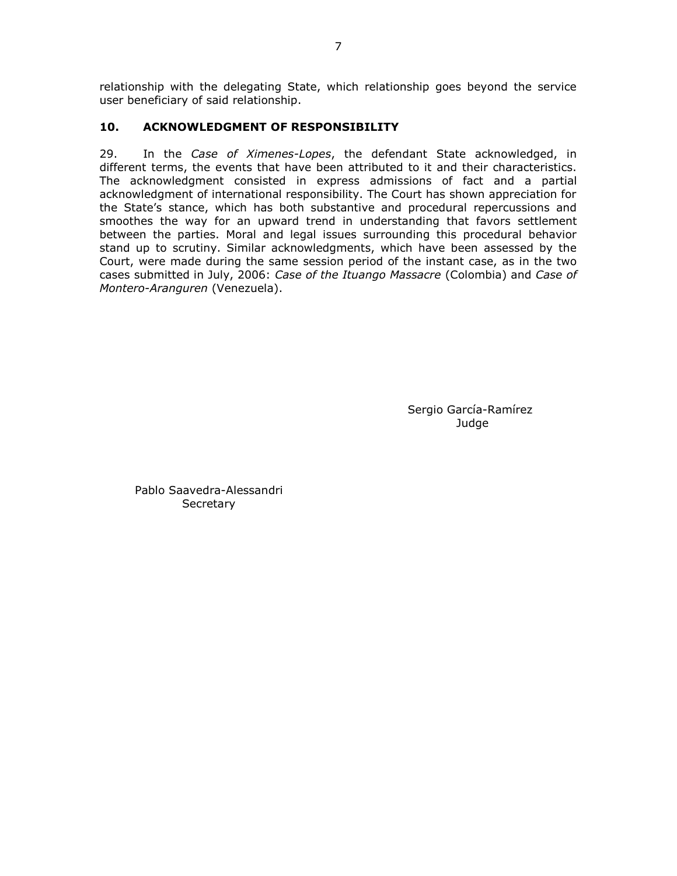relationship with the delegating State, which relationship goes beyond the service user beneficiary of said relationship.

# **10. ACKNOWLEDGMENT OF RESPONSIBILITY**

29. In the *Case of Ximenes-Lopes*, the defendant State acknowledged, in different terms, the events that have been attributed to it and their characteristics. The acknowledgment consisted in express admissions of fact and a partial acknowledgment of international responsibility. The Court has shown appreciation for the State's stance, which has both substantive and procedural repercussions and smoothes the way for an upward trend in understanding that favors settlement between the parties. Moral and legal issues surrounding this procedural behavior stand up to scrutiny. Similar acknowledgments, which have been assessed by the Court, were made during the same session period of the instant case, as in the two cases submitted in July, 2006: *Case of the Ituango Massacre* (Colombia) and *Case of Montero-Aranguren* (Venezuela).

> Sergio García-Ramírez Judge

Pablo Saavedra-Alessandri **Secretary**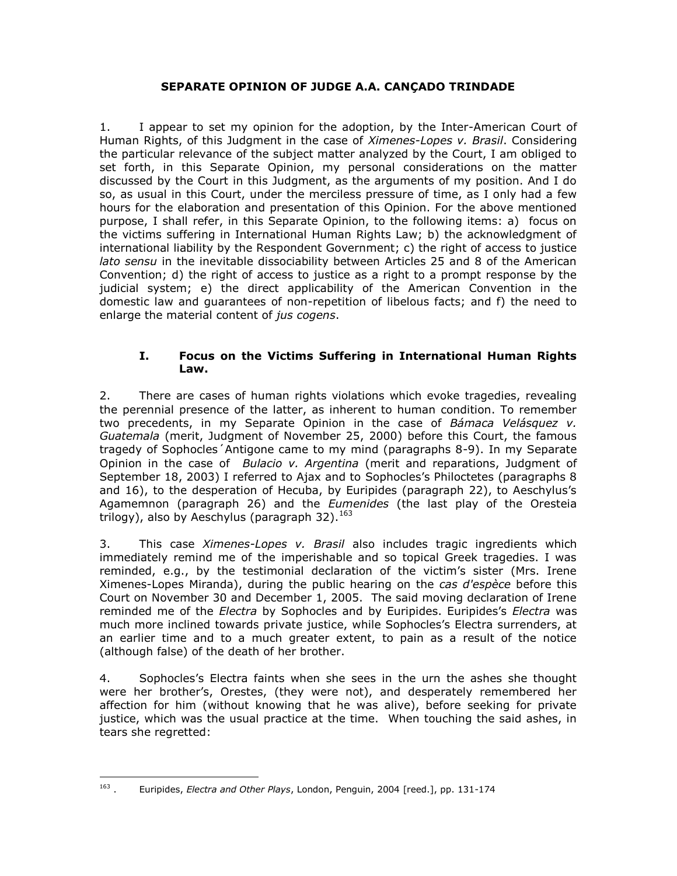## **SEPARATE OPINION OF JUDGE A.A. CANÇADO TRINDADE**

1. I appear to set my opinion for the adoption, by the Inter-American Court of Human Rights, of this Judgment in the case of *Ximenes-Lopes v. Brasil*. Considering the particular relevance of the subject matter analyzed by the Court, I am obliged to set forth, in this Separate Opinion, my personal considerations on the matter discussed by the Court in this Judgment, as the arguments of my position. And I do so, as usual in this Court, under the merciless pressure of time, as I only had a few hours for the elaboration and presentation of this Opinion. For the above mentioned purpose, I shall refer, in this Separate Opinion, to the following items: a) focus on the victims suffering in International Human Rights Law; b) the acknowledgment of international liability by the Respondent Government; c) the right of access to justice *lato sensu* in the inevitable dissociability between Articles 25 and 8 of the American Convention; d) the right of access to justice as a right to a prompt response by the judicial system; e) the direct applicability of the American Convention in the domestic law and guarantees of non-repetition of libelous facts; and f) the need to enlarge the material content of *jus cogens*.

### **I. Focus on the Victims Suffering in International Human Rights Law.**

2. There are cases of human rights violations which evoke tragedies, revealing the perennial presence of the latter, as inherent to human condition. To remember two precedents, in my Separate Opinion in the case of *Bámaca Velásquez v. Guatemala* (merit, Judgment of November 25, 2000) before this Court, the famous tragedy of Sophocles´Antigone came to my mind (paragraphs 8-9). In my Separate Opinion in the case of *Bulacio v. Argentina* (merit and reparations, Judgment of September 18, 2003) I referred to Ajax and to Sophocles's Philoctetes (paragraphs 8 and 16), to the desperation of Hecuba, by Euripides (paragraph 22), to Aeschylus's Agamemnon (paragraph 26) and the *Eumenides* (the last play of the Oresteia trilogy), also by Aeschylus (paragraph 32).  $^{163}$ 

3. This case *Ximenes-Lopes v. Brasil* also includes tragic ingredients which immediately remind me of the imperishable and so topical Greek tragedies. I was reminded, e.g., by the testimonial declaration of the victim's sister (Mrs. Irene Ximenes-Lopes Miranda), during the public hearing on the *cas d'espèce* before this Court on November 30 and December 1, 2005. The said moving declaration of Irene reminded me of the *Electra* by Sophocles and by Euripides. Euripides's *Electra* was much more inclined towards private justice, while Sophocles's Electra surrenders, at an earlier time and to a much greater extent, to pain as a result of the notice (although false) of the death of her brother.

4. Sophocles's Electra faints when she sees in the urn the ashes she thought were her brother's, Orestes, (they were not), and desperately remembered her affection for him (without knowing that he was alive), before seeking for private justice, which was the usual practice at the time. When touching the said ashes, in tears she regretted:

 $\frac{1}{163}$ . Euripides, *Electra and Other Plays*, London, Penguin, 2004 [reed.], pp. 131-174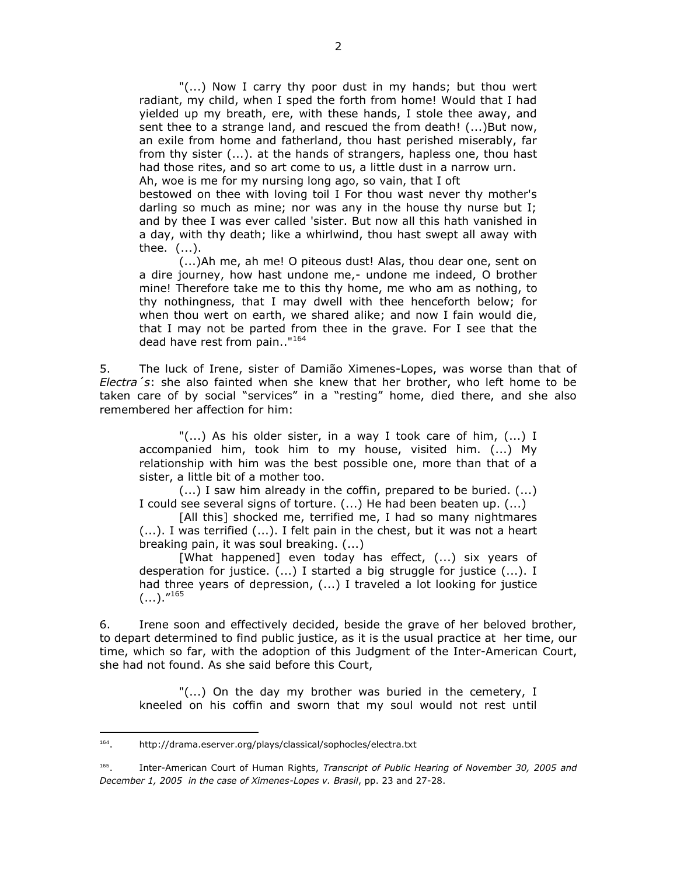"(...) Now I carry thy poor dust in my hands; but thou wert radiant, my child, when I sped the forth from home! Would that I had yielded up my breath, ere, with these hands, I stole thee away, and sent thee to a strange land, and rescued the from death! (...)But now, an exile from home and fatherland, thou hast perished miserably, far from thy sister (...). at the hands of strangers, hapless one, thou hast had those rites, and so art come to us, a little dust in a narrow urn. Ah, woe is me for my nursing long ago, so vain, that I oft

bestowed on thee with loving toil I For thou wast never thy mother's darling so much as mine; nor was any in the house thy nurse but I; and by thee I was ever called 'sister. But now all this hath vanished in a day, with thy death; like a whirlwind, thou hast swept all away with thee. (...).

(...)Ah me, ah me! O piteous dust! Alas, thou dear one, sent on a dire journey, how hast undone me,- undone me indeed, O brother mine! Therefore take me to this thy home, me who am as nothing, to thy nothingness, that I may dwell with thee henceforth below; for when thou wert on earth, we shared alike; and now I fain would die, that I may not be parted from thee in the grave. For I see that the dead have rest from pain.."<sup>164</sup>

5. The luck of Irene, sister of Damião Ximenes-Lopes, was worse than that of *Electra´s*: she also fainted when she knew that her brother, who left home to be taken care of by social "services" in a "resting" home, died there, and she also remembered her affection for him:

"(...) As his older sister, in a way I took care of him, (...) I accompanied him, took him to my house, visited him. (...) My relationship with him was the best possible one, more than that of a sister, a little bit of a mother too.

(...) I saw him already in the coffin, prepared to be buried. (...) I could see several signs of torture. (...) He had been beaten up. (...)

[All this] shocked me, terrified me, I had so many nightmares (...). I was terrified (...). I felt pain in the chest, but it was not a heart breaking pain, it was soul breaking. (...)

[What happened] even today has effect, (...) six years of desperation for justice. (...) I started a big struggle for justice (...). I had three years of depression, (...) I traveled a lot looking for justice  $(...).$ "<sup>165</sup>

6. Irene soon and effectively decided, beside the grave of her beloved brother, to depart determined to find public justice, as it is the usual practice at her time, our time, which so far, with the adoption of this Judgment of the Inter-American Court, she had not found. As she said before this Court,

"(...) On the day my brother was buried in the cemetery, I kneeled on his coffin and sworn that my soul would not rest until

 $\overline{a}$ 

<sup>164</sup> . http://drama.eserver.org/plays/classical/sophocles/electra.txt

<sup>165</sup> . Inter-American Court of Human Rights, *Transcript of Public Hearing of November 30, 2005 and December 1, 2005 in the case of Ximenes-Lopes v. Brasil*, pp. 23 and 27-28.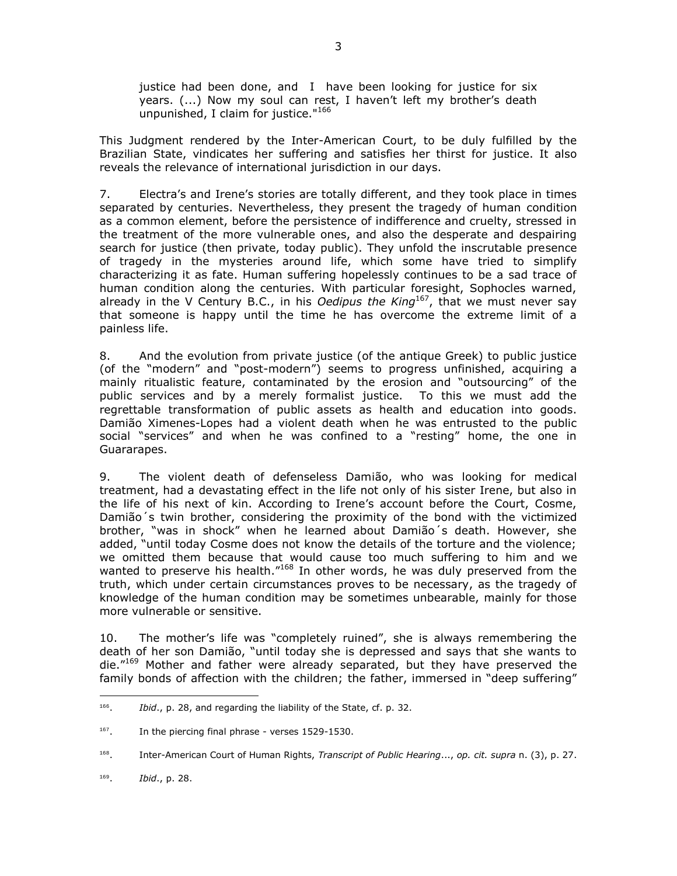justice had been done, and I have been looking for justice for six years. (...) Now my soul can rest, I haven't left my brother's death unpunished, I claim for justice."<sup>166</sup>

This Judgment rendered by the Inter-American Court, to be duly fulfilled by the Brazilian State, vindicates her suffering and satisfies her thirst for justice. It also reveals the relevance of international jurisdiction in our days.

7. Electra's and Irene's stories are totally different, and they took place in times separated by centuries. Nevertheless, they present the tragedy of human condition as a common element, before the persistence of indifference and cruelty, stressed in the treatment of the more vulnerable ones, and also the desperate and despairing search for justice (then private, today public). They unfold the inscrutable presence of tragedy in the mysteries around life, which some have tried to simplify characterizing it as fate. Human suffering hopelessly continues to be a sad trace of human condition along the centuries. With particular foresight, Sophocles warned, already in the V Century B.C., in his *Oedipus the King*<sup>167</sup>, that we must never say that someone is happy until the time he has overcome the extreme limit of a painless life.

8. And the evolution from private justice (of the antique Greek) to public justice (of the "modern" and "post-modern") seems to progress unfinished, acquiring a mainly ritualistic feature, contaminated by the erosion and "outsourcing" of the public services and by a merely formalist justice. To this we must add the regrettable transformation of public assets as health and education into goods. Damião Ximenes-Lopes had a violent death when he was entrusted to the public social "services" and when he was confined to a "resting" home, the one in Guararapes.

9. The violent death of defenseless Damião, who was looking for medical treatment, had a devastating effect in the life not only of his sister Irene, but also in the life of his next of kin. According to Irene's account before the Court, Cosme, Damião´s twin brother, considering the proximity of the bond with the victimized brother, "was in shock" when he learned about Damião´s death. However, she added, "until today Cosme does not know the details of the torture and the violence; we omitted them because that would cause too much suffering to him and we wanted to preserve his health."<sup>168</sup> In other words, he was duly preserved from the truth, which under certain circumstances proves to be necessary, as the tragedy of knowledge of the human condition may be sometimes unbearable, mainly for those more vulnerable or sensitive.

10. The mother's life was "completely ruined", she is always remembering the death of her son Damião, "until today she is depressed and says that she wants to die."<sup>169</sup> Mother and father were already separated, but they have preserved the family bonds of affection with the children; the father, immersed in "deep suffering"

 $\overline{a}$ 166 . *Ibid*., p. 28, and regarding the liability of the State, cf. p. 32.

<sup>167</sup> . In the piercing final phrase - verses 1529-1530.

<sup>168</sup> . Inter-American Court of Human Rights, *Transcript of Public Hearing*..., *op. cit. supra* n. (3), p. 27.

<sup>169</sup> . *Ibid*., p. 28.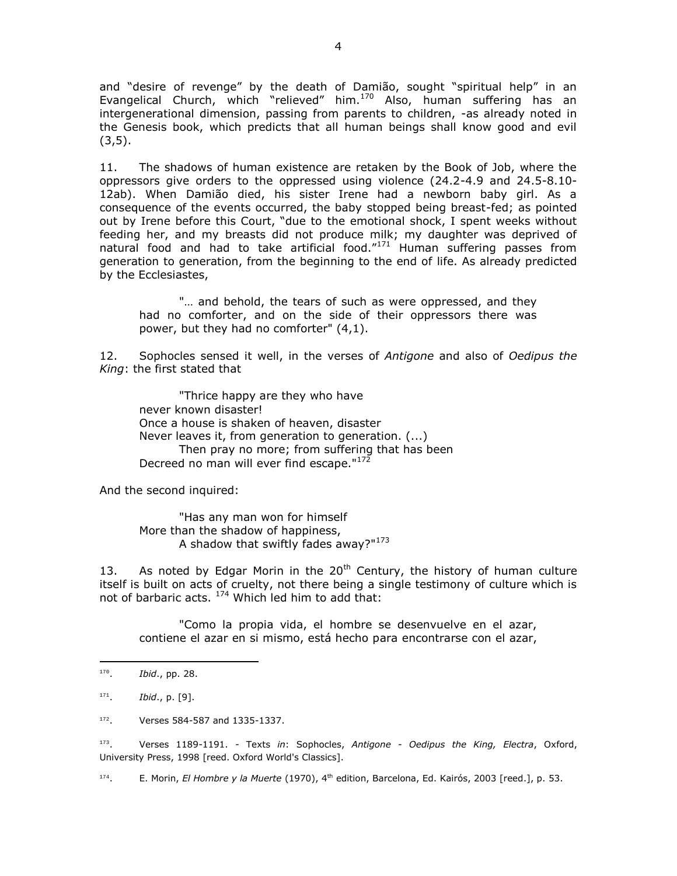and "desire of revenge" by the death of Damião, sought "spiritual help" in an Evangelical Church, which "relieved" him.<sup>170</sup> Also, human suffering has an intergenerational dimension, passing from parents to children, -as already noted in the Genesis book, which predicts that all human beings shall know good and evil  $(3,5)$ .

11. The shadows of human existence are retaken by the Book of Job, where the oppressors give orders to the oppressed using violence (24.2-4.9 and 24.5-8.10- 12ab). When Damião died, his sister Irene had a newborn baby girl. As a consequence of the events occurred, the baby stopped being breast-fed; as pointed out by Irene before this Court, "due to the emotional shock, I spent weeks without feeding her, and my breasts did not produce milk; my daughter was deprived of natural food and had to take artificial food."<sup>171</sup> Human suffering passes from generation to generation, from the beginning to the end of life. As already predicted by the Ecclesiastes,

"… and behold, the tears of such as were oppressed, and they had no comforter, and on the side of their oppressors there was power, but they had no comforter" (4,1).

12. Sophocles sensed it well, in the verses of *Antigone* and also of *Oedipus the King*: the first stated that

"Thrice happy are they who have never known disaster! Once a house is shaken of heaven, disaster Never leaves it, from generation to generation. (...) Then pray no more; from suffering that has been Decreed no man will ever find escape."<sup>172</sup>

And the second inquired:

"Has any man won for himself More than the shadow of happiness, A shadow that swiftly fades away?"<sup>173</sup>

13. As noted by Edgar Morin in the  $20<sup>th</sup>$  Century, the history of human culture itself is built on acts of cruelty, not there being a single testimony of culture which is not of barbaric acts. <sup>174</sup> Which led him to add that:

"Como la propia vida, el hombre se desenvuelve en el azar, contiene el azar en si mismo, está hecho para encontrarse con el azar,

 $\overline{a}$ 

173 . Verses 1189-1191. - Texts *in*: Sophocles, *Antigone - Oedipus the King, Electra*, Oxford, University Press, 1998 [reed. Oxford World's Classics].

174 E. Morin, *El Hombre y la Muerte* (1970), 4<sup>th</sup> edition, Barcelona, Ed. Kairós, 2003 [reed.], p. 53.

<sup>170</sup> . *Ibid*., pp. 28.

<sup>171</sup> . *Ibid*., p. [9].

<sup>172</sup> . Verses 584-587 and 1335-1337.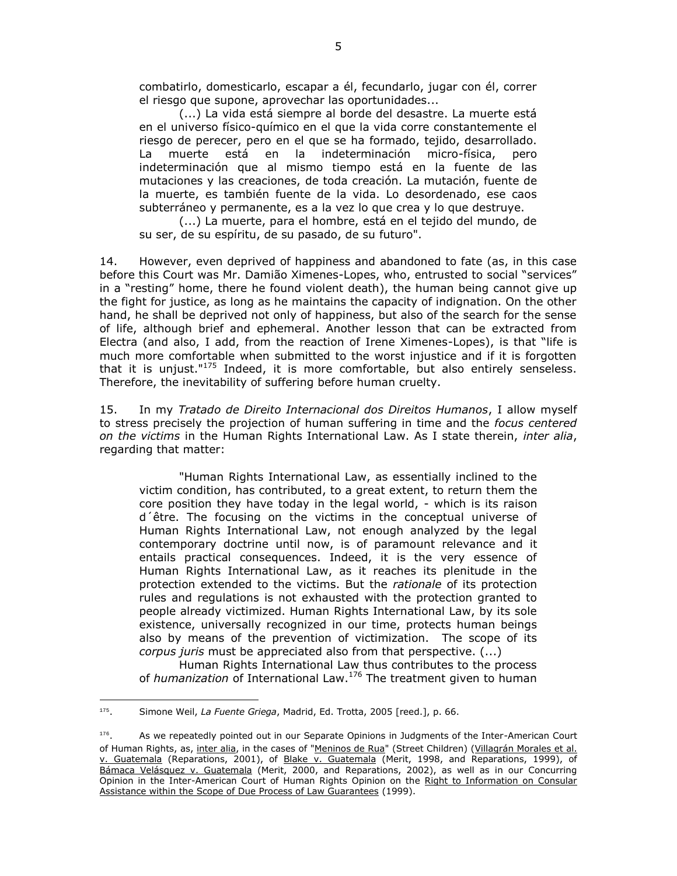combatirlo, domesticarlo, escapar a él, fecundarlo, jugar con él, correr el riesgo que supone, aprovechar las oportunidades...

(...) La vida está siempre al borde del desastre. La muerte está en el universo físico-químico en el que la vida corre constantemente el riesgo de perecer, pero en el que se ha formado, tejido, desarrollado. La muerte está en la indeterminación micro-física, pero indeterminación que al mismo tiempo está en la fuente de las mutaciones y las creaciones, de toda creación. La mutación, fuente de la muerte, es también fuente de la vida. Lo desordenado, ese caos subterráneo y permanente, es a la vez lo que crea y lo que destruye.

(...) La muerte, para el hombre, está en el tejido del mundo, de su ser, de su espíritu, de su pasado, de su futuro".

14. However, even deprived of happiness and abandoned to fate (as, in this case before this Court was Mr. Damião Ximenes-Lopes, who, entrusted to social "services" in a "resting" home, there he found violent death), the human being cannot give up the fight for justice, as long as he maintains the capacity of indignation. On the other hand, he shall be deprived not only of happiness, but also of the search for the sense of life, although brief and ephemeral. Another lesson that can be extracted from Electra (and also, I add, from the reaction of Irene Ximenes-Lopes), is that "life is much more comfortable when submitted to the worst injustice and if it is forgotten that it is unjust." $175$  Indeed, it is more comfortable, but also entirely senseless. Therefore, the inevitability of suffering before human cruelty.

15. In my *Tratado de Direito Internacional dos Direitos Humanos*, I allow myself to stress precisely the projection of human suffering in time and the *focus centered on the victims* in the Human Rights International Law. As I state therein, *inter alia*, regarding that matter:

"Human Rights International Law, as essentially inclined to the victim condition, has contributed, to a great extent, to return them the core position they have today in the legal world, - which is its raison d´être. The focusing on the victims in the conceptual universe of Human Rights International Law, not enough analyzed by the legal contemporary doctrine until now, is of paramount relevance and it entails practical consequences. Indeed, it is the very essence of Human Rights International Law, as it reaches its plenitude in the protection extended to the victims. But the *rationale* of its protection rules and regulations is not exhausted with the protection granted to people already victimized. Human Rights International Law, by its sole existence, universally recognized in our time, protects human beings also by means of the prevention of victimization. The scope of its *corpus juris* must be appreciated also from that perspective. (...)

Human Rights International Law thus contributes to the process of *humanization* of International Law.<sup>176</sup> The treatment given to human

 175 . Simone Weil, *La Fuente Griega*, Madrid, Ed. Trotta, 2005 [reed.], p. 66.

<sup>176</sup> . As we repeatedly pointed out in our Separate Opinions in Judgments of the Inter-American Court of Human Rights, as, inter alia, in the cases of "Meninos de Rua" (Street Children) (Villagrán Morales et al. v. Guatemala (Reparations, 2001), of Blake v. Guatemala (Merit, 1998, and Reparations, 1999), of Bámaca Velásquez v. Guatemala (Merit, 2000, and Reparations, 2002), as well as in our Concurring Opinion in the Inter-American Court of Human Rights Opinion on the Right to Information on Consular Assistance within the Scope of Due Process of Law Guarantees (1999).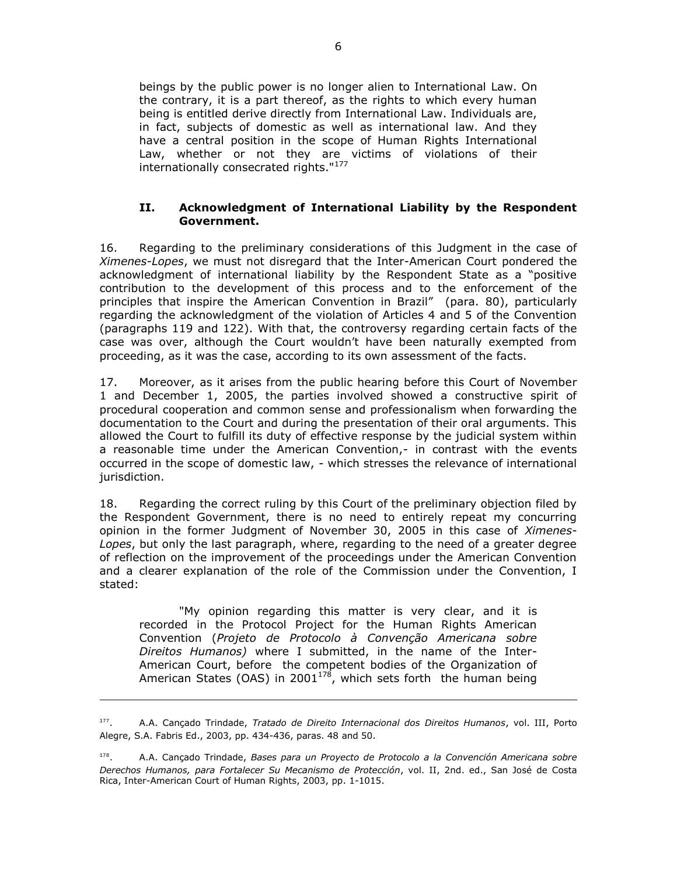beings by the public power is no longer alien to International Law. On the contrary, it is a part thereof, as the rights to which every human being is entitled derive directly from International Law. Individuals are, in fact, subjects of domestic as well as international law. And they have a central position in the scope of Human Rights International Law, whether or not they are victims of violations of their internationally consecrated rights."<sup>177</sup>

## **II. Acknowledgment of International Liability by the Respondent Government.**

16. Regarding to the preliminary considerations of this Judgment in the case of *Ximenes-Lopes*, we must not disregard that the Inter-American Court pondered the acknowledgment of international liability by the Respondent State as a "positive contribution to the development of this process and to the enforcement of the principles that inspire the American Convention in Brazil" (para. 80), particularly regarding the acknowledgment of the violation of Articles 4 and 5 of the Convention (paragraphs 119 and 122). With that, the controversy regarding certain facts of the case was over, although the Court wouldn't have been naturally exempted from proceeding, as it was the case, according to its own assessment of the facts.

17. Moreover, as it arises from the public hearing before this Court of November 1 and December 1, 2005, the parties involved showed a constructive spirit of procedural cooperation and common sense and professionalism when forwarding the documentation to the Court and during the presentation of their oral arguments. This allowed the Court to fulfill its duty of effective response by the judicial system within a reasonable time under the American Convention,- in contrast with the events occurred in the scope of domestic law, - which stresses the relevance of international jurisdiction.

18. Regarding the correct ruling by this Court of the preliminary objection filed by the Respondent Government, there is no need to entirely repeat my concurring opinion in the former Judgment of November 30, 2005 in this case of *Ximenes-Lopes*, but only the last paragraph, where, regarding to the need of a greater degree of reflection on the improvement of the proceedings under the American Convention and a clearer explanation of the role of the Commission under the Convention, I stated:

"My opinion regarding this matter is very clear, and it is recorded in the Protocol Project for the Human Rights American Convention (*Projeto de Protocolo à Convenção Americana sobre Direitos Humanos)* where I submitted, in the name of the Inter-American Court, before the competent bodies of the Organization of American States (OAS) in 2001<sup>178</sup>, which sets forth the human being

 $\overline{a}$ 

<sup>177</sup> . A.A. Cançado Trindade, *Tratado de Direito Internacional dos Direitos Humanos*, vol. III, Porto Alegre, S.A. Fabris Ed., 2003, pp. 434-436, paras. 48 and 50.

<sup>178</sup> . A.A. Cançado Trindade, *Bases para un Proyecto de Protocolo a la Convención Americana sobre Derechos Humanos, para Fortalecer Su Mecanismo de Protección*, vol. II, 2nd. ed., San José de Costa Rica, Inter-American Court of Human Rights, 2003, pp. 1-1015.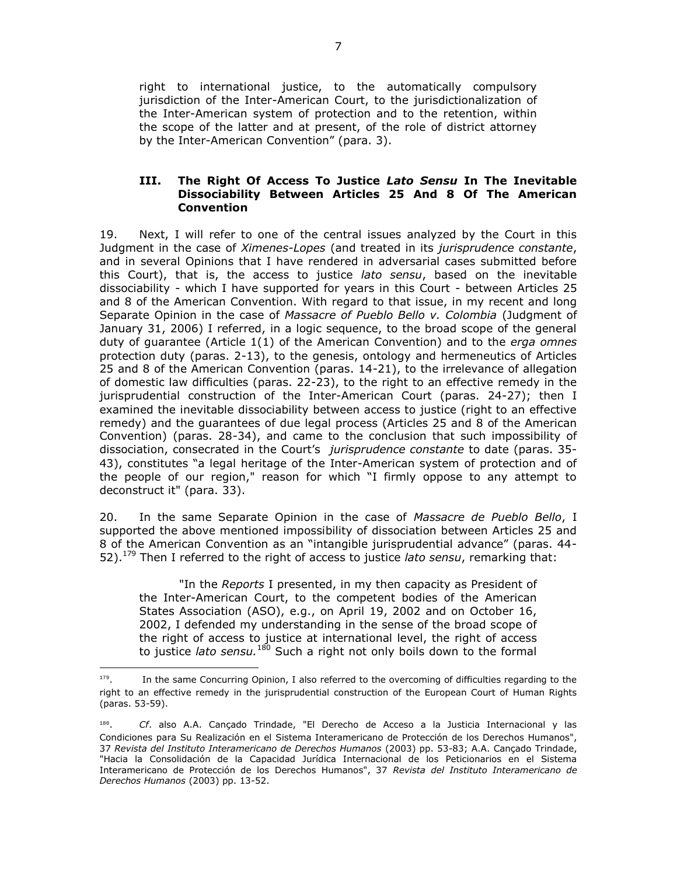right to international justice, to the automatically compulsory jurisdiction of the Inter-American Court, to the jurisdictionalization of the Inter-American system of protection and to the retention, within the scope of the latter and at present, of the role of district attorney by the Inter-American Convention" (para. 3).

### **III. The Right Of Access To Justice** *Lato Sensu* **In The Inevitable Dissociability Between Articles 25 And 8 Of The American Convention**

19. Next, I will refer to one of the central issues analyzed by the Court in this Judgment in the case of *Ximenes-Lopes* (and treated in its *jurisprudence constante*, and in several Opinions that I have rendered in adversarial cases submitted before this Court), that is, the access to justice *lato sensu*, based on the inevitable dissociability - which I have supported for years in this Court - between Articles 25 and 8 of the American Convention. With regard to that issue, in my recent and long Separate Opinion in the case of *Massacre of Pueblo Bello v. Colombia* (Judgment of January 31, 2006) I referred, in a logic sequence, to the broad scope of the general duty of guarantee (Article 1(1) of the American Convention) and to the *erga omnes* protection duty (paras. 2-13), to the genesis, ontology and hermeneutics of Articles 25 and 8 of the American Convention (paras. 14-21), to the irrelevance of allegation of domestic law difficulties (paras. 22-23), to the right to an effective remedy in the jurisprudential construction of the Inter-American Court (paras. 24-27); then I examined the inevitable dissociability between access to justice (right to an effective remedy) and the guarantees of due legal process (Articles 25 and 8 of the American Convention) (paras. 28-34), and came to the conclusion that such impossibility of dissociation, consecrated in the Court's *jurisprudence constante* to date (paras. 35- 43), constitutes "a legal heritage of the Inter-American system of protection and of the people of our region," reason for which "I firmly oppose to any attempt to deconstruct it" (para. 33).

20. In the same Separate Opinion in the case of *Massacre de Pueblo Bello*, I supported the above mentioned impossibility of dissociation between Articles 25 and 8 of the American Convention as an "intangible jurisprudential advance" (paras. 44- 52).<sup>179</sup> Then I referred to the right of access to justice *lato sensu*, remarking that:

"In the *Reports* I presented, in my then capacity as President of the Inter-American Court, to the competent bodies of the American States Association (ASO), e.g., on April 19, 2002 and on October 16, 2002, I defended my understanding in the sense of the broad scope of the right of access to justice at international level, the right of access to justice *lato sensu.*<sup>180</sup> Such a right not only boils down to the formal

 $\overline{a}$ 

<sup>179</sup> . In the same Concurring Opinion, I also referred to the overcoming of difficulties regarding to the right to an effective remedy in the jurisprudential construction of the European Court of Human Rights (paras. 53-59).

<sup>180</sup> . *Cf*. also A.A. Cançado Trindade, "El Derecho de Acceso a la Justicia Internacional y las Condiciones para Su Realización en el Sistema Interamericano de Protección de los Derechos Humanos", 37 *Revista del Instituto Interamericano de Derechos Humanos* (2003) pp. 53-83; A.A. Cançado Trindade, "Hacia la Consolidación de la Capacidad Jurídica Internacional de los Peticionarios en el Sistema Interamericano de Protección de los Derechos Humanos", 37 *Revista del Instituto Interamericano de Derechos Humanos* (2003) pp. 13-52.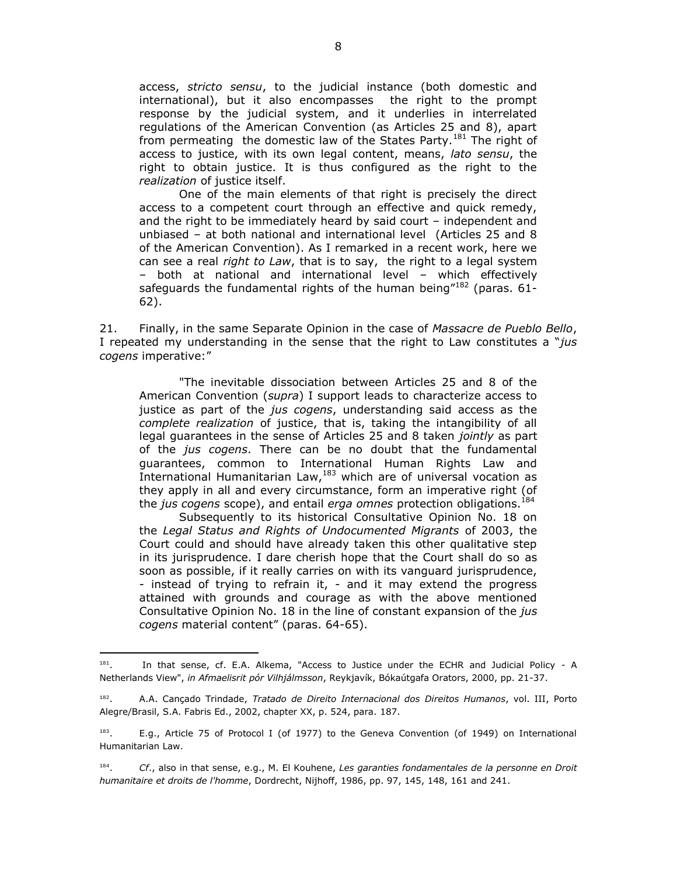access, *stricto sensu*, to the judicial instance (both domestic and international), but it also encompasses the right to the prompt response by the judicial system, and it underlies in interrelated regulations of the American Convention (as Articles 25 and 8), apart from permeating the domestic law of the States Party.<sup>181</sup> The right of access to justice, with its own legal content, means, *lato sensu*, the right to obtain justice. It is thus configured as the right to the *realization* of justice itself.

One of the main elements of that right is precisely the direct access to a competent court through an effective and quick remedy, and the right to be immediately heard by said court – independent and unbiased – at both national and international level (Articles 25 and 8 of the American Convention). As I remarked in a recent work, here we can see a real *right to Law*, that is to say, the right to a legal system – both at national and international level – which effectively safeguards the fundamental rights of the human being<sup> $182$ </sup> (paras. 61-62).

21. Finally, in the same Separate Opinion in the case of *Massacre de Pueblo Bello*, I repeated my understanding in the sense that the right to Law constitutes a "*jus cogens* imperative:"

"The inevitable dissociation between Articles 25 and 8 of the American Convention (*supra*) I support leads to characterize access to justice as part of the *jus cogens*, understanding said access as the *complete realization* of justice, that is, taking the intangibility of all legal guarantees in the sense of Articles 25 and 8 taken *jointly* as part of the *jus cogens*. There can be no doubt that the fundamental guarantees, common to International Human Rights Law and International Humanitarian Law, <sup>183</sup> which are of universal vocation as they apply in all and every circumstance, form an imperative right (of the *jus cogens* scope), and entail *erga omnes* protection obligations.<sup>184</sup>

Subsequently to its historical Consultative Opinion No. 18 on the *Legal Status and Rights of Undocumented Migrants* of 2003, the Court could and should have already taken this other qualitative step in its jurisprudence. I dare cherish hope that the Court shall do so as soon as possible, if it really carries on with its vanguard jurisprudence, - instead of trying to refrain it, - and it may extend the progress attained with grounds and courage as with the above mentioned Consultative Opinion No. 18 in the line of constant expansion of the *jus cogens* material content" (paras. 64-65).

<sup>181</sup> . In that sense, cf. E.A. Alkema, "Access to Justice under the ECHR and Judicial Policy - A Netherlands View", *in Afmaelisrit pór Vilhjálmsson*, Reykjavík, Bókaútgafa Orators, 2000, pp. 21-37.

<sup>182</sup> . A.A. Cançado Trindade, *Tratado de Direito Internacional dos Direitos Humanos*, vol. III, Porto Alegre/Brasil, S.A. Fabris Ed., 2002, chapter XX, p. 524, para. 187.

<sup>183</sup> . E.g., Article 75 of Protocol I (of 1977) to the Geneva Convention (of 1949) on International Humanitarian Law.

<sup>184</sup> . *Cf*., also in that sense, e.g., M. El Kouhene, *Les garanties fondamentales de la personne en Droit humanitaire et droits de l'homme*, Dordrecht, Nijhoff, 1986, pp. 97, 145, 148, 161 and 241.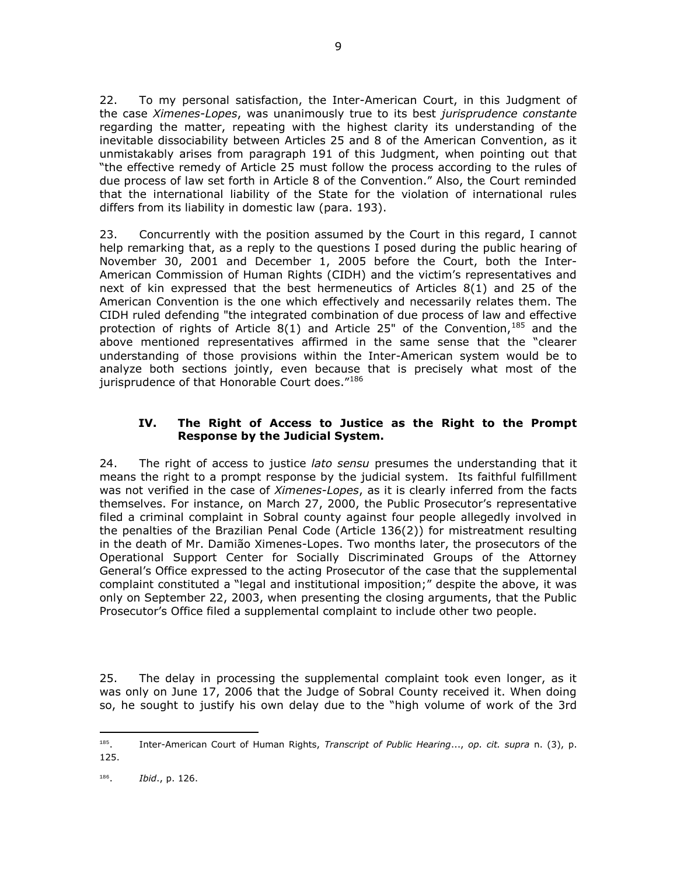22. To my personal satisfaction, the Inter-American Court, in this Judgment of the case *Ximenes-Lopes*, was unanimously true to its best *jurisprudence constante* regarding the matter, repeating with the highest clarity its understanding of the inevitable dissociability between Articles 25 and 8 of the American Convention, as it unmistakably arises from paragraph 191 of this Judgment, when pointing out that "the effective remedy of Article 25 must follow the process according to the rules of due process of law set forth in Article 8 of the Convention." Also, the Court reminded that the international liability of the State for the violation of international rules differs from its liability in domestic law (para. 193).

9

23. Concurrently with the position assumed by the Court in this regard, I cannot help remarking that, as a reply to the questions I posed during the public hearing of November 30, 2001 and December 1, 2005 before the Court, both the Inter-American Commission of Human Rights (CIDH) and the victim's representatives and next of kin expressed that the best hermeneutics of Articles 8(1) and 25 of the American Convention is the one which effectively and necessarily relates them. The CIDH ruled defending "the integrated combination of due process of law and effective protection of rights of Article 8(1) and Article 25" of the Convention,  $185$  and the above mentioned representatives affirmed in the same sense that the "clearer understanding of those provisions within the Inter-American system would be to analyze both sections jointly, even because that is precisely what most of the jurisprudence of that Honorable Court does."186

## **IV. The Right of Access to Justice as the Right to the Prompt Response by the Judicial System.**

24. The right of access to justice *lato sensu* presumes the understanding that it means the right to a prompt response by the judicial system. Its faithful fulfillment was not verified in the case of *Ximenes-Lopes*, as it is clearly inferred from the facts themselves. For instance, on March 27, 2000, the Public Prosecutor's representative filed a criminal complaint in Sobral county against four people allegedly involved in the penalties of the Brazilian Penal Code (Article 136(2)) for mistreatment resulting in the death of Mr. Damião Ximenes-Lopes. Two months later, the prosecutors of the Operational Support Center for Socially Discriminated Groups of the Attorney General's Office expressed to the acting Prosecutor of the case that the supplemental complaint constituted a "legal and institutional imposition;" despite the above, it was only on September 22, 2003, when presenting the closing arguments, that the Public Prosecutor's Office filed a supplemental complaint to include other two people.

25. The delay in processing the supplemental complaint took even longer, as it was only on June 17, 2006 that the Judge of Sobral County received it. When doing so, he sought to justify his own delay due to the "high volume of work of the 3rd

 $\frac{1}{185}$ . Inter-American Court of Human Rights, *Transcript of Public Hearing*..., *op. cit. supra* n. (3), p. 125.

<sup>186</sup> . *Ibid*., p. 126.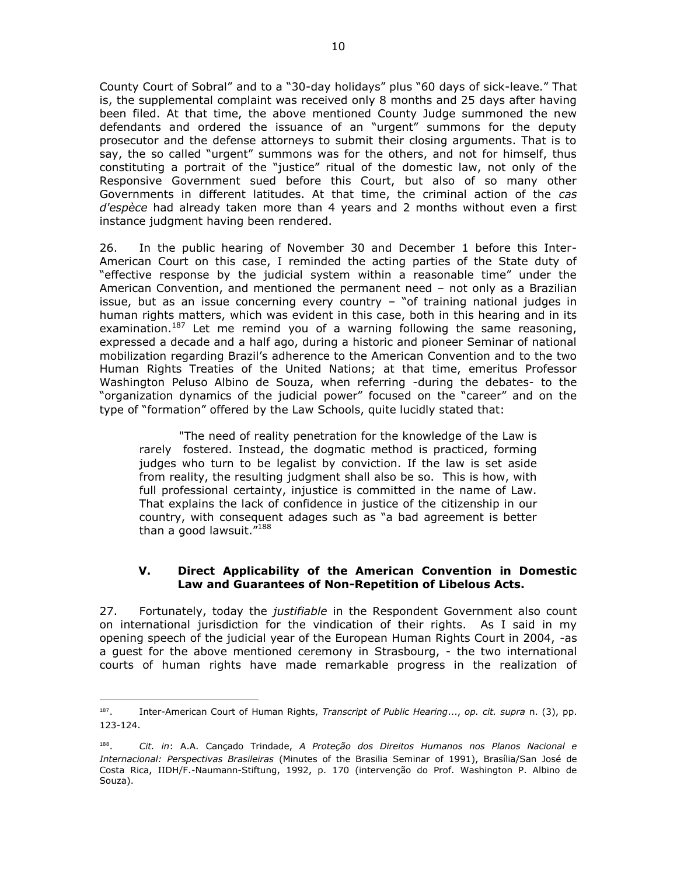County Court of Sobral" and to a "30-day holidays" plus "60 days of sick-leave." That is, the supplemental complaint was received only 8 months and 25 days after having been filed. At that time, the above mentioned County Judge summoned the new defendants and ordered the issuance of an "urgent" summons for the deputy prosecutor and the defense attorneys to submit their closing arguments. That is to say, the so called "urgent" summons was for the others, and not for himself, thus constituting a portrait of the "justice" ritual of the domestic law, not only of the Responsive Government sued before this Court, but also of so many other Governments in different latitudes. At that time, the criminal action of the *cas d'espèce* had already taken more than 4 years and 2 months without even a first instance judgment having been rendered.

26. In the public hearing of November 30 and December 1 before this Inter-American Court on this case, I reminded the acting parties of the State duty of "effective response by the judicial system within a reasonable time" under the American Convention, and mentioned the permanent need – not only as a Brazilian issue, but as an issue concerning every country – "of training national judges in human rights matters, which was evident in this case, both in this hearing and in its examination.<sup>187</sup> Let me remind you of a warning following the same reasoning, expressed a decade and a half ago, during a historic and pioneer Seminar of national mobilization regarding Brazil's adherence to the American Convention and to the two Human Rights Treaties of the United Nations; at that time, emeritus Professor Washington Peluso Albino de Souza, when referring -during the debates- to the "organization dynamics of the judicial power" focused on the "career" and on the type of "formation" offered by the Law Schools, quite lucidly stated that:

"The need of reality penetration for the knowledge of the Law is rarely fostered. Instead, the dogmatic method is practiced, forming judges who turn to be legalist by conviction. If the law is set aside from reality, the resulting judgment shall also be so. This is how, with full professional certainty, injustice is committed in the name of Law. That explains the lack of confidence in justice of the citizenship in our country, with consequent adages such as "a bad agreement is better than a good lawsuit. $"^{188}$ 

## **V. Direct Applicability of the American Convention in Domestic Law and Guarantees of Non-Repetition of Libelous Acts.**

27. Fortunately, today the *justifiable* in the Respondent Government also count on international jurisdiction for the vindication of their rights. As I said in my opening speech of the judicial year of the European Human Rights Court in 2004, -as a guest for the above mentioned ceremony in Strasbourg, - the two international courts of human rights have made remarkable progress in the realization of

 $\frac{1}{187}$ . Inter-American Court of Human Rights, *Transcript of Public Hearing*..., *op. cit. supra* n. (3), pp. 123-124.

<sup>188</sup> . *Cit. in*: A.A. Cançado Trindade, *A Proteção dos Direitos Humanos nos Planos Nacional e Internacional: Perspectivas Brasileiras* (Minutes of the Brasilia Seminar of 1991), Brasília/San José de Costa Rica, IIDH/F.-Naumann-Stiftung, 1992, p. 170 (intervenção do Prof. Washington P. Albino de Souza).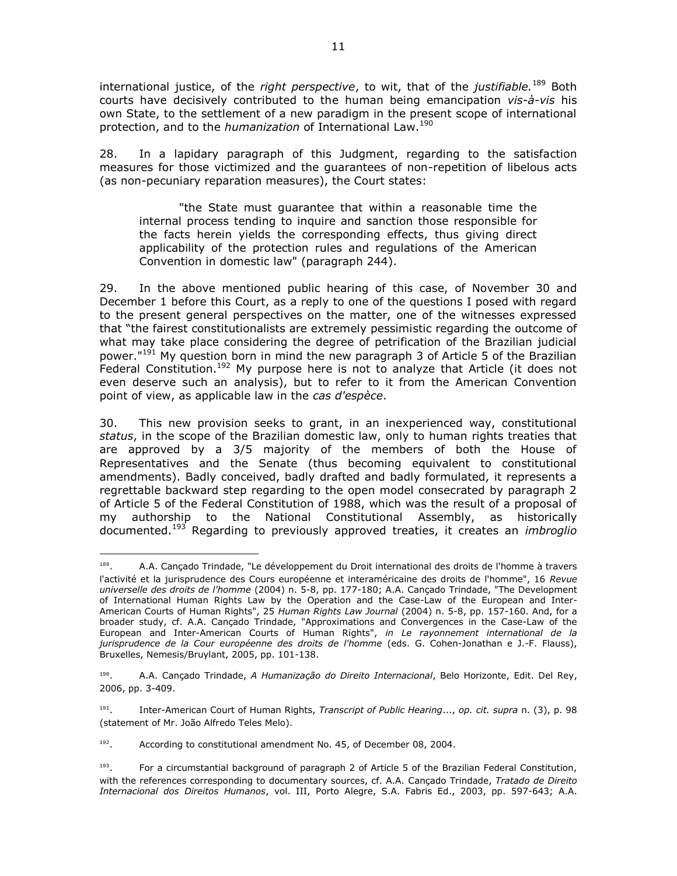international justice, of the *right perspective*, to wit, that of the *justifiable.*<sup>189</sup> Both courts have decisively contributed to the human being emancipation *vis-à-vis* his own State, to the settlement of a new paradigm in the present scope of international protection, and to the *humanization* of International Law.<sup>190</sup>

28. In a lapidary paragraph of this Judgment, regarding to the satisfaction measures for those victimized and the guarantees of non-repetition of libelous acts (as non-pecuniary reparation measures), the Court states:

"the State must guarantee that within a reasonable time the internal process tending to inquire and sanction those responsible for the facts herein yields the corresponding effects, thus giving direct applicability of the protection rules and regulations of the American Convention in domestic law" (paragraph 244).

29. In the above mentioned public hearing of this case, of November 30 and December 1 before this Court, as a reply to one of the questions I posed with regard to the present general perspectives on the matter, one of the witnesses expressed that "the fairest constitutionalists are extremely pessimistic regarding the outcome of what may take place considering the degree of petrification of the Brazilian judicial power."<sup>191</sup> My question born in mind the new paragraph 3 of Article 5 of the Brazilian Federal Constitution.<sup>192</sup> My purpose here is not to analyze that Article (it does not even deserve such an analysis), but to refer to it from the American Convention point of view, as applicable law in the *cas d'espèce*.

30. This new provision seeks to grant, in an inexperienced way, constitutional *status*, in the scope of the Brazilian domestic law, only to human rights treaties that are approved by a 3/5 majority of the members of both the House of Representatives and the Senate (thus becoming equivalent to constitutional amendments). Badly conceived, badly drafted and badly formulated, it represents a regrettable backward step regarding to the open model consecrated by paragraph 2 of Article 5 of the Federal Constitution of 1988, which was the result of a proposal of my authorship to the National Constitutional Assembly, as historically documented.<sup>193</sup> Regarding to previously approved treaties, it creates an *imbroglio*

192 . According to constitutional amendment No. 45, of December 08, 2004.

 189 . A.A. Cançado Trindade, "Le développement du Droit international des droits de l'homme à travers l'activité et la jurisprudence des Cours européenne et interaméricaine des droits de l'homme", 16 *Revue universelle des droits de l'homme* (2004) n. 5-8, pp. 177-180; A.A. Cançado Trindade, "The Development of International Human Rights Law by the Operation and the Case-Law of the European and Inter-American Courts of Human Rights", 25 *Human Rights Law Journal* (2004) n. 5-8, pp. 157-160. And, for a broader study, cf. A.A. Cançado Trindade, "Approximations and Convergences in the Case-Law of the European and Inter-American Courts of Human Rights", *in Le rayonnement international de la jurisprudence de la Cour européenne des droits de l'homme* (eds. G. Cohen-Jonathan e J.-F. Flauss), Bruxelles, Nemesis/Bruylant, 2005, pp. 101-138.

<sup>190</sup> . A.A. Cançado Trindade, *A Humanização do Direito Internacional*, Belo Horizonte, Edit. Del Rey, 2006, pp. 3-409.

<sup>191</sup> . Inter-American Court of Human Rights, *Transcript of Public Hearing*..., *op. cit. supra* n. (3), p. 98 (statement of Mr. João Alfredo Teles Melo).

<sup>193</sup> . For a circumstantial background of paragraph 2 of Article 5 of the Brazilian Federal Constitution, with the references corresponding to documentary sources, cf. A.A. Cançado Trindade, *Tratado de Direito Internacional dos Direitos Humanos*, vol. III, Porto Alegre, S.A. Fabris Ed., 2003, pp. 597-643; A.A.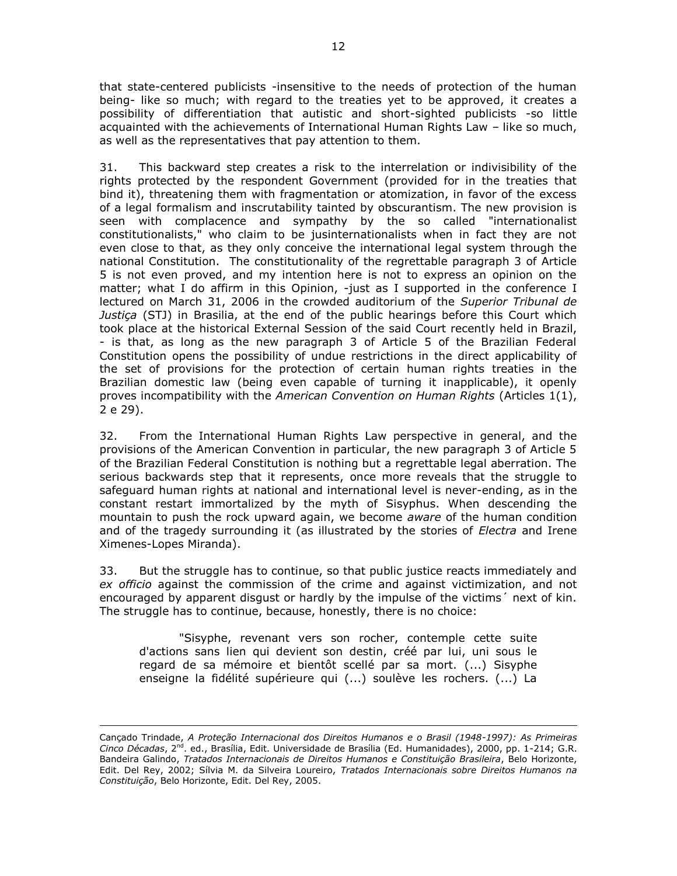that state-centered publicists -insensitive to the needs of protection of the human being- like so much; with regard to the treaties yet to be approved, it creates a possibility of differentiation that autistic and short-sighted publicists -so little acquainted with the achievements of International Human Rights Law – like so much, as well as the representatives that pay attention to them.

31. This backward step creates a risk to the interrelation or indivisibility of the rights protected by the respondent Government (provided for in the treaties that bind it), threatening them with fragmentation or atomization, in favor of the excess of a legal formalism and inscrutability tainted by obscurantism. The new provision is seen with complacence and sympathy by the so called "internationalist constitutionalists," who claim to be jusinternationalists when in fact they are not even close to that, as they only conceive the international legal system through the national Constitution. The constitutionality of the regrettable paragraph 3 of Article 5 is not even proved, and my intention here is not to express an opinion on the matter; what I do affirm in this Opinion, -just as I supported in the conference I lectured on March 31, 2006 in the crowded auditorium of the *Superior Tribunal de Justiça* (STJ) in Brasilia, at the end of the public hearings before this Court which took place at the historical External Session of the said Court recently held in Brazil, - is that, as long as the new paragraph 3 of Article 5 of the Brazilian Federal Constitution opens the possibility of undue restrictions in the direct applicability of the set of provisions for the protection of certain human rights treaties in the Brazilian domestic law (being even capable of turning it inapplicable), it openly proves incompatibility with the *American Convention on Human Rights* (Articles 1(1), 2 e 29).

32. From the International Human Rights Law perspective in general, and the provisions of the American Convention in particular, the new paragraph 3 of Article 5 of the Brazilian Federal Constitution is nothing but a regrettable legal aberration. The serious backwards step that it represents, once more reveals that the struggle to safeguard human rights at national and international level is never-ending, as in the constant restart immortalized by the myth of Sisyphus. When descending the mountain to push the rock upward again, we become *aware* of the human condition and of the tragedy surrounding it (as illustrated by the stories of *Electra* and Irene Ximenes-Lopes Miranda).

33. But the struggle has to continue, so that public justice reacts immediately and *ex officio* against the commission of the crime and against victimization, and not encouraged by apparent disgust or hardly by the impulse of the victims´ next of kin. The struggle has to continue, because, honestly, there is no choice:

"Sisyphe, revenant vers son rocher, contemple cette suite d'actions sans lien qui devient son destin, créé par lui, uni sous le regard de sa mémoire et bientôt scellé par sa mort. (...) Sisyphe enseigne la fidélité supérieure qui (...) soulève les rochers. (...) La

Cançado Trindade, *A Proteção Internacional dos Direitos Humanos e o Brasil (1948-1997): As Primeiras Cinco Décadas,* 2<sup>nd</sup>. ed., Brasília, Edit. Universidade de Brasília (Ed. Humanidades), 2000, pp. 1-214; G.R. Bandeira Galindo, *Tratados Internacionais de Direitos Humanos e Constituição Brasileira*, Belo Horizonte, Edit. Del Rey, 2002; Sílvia M. da Silveira Loureiro, *Tratados Internacionais sobre Direitos Humanos na Constituição*, Belo Horizonte, Edit. Del Rey, 2005.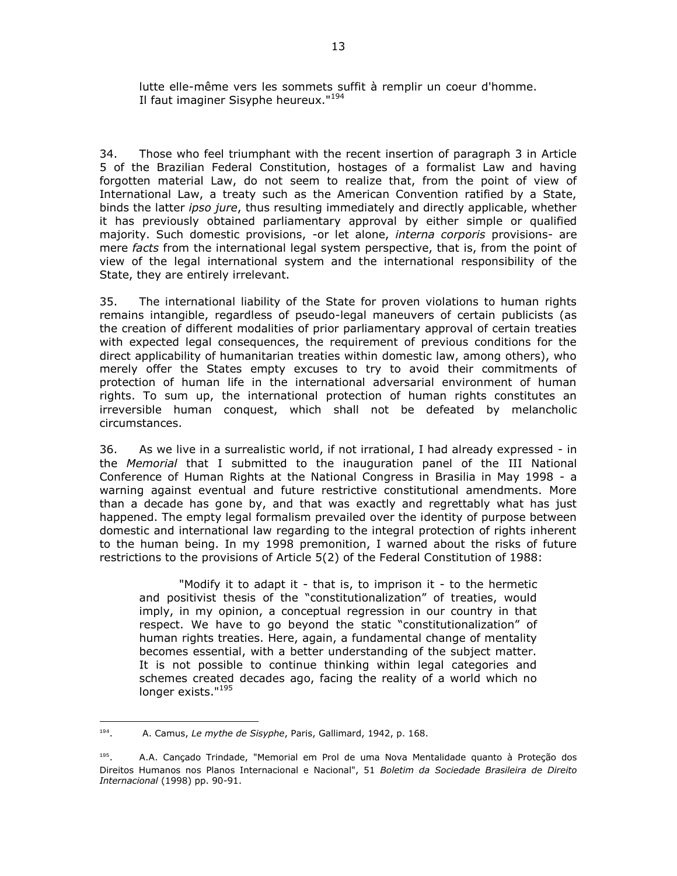lutte elle-même vers les sommets suffit à remplir un coeur d'homme. Il faut imaginer Sisyphe heureux."<sup>194</sup>

34. Those who feel triumphant with the recent insertion of paragraph 3 in Article 5 of the Brazilian Federal Constitution, hostages of a formalist Law and having forgotten material Law, do not seem to realize that, from the point of view of International Law, a treaty such as the American Convention ratified by a State, binds the latter *ipso jure*, thus resulting immediately and directly applicable, whether it has previously obtained parliamentary approval by either simple or qualified majority. Such domestic provisions, -or let alone, *interna corporis* provisions- are mere *facts* from the international legal system perspective, that is, from the point of view of the legal international system and the international responsibility of the State, they are entirely irrelevant.

35. The international liability of the State for proven violations to human rights remains intangible, regardless of pseudo-legal maneuvers of certain publicists (as the creation of different modalities of prior parliamentary approval of certain treaties with expected legal consequences, the requirement of previous conditions for the direct applicability of humanitarian treaties within domestic law, among others), who merely offer the States empty excuses to try to avoid their commitments of protection of human life in the international adversarial environment of human rights. To sum up, the international protection of human rights constitutes an irreversible human conquest, which shall not be defeated by melancholic circumstances.

36. As we live in a surrealistic world, if not irrational, I had already expressed - in the *Memorial* that I submitted to the inauguration panel of the III National Conference of Human Rights at the National Congress in Brasilia in May 1998 - a warning against eventual and future restrictive constitutional amendments. More than a decade has gone by, and that was exactly and regrettably what has just happened. The empty legal formalism prevailed over the identity of purpose between domestic and international law regarding to the integral protection of rights inherent to the human being. In my 1998 premonition, I warned about the risks of future restrictions to the provisions of Article 5(2) of the Federal Constitution of 1988:

"Modify it to adapt it - that is, to imprison it - to the hermetic and positivist thesis of the "constitutionalization" of treaties, would imply, in my opinion, a conceptual regression in our country in that respect. We have to go beyond the static "constitutionalization" of human rights treaties. Here, again, a fundamental change of mentality becomes essential, with a better understanding of the subject matter. It is not possible to continue thinking within legal categories and schemes created decades ago, facing the reality of a world which no longer exists."<sup>195</sup>

<sup>194</sup> . A. Camus, *Le mythe de Sisyphe*, Paris, Gallimard, 1942, p. 168.

<sup>195</sup> . A.A. Cançado Trindade, "Memorial em Prol de uma Nova Mentalidade quanto à Proteção dos Direitos Humanos nos Planos Internacional e Nacional", 51 *Boletim da Sociedade Brasileira de Direito Internacional* (1998) pp. 90-91.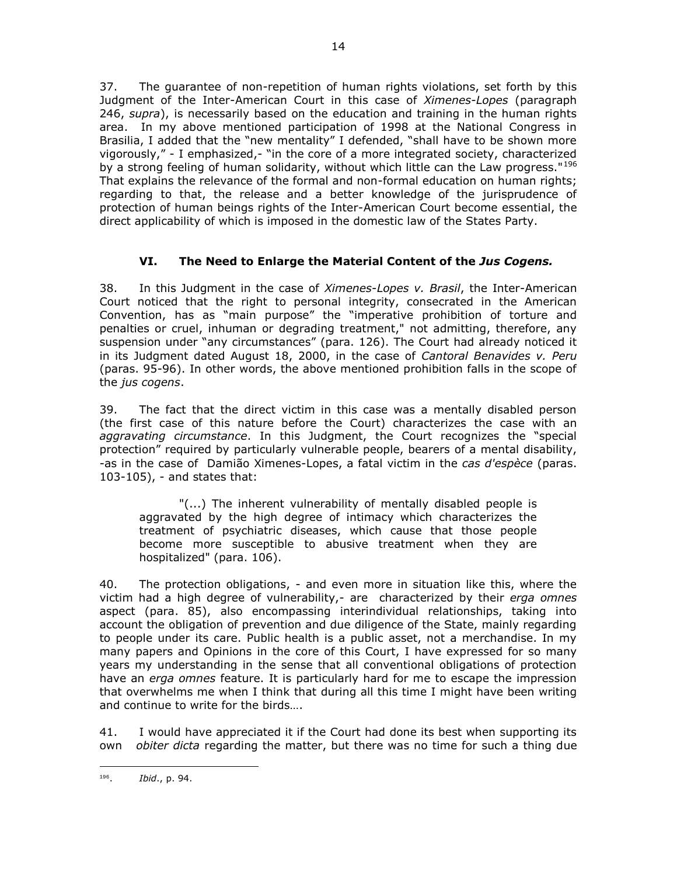37. The guarantee of non-repetition of human rights violations, set forth by this Judgment of the Inter-American Court in this case of *Ximenes-Lopes* (paragraph 246, *supra*), is necessarily based on the education and training in the human rights area. In my above mentioned participation of 1998 at the National Congress in Brasilia, I added that the "new mentality" I defended, "shall have to be shown more vigorously," - I emphasized,- "in the core of a more integrated society, characterized by a strong feeling of human solidarity, without which little can the Law progress."<sup>196</sup> That explains the relevance of the formal and non-formal education on human rights; regarding to that, the release and a better knowledge of the jurisprudence of protection of human beings rights of the Inter-American Court become essential, the direct applicability of which is imposed in the domestic law of the States Party.

## **VI. The Need to Enlarge the Material Content of the** *Jus Cogens.*

38. In this Judgment in the case of *Ximenes-Lopes v. Brasil*, the Inter-American Court noticed that the right to personal integrity, consecrated in the American Convention, has as "main purpose" the "imperative prohibition of torture and penalties or cruel, inhuman or degrading treatment," not admitting, therefore, any suspension under "any circumstances" (para. 126). The Court had already noticed it in its Judgment dated August 18, 2000, in the case of *Cantoral Benavides v. Peru* (paras. 95-96). In other words, the above mentioned prohibition falls in the scope of the *jus cogens*.

39. The fact that the direct victim in this case was a mentally disabled person (the first case of this nature before the Court) characterizes the case with an *aggravating circumstance*. In this Judgment, the Court recognizes the "special protection" required by particularly vulnerable people, bearers of a mental disability, -as in the case of Damião Ximenes-Lopes, a fatal victim in the *cas d'espèce* (paras. 103-105), - and states that:

"(...) The inherent vulnerability of mentally disabled people is aggravated by the high degree of intimacy which characterizes the treatment of psychiatric diseases, which cause that those people become more susceptible to abusive treatment when they are hospitalized" (para. 106).

40. The protection obligations, - and even more in situation like this, where the victim had a high degree of vulnerability,- are characterized by their *erga omnes*  aspect (para. 85), also encompassing interindividual relationships, taking into account the obligation of prevention and due diligence of the State, mainly regarding to people under its care. Public health is a public asset, not a merchandise. In my many papers and Opinions in the core of this Court, I have expressed for so many years my understanding in the sense that all conventional obligations of protection have an *erga omnes* feature. It is particularly hard for me to escape the impression that overwhelms me when I think that during all this time I might have been writing and continue to write for the birds….

41. I would have appreciated it if the Court had done its best when supporting its own *obiter dicta* regarding the matter, but there was no time for such a thing due

 $\overline{a}$ 196 . *Ibid*., p. 94.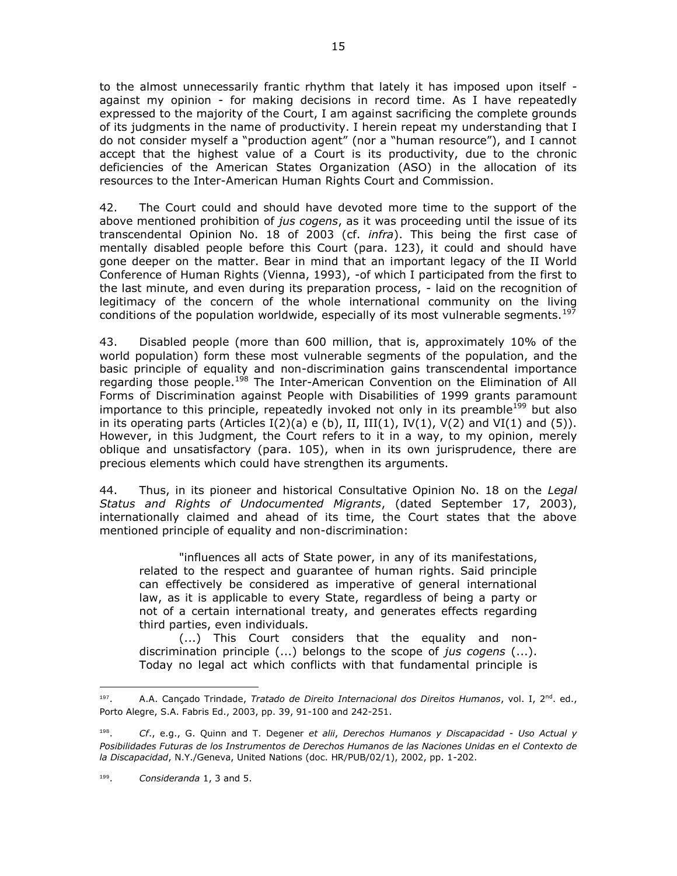to the almost unnecessarily frantic rhythm that lately it has imposed upon itself against my opinion - for making decisions in record time. As I have repeatedly expressed to the majority of the Court, I am against sacrificing the complete grounds of its judgments in the name of productivity. I herein repeat my understanding that I do not consider myself a "production agent" (nor a "human resource"), and I cannot accept that the highest value of a Court is its productivity, due to the chronic deficiencies of the American States Organization (ASO) in the allocation of its resources to the Inter-American Human Rights Court and Commission.

42. The Court could and should have devoted more time to the support of the above mentioned prohibition of *jus cogens*, as it was proceeding until the issue of its transcendental Opinion No. 18 of 2003 (cf. *infra*). This being the first case of mentally disabled people before this Court (para. 123), it could and should have gone deeper on the matter. Bear in mind that an important legacy of the II World Conference of Human Rights (Vienna, 1993), -of which I participated from the first to the last minute, and even during its preparation process, - laid on the recognition of legitimacy of the concern of the whole international community on the living conditions of the population worldwide, especially of its most vulnerable segments.<sup>197</sup>

43. Disabled people (more than 600 million, that is, approximately 10% of the world population) form these most vulnerable segments of the population, and the basic principle of equality and non-discrimination gains transcendental importance regarding those people.<sup>198</sup> The Inter-American Convention on the Elimination of All Forms of Discrimination against People with Disabilities of 1999 grants paramount importance to this principle, repeatedly invoked not only in its preamble<sup>199</sup> but also in its operating parts (Articles  $I(2)(a)$  e (b), II, III(1), IV(1), V(2) and VI(1) and (5)). However, in this Judgment, the Court refers to it in a way, to my opinion, merely oblique and unsatisfactory (para. 105), when in its own jurisprudence, there are precious elements which could have strengthen its arguments.

44. Thus, in its pioneer and historical Consultative Opinion No. 18 on the *Legal Status and Rights of Undocumented Migrants*, (dated September 17, 2003), internationally claimed and ahead of its time, the Court states that the above mentioned principle of equality and non-discrimination:

"influences all acts of State power, in any of its manifestations, related to the respect and guarantee of human rights. Said principle can effectively be considered as imperative of general international law, as it is applicable to every State, regardless of being a party or not of a certain international treaty, and generates effects regarding third parties, even individuals.

(...) This Court considers that the equality and nondiscrimination principle (...) belongs to the scope of *jus cogens* (...). Today no legal act which conflicts with that fundamental principle is

 $\overline{a}$ 197 A.A. Cançado Trindade, *Tratado de Direito Internacional dos Direitos Humanos*, vol. I, 2<sup>nd</sup>. ed., Porto Alegre, S.A. Fabris Ed., 2003, pp. 39, 91-100 and 242-251.

<sup>198</sup> . *Cf*., e.g., G. Quinn and T. Degener *et alii*, *Derechos Humanos y Discapacidad - Uso Actual y Posibilidades Futuras de los Instrumentos de Derechos Humanos de las Naciones Unidas en el Contexto de la Discapacidad*, N.Y./Geneva, United Nations (doc. HR/PUB/02/1), 2002, pp. 1-202.

<sup>199</sup> . *Consideranda* 1, 3 and 5.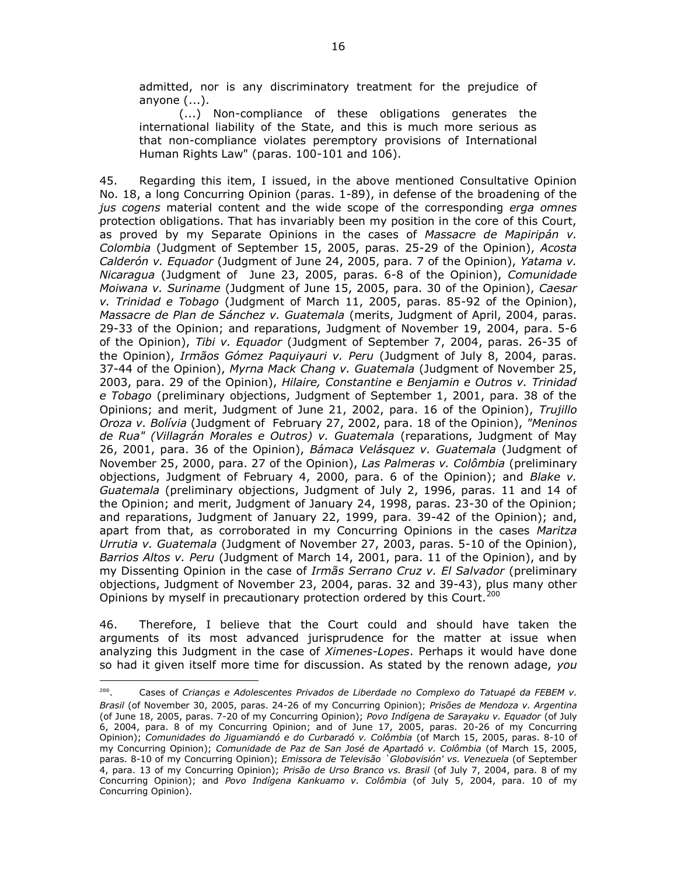admitted, nor is any discriminatory treatment for the prejudice of anyone (...).

(...) Non-compliance of these obligations generates the international liability of the State, and this is much more serious as that non-compliance violates peremptory provisions of International Human Rights Law" (paras. 100-101 and 106).

45. Regarding this item, I issued, in the above mentioned Consultative Opinion No. 18, a long Concurring Opinion (paras. 1-89), in defense of the broadening of the *jus cogens* material content and the wide scope of the corresponding *erga omnes* protection obligations. That has invariably been my position in the core of this Court, as proved by my Separate Opinions in the cases of *Massacre de Mapiripán v. Colombia* (Judgment of September 15, 2005, paras. 25-29 of the Opinion), *Acosta Calderón v. Equador* (Judgment of June 24, 2005, para. 7 of the Opinion), *Yatama v. Nicaragua* (Judgment of June 23, 2005, paras. 6-8 of the Opinion), *Comunidade Moiwana v. Suriname* (Judgment of June 15, 2005, para. 30 of the Opinion), *Caesar v. Trinidad e Tobago* (Judgment of March 11, 2005, paras. 85-92 of the Opinion), *Massacre de Plan de Sánchez v. Guatemala* (merits, Judgment of April, 2004, paras. 29-33 of the Opinion; and reparations, Judgment of November 19, 2004, para. 5-6 of the Opinion), *Tibi v. Equador* (Judgment of September 7, 2004, paras. 26-35 of the Opinion), *Irmãos Gómez Paquiyauri v. Peru* (Judgment of July 8, 2004, paras. 37-44 of the Opinion), *Myrna Mack Chang v. Guatemala* (Judgment of November 25, 2003, para. 29 of the Opinion), *Hilaire, Constantine e Benjamin e Outros v. Trinidad e Tobago* (preliminary objections, Judgment of September 1, 2001, para. 38 of the Opinions; and merit, Judgment of June 21, 2002, para. 16 of the Opinion), *Trujillo Oroza v. Bolívia* (Judgment of February 27, 2002, para. 18 of the Opinion), *"Meninos de Rua" (Villagrán Morales e Outros) v. Guatemala* (reparations, Judgment of May 26, 2001, para. 36 of the Opinion), *Bámaca Velásquez v. Guatemala* (Judgment of November 25, 2000, para. 27 of the Opinion), *Las Palmeras v. Colômbia* (preliminary objections, Judgment of February 4, 2000, para. 6 of the Opinion); and *Blake v. Guatemala* (preliminary objections, Judgment of July 2, 1996, paras. 11 and 14 of the Opinion; and merit, Judgment of January 24, 1998, paras. 23-30 of the Opinion; and reparations, Judgment of January 22, 1999, para. 39-42 of the Opinion); and, apart from that, as corroborated in my Concurring Opinions in the cases *Maritza Urrutia v. Guatemala* (Judgment of November 27, 2003, paras. 5-10 of the Opinion), *Barrios Altos v. Peru* (Judgment of March 14, 2001, para. 11 of the Opinion), and by my Dissenting Opinion in the case of *Irmãs Serrano Cruz v. El Salvador* (preliminary objections, Judgment of November 23, 2004, paras. 32 and 39-43), plus many other Opinions by myself in precautionary protection ordered by this Court.<sup>200</sup>

46. Therefore, I believe that the Court could and should have taken the arguments of its most advanced jurisprudence for the matter at issue when analyzing this Judgment in the case of *Ximenes-Lopes*. Perhaps it would have done so had it given itself more time for discussion. As stated by the renown adage, *you* 

<sup>200</sup> . Cases of *Crianças e Adolescentes Privados de Liberdade no Complexo do Tatuapé da FEBEM v. Brasil* (of November 30, 2005, paras. 24-26 of my Concurring Opinion); *Prisões de Mendoza v. Argentina* (of June 18, 2005, paras. 7-20 of my Concurring Opinion); *Povo Indígena de Sarayaku v. Equador* (of July 6, 2004, para. 8 of my Concurring Opinion; and of June 17, 2005, paras. 20-26 of my Concurring Opinion); *Comunidades do Jiguamiandó e do Curbaradó v. Colômbia* (of March 15, 2005, paras. 8-10 of my Concurring Opinion); *Comunidade de Paz de San José de Apartadó v. Colômbia* (of March 15, 2005, paras. 8-10 of my Concurring Opinion); *Emissora de Televisão `Globovisión' vs. Venezuela* (of September 4, para. 13 of my Concurring Opinion); *Prisão de Urso Branco vs. Brasil* (of July 7, 2004, para. 8 of my Concurring Opinion); and *Povo Indígena Kankuamo v. Colômbia* (of July 5, 2004, para. 10 of my Concurring Opinion).